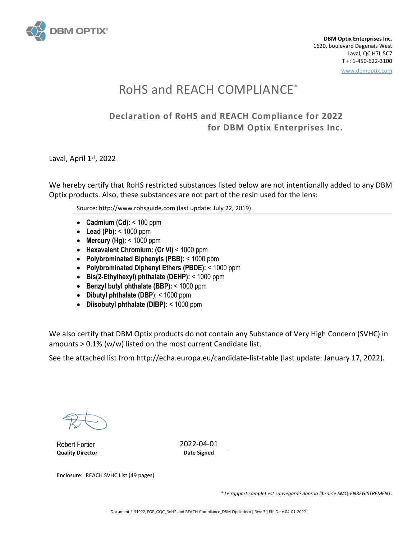

**DBM Optix Enterprises Inc.** 1620, boulevard Dagenais West Laval, QC H7L 5C7 T +: 1-450-622-3100 www.dbmoptix.com

# RoHS and REACH COMPLIANCE\*

## **Declaration of RoHS and REACH Compliance for 2022 for DBM Optix Enterprises Inc.**

Laval, April 1st, 2022

We hereby certify that RoHS restricted substances listed below are not intentionally added to any DBM Optix products. Also, these substances are not part of the resin used for the lens:

Source[: http://www.rohsguide.com](http://www.rohsguide.com/) (last update: July 22, 2019)

- **Cadmium (Cd):** < 100 ppm
- **Lead (Pb):** < 1000 ppm
- **Mercury (Hg):** < 1000 ppm
- **Hexavalent Chromium: (Cr VI)** < 1000 ppm
- **Polybrominated Biphenyls (PBB):** < 1000 ppm
- **Polybrominated Diphenyl Ethers (PBDE):** < 1000 ppm
- **Bis(2-Ethylhexyl) phthalate (DEHP):** < 1000 ppm
- **Benzyl butyl phthalate (BBP):** < 1000 ppm
- **Dibutyl phthalate (DBP**): < 1000 ppm
- **Diisobutyl phthalate (DIBP):** < 1000 ppm

We also certify that DBM Optix products do not contain any Substance of Very High Concern (SVHC) in amounts > 0.1% (w/w) listed on the most current Candidate list.

See the attached list from<http://echa.europa.eu/candidate-list-table> (last update: January 17, 2022).

Robert Fortier 2022-04-01 **Quality Director Date Signed** 

Enclosure: REACH SVHC List (49 pages)

*\* Le rapport complet est sauvegardé dans la librairie SMQ-ENREGISTREMENT.*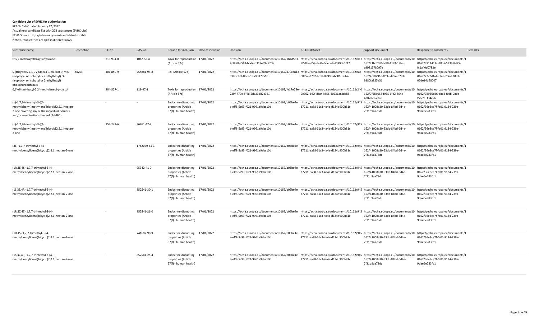#### **Candidate List of SVHC for authorisation**

#### REACH SVHC dated January 17, 2022.

Actual new candidate list with 223 substances (SVHC-List)

### ECHA Source: http://echa.europa.eu/candidate-list-table

Note: Group entries are split in different rows.

| Substance name                                                                                                                                                       | Description | EC No.    | CAS No.      | Reason for inclusion                                                            | Date of inclusion | Decision                                                                                                                                                                                           | <b>IUCLID</b> dataset             | Support document                             | Response to comments                          | Remarks |
|----------------------------------------------------------------------------------------------------------------------------------------------------------------------|-------------|-----------|--------------|---------------------------------------------------------------------------------|-------------------|----------------------------------------------------------------------------------------------------------------------------------------------------------------------------------------------------|-----------------------------------|----------------------------------------------|-----------------------------------------------|---------|
| tris(2-methoxyethoxy)vinylsilane                                                                                                                                     |             | 213-934-0 | 1067-53-4    | Toxic for reproduction 17/01/2022<br>(Article 57c)                              |                   | https://echa.europa.eu/documents/10162/1b4d563 https://echa.europa.eu/documents/10162/b17 https://echa.europa.eu/documents/10 https://echa.europa.eu/documents/1<br>2-3958-a563-bbd4-d318e59e520b  | 5f54b-e658-de9b-0dec-dad099bb1f17 | 162/21bc25f0-b6f0-1174-18ba-<br>a9081578097e | 0162/3914417a-18b5-5334-8d25-<br>fc1a40d0782e |         |
| S-(tricyclo(5.2.1.0'2,6)deca-3-en-8(or 9)-yl O- X4261<br>(isopropyl or isobutyl or 2-ethylhexyl) O-<br>(isopropyl or isobutyl or 2-ethylhexyl)<br>phosphorodithioate |             | 401-850-9 | 255881-94-8  | PBT (Article 57d)                                                               | 17/01/2022        | https://echa.europa.eu/documents/10162/a70cd813-https://echa.europa.eu/documents/10162/fab https://echa.europa.eu/documents/10 https://echa.europa.eu/documents/1<br>f087-c8df-03ce-1359f8f7e516   | 08a5e-d762-bc39-8999-fab001c36b7c | 162/4f98791d-869c-d7a4-5791<br>9380fa825a31  | 0162/22c2d1af-3748-206d-3031-<br>02de14d58047 |         |
| 6,6'-di-tert-butyl-2,2'-methylenedi-p-cresol                                                                                                                         |             | 204-327-1 | 119-47-1     | Toxic for reproduction 17/01/2022<br>(Article 57c)                              |                   | https://echa.europa.eu/documents/10162/fe17e78e- https://echa.europa.eu/documents/10162/240 https://echa.europa.eu/documents/10 https://echa.europa.eu/documents/1<br>729f-770e-5f4a-5da23bb2c361  | 9e362-247f-8ca4-c856-40231ac2dc88 | 162/7f58d058-f965-6fe2-864c-<br>4df6a605c8ce | 0162/92936d26-abe2-f0cb-9bdd-<br>f5be90304c5b |         |
| (±)-1,7,7-trimethyl-3-[(4-<br>methylphenyl)methylene]bicyclo[2.2.1]heptan-<br>2-one covering any of the individual isomers<br>and/or combinations thereof (4-MBC)    |             |           |              | Endocrine disrupting 17/01/2022<br>properties (Article<br>57(f) - human health) |                   | https://echa.europa.eu/documents/10162/b05be4e https://echa.europa.eu/documents/10162/945 https://echa.europa.eu/documents/10 https://echa.europa.eu/documents/1<br>a-eff8-5c93-f021-9961a9abc10d  | 37711-ea88-61c3-4a4a-d134d900b81c | 162/41008a30-53db-84bd-6d4e-<br>7f31d9aa78dc | 0162/36e3ce7f-fa01-9134-239a-<br>9dae6e783fd1 |         |
| (±)-1,7,7-trimethyl-3-[(4-<br>methylphenyl)methylene]bicyclo[2.2.1]heptan-<br>2-one                                                                                  |             | 253-242-6 | 36861-47-9   | <b>Endocrine disrupting</b><br>properties (Article<br>57(f) - human health)     | 17/01/2022        | https://echa.europa.eu/documents/10162/b05be4e https://echa.europa.eu/documents/10162/945 https://echa.europa.eu/documents/10 https://echa.europa.eu/documents/1<br>a-eff8-5c93-f021-9961a9abc10d  | 37711-ea88-61c3-4a4a-d134d900b81c | 162/41008a30-53db-84bd-6d4e-<br>7f31d9aa78dc | 0162/36e3ce7f-fa01-9134-239a-<br>9dae6e783fd1 |         |
| (3E)-1,7,7-trimethyl-3-(4-<br>methylbenzylidene)bicyclo[2.2.1]heptan-2-one                                                                                           |             |           | 1782069-81-1 | <b>Endocrine disrupting</b><br>properties (Article<br>57(f) - human health)     | 17/01/2022        | https://echa.europa.eu/documents/10162/b05be4e https://echa.europa.eu/documents/10162/945 https://echa.europa.eu/documents/10 https://echa.europa.eu/documents/1<br>a-eff8-5c93-f021-9961a9abc10d  | 37711-ea88-61c3-4a4a-d134d900b81c | 162/41008a30-53db-84bd-6d4e-<br>7f31d9aa78dc | 0162/36e3ce7f-fa01-9134-239a-<br>9dae6e783fd1 |         |
| (1R,3E,4S)-1,7,7-trimethyl-3-(4-<br>methylbenzylidene)bicyclo[2.2.1]heptan-2-one                                                                                     |             |           | 95342-41-9   | <b>Endocrine disrupting</b><br>properties (Article<br>57(f) - human health)     | 17/01/2022        | https://echa.europa.eu/documents/10162/b05be4e https://echa.europa.eu/documents/10162/945 https://echa.europa.eu/documents/10 https://echa.europa.eu/documents/1<br>a-eff8-5c93-f021-9961a9abc10d  | 37711-ea88-61c3-4a4a-d134d900b81c | 162/41008a30-53db-84bd-6d4e-<br>7f31d9aa78dc | 0162/36e3ce7f-fa01-9134-239a-<br>9dae6e783fd1 |         |
| (1S, 3E, 4R)-1, 7, 7-trimethyl-3-(4-<br>methylbenzylidene)bicyclo[2.2.1]heptan-2-one                                                                                 |             |           | 852541-30-1  | Endocrine disrupting<br>properties (Article<br>57(f) - human health)            | 17/01/2022        | https://echa.europa.eu/documents/10162/b05be4e https://echa.europa.eu/documents/10162/945 https://echa.europa.eu/documents/10 https://echa.europa.eu/documents/1<br>a-eff8-5c93-f021-9961a9abc10d  | 37711-ea88-61c3-4a4a-d134d900b81c | 162/41008a30-53db-84bd-6d4e-<br>7f31d9aa78dc | 0162/36e3ce7f-fa01-9134-239a-<br>9dae6e783fd1 |         |
| (1R,3Z,4S)-1,7,7-trimethyl-3-(4-<br>methylbenzylidene)bicyclo[2.2.1]heptan-2-one                                                                                     |             |           | 852541-21-0  | Endocrine disrupting 17/01/2022<br>properties (Article<br>57(f) - human health) |                   | https://echa.europa.eu/documents/10162/b05be4e https://echa.europa.eu/documents/10162/945 https://echa.europa.eu/documents/10 https://echa.europa.eu/documents/1<br>a-eff8-5c93-f021-9961a9abc10d  | 37711-ea88-61c3-4a4a-d134d900b81c | 162/41008a30-53db-84bd-6d4e-<br>7f31d9aa78dc | 0162/36e3ce7f-fa01-9134-239a-<br>9dae6e783fd1 |         |
| (1R,4S)-1,7,7-trimethyl-3-(4-<br>methylbenzylidene)bicyclo[2.2.1]heptan-2-one                                                                                        |             |           | 741687-98-9  | <b>Endocrine disrupting</b><br>properties (Article<br>57(f) - human health)     | 17/01/2022        | https://echa.europa.eu/documents/10162/b05be4e https://echa.europa.eu/documents/10162/945 https://echa.europa.eu/documents/10 https://echa.europa.eu/documents/1<br>a-eff8-5c93-f021-9961a9abc10d  | 37711-ea88-61c3-4a4a-d134d900b81c | 162/41008a30-53db-84bd-6d4e-<br>7f31d9aa78dc | 0162/36e3ce7f-fa01-9134-239a-<br>9dae6e783fd1 |         |
| (1S,3Z,4R)-1,7,7-trimethyl-3-(4-<br>methylbenzylidene)bicyclo[2.2.1]heptan-2-one                                                                                     |             |           | 852541-25-4  | <b>Endocrine disrupting</b><br>properties (Article<br>57(f) - human health)     | 17/01/2022        | https://echa.europa.eu/documents/10162/b05be4e https://echa.europa.eu/documents/10162/945 https://echa.europa.eu/documents/10 https://echa.europa.eu/documents/10<br>a-eff8-5c93-f021-9961a9abc10d | 37711-ea88-61c3-4a4a-d134d900b81c | 162/41008a30-53db-84bd-6d4e-<br>7f31d9aa78dc | 0162/36e3ce7f-fa01-9134-239a-<br>9dae6e783fd1 |         |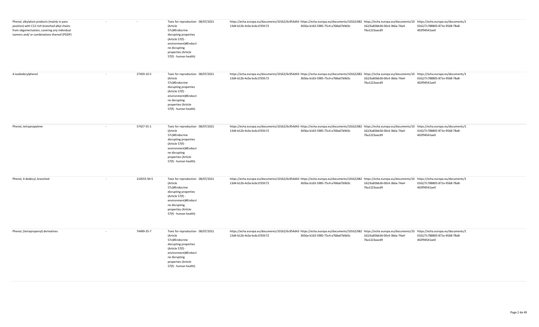| Phenol, alkylation products (mainly in para<br>position) with C12-rich branched alkyl chains<br>from oligomerisation, covering any individual<br>isomers and/ or combinations thereof (PDDP) |        |             | Toxic for reproduction 08/07/2021<br>(Article<br>57c)#Endocrine<br>disrupting properties<br>(Article 57(f) -<br>environment)#Endocri<br>ne disrupting<br>properties (Article<br>57(f) - human health) | https://echa.europa.eu/documents/10162/6c954d43- https://echa.europa.eu/documents/10162/682 https://echa.europa.eu/documents/10 https://echa.europa.eu/documents/10 https://echa.europa.eu/documents/10<br>13d4-b12b-4c0a-bc6c1f35fc72 | 3656a-b163-5985-75c4-a768a67b9d3c | 162/6a83bb36-00c4-3b6a-74a4-<br>76a1223aacd9 | 0162/7c788805-871e-9568-78a8-<br>402f94541ae0 |
|----------------------------------------------------------------------------------------------------------------------------------------------------------------------------------------------|--------|-------------|-------------------------------------------------------------------------------------------------------------------------------------------------------------------------------------------------------|----------------------------------------------------------------------------------------------------------------------------------------------------------------------------------------------------------------------------------------|-----------------------------------|----------------------------------------------|-----------------------------------------------|
| 4-isododecylphenol                                                                                                                                                                           | $\sim$ | 27459-10-5  | Toxic for reproduction 08/07/2021<br>(Article<br>57c)#Endocrine<br>disrupting properties<br>(Article 57(f)<br>environment)#Endocri<br>ne disrupting<br>properties (Article<br>57(f) - human health)   | https://echa.europa.eu/documents/10162/6c954d43- https://echa.europa.eu/documents/10162/682 https://echa.europa.eu/documents/10 https://echa.europa.eu/documents/10 https://echa.europa.eu/documents/10<br>13d4-b12b-4c0a-bc6c1f35fc72 | 3656a-b163-5985-75c4-a768a67b9d3c | 162/6a83bb36-00c4-3b6a-74a4-<br>76a1223aacd9 | 0162/7c788805-871e-9568-78a8-<br>402f94541ae0 |
| Phenol, tetrapropylene-                                                                                                                                                                      |        | 57427-55-1  | Toxic for reproduction 08/07/2021<br>(Article<br>57c)#Endocrine<br>disrupting properties<br>(Article 57(f) -<br>environment)#Endocri<br>ne disrupting<br>properties (Article<br>57(f) - human health) | https://echa.europa.eu/documents/10162/6c954d43- https://echa.europa.eu/documents/10162/682 https://echa.europa.eu/documents/10 https://echa.europa.eu/documents/1<br>13d4-b12b-4c0a-bc6c1f35fc72                                      | 3656a-b163-5985-75c4-a768a67b9d3c | 162/6a83bb36-00c4-3b6a-74a4-<br>76a1223aacd9 | 0162/7c788805-871e-9568-78a8-<br>402f94541ae0 |
| Phenol, 4-dodecyl, branched                                                                                                                                                                  | $\sim$ | 210555-94-5 | Toxic for reproduction 08/07/2021<br>(Article<br>57c)#Endocrine<br>disrupting properties<br>(Article 57(f) -<br>environment)#Endocri<br>ne disrupting<br>properties (Article<br>57(f) - human health) | https://echa.europa.eu/documents/10162/6c954d43-https://echa.europa.eu/documents/10162/682 https://echa.europa.eu/documents/10 https://echa.europa.eu/documents/1<br>13d4-b12b-4c0a-bc6c1f35fc72                                       | 3656a-b163-5985-75c4-a768a67b9d3c | 162/6a83bb36-00c4-3b6a-74a4-<br>76a1223aacd9 | 0162/7c788805-871e-9568-78a8-<br>402f94541ae0 |
| Phenol, (tetrapropenyl) derivatives                                                                                                                                                          | $\sim$ | 74499-35-7  | Toxic for reproduction 08/07/2021<br>(Article<br>57c)#Endocrine<br>disrupting properties<br>(Article 57(f) -<br>environment)#Endocri<br>ne disrupting<br>properties (Article<br>57(f) - human health) | https://echa.europa.eu/documents/10162/6c954d43-https://echa.europa.eu/documents/10162/682 https://echa.europa.eu/documents/10 https://echa.europa.eu/documents/1<br>13d4-b12b-4c0a-bc6c1f35fc72                                       | 3656a-b163-5985-75c4-a768a67b9d3c | 162/6a83bb36-00c4-3b6a-74a4-<br>76a1223aacd9 | 0162/7c788805-871e-9568-78a8-<br>402f94541ae0 |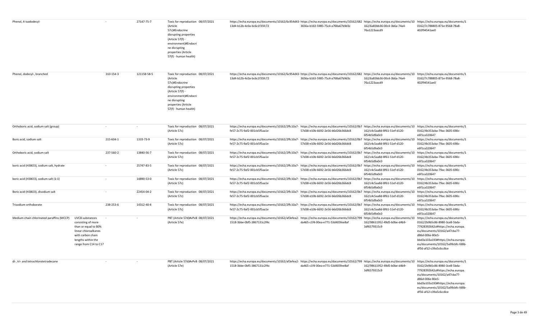| Phenol, 4-isododecyl-                     |                                                                                                                                                           |           | 27147-75-7  | Toxic for reproduction 08/07/2021<br>(Article<br>57c)#Endocrine<br>disrupting properties<br>(Article 57(f) -<br>environment)#Endocri<br>ne disrupting<br>properties (Article<br>57(f) - human health) | https://echa.europa.eu/documents/10162/6c954d43-https://echa.europa.eu/documents/10162/682 https://echa.europa.eu/documents/10 https://echa.europa.eu/documents/1<br>13d4-b12b-4c0a-bc6c1f35fc72  | 3656a-b163-5985-75c4-a768a67b9d3c | 162/6a83bb36-00c4-3b6a-74a4-<br>76a1223aacd9                                        | 0162/7c788805-871e-9568-78a8-<br>402f94541ae0                                                                                                                                                                                                                   |
|-------------------------------------------|-----------------------------------------------------------------------------------------------------------------------------------------------------------|-----------|-------------|-------------------------------------------------------------------------------------------------------------------------------------------------------------------------------------------------------|---------------------------------------------------------------------------------------------------------------------------------------------------------------------------------------------------|-----------------------------------|-------------------------------------------------------------------------------------|-----------------------------------------------------------------------------------------------------------------------------------------------------------------------------------------------------------------------------------------------------------------|
| Phenol, dodecyl-, branched                |                                                                                                                                                           | 310-154-3 | 121158-58-5 | Toxic for reproduction 08/07/2021<br>(Article<br>57c)#Endocrine<br>disrupting properties<br>(Article 57(f) -<br>environment)#Endocri<br>ne disrupting<br>properties (Article<br>57(f) - human health) | https://echa.europa.eu/documents/10162/6c954d43-https://echa.europa.eu/documents/10162/682 https://echa.europa.eu/documents/10 https://echa.europa.eu/documents/1<br>13d4-b12b-4c0a-bc6c1f35fc72  | 3656a-b163-5985-75c4-a768a67b9d3c | 162/6a83bb36-00c4-3b6a-74a4-<br>76a1223aacd9                                        | 0162/7c788805-871e-9568-78a8-<br>402f94541ae0                                                                                                                                                                                                                   |
| Orthoboric acid, sodium salt (group)      |                                                                                                                                                           |           |             | Toxic for reproduction 08/07/2021<br>(Article 57c)                                                                                                                                                    | https://echa.europa.eu/documents/10162/2ffc10a7-https://echa.europa.eu/documents/10162/0b7https://echa.europa.eu/documents/10 https://echa.europa.eu/documents/1<br>fe57-2c75-9af2-001cb5f5aa1e   | 57d38-e10b-6692-2e56-b6d26b366dc8 | 162/c4c5aa8d-8f61-51ef-d120-<br>6f54b5d9a0c0                                        | 0162/4b353aba-79ac-3605-690c-<br>e6f1ca320647                                                                                                                                                                                                                   |
| Boric acid, sodium salt                   |                                                                                                                                                           | 215-604-1 | 1333-73-9   | Toxic for reproduction 08/07/2021<br>(Article 57c)                                                                                                                                                    | https://echa.europa.eu/documents/10162/2ffc10a7- https://echa.europa.eu/documents/10162/0b7 https://echa.europa.eu/documents/10<br>fe57-2c75-9af2-001cb5f5aa1e                                    | 57d38-e10b-6692-2e56-b6d26b366dc8 | 162/c4c5aa8d-8f61-51ef-d120-<br>6f54b5d9a0c0                                        | https://echa.europa.eu/documents/1<br>0162/4b353aba-79ac-3605-690c-<br>e6f1ca320647                                                                                                                                                                             |
| Orthoboric acid, sodium salt              |                                                                                                                                                           | 237-560-2 | 13840-56-7  | Toxic for reproduction 08/07/2021<br>(Article 57c)                                                                                                                                                    | https://echa.europa.eu/documents/10162/2ffc10a7- https://echa.europa.eu/documents/10162/0b7 https://echa.europa.eu/documents/10<br>fe57-2c75-9af2-001cb5f5aa1e                                    | 57d38-e10b-6692-2e56-b6d26b366dc8 | 162/c4c5aa8d-8f61-51ef-d120-<br>6f54b5d9a0c0                                        | https://echa.europa.eu/documents/1<br>0162/4b353aba-79ac-3605-690c-<br>e6f1ca320647                                                                                                                                                                             |
| boric acid (H3BO3), sodium salt, hydrate  |                                                                                                                                                           | $\sim$    | 25747-83-5  | Toxic for reproduction 08/07/2021<br>(Article 57c)                                                                                                                                                    | https://echa.europa.eu/documents/10162/2ffc10a7- https://echa.europa.eu/documents/10162/0b7 https://echa.europa.eu/documents/10<br>fe57-2c75-9af2-001cb5f5aa1e                                    | 57d38-e10b-6692-2e56-b6d26b366dc8 | 162/c4c5aa8d-8f61-51ef-d120-<br>6f54b5d9a0c0                                        | https://echa.europa.eu/documents/1<br>0162/4b353aba-79ac-3605-690c-<br>e6f1ca320647                                                                                                                                                                             |
| boric acid (H3BO3), sodium salt (1:1)     |                                                                                                                                                           |           | 14890-53-0  | Toxic for reproduction 08/07/2021<br>(Article 57c)                                                                                                                                                    | https://echa.europa.eu/documents/10162/2ffc10a7-https://echa.europa.eu/documents/10162/0b<br>fe57-2c75-9af2-001cb5f5aa1e                                                                          | 57d38-e10b-6692-2e56-b6d26b366dc8 | https://echa.europa.eu/documents/10<br>162/c4c5aa8d-8f61-51ef-d120-<br>6f54b5d9a0c0 | https://echa.europa.eu/documents/1<br>0162/4b353aba-79ac-3605-690c-<br>e6f1ca320647                                                                                                                                                                             |
| Boric acid (H3BO3), disodium salt         |                                                                                                                                                           |           | 22454-04-2  | Toxic for reproduction 08/07/2021<br>(Article 57c)                                                                                                                                                    | https://echa.europa.eu/documents/10162/2ffc10a7- https://echa.europa.eu/documents/10162/0b7 https://echa.europa.eu/documents/10<br>fe57-2c75-9af2-001cb5f5aa1e                                    | 57d38-e10b-6692-2e56-b6d26b366dc8 | 162/c4c5aa8d-8f61-51ef-d120-<br>6f54b5d9a0c0                                        | https://echa.europa.eu/documents/1<br>0162/4b353aba-79ac-3605-690c-<br>e6f1ca320647                                                                                                                                                                             |
| Trisodium orthoborate                     |                                                                                                                                                           | 238-253-6 | 14312-40-4  | Toxic for reproduction 08/07/2021<br>(Article 57c)                                                                                                                                                    | https://echa.europa.eu/documents/10162/2ffc10a7- https://echa.europa.eu/documents/10162/0b7<br>fe57-2c75-9af2-001cb5f5aa1e                                                                        | 57d38-e10b-6692-2e56-b6d26b366dc8 | https://echa.europa.eu/documents/10<br>162/c4c5aa8d-8f61-51ef-d120-<br>6f54b5d9a0c0 | https://echa.europa.eu/documents/1<br>0162/4b353aba-79ac-3605-690c-<br>e6f1ca320647                                                                                                                                                                             |
| Medium-chain chlorinated paraffins (MCCP) | UVCB substances<br>consisting of more<br>than or equal to 80%<br>linear chloroalkanes<br>with carbon chain<br>lengths within the<br>range from C14 to C17 |           |             | PBT (Article 57d)#vPvB 08/07/2021<br>(Article 57e)                                                                                                                                                    | https://echa.europa.eu/documents/10162/af3efea2-https://echa.europa.eu/documents/10162/799https://echa.europa.eu/documents/10<br>1518-3bbe-0bf5-3867131c2f4c                                      | da465-c1f4-00ea-e771-53d405fee8af | 162/98611952-49d5-b0be-d4b9-<br>3df6579315c9                                        | https://echa.europa.eu/documents/1<br>0162/2b9b5c86-8980-3ce8-5bda-<br>77928392642c#https://echa.europa.<br>eu/documents/10162/a47cba77-<br>d86d-006e-80e5-<br>bbd3a103a193#https://echa.europa.<br>eu/documents/10162/5a99cbfc-fd8b-<br>df56-af12-c39a5c6cc8ce |
| di-, tri- and tetrachlorotetradecane      |                                                                                                                                                           |           |             | PBT (Article 57d)#vPvB 08/07/2021<br>(Article 57e)                                                                                                                                                    | https://echa.europa.eu/documents/10162/af3efea2- https://echa.europa.eu/documents/10162/799 https://echa.europa.eu/documents/10 https://echa.europa.eu/documents/1<br>1518-3bbe-0bf5-3867131c2f4c | da465-c1f4-00ea-e771-53d405fee8af | 162/98611952-49d5-b0be-d4b9-<br>3df6579315c9                                        | 0162/2b9b5c86-8980-3ce8-5bda-<br>77928392642c#https://echa.europa.<br>eu/documents/10162/a47cba77-<br>d86d-006e-80e5-<br>bbd3a103a193#https://echa.europa.<br>eu/documents/10162/5a99cbfc-fd8b-<br>df56-af12-c39a5c6cc8ce                                       |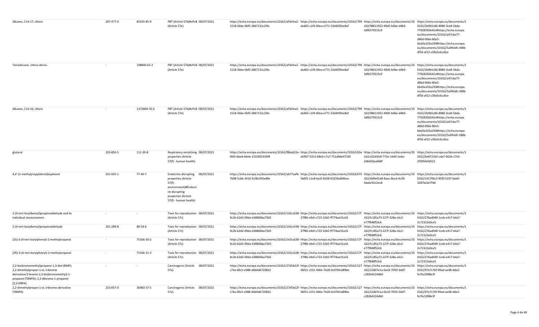| Alkanes, C14-17, chloro                                                                                                                                                                    | 287-477-0 | 85535-85-9   | PBT (Article 57d)#vPvB 08/07/2021<br>(Article 57e)                                                                                                              | https://echa.europa.eu/documents/10162/af3efea2- https://echa.europa.eu/documents/10162/799 https://echa.europa.eu/documents/10 https://echa.europa.eu/documents/10 https://echa.europa.eu/documents/10 https://echa.europa.eu<br>1518-3bbe-0bf5-3867131c2f4c | da465-c1f4-00ea-e771-53d405fee8af | 162/98611952-49d5-b0be-d4b9-<br>3df6579315c9 | 0162/2b9b5c86-8980-3ce8-5bda-<br>77928392642c#https://echa.europa.<br>eu/documents/10162/a47cba77-<br>d86d-006e-80e5-<br>bbd3a103a193#https://echa.europa.<br>eu/documents/10162/5a99cbfc-fd8b-<br>df56-af12-c39a5c6cc8ce |
|--------------------------------------------------------------------------------------------------------------------------------------------------------------------------------------------|-----------|--------------|-----------------------------------------------------------------------------------------------------------------------------------------------------------------|---------------------------------------------------------------------------------------------------------------------------------------------------------------------------------------------------------------------------------------------------------------|-----------------------------------|----------------------------------------------|---------------------------------------------------------------------------------------------------------------------------------------------------------------------------------------------------------------------------|
| Tetradecane, chloro derivs.                                                                                                                                                                | $\sim$    | 198840-65-2  | PBT (Article 57d)#vPvB 08/07/2021<br>(Article 57e)                                                                                                              | https://echa.europa.eu/documents/10162/af3efea2- https://echa.europa.eu/documents/10162/799 https://echa.europa.eu/documents/10 https://echa.europa.eu/documents/1<br>1518-3bbe-0bf5-3867131c2f4c                                                             | da465-c1f4-00ea-e771-53d405fee8af | 162/98611952-49d5-b0be-d4b9-<br>3df6579315c9 | 0162/2b9b5c86-8980-3ce8-5bda-<br>77928392642c#https://echa.europa.<br>eu/documents/10162/a47cba77-<br>d86d-006e-80e5-<br>bbd3a103a193#https://echa.europa.<br>eu/documents/10162/5a99cbfc-fd8b-<br>df56-af12-c39a5c6cc8ce |
| Alkanes, C14-16, chloro                                                                                                                                                                    | $\sim$    | 1372804-76-6 | PBT (Article 57d)#vPvB 08/07/2021<br>(Article 57e)                                                                                                              | https://echa.europa.eu/documents/10162/af3efea2-https://echa.europa.eu/documents/10162/799 https://echa.europa.eu/documents/10 https://echa.europa.eu/documents/1<br>1518-3bbe-0bf5-3867131c2f4c                                                              | da465-c1f4-00ea-e771-53d405fee8af | 162/98611952-49d5-b0be-d4b9-<br>3df6579315c9 | 0162/2b9b5c86-8980-3ce8-5bda-<br>77928392642c#https://echa.europa.<br>eu/documents/10162/a47cba77-<br>d86d-006e-80e5-<br>bbd3a103a193#https://echa.europa.<br>eu/documents/10162/5a99cbfc-fd8b-<br>df56-af12-c39a5c6cc8ce |
| glutaral                                                                                                                                                                                   | 203-856-5 | 111-30-8     | Respiratory sensitising 08/07/2021<br>properties (Article<br>57(f) - human health)                                                                              | https://echa.europa.eu/documents/10162/f8bab22e- https://echa.europa.eu/documents/10162/b5e https://echa.europa.eu/documents/10<br>f605-bbed-66eb-1332835436f9                                                                                                | d1907-5313-68e0-c7a7-751d9de47330 | 162/c02d3fc8-772e-14d0-1eda-<br>2db650aa0b8f | https://echa.europa.eu/documents/1<br>0162/6e8721b5-cda7-662b-17e5-<br>2f395fe0d521                                                                                                                                       |
| 4,4'-(1-methylpropylidene)bisphenol                                                                                                                                                        | 201-025-1 | 77-40-7      | 08/07/2021<br>Endocrine disrupting<br>properties (Article<br>$57(f) -$<br>environment)#Endocri<br>ne disrupting<br>properties (Article<br>57(f) - human health) | https://echa.europa.eu/documents/10162/ab77aafb- https://echa.europa.eu/documents/10162/675 https://echa.europa.eu/documents/10 https://echa.europa.eu/documents/1<br>7b98-5cbb-3416-fc28e393a48e                                                             | 5b6f5-11e8-ba1f-8168-6325fad64bce | 162/dd9e01dd-8aac-8ecd-4c39-<br>4da6c92c2ec8 | 0162/141706c5-95f0-5197-6ab0-<br>3287bc0e7f46                                                                                                                                                                             |
| 2-(4-tert-butylbenzyl)propionaldehyde and its<br>individual stereoisomers                                                                                                                  |           |              | Toxic for reproduction 08/07/2021<br>(Article 57c)                                                                                                              | https://echa.europa.eu/documents/10162/142cc638-https://echa.europa.eu/documents/10162/17f https://echa.europa.eu/documents/10 https://echa.europa.eu/documents/1<br>9c2b-b2d2-09da-b38806ba7565                                                              | 27f86-efe0-c723-32b5-ff774ae31a16 | 162/fc185a73-227f-328a-c6c2-<br>e77f848f53c6 | 0162/276ad049-1ceb-e417-b4a7-<br>2c72322e0ce5                                                                                                                                                                             |
| 2-(4-tert-butylbenzyl)propionaldehyde                                                                                                                                                      | 201-289-8 | 80-54-6      | Toxic for reproduction 08/07/2021<br>(Article 57c)                                                                                                              | https://echa.europa.eu/documents/10162/142cc638- https://echa.europa.eu/documents/10162/17f https://echa.europa.eu/documents/10 https://echa.europa.eu/documents/1<br>9c2b-b2d2-09da-b38806ba7565                                                             | 27f86-efe0-c723-32b5-ff774ae31a16 | 162/fc185a73-227f-328a-c6c2-<br>e77f848f53c6 | 0162/276ad049-1ceb-e417-b4a7-<br>2c72322e0ce5                                                                                                                                                                             |
| (2S)-3-(4-tert-butylphenyl)-2-methylpropanal                                                                                                                                               |           | 75166-30-2   | Toxic for reproduction 08/07/2021<br>(Article 57c)                                                                                                              | https://echa.europa.eu/documents/10162/142cc638-https://echa.europa.eu/documents/10162/17f https://echa.europa.eu/documents/10 https://echa.europa.eu/documents/1<br>9c2b-b2d2-09da-b38806ba7565                                                              | 27f86-efe0-c723-32b5-ff774ae31a16 | 162/fc185a73-227f-328a-c6c2-<br>e77f848f53c6 | 0162/276ad049-1ceb-e417-b4a7-<br>2c72322e0ce5                                                                                                                                                                             |
| (2R)-3-(4-tert-butylphenyl)-2-methylpropanal                                                                                                                                               |           | 75166-31-3   | Toxic for reproduction 08/07/2021<br>(Article 57c)                                                                                                              | https://echa.europa.eu/documents/10162/142cc638-https://echa.europa.eu/documents/10162/17f https://echa.europa.eu/documents/10 https://echa.europa.eu/documents/1<br>9c2b-b2d2-09da-b38806ba7565                                                              | 27f86-efe0-c723-32b5-ff774ae31a16 | 162/fc185a73-227f-328a-c6c2-<br>e77f848f53c6 | 0162/276ad049-1ceb-e417-b4a7-<br>2c72322e0ce5                                                                                                                                                                             |
| 2,2-bis(bromomethyl)propane-1,3-diol (BMP);<br>2,2-dimethylpropan-1-ol, tribromo<br>derivative/3-bromo-2,2-bis(bromomethyl)-1-<br>propanol (TBNPA); 2,3-dibromo-1-propanol<br>$(2,3-DBPA)$ |           |              | Carcinogenic (Article 08/07/2021<br>57a)                                                                                                                        | https://echa.europa.eu/documents/10162/27d5b22f-https://echa.europa.eu/documents/10162/127 https://echa.europa.eu/documents/10 https://echa.europa.eu/documents/1<br>c74a-00c5-e988-d0d4db720822                                                              | 06f21-c551-9d0e-7b28-0c07bfcd89be | 162/22d07e1a-0a10-7050-3dd7-<br>c28264224db0 | 0162/97e7c76f-99ad-ae48-dda3-<br>fe76c5098e3f                                                                                                                                                                             |
| 2,2-dimethylpropan-1-ol, tribromo derivative<br>(TBNPA)                                                                                                                                    | 253-057-0 | 36483-57-5   | Carcinogenic (Article 08/07/2021<br>57a)                                                                                                                        | https://echa.europa.eu/documents/10162/27d5b22f- https://echa.europa.eu/documents/10162/127 https://echa.europa.eu/documents/10<br>c74a-00c5-e988-d0d4db720822                                                                                                | 06f21-c551-9d0e-7b28-0c07bfcd89be | 162/22d07e1a-0a10-7050-3dd7-<br>c28264224db0 | https://echa.europa.eu/documents/1<br>0162/97e7c76f-99ad-ae48-dda3-<br>fe76c5098e3f                                                                                                                                       |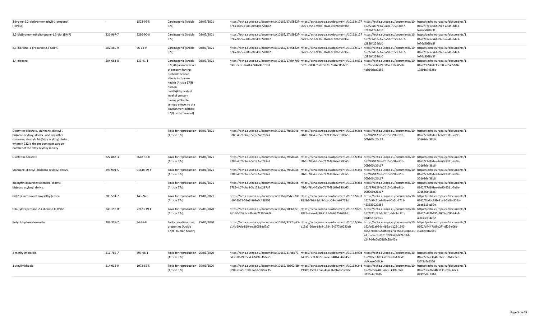| 3-bromo-2,2-bis(bromomethyl)-1-propanol<br>(TBNPA)                                                                                                                                                                     |           | 1522-92-5  | Carcinogenic (Article 08/07/2021<br>57a)                                                                                                                                                                                                                                                           | https://echa.europa.eu/documents/10162/27d5b22f-https://echa.europa.eu/documents/10162/127 https://echa.europa.eu/documents/10 https://echa.europa.eu/documents/1<br>c74a-00c5-e988-d0d4db720822  | 06f21-c551-9d0e-7b28-0c07bfcd89be | 162/22d07e1a-0a10-7050-3dd7-<br>c28264224db0                                                                                                  | 0162/97e7c76f-99ad-ae48-dda3-<br>fe76c5098e3f |
|------------------------------------------------------------------------------------------------------------------------------------------------------------------------------------------------------------------------|-----------|------------|----------------------------------------------------------------------------------------------------------------------------------------------------------------------------------------------------------------------------------------------------------------------------------------------------|---------------------------------------------------------------------------------------------------------------------------------------------------------------------------------------------------|-----------------------------------|-----------------------------------------------------------------------------------------------------------------------------------------------|-----------------------------------------------|
| 2,2-bis(bromomethyl)propane-1,3-diol (BMP)                                                                                                                                                                             | 221-967-7 | 3296-90-0  | Carcinogenic (Article<br>08/07/2021<br>57a)                                                                                                                                                                                                                                                        | https://echa.europa.eu/documents/10162/27d5b22f-https://echa.europa.eu/documents/10162/127 https://echa.europa.eu/documents/10 https://echa.europa.eu/documents/1<br>c74a-00c5-e988-d0d4db720822  | 06f21-c551-9d0e-7b28-0c07bfcd89be | 162/22d07e1a-0a10-7050-3dd7-<br>c28264224db0                                                                                                  | 0162/97e7c76f-99ad-ae48-dda3-<br>fe76c5098e3f |
| 2,3-dibromo-1-propanol (2,3-DBPA)                                                                                                                                                                                      | 202-480-9 | 96-13-9    | Carcinogenic (Article<br>08/07/2021<br>57a)                                                                                                                                                                                                                                                        | https://echa.europa.eu/documents/10162/27d5b22f-https://echa.europa.eu/documents/10162/127 https://echa.europa.eu/documents/10 https://echa.europa.eu/documents/1<br>c74a-00c5-e988-d0d4db720822  | 06f21-c551-9d0e-7b28-0c07bfcd89be | 162/22d07e1a-0a10-7050-3dd7-<br>c28264224db0                                                                                                  | 0162/97e7c76f-99ad-ae48-dda3-<br>fe76c5098e3f |
| 1,4-dioxane                                                                                                                                                                                                            | 204-661-8 | 123-91-1   | 08/07/2021<br>Carcinogenic (Article<br>57a)#Equivalent level<br>of concern having<br>probable serious<br>effects to human<br>health (Article 57(f)<br>human<br>health)#Equivalent<br>level of concern<br>having probable<br>serious effects to the<br>environment (Article<br>57(f) - environment) | https://echa.europa.eu/documents/10162/17ab47c9-https://echa.europa.eu/documents/10162/031 https://echa.europa.eu/documents/10 https://echa.europa.eu/documents/1<br>f60e-ecbc-da78-474468076133  | ccf23-e060-c12b-5978-757b21f51ef5 | 162/ce76bdd9-006a-19fc-05eb-<br>4bb60daa0256                                                                                                  | 0162/9b5464f1-ef30-7e57-5184-<br>10291c44328e |
| Dioctyltin dilaurate, stannane, dioctyl-,<br>bis(coco acyloxy) derivs., and any other<br>stannane, dioctyl-, bis(fatty acyloxy) derivs.<br>wherein C12 is the predominant carbon<br>number of the fatty acyloxy moiety |           |            | Toxic for reproduction 19/01/2021<br>(Article 57c)                                                                                                                                                                                                                                                 | https://echa.europa.eu/documents/10162/7fc5894b- https://echa.europa.eu/documents/10162/3da https://echa.europa.eu/documents/10 https://echa.europa.eu/documents/1<br>3785-4c7f-bba8-5a172ad287a7 | f4bfd-78b4-7e5a-717f-f8169e350d65 | 162/879129fe-2615-0c9f-e91b-<br>00b900d26c17                                                                                                  | 0162/77d1fdea-6e60-9311-7e9e-<br>301686ef38c6 |
| Dioctyltin dilaurate                                                                                                                                                                                                   | 222-883-3 | 3648-18-8  | Toxic for reproduction 19/01/2021<br>(Article 57c)                                                                                                                                                                                                                                                 | https://echa.europa.eu/documents/10162/7fc5894b- https://echa.europa.eu/documents/10162/3da https://echa.europa.eu/documents/10 https://echa.europa.eu/documents/1<br>3785-4c7f-bba8-5a172ad287a7 | f4bfd-78b4-7e5a-717f-f8169e350d65 | 162/879129fe-2615-0c9f-e91b-<br>00b900d26c17                                                                                                  | 0162/77d1fdea-6e60-9311-7e9e-<br>301686ef38c6 |
| Stannane, dioctyl-, bis(coco acyloxy) derivs.                                                                                                                                                                          | 293-901-5 | 91648-39-4 | Toxic for reproduction 19/01/2021<br>(Article 57c)                                                                                                                                                                                                                                                 | https://echa.europa.eu/documents/10162/7fc5894b- https://echa.europa.eu/documents/10162/3da https://echa.europa.eu/documents/10 https://echa.europa.eu/documents/1<br>3785-4c7f-bba8-5a172ad287a7 | f4bfd-78b4-7e5a-717f-f8169e350d65 | 162/879129fe-2615-0c9f-e91b-<br>00b900d26c17                                                                                                  | 0162/77d1fdea-6e60-9311-7e9e-<br>301686ef38c6 |
| dioctyltin dilaurate; stannane, dioctyl-,<br>bis(coco acyloxy) derivs.                                                                                                                                                 |           |            | Toxic for reproduction 19/01/2021<br>(Article 57c)                                                                                                                                                                                                                                                 | https://echa.europa.eu/documents/10162/7fc5894b- https://echa.europa.eu/documents/10162/3da https://echa.europa.eu/documents/10 https://echa.europa.eu/documents/1<br>3785-4c7f-bba8-5a172ad287a7 | f4bfd-78b4-7e5a-717f-f8169e350d65 | 162/879129fe-2615-0c9f-e91b-<br>00b900d26c17                                                                                                  | 0162/77d1fdea-6e60-9311-7e9e-<br>301686ef38c6 |
| Bis(2-(2-methoxyethoxy)ethyl)ether                                                                                                                                                                                     | 205-594-7 | 143-24-8   | Toxic for reproduction 19/01/2021<br>(Article 57c)                                                                                                                                                                                                                                                 | https://echa.europa.eu/documents/10162/854c5708- https://echa.europa.eu/documents/10162/b33 https://echa.europa.eu/documents/10 https://echa.europa.eu/documents/1<br>b10f-7b75-52e7-968e7c448992 | 98d8d-f30d-1db5-1cbc-094de67753cf | 162/c99c2be3-8ba4-0a7c-4711-<br>423639029884                                                                                                  | 0162/3bdbc35b-91e1-3a8a-302a-<br>2ba6313cc50e |
| Dibutylbis(pentane-2,4-dionato-O,O')tin                                                                                                                                                                                | 245-152-0 | 22673-19-4 | Toxic for reproduction 25/06/2020<br>(Article 57c)                                                                                                                                                                                                                                                 | https://echa.europa.eu/documents/10162/10861be https://echa.europa.eu/documents/10162/6f8 https://echa.europa.eu/documents/10 https://echa.europa.eu/documents/1<br>8-f130-266d-ca8f-c6c7139fe6d9 | 8822c-faae-8f80-7121-9e64752668dc | 162/741c3cb4-34b1-3dc3-a12b-<br>07d651f6eb53                                                                                                  | 0162/cd37b495-7065-d09f-74b4-<br>40b39eef4e82 |
| Butyl 4-hydroxybenzoate                                                                                                                                                                                                | 202-318-7 | 94-26-8    | Endocrine disrupting 25/06/2020<br>properties (Article<br>57(f) - human health)                                                                                                                                                                                                                    | https://echa.europa.eu/documents/10162/9227ca75-https://echa.europa.eu/documents/10162/59e https://echa.europa.eu/documents/10 https://echa.europa.eu/documents/1<br>c14c-29ab-81ff-ee86058dd7a7  | d15a3-66ee-b8c8-1384-54277d0223eb | 162/c61a924a-4b3a-d122-1343-<br>d5557deb3029#https://echa.europa.eu c0a4e93b20e9<br>/documents/10162/9c45b069-0fbf-<br>c247-08c0-d0567c58a43e | 0162/d4447c8f-c2f4-df26-c06e-                 |
| 2-methylimidazole                                                                                                                                                                                                      | 211-765-7 | 693-98-1   | Toxic for reproduction 25/06/2020<br>(Article 57c)                                                                                                                                                                                                                                                 | https://echa.europa.eu/documents/10162/31fcbd73- https://echa.europa.eu/documents/10162/99d https://echa.europa.eu/documents/10 https://echa.europa.eu/documents/1<br>6d35-06d9-35cd-42dc09362aa1 | 34015-c23f-882d-ba9e-8404434bb456 | 162/03e937e3-2f19-ad9d-6bd5-<br>ab9ceae0d0c6                                                                                                  | 0162/23a73a48-dbec-b764-c3e0-<br>f3f45a7cd36d |
| 1-vinylimidazole                                                                                                                                                                                                       | 214-012-0 | 1072-63-5  | Toxic for reproduction 25/06/2020<br>(Article 57c)                                                                                                                                                                                                                                                 | https://echa.europa.eu/documents/10162/4b662f2b- https://echa.europa.eu/documents/10162/24d https://echa.europa.eu/documents/10 https://echa.europa.eu/documents/1<br>020e-e3a9-c398-3a6d79b65c35 | 19609-35d1-edaa-4aac-07db7025edde | 162/ce50a489-acc9-3908-e6af-<br>d43fa4af292b                                                                                                  | 0162/36a36d48-2f35-cfe6-4bca-<br>07870d3c65fd |
|                                                                                                                                                                                                                        |           |            |                                                                                                                                                                                                                                                                                                    |                                                                                                                                                                                                   |                                   |                                                                                                                                               |                                               |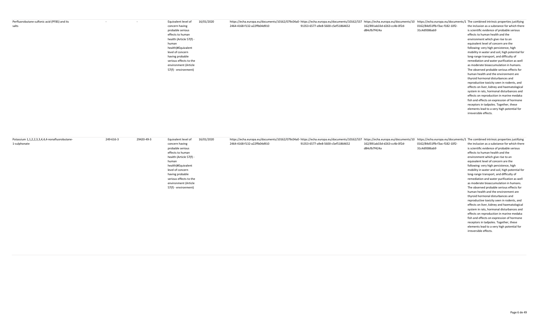| Perfluorobutane sulfonic acid (PFBS) and its | Equivalent level of     | 16/01/2020 | https://echa.europa.eu/documents/10162/079c04a0- https://echa.europa.eu/documents/10162/537 https://echa.europa.eu/documents/10162/079c04a0- https://echa.europa.eu/documents/10 https://echa.europa.eu/documents/10 https://e |                                   |                              |                               |                                                |
|----------------------------------------------|-------------------------|------------|--------------------------------------------------------------------------------------------------------------------------------------------------------------------------------------------------------------------------------|-----------------------------------|------------------------------|-------------------------------|------------------------------------------------|
| salts                                        | concern having          |            | 2464-4168-f132-a22ffb04d910                                                                                                                                                                                                    | 91353-6577-a9e8-5600-c5ef51864652 | 162/891ab33d-d263-cc4b-0f2d- | 0162/84d51ffb-f3ac-f182-10f2- | the inclusion as a substance for which there   |
|                                              | probable serious        |            |                                                                                                                                                                                                                                |                                   | d84cfb7f424a                 | 31c4d9386ab9                  | is scientific evidence of probable serious     |
|                                              | effects to human        |            |                                                                                                                                                                                                                                |                                   |                              |                               | effects to human health and the                |
|                                              | health (Article 57(f) - |            |                                                                                                                                                                                                                                |                                   |                              |                               | environment which give rise to an              |
|                                              | human                   |            |                                                                                                                                                                                                                                |                                   |                              |                               | equivalent level of concern are the            |
|                                              | health)#Equivalent      |            |                                                                                                                                                                                                                                |                                   |                              |                               | following: very high persistence, high         |
|                                              | level of concern        |            |                                                                                                                                                                                                                                |                                   |                              |                               | mobility in water and soil, high potential for |
|                                              | having probable         |            |                                                                                                                                                                                                                                |                                   |                              |                               | long-range transport, and difficulty of        |
|                                              | serious effects to the  |            |                                                                                                                                                                                                                                |                                   |                              |                               | remediation and water purification as well     |
|                                              | environment (Article    |            |                                                                                                                                                                                                                                |                                   |                              |                               | as moderate bioaccumulation in humans.         |
|                                              | 57(f) - environment)    |            |                                                                                                                                                                                                                                |                                   |                              |                               | The observed probable serious effects for      |
|                                              |                         |            |                                                                                                                                                                                                                                |                                   |                              |                               | human health and the environment are           |
|                                              |                         |            |                                                                                                                                                                                                                                |                                   |                              |                               | thyroid hormonal disturbances and              |
|                                              |                         |            |                                                                                                                                                                                                                                |                                   |                              |                               | reproductive toxicity seen in rodents, and     |
|                                              |                         |            |                                                                                                                                                                                                                                |                                   |                              |                               | effects on liver, kidney and haematological    |
|                                              |                         |            |                                                                                                                                                                                                                                |                                   |                              |                               | system in rats, hormonal disturbances and      |
|                                              |                         |            |                                                                                                                                                                                                                                |                                   |                              |                               | effects on reproduction in marine medaka       |
|                                              |                         |            |                                                                                                                                                                                                                                |                                   |                              |                               | fish and effects on expression of hormone      |
|                                              |                         |            |                                                                                                                                                                                                                                |                                   |                              |                               | receptors in tadpoles. Together, these         |
|                                              |                         |            |                                                                                                                                                                                                                                |                                   |                              |                               | elements lead to a very high potential for     |
|                                              |                         |            |                                                                                                                                                                                                                                |                                   |                              |                               | irreversible effects.                          |

| Potassium 1,1,2,2,3,3,4,4,4-nonafluorobutane- | 249-616-3 | 29420-49-3 | Equivalent level of     | 16/01/2020 | https://echa.europa.eu/documents/10162/079c04a0- https://echa.europa.eu/documents/10162/537 https://echa.europa.eu/documents/10162/079c04a0- https://echa.europa.eu/documents/10162/537 https://echa.europa.eu/documents/10 ht |                                   |                              |                               |                                                |
|-----------------------------------------------|-----------|------------|-------------------------|------------|--------------------------------------------------------------------------------------------------------------------------------------------------------------------------------------------------------------------------------|-----------------------------------|------------------------------|-------------------------------|------------------------------------------------|
| 1-sulphonate                                  |           |            | concern having          |            | 2464-4168-f132-a22ffb04d910                                                                                                                                                                                                    | 91353-6577-a9e8-5600-c5ef51864652 | 162/891ab33d-d263-cc4b-0f2d- | 0162/84d51ffb-f3ac-f182-10f2- | the inclusion as a substance for which there   |
|                                               |           |            | probable serious        |            |                                                                                                                                                                                                                                |                                   | d84cfb7f424a                 | 31c4d9386ab9                  | is scientific evidence of probable serious     |
|                                               |           |            | effects to human        |            |                                                                                                                                                                                                                                |                                   |                              |                               | effects to human health and the                |
|                                               |           |            | health (Article 57(f) - |            |                                                                                                                                                                                                                                |                                   |                              |                               | environment which give rise to an              |
|                                               |           |            | human                   |            |                                                                                                                                                                                                                                |                                   |                              |                               | equivalent level of concern are the            |
|                                               |           |            | health)#Equivalent      |            |                                                                                                                                                                                                                                |                                   |                              |                               | following: very high persistence, high         |
|                                               |           |            | level of concern        |            |                                                                                                                                                                                                                                |                                   |                              |                               | mobility in water and soil, high potential for |
|                                               |           |            | having probable         |            |                                                                                                                                                                                                                                |                                   |                              |                               | long-range transport, and difficulty of        |
|                                               |           |            | serious effects to the  |            |                                                                                                                                                                                                                                |                                   |                              |                               | remediation and water purification as well     |
|                                               |           |            | environment (Article    |            |                                                                                                                                                                                                                                |                                   |                              |                               | as moderate bioaccumulation in humans.         |
|                                               |           |            | 57(f) - environment)    |            |                                                                                                                                                                                                                                |                                   |                              |                               | The observed probable serious effects for      |
|                                               |           |            |                         |            |                                                                                                                                                                                                                                |                                   |                              |                               | human health and the environment are           |
|                                               |           |            |                         |            |                                                                                                                                                                                                                                |                                   |                              |                               | thyroid hormonal disturbances and              |
|                                               |           |            |                         |            |                                                                                                                                                                                                                                |                                   |                              |                               | reproductive toxicity seen in rodents, and     |
|                                               |           |            |                         |            |                                                                                                                                                                                                                                |                                   |                              |                               | effects on liver, kidney and haematological    |
|                                               |           |            |                         |            |                                                                                                                                                                                                                                |                                   |                              |                               | system in rats, hormonal disturbances and      |
|                                               |           |            |                         |            |                                                                                                                                                                                                                                |                                   |                              |                               | effects on reproduction in marine medaka       |
|                                               |           |            |                         |            |                                                                                                                                                                                                                                |                                   |                              |                               | fish and effects on expression of hormone      |
|                                               |           |            |                         |            |                                                                                                                                                                                                                                |                                   |                              |                               | receptors in tadpoles. Together, these         |
|                                               |           |            |                         |            |                                                                                                                                                                                                                                |                                   |                              |                               | elements lead to a very high potential for     |
|                                               |           |            |                         |            |                                                                                                                                                                                                                                |                                   |                              |                               | irreversible effects.                          |
|                                               |           |            |                         |            |                                                                                                                                                                                                                                |                                   |                              |                               |                                                |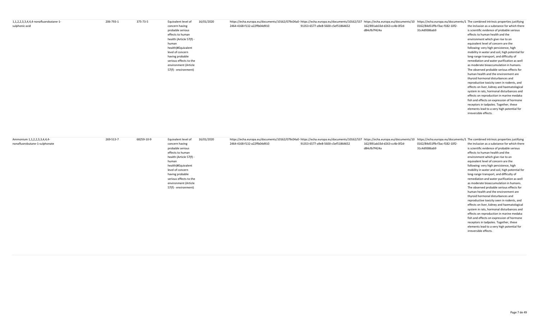| 1,1,2,2,3,3,4,4,4-nonafluorobutane-1- | 206-793-1 | 375-73-5 | Equivalent level of     | 16/01/2020 | https://echa.europa.eu/documents/10162/079c04a0-https://echa.europa.eu/documents/10162/537 https://echa.europa.eu/documents/10 https://echa.europa.eu/documents/10 https://echa.europa.eu/documents/10 https://echa.europa.eu/ |                                   |                              |                               |                                                |
|---------------------------------------|-----------|----------|-------------------------|------------|--------------------------------------------------------------------------------------------------------------------------------------------------------------------------------------------------------------------------------|-----------------------------------|------------------------------|-------------------------------|------------------------------------------------|
| sulphonic acid                        |           |          | concern having          |            | 2464-4168-f132-a22ffb04d910                                                                                                                                                                                                    | 91353-6577-a9e8-5600-c5ef51864652 | 162/891ab33d-d263-cc4b-0f2d- | 0162/84d51ffb-f3ac-f182-10f2- | the inclusion as a substance for which there   |
|                                       |           |          | probable serious        |            |                                                                                                                                                                                                                                |                                   | d84cfb7f424a                 | 31c4d9386ab9                  | is scientific evidence of probable serious     |
|                                       |           |          | effects to human        |            |                                                                                                                                                                                                                                |                                   |                              |                               | effects to human health and the                |
|                                       |           |          | health (Article 57(f) - |            |                                                                                                                                                                                                                                |                                   |                              |                               | environment which give rise to an              |
|                                       |           |          | human                   |            |                                                                                                                                                                                                                                |                                   |                              |                               | equivalent level of concern are the            |
|                                       |           |          | health)#Equivalent      |            |                                                                                                                                                                                                                                |                                   |                              |                               | following: very high persistence, high         |
|                                       |           |          | level of concern        |            |                                                                                                                                                                                                                                |                                   |                              |                               | mobility in water and soil, high potential for |
|                                       |           |          | having probable         |            |                                                                                                                                                                                                                                |                                   |                              |                               | long-range transport, and difficulty of        |
|                                       |           |          | serious effects to the  |            |                                                                                                                                                                                                                                |                                   |                              |                               | remediation and water purification as well     |
|                                       |           |          | environment (Article    |            |                                                                                                                                                                                                                                |                                   |                              |                               | as moderate bioaccumulation in humans.         |
|                                       |           |          | 57(f) - environment)    |            |                                                                                                                                                                                                                                |                                   |                              |                               | The observed probable serious effects for      |
|                                       |           |          |                         |            |                                                                                                                                                                                                                                |                                   |                              |                               | human health and the environment are           |
|                                       |           |          |                         |            |                                                                                                                                                                                                                                |                                   |                              |                               | thyroid hormonal disturbances and              |
|                                       |           |          |                         |            |                                                                                                                                                                                                                                |                                   |                              |                               | reproductive toxicity seen in rodents, and     |
|                                       |           |          |                         |            |                                                                                                                                                                                                                                |                                   |                              |                               | effects on liver, kidney and haematological    |
|                                       |           |          |                         |            |                                                                                                                                                                                                                                |                                   |                              |                               | system in rats, hormonal disturbances and      |
|                                       |           |          |                         |            |                                                                                                                                                                                                                                |                                   |                              |                               | effects on reproduction in marine medaka       |
|                                       |           |          |                         |            |                                                                                                                                                                                                                                |                                   |                              |                               | fish and effects on expression of hormone      |
|                                       |           |          |                         |            |                                                                                                                                                                                                                                |                                   |                              |                               | receptors in tadpoles. Together, these         |
|                                       |           |          |                         |            |                                                                                                                                                                                                                                |                                   |                              |                               | elements lead to a very high potential for     |
|                                       |           |          |                         |            |                                                                                                                                                                                                                                |                                   |                              |                               | irreversible effects.                          |

| Ammonium 1,1,2,2,3,3,4,4,4-   | 269-513-7 | 68259-10-9 | Equivalent level of     | 16/01/2020 | https://echa.europa.eu/documents/10162/079c04a0- https://echa.europa.eu/documents/10162/537 https://echa.europa.eu/documents/10162/079c04a0- https://echa.europa.eu/documents/10162/079c04a0- https://echa.europa.eu/documents |                                   |                              |                               |                                                |
|-------------------------------|-----------|------------|-------------------------|------------|--------------------------------------------------------------------------------------------------------------------------------------------------------------------------------------------------------------------------------|-----------------------------------|------------------------------|-------------------------------|------------------------------------------------|
| nonafluorobutane-1-sulphonate |           |            | concern having          |            | 2464-4168-f132-a22ffb04d910                                                                                                                                                                                                    | 91353-6577-a9e8-5600-c5ef51864652 | 162/891ab33d-d263-cc4b-0f2d- | 0162/84d51ffb-f3ac-f182-10f2- | the inclusion as a substance for which there   |
|                               |           |            | probable serious        |            |                                                                                                                                                                                                                                |                                   | d84cfb7f424a                 | 31c4d9386ab9                  | is scientific evidence of probable serious     |
|                               |           |            | effects to human        |            |                                                                                                                                                                                                                                |                                   |                              |                               | effects to human health and the                |
|                               |           |            | health (Article 57(f) - |            |                                                                                                                                                                                                                                |                                   |                              |                               | environment which give rise to an              |
|                               |           |            | human                   |            |                                                                                                                                                                                                                                |                                   |                              |                               | equivalent level of concern are the            |
|                               |           |            | health)#Equivalent      |            |                                                                                                                                                                                                                                |                                   |                              |                               | following: very high persistence, high         |
|                               |           |            | level of concern        |            |                                                                                                                                                                                                                                |                                   |                              |                               | mobility in water and soil, high potential for |
|                               |           |            | having probable         |            |                                                                                                                                                                                                                                |                                   |                              |                               | long-range transport, and difficulty of        |
|                               |           |            | serious effects to the  |            |                                                                                                                                                                                                                                |                                   |                              |                               | remediation and water purification as well     |
|                               |           |            | environment (Article    |            |                                                                                                                                                                                                                                |                                   |                              |                               | as moderate bioaccumulation in humans.         |
|                               |           |            | 57(f) - environment)    |            |                                                                                                                                                                                                                                |                                   |                              |                               | The observed probable serious effects for      |
|                               |           |            |                         |            |                                                                                                                                                                                                                                |                                   |                              |                               | human health and the environment are           |
|                               |           |            |                         |            |                                                                                                                                                                                                                                |                                   |                              |                               | thyroid hormonal disturbances and              |
|                               |           |            |                         |            |                                                                                                                                                                                                                                |                                   |                              |                               | reproductive toxicity seen in rodents, and     |
|                               |           |            |                         |            |                                                                                                                                                                                                                                |                                   |                              |                               | effects on liver, kidney and haematological    |
|                               |           |            |                         |            |                                                                                                                                                                                                                                |                                   |                              |                               | system in rats, hormonal disturbances and      |
|                               |           |            |                         |            |                                                                                                                                                                                                                                |                                   |                              |                               | effects on reproduction in marine medaka       |
|                               |           |            |                         |            |                                                                                                                                                                                                                                |                                   |                              |                               | fish and effects on expression of hormone      |
|                               |           |            |                         |            |                                                                                                                                                                                                                                |                                   |                              |                               | receptors in tadpoles. Together, these         |
|                               |           |            |                         |            |                                                                                                                                                                                                                                |                                   |                              |                               | elements lead to a very high potential for     |
|                               |           |            |                         |            |                                                                                                                                                                                                                                |                                   |                              |                               | irreversible effects.                          |
|                               |           |            |                         |            |                                                                                                                                                                                                                                |                                   |                              |                               |                                                |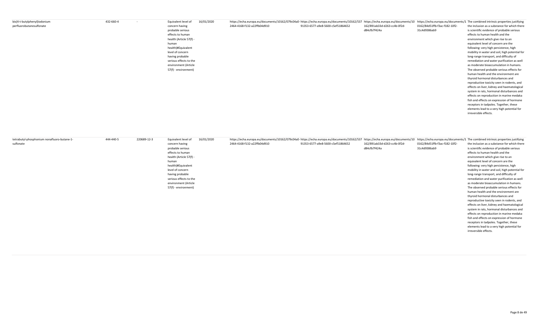| bis(4-t-butylphenyl)iodonium | 432-660-4<br>$\sim$ | 16/01/2020<br>Equivalent level of | https://echa.europa.eu/documents/10162/079c04a0- https://echa.europa.eu/documents/10162/079c04a0- https://echa.europa.eu/documents/10162/079c04a0- https://echa.europa.eu/documents/10162/079c04a0- https://echa.europa.eu/doc |
|------------------------------|---------------------|-----------------------------------|--------------------------------------------------------------------------------------------------------------------------------------------------------------------------------------------------------------------------------|
| perfluorobutanesulfonate     |                     | concern having                    | 2464-4168-f132-a22ffb04d910<br>0162/84d51ffb-f3ac-f182-10f2-<br>the inclusion as a substance for which there<br>91353-6577-a9e8-5600-c5ef51864652<br>162/891ab33d-d263-cc4b-0f2d-                                              |
|                              |                     | probable serious                  | d84cfb7f424a<br>31c4d9386ab9<br>is scientific evidence of probable serious                                                                                                                                                     |
|                              |                     | effects to human                  | effects to human health and the                                                                                                                                                                                                |
|                              |                     | health (Article 57(f) -           | environment which give rise to an                                                                                                                                                                                              |
|                              |                     | human                             | equivalent level of concern are the                                                                                                                                                                                            |
|                              |                     | health)#Equivalent                | following: very high persistence, high                                                                                                                                                                                         |
|                              |                     | level of concern                  | mobility in water and soil, high potential for                                                                                                                                                                                 |
|                              |                     | having probable                   | long-range transport, and difficulty of                                                                                                                                                                                        |
|                              |                     | serious effects to the            | remediation and water purification as well                                                                                                                                                                                     |
|                              |                     | environment (Article              | as moderate bioaccumulation in humans.                                                                                                                                                                                         |
|                              |                     | 57(f) - environment)              | The observed probable serious effects for                                                                                                                                                                                      |
|                              |                     |                                   | human health and the environment are                                                                                                                                                                                           |
|                              |                     |                                   | thyroid hormonal disturbances and                                                                                                                                                                                              |
|                              |                     |                                   | reproductive toxicity seen in rodents, and                                                                                                                                                                                     |
|                              |                     |                                   | effects on liver, kidney and haematological                                                                                                                                                                                    |
|                              |                     |                                   | system in rats, hormonal disturbances and                                                                                                                                                                                      |
|                              |                     |                                   | effects on reproduction in marine medaka                                                                                                                                                                                       |
|                              |                     |                                   | fish and effects on expression of hormone                                                                                                                                                                                      |
|                              |                     |                                   | receptors in tadpoles. Together, these                                                                                                                                                                                         |
|                              |                     |                                   | elements lead to a very high potential for                                                                                                                                                                                     |
|                              |                     |                                   | irreversible effects.                                                                                                                                                                                                          |

| tetrabutyl-phosphonium nonafluoro-butane-1- | 444-440-5 | 220689-12-3 | Equivalent level of     | 16/01/2020 | https://echa.europa.eu/documents/10162/079c04a0- https://echa.europa.eu/documents/10162/537 https://echa.europa.eu/documents/10162/079c04a0- https://echa.europa.eu/documents/10162/537 https://echa.europa.eu/documents/10 ht |                                   |                              |                               |                                                |
|---------------------------------------------|-----------|-------------|-------------------------|------------|--------------------------------------------------------------------------------------------------------------------------------------------------------------------------------------------------------------------------------|-----------------------------------|------------------------------|-------------------------------|------------------------------------------------|
| sulfonate                                   |           |             | concern having          |            | 2464-4168-f132-a22ffb04d910                                                                                                                                                                                                    | 91353-6577-a9e8-5600-c5ef51864652 | 162/891ab33d-d263-cc4b-0f2d- | 0162/84d51ffb-f3ac-f182-10f2- | the inclusion as a substance for which there   |
|                                             |           |             | probable serious        |            |                                                                                                                                                                                                                                |                                   | d84cfb7f424a                 | 31c4d9386ab9                  | is scientific evidence of probable serious     |
|                                             |           |             | effects to human        |            |                                                                                                                                                                                                                                |                                   |                              |                               | effects to human health and the                |
|                                             |           |             | health (Article 57(f) - |            |                                                                                                                                                                                                                                |                                   |                              |                               | environment which give rise to an              |
|                                             |           |             | human                   |            |                                                                                                                                                                                                                                |                                   |                              |                               | equivalent level of concern are the            |
|                                             |           |             | health)#Equivalent      |            |                                                                                                                                                                                                                                |                                   |                              |                               | following: very high persistence, high         |
|                                             |           |             | level of concern        |            |                                                                                                                                                                                                                                |                                   |                              |                               | mobility in water and soil, high potential for |
|                                             |           |             | having probable         |            |                                                                                                                                                                                                                                |                                   |                              |                               | long-range transport, and difficulty of        |
|                                             |           |             | serious effects to the  |            |                                                                                                                                                                                                                                |                                   |                              |                               | remediation and water purification as well     |
|                                             |           |             | environment (Article    |            |                                                                                                                                                                                                                                |                                   |                              |                               | as moderate bioaccumulation in humans.         |
|                                             |           |             | 57(f) - environment)    |            |                                                                                                                                                                                                                                |                                   |                              |                               | The observed probable serious effects for      |
|                                             |           |             |                         |            |                                                                                                                                                                                                                                |                                   |                              |                               | human health and the environment are           |
|                                             |           |             |                         |            |                                                                                                                                                                                                                                |                                   |                              |                               | thyroid hormonal disturbances and              |
|                                             |           |             |                         |            |                                                                                                                                                                                                                                |                                   |                              |                               | reproductive toxicity seen in rodents, and     |
|                                             |           |             |                         |            |                                                                                                                                                                                                                                |                                   |                              |                               | effects on liver, kidney and haematological    |
|                                             |           |             |                         |            |                                                                                                                                                                                                                                |                                   |                              |                               | system in rats, hormonal disturbances and      |
|                                             |           |             |                         |            |                                                                                                                                                                                                                                |                                   |                              |                               | effects on reproduction in marine medaka       |
|                                             |           |             |                         |            |                                                                                                                                                                                                                                |                                   |                              |                               | fish and effects on expression of hormone      |
|                                             |           |             |                         |            |                                                                                                                                                                                                                                |                                   |                              |                               | receptors in tadpoles. Together, these         |
|                                             |           |             |                         |            |                                                                                                                                                                                                                                |                                   |                              |                               | elements lead to a very high potential for     |
|                                             |           |             |                         |            |                                                                                                                                                                                                                                |                                   |                              |                               | irreversible effects.                          |
|                                             |           |             |                         |            |                                                                                                                                                                                                                                |                                   |                              |                               |                                                |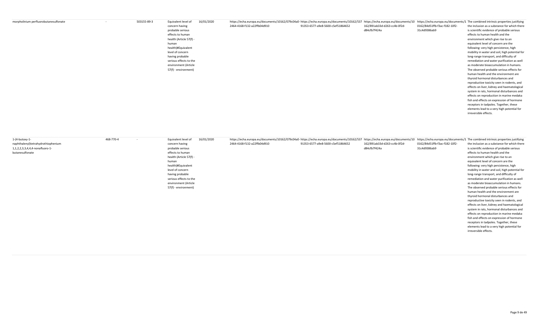| morpholinium perfluorobutanesulfonate | 503155-89-3 | 16/01/2020<br>Equivalent level of | https://echa.europa.eu/documents/10162/079c04a0-https://echa.europa.eu/documents/10162/537 https://echa.europa.eu/documents/10162/079c04a0-https://echa.europa.eu/documents/10162/537 https://echa.europa.eu/documents/10 http |                                     |                              |                               |                                                |
|---------------------------------------|-------------|-----------------------------------|--------------------------------------------------------------------------------------------------------------------------------------------------------------------------------------------------------------------------------|-------------------------------------|------------------------------|-------------------------------|------------------------------------------------|
|                                       |             | concern having                    | 2464-4168-f132-a22ffb04d910                                                                                                                                                                                                    | 91353-6577-a9e8-5600-c5ef51864652   | 162/891ab33d-d263-cc4b-0f2d- | 0162/84d51ffb-f3ac-f182-10f2- | the inclusion as a substance for which there   |
|                                       |             | probable serious                  |                                                                                                                                                                                                                                |                                     | d84cfb7f424a                 | 31c4d9386ab9                  | is scientific evidence of probable serious     |
|                                       |             | effects to human                  |                                                                                                                                                                                                                                |                                     |                              |                               | effects to human health and the                |
|                                       |             | health (Article 57(f) -           |                                                                                                                                                                                                                                |                                     |                              |                               | environment which give rise to an              |
|                                       |             | human                             |                                                                                                                                                                                                                                | equivalent level of concern are the |                              |                               |                                                |
|                                       |             | health)#Equivalent                |                                                                                                                                                                                                                                |                                     |                              |                               | following: very high persistence, high         |
|                                       |             | level of concern                  |                                                                                                                                                                                                                                |                                     |                              |                               | mobility in water and soil, high potential for |
|                                       |             | having probable                   |                                                                                                                                                                                                                                |                                     |                              |                               | long-range transport, and difficulty of        |
|                                       |             | serious effects to the            |                                                                                                                                                                                                                                |                                     |                              |                               | remediation and water purification as well     |
|                                       |             | environment (Article              |                                                                                                                                                                                                                                |                                     |                              |                               | as moderate bioaccumulation in humans.         |
|                                       |             | 57(f) - environment)              |                                                                                                                                                                                                                                |                                     |                              |                               | The observed probable serious effects for      |
|                                       |             |                                   |                                                                                                                                                                                                                                |                                     |                              |                               | human health and the environment are           |
|                                       |             |                                   |                                                                                                                                                                                                                                |                                     |                              |                               | thyroid hormonal disturbances and              |
|                                       |             |                                   |                                                                                                                                                                                                                                |                                     |                              |                               | reproductive toxicity seen in rodents, and     |
|                                       |             |                                   |                                                                                                                                                                                                                                |                                     |                              |                               | effects on liver, kidney and haematological    |
|                                       |             |                                   |                                                                                                                                                                                                                                |                                     |                              |                               | system in rats, hormonal disturbances and      |
|                                       |             |                                   |                                                                                                                                                                                                                                |                                     |                              |                               | effects on reproduction in marine medaka       |
|                                       |             |                                   |                                                                                                                                                                                                                                |                                     |                              |                               | fish and effects on expression of hormone      |
|                                       |             |                                   |                                                                                                                                                                                                                                |                                     |                              |                               | receptors in tadpoles. Together, these         |
|                                       |             |                                   |                                                                                                                                                                                                                                |                                     |                              |                               | elements lead to a very high potential for     |
|                                       |             |                                   |                                                                                                                                                                                                                                |                                     |                              |                               | irreversible effects.                          |

| $1-(4-butoxy-1-$                   | 468-770-4 | 16/01/2020<br>Equivalent level of |                             | https://echa.europa.eu/documents/10162/079c04a0- https://echa.europa.eu/documents/10162/037 https://echa.europa.eu/documents/10162/037cha.europa.eu/documents/10 https://echa.europa.eu/documents/10 https://echa.europa.eu/do |                              |                               |                                                |
|------------------------------------|-----------|-----------------------------------|-----------------------------|--------------------------------------------------------------------------------------------------------------------------------------------------------------------------------------------------------------------------------|------------------------------|-------------------------------|------------------------------------------------|
| naphthalenyl)tetrahydrothiophenium |           | concern having                    | 2464-4168-f132-a22ffb04d910 | 91353-6577-a9e8-5600-c5ef51864652                                                                                                                                                                                              | 162/891ab33d-d263-cc4b-0f2d- | 0162/84d51ffb-f3ac-f182-10f2- | the inclusion as a substance for which there   |
| 1,1,2,2,3,3,4,4,4-nonafluoro-1-    |           | probable serious                  |                             |                                                                                                                                                                                                                                | d84cfb7f424a                 | 31c4d9386ab9                  | is scientific evidence of probable serious     |
| butanesulfonate                    |           | effects to human                  |                             |                                                                                                                                                                                                                                |                              |                               | effects to human health and the                |
|                                    |           | health (Article 57(f) -           |                             |                                                                                                                                                                                                                                |                              |                               | environment which give rise to an              |
|                                    |           | human                             |                             |                                                                                                                                                                                                                                |                              |                               | equivalent level of concern are the            |
|                                    |           | health)#Equivalent                |                             |                                                                                                                                                                                                                                |                              |                               | following: very high persistence, high         |
|                                    |           | level of concern                  |                             |                                                                                                                                                                                                                                |                              |                               | mobility in water and soil, high potential for |
|                                    |           | having probable                   |                             |                                                                                                                                                                                                                                |                              |                               | long-range transport, and difficulty of        |
|                                    |           | serious effects to the            |                             |                                                                                                                                                                                                                                |                              |                               | remediation and water purification as well     |
|                                    |           | environment (Article              |                             |                                                                                                                                                                                                                                |                              |                               | as moderate bioaccumulation in humans.         |
|                                    |           | 57(f) - environment)              |                             |                                                                                                                                                                                                                                |                              |                               | The observed probable serious effects for      |
|                                    |           |                                   |                             |                                                                                                                                                                                                                                |                              |                               | human health and the environment are           |
|                                    |           |                                   |                             |                                                                                                                                                                                                                                |                              |                               | thyroid hormonal disturbances and              |
|                                    |           |                                   |                             |                                                                                                                                                                                                                                |                              |                               | reproductive toxicity seen in rodents, and     |
|                                    |           |                                   |                             |                                                                                                                                                                                                                                |                              |                               | effects on liver, kidney and haematological    |
|                                    |           |                                   |                             |                                                                                                                                                                                                                                |                              |                               | system in rats, hormonal disturbances and      |
|                                    |           |                                   |                             |                                                                                                                                                                                                                                |                              |                               | effects on reproduction in marine medaka       |
|                                    |           |                                   |                             |                                                                                                                                                                                                                                |                              |                               | fish and effects on expression of hormone      |
|                                    |           |                                   |                             |                                                                                                                                                                                                                                |                              |                               | receptors in tadpoles. Together, these         |
|                                    |           |                                   |                             |                                                                                                                                                                                                                                |                              |                               | elements lead to a very high potential for     |
|                                    |           |                                   |                             |                                                                                                                                                                                                                                |                              |                               | irreversible effects.                          |
|                                    |           |                                   |                             |                                                                                                                                                                                                                                |                              |                               |                                                |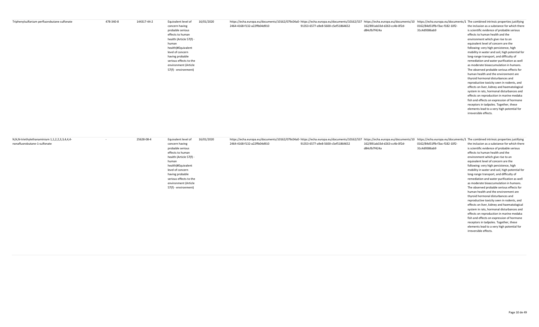| Triphenylsulfanium perfluorobutane sulfonate | 478-340-8 | 144317-44-2 | Equivalent level of     | 16/01/2020 | https://echa.europa.eu/documents/10162/079c04a0- https://echa.europa.eu/documents/10162/079c04a0- https://echa.europa.eu/documents/10162/079c04a0- https://echa.europa.eu/documents/10162/079c04a0- https://echa.europa.eu/doc |                                   |                              |                               |                                                |
|----------------------------------------------|-----------|-------------|-------------------------|------------|--------------------------------------------------------------------------------------------------------------------------------------------------------------------------------------------------------------------------------|-----------------------------------|------------------------------|-------------------------------|------------------------------------------------|
|                                              |           |             | concern having          |            | 2464-4168-f132-a22ffb04d910                                                                                                                                                                                                    | 91353-6577-a9e8-5600-c5ef51864652 | 162/891ab33d-d263-cc4b-0f2d- | 0162/84d51ffb-f3ac-f182-10f2- | the inclusion as a substance for which there   |
|                                              |           |             | probable serious        |            |                                                                                                                                                                                                                                |                                   | d84cfb7f424a                 | 31c4d9386ab9                  | is scientific evidence of probable serious     |
|                                              |           |             | effects to human        |            |                                                                                                                                                                                                                                |                                   |                              |                               | effects to human health and the                |
|                                              |           |             | health (Article 57(f) - |            |                                                                                                                                                                                                                                |                                   |                              |                               | environment which give rise to an              |
|                                              |           |             | human                   |            |                                                                                                                                                                                                                                |                                   |                              |                               | equivalent level of concern are the            |
|                                              |           |             | health)#Equivalent      |            |                                                                                                                                                                                                                                |                                   |                              |                               | following: very high persistence, high         |
|                                              |           |             | level of concern        |            |                                                                                                                                                                                                                                |                                   |                              |                               | mobility in water and soil, high potential for |
|                                              |           |             | having probable         |            |                                                                                                                                                                                                                                |                                   |                              |                               | long-range transport, and difficulty of        |
|                                              |           |             | serious effects to the  |            |                                                                                                                                                                                                                                |                                   |                              |                               | remediation and water purification as well     |
|                                              |           |             | environment (Article    |            |                                                                                                                                                                                                                                |                                   |                              |                               | as moderate bioaccumulation in humans.         |
|                                              |           |             | 57(f) - environment)    |            |                                                                                                                                                                                                                                |                                   |                              |                               | The observed probable serious effects for      |
|                                              |           |             |                         |            |                                                                                                                                                                                                                                |                                   |                              |                               | human health and the environment are           |
|                                              |           |             |                         |            |                                                                                                                                                                                                                                |                                   |                              |                               | thyroid hormonal disturbances and              |
|                                              |           |             |                         |            |                                                                                                                                                                                                                                |                                   |                              |                               | reproductive toxicity seen in rodents, and     |
|                                              |           |             |                         |            |                                                                                                                                                                                                                                |                                   |                              |                               | effects on liver, kidney and haematological    |
|                                              |           |             |                         |            |                                                                                                                                                                                                                                |                                   |                              |                               | system in rats, hormonal disturbances and      |
|                                              |           |             |                         |            |                                                                                                                                                                                                                                |                                   |                              |                               | effects on reproduction in marine medaka       |
|                                              |           |             |                         |            |                                                                                                                                                                                                                                |                                   |                              |                               | fish and effects on expression of hormone      |
|                                              |           |             |                         |            |                                                                                                                                                                                                                                |                                   |                              |                               | receptors in tadpoles. Together, these         |
|                                              |           |             |                         |            |                                                                                                                                                                                                                                |                                   |                              |                               | elements lead to a very high potential for     |
|                                              |           |             |                         |            |                                                                                                                                                                                                                                |                                   |                              |                               | irreversible effects.                          |

| N,N,N-triethylethanaminium 1,1,2,2,3,3,4,4,4- | 25628-08-4 | Equivalent level of     | 16/01/2020 | https://echa.europa.eu/documents/10162/079c04a0-https://echa.europa.eu/documents/10162/537 https://echa.europa.eu/documents/10 https://echa.europa.eu/documents/10 https://echa.europa.eu/documents/10 https://echa.europa.eu/ |                                   |                              |                               |                                                |
|-----------------------------------------------|------------|-------------------------|------------|--------------------------------------------------------------------------------------------------------------------------------------------------------------------------------------------------------------------------------|-----------------------------------|------------------------------|-------------------------------|------------------------------------------------|
| nonafluorobutane-1-sulfonate                  |            | concern having          |            | 2464-4168-f132-a22ffb04d910                                                                                                                                                                                                    | 91353-6577-a9e8-5600-c5ef51864652 | 162/891ab33d-d263-cc4b-0f2d- | 0162/84d51ffb-f3ac-f182-10f2- | the inclusion as a substance for which there   |
|                                               |            | probable serious        |            |                                                                                                                                                                                                                                |                                   | d84cfb7f424a                 | 31c4d9386ab9                  | is scientific evidence of probable serious     |
|                                               |            | effects to human        |            |                                                                                                                                                                                                                                |                                   |                              |                               | effects to human health and the                |
|                                               |            | health (Article 57(f) - |            |                                                                                                                                                                                                                                |                                   |                              |                               | environment which give rise to an              |
|                                               |            | human                   |            |                                                                                                                                                                                                                                |                                   |                              |                               | equivalent level of concern are the            |
|                                               |            | health)#Equivalent      |            |                                                                                                                                                                                                                                |                                   |                              |                               | following: very high persistence, high         |
|                                               |            | level of concern        |            |                                                                                                                                                                                                                                |                                   |                              |                               | mobility in water and soil, high potential for |
|                                               |            | having probable         |            |                                                                                                                                                                                                                                |                                   |                              |                               | long-range transport, and difficulty of        |
|                                               |            | serious effects to the  |            |                                                                                                                                                                                                                                |                                   |                              |                               | remediation and water purification as well     |
|                                               |            | environment (Article    |            |                                                                                                                                                                                                                                |                                   |                              |                               | as moderate bioaccumulation in humans.         |
|                                               |            | 57(f) - environment)    |            |                                                                                                                                                                                                                                |                                   |                              |                               | The observed probable serious effects for      |
|                                               |            |                         |            |                                                                                                                                                                                                                                |                                   |                              |                               | human health and the environment are           |
|                                               |            |                         |            |                                                                                                                                                                                                                                |                                   |                              |                               | thyroid hormonal disturbances and              |
|                                               |            |                         |            |                                                                                                                                                                                                                                |                                   |                              |                               | reproductive toxicity seen in rodents, and     |
|                                               |            |                         |            |                                                                                                                                                                                                                                |                                   |                              |                               | effects on liver, kidney and haematological    |
|                                               |            |                         |            |                                                                                                                                                                                                                                |                                   |                              |                               | system in rats, hormonal disturbances and      |
|                                               |            |                         |            |                                                                                                                                                                                                                                |                                   |                              |                               | effects on reproduction in marine medaka       |
|                                               |            |                         |            |                                                                                                                                                                                                                                |                                   |                              |                               | fish and effects on expression of hormone      |
|                                               |            |                         |            |                                                                                                                                                                                                                                |                                   |                              |                               | receptors in tadpoles. Together, these         |
|                                               |            |                         |            |                                                                                                                                                                                                                                |                                   |                              |                               | elements lead to a very high potential for     |
|                                               |            |                         |            |                                                                                                                                                                                                                                |                                   |                              |                               | irreversible effects.                          |
|                                               |            |                         |            |                                                                                                                                                                                                                                |                                   |                              |                               |                                                |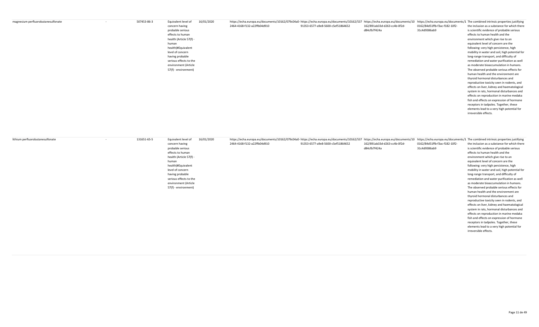| magnesium perfluorobutanesulfonate | 507453-86-3 | 16/01/2020<br>Equivalent level of | https://echa.europa.eu/documents/10162/079c04a0-https://echa.europa.eu/documents/10162/537 https://echa.europa.eu/documents/10 https://echa.europa.eu/documents/10 https://echa.europa.eu/documents/10 https://echa.europa.eu/ |                                   |                              |                               |                                                |
|------------------------------------|-------------|-----------------------------------|--------------------------------------------------------------------------------------------------------------------------------------------------------------------------------------------------------------------------------|-----------------------------------|------------------------------|-------------------------------|------------------------------------------------|
|                                    |             | concern having                    | 2464-4168-f132-a22ffb04d910                                                                                                                                                                                                    | 91353-6577-a9e8-5600-c5ef51864652 | 162/891ab33d-d263-cc4b-0f2d- | 0162/84d51ffb-f3ac-f182-10f2- | the inclusion as a substance for which there   |
|                                    |             | probable serious                  |                                                                                                                                                                                                                                |                                   | d84cfb7f424a                 | 31c4d9386ab9                  | is scientific evidence of probable serious     |
|                                    |             | effects to human                  |                                                                                                                                                                                                                                |                                   |                              |                               | effects to human health and the                |
|                                    |             | health (Article 57(f) -           |                                                                                                                                                                                                                                |                                   |                              |                               | environment which give rise to an              |
|                                    |             | human                             |                                                                                                                                                                                                                                |                                   |                              |                               | equivalent level of concern are the            |
|                                    |             | health)#Equivalent                |                                                                                                                                                                                                                                |                                   |                              |                               | following: very high persistence, high         |
|                                    |             | level of concern                  |                                                                                                                                                                                                                                |                                   |                              |                               | mobility in water and soil, high potential for |
|                                    |             | having probable                   |                                                                                                                                                                                                                                |                                   |                              |                               | long-range transport, and difficulty of        |
|                                    |             | serious effects to the            |                                                                                                                                                                                                                                |                                   |                              |                               | remediation and water purification as well     |
|                                    |             | environment (Article              |                                                                                                                                                                                                                                |                                   |                              |                               | as moderate bioaccumulation in humans.         |
|                                    |             | 57(f) - environment)              |                                                                                                                                                                                                                                |                                   |                              |                               | The observed probable serious effects for      |
|                                    |             |                                   |                                                                                                                                                                                                                                |                                   |                              |                               | human health and the environment are           |
|                                    |             |                                   |                                                                                                                                                                                                                                |                                   |                              |                               | thyroid hormonal disturbances and              |
|                                    |             |                                   |                                                                                                                                                                                                                                |                                   |                              |                               | reproductive toxicity seen in rodents, and     |
|                                    |             |                                   |                                                                                                                                                                                                                                |                                   |                              |                               | effects on liver, kidney and haematological    |
|                                    |             |                                   |                                                                                                                                                                                                                                |                                   |                              |                               | system in rats, hormonal disturbances and      |
|                                    |             |                                   |                                                                                                                                                                                                                                |                                   |                              |                               | effects on reproduction in marine medaka       |
|                                    |             |                                   |                                                                                                                                                                                                                                |                                   |                              |                               | fish and effects on expression of hormone      |
|                                    |             |                                   |                                                                                                                                                                                                                                |                                   |                              |                               | receptors in tadpoles. Together, these         |
|                                    |             |                                   |                                                                                                                                                                                                                                |                                   |                              |                               | elements lead to a very high potential for     |
|                                    |             |                                   |                                                                                                                                                                                                                                |                                   |                              |                               | irreversible effects.                          |

|  | concern having<br>probable serious<br>effects to human<br>health (Article 57(f) -<br>human<br>health)#Equivalent<br>level of concern<br>having probable<br>serious effects to the<br>environment (Article<br>57(f) - environment) | 2464-4168-f132-a22ffb04d910 | 91353-6577-a9e8-5600-c5ef51864652 | 162/891ab33d-d263-cc4b-0f2d-<br>d84cfb7f424a | 0162/84d51ffb-f3ac-f182-10f2-<br>31c4d9386ab9 | the inclusion as a substance for which there<br>is scientific evidence of probable serious<br>effects to human health and the<br>environment which give rise to an<br>equivalent level of concern are the<br>following: very high persistence, high<br>mobility in water and soil, high potential for<br>long-range transport, and difficulty of<br>remediation and water purification as well<br>as moderate bioaccumulation in humans.<br>The observed probable serious effects for<br>human health and the environment are<br>thyroid hormonal disturbances and<br>reproductive toxicity seen in rodents, and<br>effects on liver, kidney and haematological |
|--|-----------------------------------------------------------------------------------------------------------------------------------------------------------------------------------------------------------------------------------|-----------------------------|-----------------------------------|----------------------------------------------|-----------------------------------------------|-----------------------------------------------------------------------------------------------------------------------------------------------------------------------------------------------------------------------------------------------------------------------------------------------------------------------------------------------------------------------------------------------------------------------------------------------------------------------------------------------------------------------------------------------------------------------------------------------------------------------------------------------------------------|
|  |                                                                                                                                                                                                                                   |                             |                                   |                                              |                                               |                                                                                                                                                                                                                                                                                                                                                                                                                                                                                                                                                                                                                                                                 |
|  |                                                                                                                                                                                                                                   |                             |                                   |                                              |                                               |                                                                                                                                                                                                                                                                                                                                                                                                                                                                                                                                                                                                                                                                 |
|  |                                                                                                                                                                                                                                   |                             |                                   |                                              |                                               |                                                                                                                                                                                                                                                                                                                                                                                                                                                                                                                                                                                                                                                                 |
|  |                                                                                                                                                                                                                                   |                             |                                   |                                              |                                               |                                                                                                                                                                                                                                                                                                                                                                                                                                                                                                                                                                                                                                                                 |
|  |                                                                                                                                                                                                                                   |                             |                                   |                                              |                                               |                                                                                                                                                                                                                                                                                                                                                                                                                                                                                                                                                                                                                                                                 |
|  |                                                                                                                                                                                                                                   |                             |                                   |                                              |                                               |                                                                                                                                                                                                                                                                                                                                                                                                                                                                                                                                                                                                                                                                 |
|  |                                                                                                                                                                                                                                   |                             |                                   |                                              |                                               |                                                                                                                                                                                                                                                                                                                                                                                                                                                                                                                                                                                                                                                                 |
|  |                                                                                                                                                                                                                                   |                             |                                   |                                              |                                               | system in rats, hormonal disturbances and                                                                                                                                                                                                                                                                                                                                                                                                                                                                                                                                                                                                                       |
|  |                                                                                                                                                                                                                                   |                             |                                   |                                              |                                               | effects on reproduction in marine medaka                                                                                                                                                                                                                                                                                                                                                                                                                                                                                                                                                                                                                        |
|  |                                                                                                                                                                                                                                   |                             |                                   |                                              |                                               | fish and effects on expression of hormone                                                                                                                                                                                                                                                                                                                                                                                                                                                                                                                                                                                                                       |
|  |                                                                                                                                                                                                                                   |                             |                                   |                                              |                                               | receptors in tadpoles. Together, these                                                                                                                                                                                                                                                                                                                                                                                                                                                                                                                                                                                                                          |
|  |                                                                                                                                                                                                                                   |                             |                                   |                                              |                                               | elements lead to a very high potential for                                                                                                                                                                                                                                                                                                                                                                                                                                                                                                                                                                                                                      |
|  |                                                                                                                                                                                                                                   |                             |                                   |                                              |                                               | irreversible effects.                                                                                                                                                                                                                                                                                                                                                                                                                                                                                                                                                                                                                                           |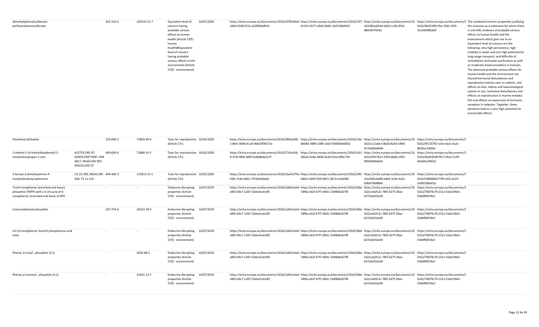| dimethyl(phenyl)sulfanium<br>perfluorobutanesulfonate | 452-310-4 | 220133-51-7 | 16/01/2020<br>Equivalent level of<br>concern having<br>probable serious<br>effects to human<br>health (Article 57(f) -<br>human<br>health)#Equivalent<br>level of concern<br>having probable<br>serious effects to the<br>environment (Article<br>57(f) - environment) | https://echa.europa.eu/documents/10162/079c04a0- https://echa.europa.eu/documents/10162/537 https://echa.europa.eu/documents/10162/079c04a0- https://echa.europa.eu/documents/10162/537 https://echa.europa.eu/documents/10 ht<br>2464-4168-f132-a22ffb04d910 | 91353-6577-a9e8-5600-c5ef51864652 | 162/891ab33d-d263-cc4b-0f2d-<br>d84cfb7f424a | 0162/84d51ffb-f3ac-f182-10f2-<br>31c4d9386ab9 | the inclusion as a substance for which there<br>is scientific evidence of probable serious<br>effects to human health and the<br>environment which give rise to an<br>equivalent level of concern are the<br>following: very high persistence, high<br>mobility in water and soil, high potential for<br>long-range transport, and difficulty of<br>remediation and water purification as well<br>as moderate bioaccumulation in humans.<br>The observed probable serious effects for<br>human health and the environment are<br>thyroid hormonal disturbances and<br>reproductive toxicity seen in rodents, and<br>effects on liver, kidney and haematological<br>system in rats, hormonal disturbances and<br>effects on reproduction in marine medaka<br>fish and effects on expression of hormone<br>receptors in tadpoles. Together, these<br>elements lead to a very high potential for |
|-------------------------------------------------------|-----------|-------------|------------------------------------------------------------------------------------------------------------------------------------------------------------------------------------------------------------------------------------------------------------------------|---------------------------------------------------------------------------------------------------------------------------------------------------------------------------------------------------------------------------------------------------------------|-----------------------------------|----------------------------------------------|-----------------------------------------------|-----------------------------------------------------------------------------------------------------------------------------------------------------------------------------------------------------------------------------------------------------------------------------------------------------------------------------------------------------------------------------------------------------------------------------------------------------------------------------------------------------------------------------------------------------------------------------------------------------------------------------------------------------------------------------------------------------------------------------------------------------------------------------------------------------------------------------------------------------------------------------------------------|
|                                                       |           |             |                                                                                                                                                                                                                                                                        |                                                                                                                                                                                                                                                               |                                   |                                              |                                               | irreversible effects.                                                                                                                                                                                                                                                                                                                                                                                                                                                                                                                                                                                                                                                                                                                                                                                                                                                                         |

| Diisohexyl phthalate                          |                                     | 276-090-2 | 71850-09-4  | Toxic for reproduction 16/01/2020 |            | https://echa.europa.eu/documents/10162/802ed48 https://echa.europa.eu/documents/10162/c9a https://echa.europa.eu/documents/10 https://echa.europa.eu/documents/10   |                                   |                                              |                                               |
|-----------------------------------------------|-------------------------------------|-----------|-------------|-----------------------------------|------------|---------------------------------------------------------------------------------------------------------------------------------------------------------------------|-----------------------------------|----------------------------------------------|-----------------------------------------------|
|                                               |                                     |           |             | (Article 57c)                     |            | 1-8bf1-0096-61a4-0bbd2f9b573c                                                                                                                                       | dbb8d-3989-2380-cb54-f34940de0002 | 162/cc11a6e1-0b26-8a5d-189d-<br>417eb06a60d4 | 0162/9f133792-ce5e-da2c-6a2c-<br>8616ec336f6e |
| 2-methyl-1-(4-methylthiophenyl)-2-            | <b>ACETOCURE 97;</b>                | 400-600-6 | 71868-10-5  | Toxic for reproduction 16/01/2020 |            | https://echa.europa.eu/documents/10162/7d1e26b https://echa.europa.eu/documents/10162/e31 https://echa.europa.eu/documents/10 https://echa.europa.eu/documents/1    |                                   |                                              |                                               |
| morpholinopropan-1-one                        | GENOCURE*PMP; IGM                   |           |             | (Article 57c)                     |            | 8-37af-4f0b-0d0f-5edb0b6e5a7f                                                                                                                                       | 382a6-3e8a-a858-da3d-614c10f6c75d | 162/e4917be1-32fd-dbd6-e305-                 | 0162/4bd29548-f917-95c6-3c59-                 |
|                                               | 4817; IRGACURE 907;<br>SPEEDCURE 97 |           |             |                                   |            |                                                                                                                                                                     |                                   | 90f269d446dd                                 | d6afd1e0901d                                  |
| 2-benzyl-2-dimethylamino-4'-                  | CG 25-369; IRGACURE 404-360-3       |           | 119313-12-1 | Toxic for reproduction 16/01/2020 |            | https://echa.europa.eu/documents/10162/ba42270a-https://echa.europa.eu/documents/10162/dfd https://echa.europa.eu/documents/10 https://echa.europa.eu/documents/1   |                                   |                                              |                                               |
| morpholinobutyrophenone                       | 369; TK 11-319                      |           |             | (Article 57c)                     |            | 93fe-7cde-6d41-7f7af4e00e66                                                                                                                                         | 0d651-604f-f33f-0831-3672c1cbb580 | 162/6d5c6d89-bd66-3c04-4a31-                 | 0162/54890824-f79f-c051-6c29-                 |
|                                               |                                     |           |             |                                   |            |                                                                                                                                                                     |                                   | f580476b88b4                                 | 2efb018be01a                                  |
| Tris(4-nonylphenyl, branched and linear)      |                                     |           |             | <b>Endocrine disrupting</b>       | 16/07/2019 | https://echa.europa.eu/documents/10162/a661cbe6- https://echa.europa.eu/documents/10162/8da https://echa.europa.eu/documents/10                                     |                                   |                                              | https://echa.europa.eu/documents/1            |
| phosphite (TNPP) with ≥ 0.1% w/w of 4-        |                                     |           |             | properties (Article               |            | c805-b9c7-1287-53dee5cd1df5                                                                                                                                         | 7df6b-e62f-47f7-d9d1-154f8db267f8 | 162/ceb2fc2c-78f2-627f-29ae-                 | 0162/70879c79-2312-31bd-09e5-                 |
| nonylphenol, branched and linear (4-NP)       |                                     |           |             | 57(f) - environment)              |            |                                                                                                                                                                     |                                   | b37c0e91bc69                                 | 558df06f19e2                                  |
| tris(nonylphenyl) phosphite                   |                                     | 247-759-6 | 26523-78-4  | Endocrine disrupting 16/07/2019   |            | https://echa.europa.eu/documents/10162/a661cbe6- https://echa.europa.eu/documents/10162/8da https://echa.europa.eu/documents/10 https://echa.europa.eu/documents/1  |                                   |                                              |                                               |
|                                               |                                     |           |             | properties (Article               |            | c805-b9c7-1287-53dee5cd1df5                                                                                                                                         | 7df6b-e62f-47f7-d9d1-154f8db267f8 | 162/ceb2fc2c-78f2-627f-29ae-                 | 0162/70879c79-2312-31bd-09e5-                 |
|                                               |                                     |           |             | 57(f) - environment)              |            |                                                                                                                                                                     |                                   | b37c0e91bc69                                 | 558df06f19e2                                  |
| tris (4-nonylphenol, branch) phosphorous acid |                                     |           |             | Endocrine disrupting 16/07/2019   |            | https://echa.europa.eu/documents/10162/a661cbe6- https://echa.europa.eu/documents/10162/8da https://echa.europa.eu/documents/10 https://echa.europa.eu/documents/10 |                                   |                                              |                                               |
| ester                                         |                                     |           |             | properties (Article               |            | c805-b9c7-1287-53dee5cd1df5                                                                                                                                         | 7df6b-e62f-47f7-d9d1-154f8db267f8 | 162/ceb2fc2c-78f2-627f-29ae-                 | 0162/70879c79-2312-31bd-09e5-                 |
|                                               |                                     |           |             | 57(f) - environment)              |            |                                                                                                                                                                     |                                   | b37c0e91bc69                                 | 558df06f19e2                                  |
| Phenol, 4-nonyl-, phosphite (3:1)             |                                     |           | 3050-88-2   | Endocrine disrupting 16/07/2019   |            | https://echa.europa.eu/documents/10162/a661cbe6- https://echa.europa.eu/documents/10162/8dahttps://echa.europa.eu/documents/10 https://echa.europa.eu/documents/10  |                                   |                                              |                                               |
|                                               |                                     |           |             | properties (Article               |            | c805-b9c7-1287-53dee5cd1df5                                                                                                                                         | 7df6b-e62f-47f7-d9d1-154f8db267f8 | 162/ceb2fc2c-78f2-627f-29ae-                 | 0162/70879c79-2312-31bd-09e5-                 |
|                                               |                                     |           |             | 57(f) - environment)              |            |                                                                                                                                                                     |                                   | b37c0e91bc69                                 | 558df06f19e2                                  |
| Phenol, p-isononyl-, phosphite (3:1)          |                                     |           | 31631-13-7  | <b>Endocrine disrupting</b>       | 16/07/2019 | https://echa.europa.eu/documents/10162/a661cbe6- https://echa.europa.eu/documents/10162/8da https://echa.europa.eu/documents/10 https://echa.europa.eu/documents/1  |                                   |                                              |                                               |
|                                               |                                     |           |             | properties (Article               |            | c805-b9c7-1287-53dee5cd1df5                                                                                                                                         | 7df6b-e62f-47f7-d9d1-154f8db267f8 | 162/ceb2fc2c-78f2-627f-29ae-                 | 0162/70879c79-2312-31bd-09e5-                 |
|                                               |                                     |           |             | 57(f) - environment)              |            |                                                                                                                                                                     |                                   | b37c0e91bc69                                 | 558df06f19e2                                  |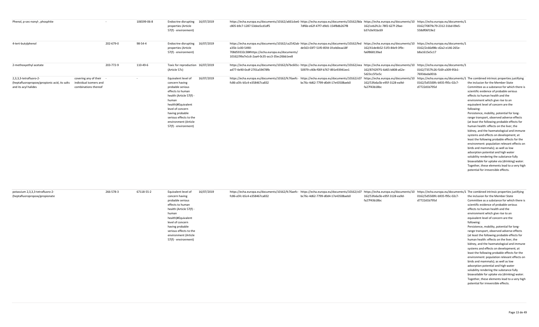| Phenol, p-sec-nonyl-, phosphite                                                                 |                                                                         |           | 106599-06-8 | Endocrine disrupting 16/07/2019<br>properties (Article<br>57(f) - environment)                                                                                                                                                                         |            | https://echa.europa.eu/documents/10162/a661cbe6- https://echa.europa.eu/documents/10162/8da https://echa.europa.eu/documents/10 https://echa.europa.eu/documents/1<br>c805-b9c7-1287-53dee5cd1df5                                                                                    | 7df6b-e62f-47f7-d9d1-154f8db267f8 | 162/ceb2fc2c-78f2-627f-29ae-<br>b37c0e91bc69 | 0162/70879c79-2312-31bd-09e5-<br>558df06f19e2                                       |                                                                                                                                                                                                                                                                                                                                                                                                                                                                                                                                                                                                                                                                                                                                                                                                                                                                                                                                                                                           |
|-------------------------------------------------------------------------------------------------|-------------------------------------------------------------------------|-----------|-------------|--------------------------------------------------------------------------------------------------------------------------------------------------------------------------------------------------------------------------------------------------------|------------|--------------------------------------------------------------------------------------------------------------------------------------------------------------------------------------------------------------------------------------------------------------------------------------|-----------------------------------|----------------------------------------------|-------------------------------------------------------------------------------------|-------------------------------------------------------------------------------------------------------------------------------------------------------------------------------------------------------------------------------------------------------------------------------------------------------------------------------------------------------------------------------------------------------------------------------------------------------------------------------------------------------------------------------------------------------------------------------------------------------------------------------------------------------------------------------------------------------------------------------------------------------------------------------------------------------------------------------------------------------------------------------------------------------------------------------------------------------------------------------------------|
| 4-tert-butylphenol                                                                              |                                                                         | 202-679-0 | 98-54-4     | <b>Endocrine disrupting</b><br>properties (Article<br>57(f) - environment)                                                                                                                                                                             | 16/07/2019 | https://echa.europa.eu/documents/10162/ca2542ab-https://echa.europa.eu/documents/10162/fed https://echa.europa.eu/documents/10 https://echa.europa.eu/documents/1<br>a35b-1c00-5490-<br>708d59332c38#https://echa.europa.eu/documents/<br>10162/99a7e1c6-2aa4-0c35-acc3-35ec26bb1ee8 | de563-03f7-51f0-85fd-1fceb0eaa18f | 162/41de4b52-51f3-84e9-3f9c-<br>fa6f868139ad | 0162/2c66d98c-d2a2-e146-265e-<br>b8a1615e5c17                                       |                                                                                                                                                                                                                                                                                                                                                                                                                                                                                                                                                                                                                                                                                                                                                                                                                                                                                                                                                                                           |
| 2-methoxyethyl acetate                                                                          |                                                                         | 203-772-9 | 110-49-6    | Toxic for reproduction 16/07/2019<br>(Article 57c)                                                                                                                                                                                                     |            | https://echa.europa.eu/documents/10162/b7bc601c- https://echa.europa.eu/documents/10162/eea https://echa.europa.eu/documents/10<br>ad77-4e90-0cdf-2701a59478fb                                                                                                                       | 50979-c40b-f00f-b767-891e93941ee1 | 162/874297f1-6d65-b808-a62e-<br>5d23cc5f1e5c | https://echa.europa.eu/documents/1<br>0162/7357fc26-f169-a309-95b1-<br>7693dada001b |                                                                                                                                                                                                                                                                                                                                                                                                                                                                                                                                                                                                                                                                                                                                                                                                                                                                                                                                                                                           |
| 2,3,3,3-tetrafluoro-2-<br>(heptafluoropropoxy)propionic acid, its salts<br>and its acyl halides | covering any of their<br>individual isomers and<br>combinations thereof |           |             | Equivalent level of<br>concern having<br>probable serious<br>effects to human<br>health (Article 57(f)<br>human<br>health)#Equivalent<br>level of concern<br>having probable<br>serious effects to the<br>environment (Article<br>57(f) - environment) | 16/07/2019 | https://echa.europa.eu/documents/10162/fc76aefc- https://echa.europa.eu/documents/10162/c07 https://echa.europa.eu/documents/10<br>fc86-a5fc-b5c4-e358467ca832                                                                                                                       | bc76c-4d62-7799-d0d4-17e43508aeb0 | 162/53fa6a5b-e95f-3128-ea9d-<br>fa27f43b18bc | 0162/5d5500fc-b935-f95c-02c7-<br>d7722d1b795d                                       | https://echa.europa.eu/documents/1 The combined intrinsic properties justifying<br>the inclusion for the Member State<br>Committee as a substance for which there is<br>scientific evidence of probable serious<br>effects to human health and the<br>environment which give rise to an<br>equivalent level of concern are the<br>following:<br>Persistence, mobility, potential for long-<br>range transport, observed adverse effects<br>(at least the following probable effects for<br>human health: effects on the liver, the<br>kidney, and the haematological and immune<br>systems and effects on development; at<br>least the following probable effects for the<br>environment: population relevant effects on<br>birds and mammals); as well as low<br>adsorption potential and high water<br>solubility rendering the substance fully<br>bioavailable for uptake via (drinking) water.<br>Together, these elements lead to a very high<br>potential for irreversible effects. |

| potassium 2,3,3,3-tetrafluoro-2- | 266-578-3 | 67118-55-2 | Equivalent level of     | 16/07/2019 | https://echa.europa.eu/documents/10162/fc76aefc- https://echa.europa.eu/documents/10162/c07 https://echa.europa.eu/documents/10162/fc76aefc- https://echa.europa.eu/documents/10162/fc76aefc- https://echa.europa.eu/documents |                                   |                              |                               |                                               |
|----------------------------------|-----------|------------|-------------------------|------------|--------------------------------------------------------------------------------------------------------------------------------------------------------------------------------------------------------------------------------|-----------------------------------|------------------------------|-------------------------------|-----------------------------------------------|
| (heptafluoropropoxy)propionate   |           |            | concern having          |            | fc86-a5fc-b5c4-e358467ca832                                                                                                                                                                                                    | bc76c-4d62-7799-d0d4-17e43508aeb0 | 162/53fa6a5b-e95f-3128-ea9d- | 0162/5d5500fc-b935-f95c-02c7- | the inclusion for the Member State            |
|                                  |           |            | probable serious        |            |                                                                                                                                                                                                                                |                                   | fa27f43b18bc                 | d7722d1b795d                  | Committee as a substance for which there is   |
|                                  |           |            | effects to human        |            |                                                                                                                                                                                                                                |                                   |                              |                               | scientific evidence of probable serious       |
|                                  |           |            | health (Article 57(f) - |            |                                                                                                                                                                                                                                |                                   |                              |                               | effects to human health and the               |
|                                  |           |            | human                   |            |                                                                                                                                                                                                                                |                                   |                              |                               | environment which give rise to an             |
|                                  |           |            | health)#Equivalent      |            |                                                                                                                                                                                                                                |                                   |                              |                               | equivalent level of concern are the           |
|                                  |           |            | level of concern        |            |                                                                                                                                                                                                                                |                                   |                              |                               | following:                                    |
|                                  |           |            | having probable         |            |                                                                                                                                                                                                                                |                                   |                              |                               | Persistence, mobility, potential for long-    |
|                                  |           |            | serious effects to the  |            |                                                                                                                                                                                                                                |                                   |                              |                               | range transport, observed adverse effects     |
|                                  |           |            | environment (Article    |            |                                                                                                                                                                                                                                |                                   |                              |                               | (at least the following probable effects for  |
|                                  |           |            | 57(f) - environment)    |            |                                                                                                                                                                                                                                |                                   |                              |                               | human health: effects on the liver, the       |
|                                  |           |            |                         |            |                                                                                                                                                                                                                                |                                   |                              |                               | kidney, and the haematological and immune     |
|                                  |           |            |                         |            |                                                                                                                                                                                                                                |                                   |                              |                               | systems and effects on development; at        |
|                                  |           |            |                         |            |                                                                                                                                                                                                                                |                                   |                              |                               | least the following probable effects for the  |
|                                  |           |            |                         |            |                                                                                                                                                                                                                                |                                   |                              |                               | environment: population relevant effects on   |
|                                  |           |            |                         |            |                                                                                                                                                                                                                                |                                   |                              |                               | birds and mammals); as well as low            |
|                                  |           |            |                         |            |                                                                                                                                                                                                                                |                                   |                              |                               | adsorption potential and high water           |
|                                  |           |            |                         |            |                                                                                                                                                                                                                                |                                   |                              |                               | solubility rendering the substance fully      |
|                                  |           |            |                         |            |                                                                                                                                                                                                                                |                                   |                              |                               | bioavailable for uptake via (drinking) water. |
|                                  |           |            |                         |            |                                                                                                                                                                                                                                |                                   |                              |                               | Together, these elements lead to a very high  |
|                                  |           |            |                         |            |                                                                                                                                                                                                                                |                                   |                              |                               | potential for irreversible effects.           |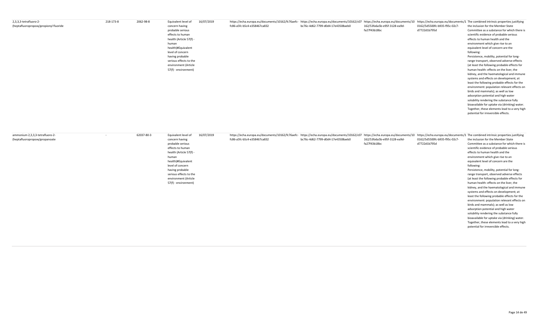| 2,3,3,3-tetrafluoro-2-                 | 218-173-8 | 2062-98-8 | Equivalent level of     | 16/07/2019 | https://echa.europa.eu/documents/10162/fc76aefc- https://echa.europa.eu/documents/10162/fc76aefc- https://echa.europa.eu/documents/10162/fc76aefc- https://echa.europa.eu/documents/10162/fc76aefc- https://echa.europa.eu/doc |                                   |                              |                               |                                               |
|----------------------------------------|-----------|-----------|-------------------------|------------|--------------------------------------------------------------------------------------------------------------------------------------------------------------------------------------------------------------------------------|-----------------------------------|------------------------------|-------------------------------|-----------------------------------------------|
| (heptafluoropropoxy)propionyl fluoride |           |           | concern having          |            | fc86-a5fc-b5c4-e358467ca832                                                                                                                                                                                                    | bc76c-4d62-7799-d0d4-17e43508aeb0 | 162/53fa6a5b-e95f-3128-ea9d- | 0162/5d5500fc-b935-f95c-02c7- | the inclusion for the Member State            |
|                                        |           |           | probable serious        |            |                                                                                                                                                                                                                                |                                   | fa27f43b18bc                 | d7722d1b795d                  | Committee as a substance for which there is   |
|                                        |           |           | effects to human        |            |                                                                                                                                                                                                                                |                                   |                              |                               | scientific evidence of probable serious       |
|                                        |           |           | health (Article 57(f) - |            |                                                                                                                                                                                                                                |                                   |                              |                               | effects to human health and the               |
|                                        |           |           | human                   |            |                                                                                                                                                                                                                                |                                   |                              |                               | environment which give rise to an             |
|                                        |           |           | health)#Equivalent      |            |                                                                                                                                                                                                                                |                                   |                              |                               | equivalent level of concern are the           |
|                                        |           |           | level of concern        |            |                                                                                                                                                                                                                                |                                   |                              |                               | following:                                    |
|                                        |           |           | having probable         |            |                                                                                                                                                                                                                                |                                   |                              |                               | Persistence, mobility, potential for long-    |
|                                        |           |           | serious effects to the  |            |                                                                                                                                                                                                                                |                                   |                              |                               | range transport, observed adverse effects     |
|                                        |           |           | environment (Article    |            |                                                                                                                                                                                                                                |                                   |                              |                               | (at least the following probable effects for  |
|                                        |           |           | 57(f) - environment)    |            |                                                                                                                                                                                                                                |                                   |                              |                               | human health: effects on the liver, the       |
|                                        |           |           |                         |            |                                                                                                                                                                                                                                |                                   |                              |                               | kidney, and the haematological and immune     |
|                                        |           |           |                         |            |                                                                                                                                                                                                                                |                                   |                              |                               | systems and effects on development; at        |
|                                        |           |           |                         |            |                                                                                                                                                                                                                                |                                   |                              |                               | least the following probable effects for the  |
|                                        |           |           |                         |            |                                                                                                                                                                                                                                |                                   |                              |                               | environment: population relevant effects on   |
|                                        |           |           |                         |            |                                                                                                                                                                                                                                |                                   |                              |                               | birds and mammals); as well as low            |
|                                        |           |           |                         |            |                                                                                                                                                                                                                                |                                   |                              |                               | adsorption potential and high water           |
|                                        |           |           |                         |            |                                                                                                                                                                                                                                |                                   |                              |                               | solubility rendering the substance fully      |
|                                        |           |           |                         |            |                                                                                                                                                                                                                                |                                   |                              |                               | bioavailable for uptake via (drinking) water. |
|                                        |           |           |                         |            |                                                                                                                                                                                                                                |                                   |                              |                               | Together, these elements lead to a very high  |
|                                        |           |           |                         |            |                                                                                                                                                                                                                                |                                   |                              |                               | potential for irreversible effects.           |

| ammonium 2,3,3,3-tetrafluoro-2-<br>$\sim$<br>(heptafluoropropoxy)propanoate | 62037-80-3 | Equivalent level of<br>concern having<br>probable serious<br>effects to human<br>health (Article 57(f) -<br>human<br>health)#Equivalent<br>level of concern | 16/07/2019 | https://echa.europa.eu/documents/10162/fc76aefc- https://echa.europa.eu/documents/10162/c07 https://echa.europa.eu/documents/10 https://echa.europa.eu/documents/10 https://echa.europa.eu/documents/1 The combined intrinsic<br>fc86-a5fc-b5c4-e358467ca832 | bc76c-4d62-7799-d0d4-17e43508aeb0 | 162/53fa6a5b-e95f-3128-ea9d-<br>fa27f43b18bc | 0162/5d5500fc-b935-f95c-02c7-<br>d7722d1b795d | the inclusion for the Member State<br>Committee as a substance for which there is<br>scientific evidence of probable serious<br>effects to human health and the<br>environment which give rise to an<br>equivalent level of concern are the<br>following:                                                                 |
|-----------------------------------------------------------------------------|------------|-------------------------------------------------------------------------------------------------------------------------------------------------------------|------------|--------------------------------------------------------------------------------------------------------------------------------------------------------------------------------------------------------------------------------------------------------------|-----------------------------------|----------------------------------------------|-----------------------------------------------|---------------------------------------------------------------------------------------------------------------------------------------------------------------------------------------------------------------------------------------------------------------------------------------------------------------------------|
|                                                                             |            | having probable<br>serious effects to the<br>environment (Article<br>57(f) - environment)                                                                   |            |                                                                                                                                                                                                                                                              |                                   |                                              |                                               | Persistence, mobility, potential for long-<br>range transport, observed adverse effects<br>(at least the following probable effects for<br>human health: effects on the liver, the<br>kidney, and the haematological and immune<br>systems and effects on development; at<br>least the following probable effects for the |
|                                                                             |            |                                                                                                                                                             |            |                                                                                                                                                                                                                                                              |                                   |                                              |                                               | environment: population relevant effects on<br>birds and mammals); as well as low<br>adsorption potential and high water<br>solubility rendering the substance fully<br>bioavailable for uptake via (drinking) water.<br>Together, these elements lead to a very high<br>potential for irreversible effects.              |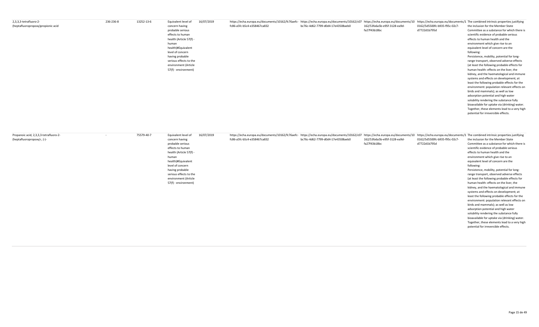| 2,3,3,3-tetrafluoro-2-             | 236-236-8 | 13252-13-6 | 16/07/2019<br>Equivalent level of |                             | https://echa.europa.eu/documents/10162/fc76aefc- https://echa.europa.eu/documents/10162/fc76aefc- https://echa.europa.eu/documents/10162/fc76aefc- https://echa.europa.eu/documents/10162/fc76aefc- https://echa.europa.eu/doc |                              |                               |                                               |
|------------------------------------|-----------|------------|-----------------------------------|-----------------------------|--------------------------------------------------------------------------------------------------------------------------------------------------------------------------------------------------------------------------------|------------------------------|-------------------------------|-----------------------------------------------|
| (heptafluoropropoxy)propionic acid |           |            | concern having                    | fc86-a5fc-b5c4-e358467ca832 | bc76c-4d62-7799-d0d4-17e43508aeb0                                                                                                                                                                                              | 162/53fa6a5b-e95f-3128-ea9d- | 0162/5d5500fc-b935-f95c-02c7- | the inclusion for the Member State            |
|                                    |           |            | probable serious                  |                             |                                                                                                                                                                                                                                | fa27f43b18bc                 | d7722d1b795d                  | Committee as a substance for which there is   |
|                                    |           |            | effects to human                  |                             |                                                                                                                                                                                                                                |                              |                               | scientific evidence of probable serious       |
|                                    |           |            | health (Article 57(f) -           |                             |                                                                                                                                                                                                                                |                              |                               | effects to human health and the               |
|                                    |           |            | human                             |                             |                                                                                                                                                                                                                                |                              |                               | environment which give rise to an             |
|                                    |           |            | health)#Equivalent                |                             |                                                                                                                                                                                                                                |                              |                               | equivalent level of concern are the           |
|                                    |           |            | level of concern                  |                             |                                                                                                                                                                                                                                |                              |                               | following:                                    |
|                                    |           |            | having probable                   |                             |                                                                                                                                                                                                                                |                              |                               | Persistence, mobility, potential for long-    |
|                                    |           |            | serious effects to the            |                             |                                                                                                                                                                                                                                |                              |                               | range transport, observed adverse effects     |
|                                    |           |            | environment (Article              |                             |                                                                                                                                                                                                                                |                              |                               | (at least the following probable effects for  |
|                                    |           |            | 57(f) - environment)              |                             |                                                                                                                                                                                                                                |                              |                               | human health: effects on the liver, the       |
|                                    |           |            |                                   |                             |                                                                                                                                                                                                                                |                              |                               | kidney, and the haematological and immune     |
|                                    |           |            |                                   |                             |                                                                                                                                                                                                                                |                              |                               | systems and effects on development; at        |
|                                    |           |            |                                   |                             |                                                                                                                                                                                                                                |                              |                               | least the following probable effects for the  |
|                                    |           |            |                                   |                             |                                                                                                                                                                                                                                |                              |                               | environment: population relevant effects on   |
|                                    |           |            |                                   |                             |                                                                                                                                                                                                                                |                              |                               | birds and mammals); as well as low            |
|                                    |           |            |                                   |                             |                                                                                                                                                                                                                                |                              |                               | adsorption potential and high water           |
|                                    |           |            |                                   |                             |                                                                                                                                                                                                                                |                              |                               | solubility rendering the substance fully      |
|                                    |           |            |                                   |                             |                                                                                                                                                                                                                                |                              |                               | bioavailable for uptake via (drinking) water. |
|                                    |           |            |                                   |                             |                                                                                                                                                                                                                                |                              |                               | Together, these elements lead to a very high  |
|                                    |           |            |                                   |                             |                                                                                                                                                                                                                                |                              |                               | potential for irreversible effects.           |

| Propanoic acid, 2,3,3,3-tetrafluoro-2- | 75579-40-7<br>$\sim$ | 16/07/2019<br>Equivalent level of | https://echa.europa.eu/documents/10162/fc76aefc- https://echa.europa.eu/documents/10162/fc76aefc- https://echa.europa.eu/documents/10162/fc76aefc- https://echa.europa.eu/documents/10162/fc76aefc- https://echa.europa.eu/doc |                                   |                              |                               |                                               |
|----------------------------------------|----------------------|-----------------------------------|--------------------------------------------------------------------------------------------------------------------------------------------------------------------------------------------------------------------------------|-----------------------------------|------------------------------|-------------------------------|-----------------------------------------------|
| (heptafluoropropoxy)-, (-)-            |                      | concern having                    | fc86-a5fc-b5c4-e358467ca832                                                                                                                                                                                                    | bc76c-4d62-7799-d0d4-17e43508aeb0 | 162/53fa6a5b-e95f-3128-ea9d- | 0162/5d5500fc-b935-f95c-02c7- | the inclusion for the Member State            |
|                                        |                      | probable serious                  |                                                                                                                                                                                                                                |                                   | fa27f43b18bc                 | d7722d1b795d                  | Committee as a substance for which there is   |
|                                        |                      | effects to human                  |                                                                                                                                                                                                                                |                                   |                              |                               | scientific evidence of probable serious       |
|                                        |                      | health (Article 57(f) -           |                                                                                                                                                                                                                                |                                   |                              |                               | effects to human health and the               |
|                                        |                      | human                             |                                                                                                                                                                                                                                |                                   |                              |                               | environment which give rise to an             |
|                                        |                      | health)#Equivalent                |                                                                                                                                                                                                                                |                                   |                              |                               | equivalent level of concern are the           |
|                                        |                      | level of concern                  |                                                                                                                                                                                                                                |                                   |                              |                               | following:                                    |
|                                        |                      | having probable                   |                                                                                                                                                                                                                                |                                   |                              |                               | Persistence, mobility, potential for long-    |
|                                        |                      | serious effects to the            |                                                                                                                                                                                                                                |                                   |                              |                               | range transport, observed adverse effects     |
|                                        |                      | environment (Article              |                                                                                                                                                                                                                                |                                   |                              |                               | (at least the following probable effects for  |
|                                        |                      | 57(f) - environment)              |                                                                                                                                                                                                                                |                                   |                              |                               | human health: effects on the liver, the       |
|                                        |                      |                                   |                                                                                                                                                                                                                                |                                   |                              |                               | kidney, and the haematological and immune     |
|                                        |                      |                                   |                                                                                                                                                                                                                                |                                   |                              |                               | systems and effects on development; at        |
|                                        |                      |                                   |                                                                                                                                                                                                                                |                                   |                              |                               | least the following probable effects for the  |
|                                        |                      |                                   |                                                                                                                                                                                                                                |                                   |                              |                               | environment: population relevant effects on   |
|                                        |                      |                                   |                                                                                                                                                                                                                                |                                   |                              |                               | birds and mammals); as well as low            |
|                                        |                      |                                   |                                                                                                                                                                                                                                |                                   |                              |                               | adsorption potential and high water           |
|                                        |                      |                                   |                                                                                                                                                                                                                                |                                   |                              |                               | solubility rendering the substance fully      |
|                                        |                      |                                   |                                                                                                                                                                                                                                |                                   |                              |                               | bioavailable for uptake via (drinking) water. |
|                                        |                      |                                   |                                                                                                                                                                                                                                |                                   |                              |                               | Together, these elements lead to a very high  |
|                                        |                      |                                   |                                                                                                                                                                                                                                |                                   |                              |                               | potential for irreversible effects.           |
|                                        |                      |                                   |                                                                                                                                                                                                                                |                                   |                              |                               |                                               |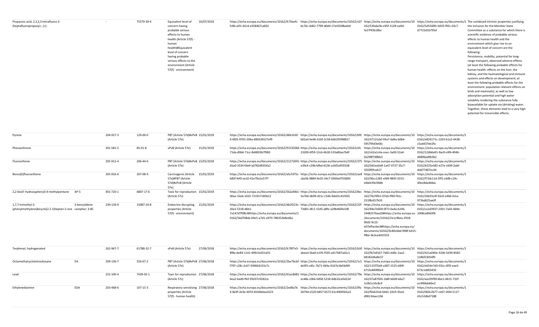| Propanoic acid, 2,3,3,3-tetrafluoro-2-<br>(heptafluoropropoxy)-, (+)- | 75579-39-4 | Equivalent level of<br>concern having<br>probable serious<br>effects to human<br>health (Article 57(f) -<br>human<br>health)#Equivalent<br>level of concern<br>having probable<br>serious effects to the<br>environment (Article<br>57(f) - environment) | 16/07/2019 | https://echa.europa.eu/documents/10162/fc76aefc- https://echa.europa.eu/documents/10162/c07 https://echa.europa.eu/documents/10162/c07 https://echa.europa.eu/documents/10 https://echa.europa.eu/documents/10 https://echa.eu<br>fc86-a5fc-b5c4-e358467ca832 | bc76c-4d62-7799-d0d4-17e43508aeb0 | 162/53fa6a5b-e95f-3128-ea9d-<br>fa27f43b18bc | 0162/5d5500fc-b935-f95c-02c7-<br>d7722d1b795d | the inclusion for the Member State<br>Committee as a substance for which there is<br>scientific evidence of probable serious<br>effects to human health and the<br>environment which give rise to an<br>equivalent level of concern are the<br>following:<br>Persistence, mobility, potential for long-<br>range transport, observed adverse effects<br>(at least the following probable effects for<br>human health: effects on the liver, the<br>kidney, and the haematological and immune<br>systems and effects on development; at<br>least the following probable effects for the<br>environment: population relevant effects on<br>birds and mammals); as well as low<br>adsorption potential and high water<br>solubility rendering the substance fully<br>bioavailable for uptake via (drinking) water.<br>Together, these elements lead to a very high |
|-----------------------------------------------------------------------|------------|----------------------------------------------------------------------------------------------------------------------------------------------------------------------------------------------------------------------------------------------------------|------------|---------------------------------------------------------------------------------------------------------------------------------------------------------------------------------------------------------------------------------------------------------------|-----------------------------------|----------------------------------------------|-----------------------------------------------|-----------------------------------------------------------------------------------------------------------------------------------------------------------------------------------------------------------------------------------------------------------------------------------------------------------------------------------------------------------------------------------------------------------------------------------------------------------------------------------------------------------------------------------------------------------------------------------------------------------------------------------------------------------------------------------------------------------------------------------------------------------------------------------------------------------------------------------------------------------------|
|                                                                       |            |                                                                                                                                                                                                                                                          |            |                                                                                                                                                                                                                                                               |                                   |                                              |                                               | potential for irreversible effects.                                                                                                                                                                                                                                                                                                                                                                                                                                                                                                                                                                                                                                                                                                                                                                                                                             |

| Pyrene                                                    |               | 204-927-3 | 129-00-0   | PBT (Article 57d)#vPvB 15/01/2019   | https://echa.europa.eu/documents/10162/d6b1b30 https://echa.europa.eu/documents/10162/bf9 https://echa.europa.eu/documents/10 https://echa.europa.eu/documents/1   |                                   |                                                  |                                    |
|-----------------------------------------------------------|---------------|-----------|------------|-------------------------------------|--------------------------------------------------------------------------------------------------------------------------------------------------------------------|-----------------------------------|--------------------------------------------------|------------------------------------|
|                                                           |               |           |            | (Article 57e)                       | 6-6f05-9765-204a-689334527ef9                                                                                                                                      | b02a4-6e4b-b1bf-2c58-6d61f5998817 | 162/47121daf-04a7-6d4a-b0b6-                     | 0162/e824171c-1263-b1a2-4438-      |
|                                                           |               |           |            |                                     |                                                                                                                                                                    |                                   | 595794d3e66c                                     | c5add37de2fa                       |
| Phenanthrene                                              |               | 201-581-5 | 85-01-8    | 15/01/2019<br>vPvB (Article 57e)    | https://echa.europa.eu/documents/10162/91535066· https://echa.europa.eu/documents/10162/efc https://echa.europa.eu/documents/10                                    |                                   |                                                  | https://echa.europa.eu/documents/1 |
|                                                           |               |           |            |                                     | 71da-d9b4-71cc-8d4003b7f983                                                                                                                                        | 23200-6f59-12c6-4b18-533a80aa7b4f | 162/c62a1c4a-ceec-3a00-52a4-                     | 0162/12db6a91-9ac9-c4f6-4046-      |
|                                                           |               |           |            |                                     |                                                                                                                                                                    |                                   | 0a298f7d8bb3                                     | d6896ad9b3b2                       |
| Fluoranthene                                              |               | 205-912-4 | 206-44-0   | PBT (Article 57d)#vPvB 15/01/2019   | https://echa.europa.eu/documents/10162/21272691 https://echa.europa.eu/documents/10162/375 https://echa.europa.eu/documents/10                                     |                                   |                                                  | https://echa.europa.eu/documents/1 |
|                                                           |               |           |            | (Article 57e)                       | d1a0-3334-fde9-a0782d9354a2                                                                                                                                        | e39c4-c59b-bfbd-d156-a1bf2a959108 | 162/0d1ee6d4-1a47-0737-35c7-                     | 0162/b525e382-e27e-c609-2abf-      |
|                                                           |               |           |            |                                     |                                                                                                                                                                    |                                   | 3503f0fca417                                     | ddd77d07ec44                       |
| Benzo[k]fluoranthene                                      |               | 205-916-6 | 207-08-9   | Carcinogenic (Article<br>15/01/2019 | https://echa.europa.eu/documents/10162/afa7d75c- https://echa.europa.eu/documents/10162/ae8 https://echa.europa.eu/documents/10                                    |                                   |                                                  | https://echa.europa.eu/documents/1 |
|                                                           |               |           |            | 57a)#PBT (Article                   | b83f-fef0-ae10-41e70a1e57f7                                                                                                                                        | cba56-9884-9e35-34c7-0369a4703600 | 162/06cc1281-efd9-9845-0215-                     | 0162/f72dc11d-5ff2-c4d8-c19c-      |
|                                                           |               |           |            | 57d)#vPvB (Article                  |                                                                                                                                                                    |                                   | e6b0c94c94db                                     | 40ec8dadddac                       |
|                                                           |               |           |            | 57e)                                |                                                                                                                                                                    |                                   |                                                  |                                    |
| 2,2-bis(4'-hydroxyphenyl)-4-methylpentane                 | $AP-5$        | 401-720-1 | 6807-17-6  | Toxic for reproduction 15/01/2019   | https://echa.europa.eu/documents/10162/562afdb1- https://echa.europa.eu/documents/10162/8ec https://echa.europa.eu/documents/10 https://echa.europa.eu/documents/1 |                                   |                                                  |                                    |
|                                                           |               |           |            | (Article 57c)                       | 00aa-32ab-1022-721917185b12                                                                                                                                        | 5e70d-db99-d21c-c54b-9de01c41f435 | 162/76cf3fb1-07eb-ff40-f41c-                     | 0162/26b55c4f-92c0-e4b6-fa1a-      |
|                                                           |               |           |            |                                     |                                                                                                                                                                    |                                   | 251f8c657b33                                     | 973bd625ae0f                       |
| 1,7,7-trimethyl-3-                                        | 3-benzylidene | 239-139-9 | 15087-24-8 | 15/01/2019<br>Endocrine disrupting  | https://echa.europa.eu/documents/10162/db2f223c-https://echa.europa.eu/documents/10162/22f https://echa.europa.eu/documents/10                                     |                                   |                                                  | https://echa.europa.eu/documents/1 |
| (phenylmethylene)bicyclo[2.2.1]heptan-2-one camphor; 3-BC |               |           |            | properties (Article                 | 20a1-5318-d6b1-                                                                                                                                                    | 73d01-dfc1-15d5-a8fe-a29b460fa108 | 162/84e7e600-0f73-6a4a-b246-                     | 0162/ca1d3937-2301-7a43-4b9e-      |
|                                                           |               |           |            | 57(f) - environment)                | 7a147d7f08c3#https://echa.europa.eu/documents/1                                                                                                                    |                                   | 19482576aa20#https://echa.europa.eu 1008ca84d3f6 |                                    |
|                                                           |               |           |            |                                     | 0162/56d708da-69e5-a7d1-e970-780352b8ed6a                                                                                                                          |                                   | /documents/10162/2e1c96ea-2918-                  |                                    |
|                                                           |               |           |            |                                     |                                                                                                                                                                    |                                   | 90d2-9c23-                                       |                                    |
|                                                           |               |           |            |                                     |                                                                                                                                                                    |                                   | e07effac4ec9#https://echa.europa.eu/             |                                    |
|                                                           |               |           |            |                                     |                                                                                                                                                                    |                                   | documents/10162/0c80cbbd-998f-b415-              |                                    |
|                                                           |               |           |            |                                     |                                                                                                                                                                    |                                   | f9be-9e3ced41f333                                |                                    |

| Terphenyl, hydrogenated                        | 262-967-7 | 61788-32-7 | vPvB (Article 57e)                 | 27/06/2018 | https://echa.europa.eu/documents/10162/fc78f7e5- https://echa.europa.eu/documents/10162/b30 https://echa.europa.eu/documents/10 https://echa.europa.eu/documents/1 |                                   |                              |                               |
|------------------------------------------------|-----------|------------|------------------------------------|------------|--------------------------------------------------------------------------------------------------------------------------------------------------------------------|-----------------------------------|------------------------------|-------------------------------|
|                                                |           |            |                                    |            | 8f8a-de84-1141-499c5e021d31                                                                                                                                        | abea4-5ba0-e195-f595-a617687ad1c1 | 162/fb7a9167-7d65-dd4c-2aa2- | 0162/421a040e-320b-5d39-8582- |
|                                                |           |            |                                    |            |                                                                                                                                                                    |                                   | b8182d4a8e37                 | 118bf23054f9                  |
| D <sub>4</sub><br>Octamethylcyclotetrasiloxane | 209-136-7 | 556-67-2   | PBT (Article 57d)#vPvB 27/06/2018  |            | https://echa.europa.eu/documents/10162/2be7bcbf-https://echa.europa.eu/documents/10162/1c5 https://echa.europa.eu/documents/10 https://echa.europa.eu/documents/1  |                                   |                              |                               |
|                                                |           |            | (Article 57e)                      |            | f797-c28c-2c67-939664155c7c                                                                                                                                        | dc0f3-cd5c-7b71-044a-9167e3b03d99 | 162/115f70a9-a387-1525-d49f- | 0162/e654e7d3-031c-0f5f-eae5- |
|                                                |           |            |                                    |            |                                                                                                                                                                    |                                   | b715e84996e4                 | 673c1dd03432                  |
| Lead                                           | 231-100-4 | 7439-92-1  | Toxic for reproduction 27/06/2018  |            | https://echa.europa.eu/documents/10162/61ac8d81-https://echa.europa.eu/documents/10162/79e https://echa.europa.eu/documents/10 https://echa.europa.eu/documents/1  |                                   |                              |                               |
|                                                |           |            | (Article 57c)                      |            | 6ea2-6ad0-ffef-95037c9182ce                                                                                                                                        | ec48e-c0b6-0d58-5218-ddb32ce0d22d | 162/07a87920-1b8f-b0d9-b6a7- | 0162/aec05f99-6be1-d615-732f- |
|                                                |           |            |                                    |            |                                                                                                                                                                    |                                   | 1c0b1c16c8c4                 | ec4f68ab66e2                  |
| <b>EDA</b><br>Ethylenediamine                  | 203-468-6 | 107-15-3   | Respiratory sensitising 27/06/2018 |            | https://echa.europa.eu/documents/10162/2ed8a7b https://echa.europa.eu/documents/10162/0fa https://echa.europa.eu/documents/10 https://echa.europa.eu/documents/1   |                                   |                              |                               |
|                                                |           |            | properties (Article                |            | 4-8e9f-2e3e-407d-819dbdaa1623                                                                                                                                      | 2b79d-e520-b857-6572-61c49095b5a3 | 162/f0a61fa4-64d1-2d19-35ed- | 0162/060c2b77-ce67-26fd-5117- |
|                                                |           |            | 57(f) - human health)              |            |                                                                                                                                                                    |                                   | d98134aec10d                 | 43c52d6d7188                  |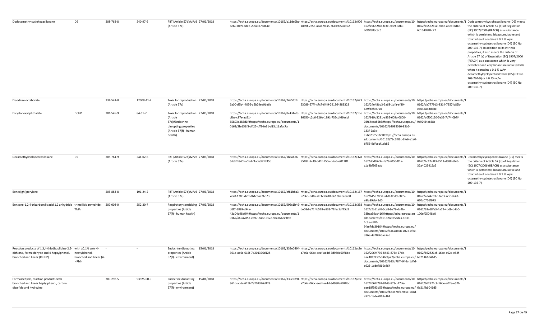| Dodecamethylcyclohexasiloxane                                                                                                                  | D <sub>6</sub>                                    | 208-762-8 | 540-97-6   | PBT (Article 57d)#vPvB 27/06/2018                                                                                             | https://echa.europa.eu/documents/10162/b11de9bc-https://echa.europa.eu/documents/10162/906 https://echa.europa.eu/documents/10 https://echa.europa.eu/documents/10 https://echa.europa.eu/documents/10 https://echa.europa.eu/                                                        |                                   |                                                                                                                                                                                                                                       |                                               |                                                                                                                                                                                                                                                                                                                                                                                                                                                                                                                                                                                                                                   |
|------------------------------------------------------------------------------------------------------------------------------------------------|---------------------------------------------------|-----------|------------|-------------------------------------------------------------------------------------------------------------------------------|---------------------------------------------------------------------------------------------------------------------------------------------------------------------------------------------------------------------------------------------------------------------------------------|-----------------------------------|---------------------------------------------------------------------------------------------------------------------------------------------------------------------------------------------------------------------------------------|-----------------------------------------------|-----------------------------------------------------------------------------------------------------------------------------------------------------------------------------------------------------------------------------------------------------------------------------------------------------------------------------------------------------------------------------------------------------------------------------------------------------------------------------------------------------------------------------------------------------------------------------------------------------------------------------------|
|                                                                                                                                                |                                                   |           |            | (Article 57e)                                                                                                                 | 6e60-01f9-cdeb-20fa3b7e864e                                                                                                                                                                                                                                                           | 1869f-7e55-aaac-9ea5-761b9050a952 | 162/a9682f4b-fc3e-cd99-3db9-<br>b0f9f383c3c5                                                                                                                                                                                          | 0162/45532e5e-8bbe-a3ee-bd1c-<br>6c1640984c27 | the criteria of Article 57 (d) of Regulation<br>(EC) 1907/2006 (REACH) as a substance<br>which is persistent, bioaccumulative and<br>toxic when it contains $\geq 0.1$ % w/w<br>octamethylcyclotetrasiloxane (D4) (EC No.<br>209-136-7). In addition to its intrinsic<br>properties, it also meets the criteria of<br>Article 57 (e) of Regulation (EC) 1907/2006<br>(REACH) as a substance which is very<br>persistent and very bioaccumulative (vPvB)<br>when it contains $\geq 0.1$ % w/w<br>decamethylcyclopentasiloxane (D5) (EC No.<br>208-764-9) or ≥ 0.1% w/w<br>octamethylcyclotetrasiloxane (D4) (EC No.<br>209-136-7). |
| Disodium octaborate                                                                                                                            |                                                   | 234-541-0 | 12008-41-2 | Toxic for reproduction 27/06/2018<br>(Article 57c)                                                                            | https://echa.europa.eu/documents/10162/74a5fdff-https://echa.europa.eu/documents/10162/623 https://echa.europa.eu/documents/10 https://echa.europa.eu/documents/1<br>6a00-d3b4-4056-a5b24ee9ba6e                                                                                      | 53089-57f4-c7c7-64f9-291364883323 | 162/24e48bb3-3a68-1dfa-ef39-<br>6e9f4ef92720                                                                                                                                                                                          | 0162/da7779d3-8314-7357-b82b-<br>e6044a5dd6be |                                                                                                                                                                                                                                                                                                                                                                                                                                                                                                                                                                                                                                   |
| Dicyclohexyl phthalate                                                                                                                         | <b>DCHP</b>                                       | 201-545-9 | 84-61-7    | Toxic for reproduction 27/06/2018<br>(Article<br>57c)#Endocrine<br>disrupting properties<br>(Article 57(f) - human<br>health) | https://echa.europa.eu/documents/10162/8c434af5- https://echa.europa.eu/documents/10162/1be https://echa.europa.eu/documents/10 https://echa.europa.eu/documents/1<br>cfbe-c87e-aa51-<br>65893e385d1f#https://echa.europa.eu/documents/1<br>0162/2fe151f3-d425-cff3-fe31-d13c11afcc7a | 86650-c2d6-326e-1991-735cbf66ecbf | 162/919d3291-e835-609a-0800-<br>03f64cda86b5#https://echa.europa.eu/ 9c92f84cb38c<br>documents/10162/b2995010-92b6-<br>183f-2a3c-<br>e5b823b537c9#https://echa.europa.eu<br>/documents/10162/73c5f83c-3fe6-e1a0-<br>b756-9dfcebf1eb85 | 0162/a0f00120-5e32-7c74-0b7f-                 |                                                                                                                                                                                                                                                                                                                                                                                                                                                                                                                                                                                                                                   |
| Decamethylcyclopentasiloxane                                                                                                                   | D <sub>5</sub>                                    | 208-764-9 | 541-02-6   | PBT (Article 57d)#vPvB 27/06/2018<br>(Article 57e)                                                                            | https://echa.europa.eu/documents/10162/1b8ab76 https://echa.europa.eu/documents/10162/328 https://echa.europa.eu/documents/10 https://echa.europa.eu/documents/10 https://echa.europa.eu/documents/10 https://echa.europa.eu/d<br>6-b3ff-840f-a0bd-f1ade391745d                       | 55182-9c49-d41f-150a-b6a6aa012fff | 162/ddd97c9a-fe79-6f50-ff1a-<br>c1d4bf305aab                                                                                                                                                                                          | 0162/4c47a1f3-3513-d688-6f46-<br>32a4023415a5 | the criteria of Article 57 (d) of Regulation<br>(EC) 1907/2006 (REACH) as a substance<br>which is persistent, bioaccumulative and<br>toxic when it contains $\geq 0.1$ % w/w<br>octamethylcyclotetrasiloxane (D4) (EC No:<br>209-136-7).                                                                                                                                                                                                                                                                                                                                                                                          |
| Benzo[ghi]perylene                                                                                                                             |                                                   | 205-883-8 | 191-24-2   | PBT (Article 57d)#vPvB 27/06/2018<br>(Article 57e)                                                                            | https://echa.europa.eu/documents/10162/ef81b8a3- https://echa.europa.eu/documents/10162/167 https://echa.europa.eu/documents/10 https://echa.europa.eu/documents/1<br>7ec8-1380-d2ff-db1ceae26073                                                                                     | 52063-ed16-d532-0418-8613beeceab0 | 162/b45e78cd-5d70-0dd9-e895-<br>e9fa89ab43d0                                                                                                                                                                                          | 0162/2d44cd37-2ac3-7cfc-a643-<br>670a075df973 |                                                                                                                                                                                                                                                                                                                                                                                                                                                                                                                                                                                                                                   |
| Benzene-1,2,4-tricarboxylic acid 1,2 anhydride trimellitic anhydride;                                                                          | TMA                                               | 209-008-0 | 552-30-7   | Respiratory sensitising 27/06/2018<br>properties (Article<br>57(f) - human health)                                            | https://echa.europa.eu/documents/10162/996c1b49-https://echa.europa.eu/documents/10162/358 https://echa.europa.eu/documents/10 https://echa.europa.eu/documents/1<br>d6f7-5899-c94a-<br>43a04d98ef94#https://echa.europa.eu/documents/1<br>0162/a6547852-e697-84ec-512c-5ba264ecf09e  | de08d-e71f-b578-e833-71fec1df75d2 | 162/c2b11ef6-5ca8-ba78-da4b-<br>38baa59ac416#https://echa.europa.eu 100ef95048e0<br>/documents/10162/e3f5cdaa-1633-<br>1c3e-a50f-<br>9fae7da39104#https://echa.europa.eu/<br>documents/10162/4a628698-2072-0f8c-<br>336e-4a20965aa7a5 | 0162/63cd8fa3-4a72-4ddb-b4b0-                 |                                                                                                                                                                                                                                                                                                                                                                                                                                                                                                                                                                                                                                   |
| Reaction products of 1,3,4-thiadiazolidine-2,5- with ≥0.1% w/w 4-<br>dithione, formaldehyde and 4-heptylphenol,<br>branched and linear (RP-HP) | heptylphenol,<br>branched and linear (4-<br>HPbl) |           |            | Endocrine disrupting 15/01/2018<br>properties (Article<br>57(f) - environment)                                                | https://echa.europa.eu/documents/10162/339e0894· https://echa.europa.eu/documents/10162/c8e https://echa.europa.eu/documents/10 https://echa.europa.eu/documents/1<br>361d-ab6c-615f-7e201376d128                                                                                     | a7b6a-06bc-eeaf-ae4d-3d980a6078bc | 162/2064f792-8443-873c-27de-<br>eae18f593b59#https://echa.europa.eu/ 6e214b6041d5<br>documents/10162/b33d78f4-946c-1d4d-<br>e923-1ade7869c464                                                                                         | 0162/662821c8-16be-e02e-e52f-                 |                                                                                                                                                                                                                                                                                                                                                                                                                                                                                                                                                                                                                                   |
| Formaldehyde, reaction products with<br>branched and linear heptylphenol, carbon<br>disulfide and hydrazine                                    |                                                   | 300-298-5 | 93925-00-9 | Endocrine disrupting 15/01/2018<br>properties (Article<br>57(f) - environment)                                                | https://echa.europa.eu/documents/10162/339e0894· https://echa.europa.eu/documents/10162/c8e https://echa.europa.eu/documents/10 https://echa.europa.eu/documents/1<br>361d-ab6c-615f-7e201376d128                                                                                     | a7b6a-06bc-eeaf-ae4d-3d980a6078bc | 162/2064f792-8443-873c-27de-<br>eae18f593b59#https://echa.europa.eu/ 6e214b6041d5<br>documents/10162/b33d78f4-946c-1d4d-<br>e923-1ade7869c464                                                                                         | 0162/662821c8-16be-e02e-e52f-                 |                                                                                                                                                                                                                                                                                                                                                                                                                                                                                                                                                                                                                                   |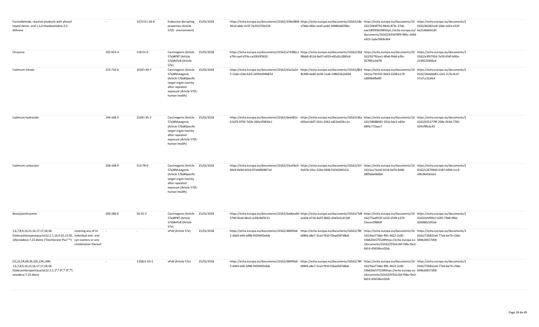| Formaldehyde, reaction products with phenol<br>heptyl derivs. and 1,3,4-thiadiazolidine-2,5-<br>dithione                                                                                                             |           | 1471311-26-8  | Endocrine disrupting 15/01/2018<br>properties (Article<br>57(f) - environment)                                                                                        |            | https://echa.europa.eu/documents/10162/339e0894-https://echa.europa.eu/documents/10162/c8e https://echa.europa.eu/documents/10 https://echa.europa.eu/documents/1<br>361d-ab6c-615f-7e201376d128   | a7b6a-06bc-eeaf-ae4d-3d980a6078bc | 162/2064f792-8443-873c-27de-<br>eae18f593b59#https://echa.europa.eu/ 6e214b6041d5<br>documents/10162/b33d78f4-946c-1d4d-<br>e923-1ade7869c464 | 0162/662821c8-16be-e02e-e52f-                 |
|----------------------------------------------------------------------------------------------------------------------------------------------------------------------------------------------------------------------|-----------|---------------|-----------------------------------------------------------------------------------------------------------------------------------------------------------------------|------------|----------------------------------------------------------------------------------------------------------------------------------------------------------------------------------------------------|-----------------------------------|-----------------------------------------------------------------------------------------------------------------------------------------------|-----------------------------------------------|
| Chrysene                                                                                                                                                                                                             | 205-923-4 | 218-01-9      | Carcinogenic (Article 15/01/2018<br>57a)#PBT (Article<br>57d)#vPvB (Article<br>57e)                                                                                   |            | https://echa.europa.eu/documents/10162/a7438bc1-https://echa.europa.eu/documents/10162/2b8 https://echa.europa.eu/documents/10 https://echa.europa.eu/documents/1<br>a7fd-caef-d74a-ca33fc0f3610   | 98da9-812d-8a07-e059-e81d2c2883cb | 162/92791ee1-40a6-f4dd-a2fe-<br>927f6f1cb478                                                                                                  | 0162/e3f6792d-7e59-654f-b90e-<br>2149525906cd |
| Cadmium nitrate                                                                                                                                                                                                      | 233-710-6 | 10325-94-7    | Carcinogenic (Article<br>57a)#Mutagenic<br>(Article 57b)#Specific<br>target organ toxicity<br>after repeated<br>exposure (Article 57(f)<br>human health)              | 15/01/2018 | https://echa.europa.eu/documents/10162/d1e3a2d https://echa.europa.eu/documents/10162/8b3 https://echa.europa.eu/documents/10 https://echa.europa.eu/documents/10<br>5-13a6-c5da-62cf-2d581d94b87d | 8c499-dad0-ee30-11ab-198b55b2e69d | 162/ac791555-9e63-3208-e176-<br>cd0fdb4fbdf0                                                                                                  | 0162/264dda83-c2e5-7c7b-0c1f-<br>57a7cc32afe4 |
| Cadmium hydroxide                                                                                                                                                                                                    | 244-168-5 | 21041-95-2    | Carcinogenic (Article 15/01/2018<br>57a)#Mutagenic<br>(Article 57b)#Specific<br>target organ toxicity<br>after repeated<br>exposure (Article 57(f) -<br>human health) |            | https://echa.europa.eu/documents/10162/deb481e https://echa.europa.eu/documents/10162/d6a https://echa.europa.eu/documents/10 https://echa.europa.eu/documents/1<br>6-b2f3-9792-7d2b-260a1f383dc1  | d39ad-bbf7-562c-2042-a823ed29cc1e | 162/38688481-353e-bac2-e83e-<br>68f4c772aac7                                                                                                  | 0162/0252778f-258a-2b3d-7765-<br>0291f9fe3c45 |
| Cadmium carbonate                                                                                                                                                                                                    | 208-168-9 | 513-78-0      | Carcinogenic (Article 15/01/2018<br>57a)#Mutagenic<br>(Article 57b)#Specific<br>target organ toxicity<br>after repeated<br>exposure (Article 57(f)<br>human health)   |            | https://echa.europa.eu/documents/10162/53cefde3-https://echa.europa.eu/documents/10162/31f https://echa.europa.eu/documents/10 https://echa.europa.eu/documents/10<br>40e9-8d3d-b52d-87a9d828871d  | 9a47b-191c-526e-0446-f10162fd312c | 162/acc7ace6-0118-6d74-4446-<br>38f5bbe0b6b6                                                                                                  | 0162/c26799d3-6187-0494-1cc4-<br>af9c9645b1b3 |
| Benz[a]anthracene                                                                                                                                                                                                    | 200-280-6 | $56 - 55 - 3$ | Carcinogenic (Article 15/01/2018<br>57a)#PBT (Article<br>57d)#vPvB (Article<br>57e)                                                                                   |            | https://echa.europa.eu/documents/10162/6adbea83· https://echa.europa.eu/documents/10162/7d8 https://echa.europa.eu/documents/10 https://echa.europa.eu/documents/10<br>2790-92a4-06cd-ce39c4bf3211 | ac604-d716-4a97-8682-d3d5e5c4158f | 162/75ad552f-1e59-2599-e379-<br>55ecec998d3f                                                                                                  | 0162/efef93e7-63f5-75b8-9f6e-<br>d260b0c595ab |
| 1,6,7,8,9,14,15,16,17,17,18,18-<br>covering any of its<br>Dodecachloropentacyclo[12.2.1.16,9.02,13.05, individual anti- and<br>10]octadeca-7,15-diene ("Dechlorane Plus"™) syn-isomers or any<br>combination thereof |           |               | vPvB (Article 57e)                                                                                                                                                    | 15/01/2018 | https://echa.europa.eu/documents/10162/48495b6 https://echa.europa.eu/documents/10162/78f https://echa.europa.eu/documents/10 https://echa.europa.eu/documents/1<br>2-d4d3-e6fc-bf86-f42fd4f2e6dc  | b98fd-a8e7-31a3-f910-f2bad587d8a6 | 162/9aa77dde-f0fc-4422-2c00-<br>55b620e57552#https://echa.europa.eu 694b20017d58<br>/documents/10162/97b3c3bf-f38a-f3e2-<br>6b53-45654bcc02dc | 0162/72b812a4-77eb-be74-c5bb-                 |
| (1S,2S,5R,6R,9S,10S,13R,14R)-<br>1,6,7,8,9,14,15,16,17,17,18,18-<br>Dodecachloropentacyclo[12.2.1.1 <sup>6</sup> , 9.0 <sup>2</sup> , <sup>13</sup> .0 <sup>5</sup> , <sup>10</sup> ]<br>octadeca-7,15-diene         |           | 135821-03-3   | vPvB (Article 57e)                                                                                                                                                    | 15/01/2018 | https://echa.europa.eu/documents/10162/48495b6 https://echa.europa.eu/documents/10162/78f https://echa.europa.eu/documents/10 https://echa.europa.eu/documents/1<br>2-d4d3-e6fc-bf86-f42fd4f2e6dc  | b98fd-a8e7-31a3-f910-f2bad587d8a6 | 162/9aa77dde-f0fc-4422-2c00-<br>55b620e57552#https://echa.europa.eu 694b20017d58<br>/documents/10162/97b3c3bf-f38a-f3e2-<br>6b53-45654bcc02dc | 0162/72b812a4-77eb-be74-c5bb-                 |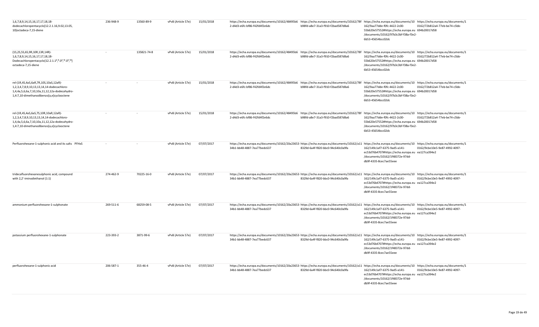| 1,6,7,8,9,14,15,16,17,17,18,18-<br>dodecachloropentacyclo[12.2.1.16,9.02,13.05,<br>10]octadeca-7,15-diene                                                                                                    | 236-948-9 | 13560-89-9  | vPvB (Article 57e) | 15/01/2018 | https://echa.europa.eu/documents/10162/48495b6 https://echa.europa.eu/documents/10162/78f https://echa.europa.eu/documents/10 https://echa.europa.eu/documents/10 https://echa.europa.eu/documents/10<br>2-d4d3-e6fc-bf86-f42fd4f2e6dc                        | b98fd-a8e7-31a3-f910-f2bad587d8a6 | 162/9aa77dde-f0fc-4422-2c00-<br>55b620e57552#https://echa.europa.eu 694b20017d58<br>/documents/10162/97b3c3bf-f38a-f3e2-<br>6b53-45654bcc02dc | 0162/72b812a4-77eb-be74-c5bb- |
|--------------------------------------------------------------------------------------------------------------------------------------------------------------------------------------------------------------|-----------|-------------|--------------------|------------|---------------------------------------------------------------------------------------------------------------------------------------------------------------------------------------------------------------------------------------------------------------|-----------------------------------|-----------------------------------------------------------------------------------------------------------------------------------------------|-------------------------------|
| (1S,2S,5S,6S,9R,10R,13R,14R)-<br>1,6,7,8,9,14,15,16,17,17,18,18-<br>Dodecachloropentacyclo[12.2.1.1 <sup>6</sup> , 9.0 <sup>2</sup> , <sup>13</sup> .0 <sup>5</sup> , <sup>10</sup> ]<br>octadeca-7,15-diene |           | 135821-74-8 | vPvB (Article 57e) | 15/01/2018 | https://echa.europa.eu/documents/10162/48495b6 https://echa.europa.eu/documents/10162/78f https://echa.europa.eu/documents/10 https://echa.europa.eu/documents/1<br>2-d4d3-e6fc-bf86-f42fd4f2e6dc                                                             | b98fd-a8e7-31a3-f910-f2bad587d8a6 | 162/9aa77dde-f0fc-4422-2c00-<br>55b620e57552#https://echa.europa.eu 694b20017d58<br>/documents/10162/97b3c3bf-f38a-f3e2-<br>6b53-45654bcc02dc | 0162/72b812a4-77eb-be74-c5bb- |
| rel-(1R,4S,4aS,6aR,7R,10S,10aS,12aR)-<br>1,2,3,4,7,8,9,10,13,13,14,14-dodecachloro-<br>1,4,4a,5,6,6a,7,10,10a,11,12,12a-dodecahydro-<br>1,4:7,10-dimethanodibenzo[a,e]cyclooctene                            | $\sim$    | $\sim$      | vPvB (Article 57e) | 15/01/2018 | https://echa.europa.eu/documents/10162/48495b6 https://echa.europa.eu/documents/10162/78f https://echa.europa.eu/documents/10 https://echa.europa.eu/documents/1<br>2-d4d3-e6fc-bf86-f42fd4f2e6dc                                                             | b98fd-a8e7-31a3-f910-f2bad587d8a6 | 162/9aa77dde-f0fc-4422-2c00-<br>55b620e57552#https://echa.europa.eu 694b20017d58<br>/documents/10162/97b3c3bf-f38a-f3e2-<br>6b53-45654bcc02dc | 0162/72b812a4-77eb-be74-c5bb- |
| rel-(1R,4S,4aS,6aS,7S,10R,10aR,12aR)-<br>1,2,3,4,7,8,9,10,13,13,14,14-dodecachloro-<br>1,4,4a,5,6,6a,7,10,10a,11,12,12a-dodecahydro-<br>1,4:7,10-dimethanodibenzo[a,e]cyclooctene                            |           |             | vPvB (Article 57e) | 15/01/2018 | https://echa.europa.eu/documents/10162/48495b6 https://echa.europa.eu/documents/10162/78f https://echa.europa.eu/documents/10 https://echa.europa.eu/documents/1<br>2-d4d3-e6fc-bf86-f42fd4f2e6dc                                                             | b98fd-a8e7-31a3-f910-f2bad587d8a6 | 162/9aa77dde-f0fc-4422-2c00-<br>55b620e57552#https://echa.europa.eu 694b20017d58<br>/documents/10162/97b3c3bf-f38a-f3e2-<br>6b53-45654bcc02dc | 0162/72b812a4-77eb-be74-c5bb- |
| Perfluorohexane-1-sulphonic acid and its salts PFHxS                                                                                                                                                         | $\sim$    | $\sim$      | vPvB (Article 57e) | 07/07/2017 | https://echa.europa.eu/documents/10162/20a23653· https://echa.europa.eu/documents/10162/a11 https://echa.europa.eu/documents/10 https://echa.europa.eu/documents/1<br>34b1-bb48-4887-7ea77bedc637                                                             | 8329d-6a4f-f820-bbc0-94c640c0a9fa | 162/149c1af7-6375-9ad5-a141-<br>ec53d76b4707#https://echa.europa.eu ea127ca394e2<br>/documents/10162/1f48372e-97dd-<br>db9f-4335-8cec7ae55eee | 0162/9cbe10e5-9e87-4992-4097- |
| tridecafluorohexanesulphonic acid, compound<br>with 2,2'-iminodiethanol (1:1)                                                                                                                                | 274-462-9 | 70225-16-0  | vPvB (Article 57e) | 07/07/2017 | https://echa.europa.eu/documents/10162/20a23653· https://echa.europa.eu/documents/10162/a11 https://echa.europa.eu/documents/10 https://echa.europa.eu/documents/1<br>34b1-bb48-4887-7ea77bedc637                                                             | 8329d-6a4f-f820-bbc0-94c640c0a9fa | 162/149c1af7-6375-9ad5-a141-<br>ec53d76b4707#https://echa.europa.eu ea127ca394e2<br>/documents/10162/1f48372e-97dd-<br>db9f-4335-8cec7ae55eee | 0162/9cbe10e5-9e87-4992-4097- |
| ammonium perfluorohexane-1-sulphonate                                                                                                                                                                        | 269-511-6 | 68259-08-5  | vPvB (Article 57e) | 07/07/2017 | https://echa.europa.eu/documents/10162/20a23653· https://echa.europa.eu/documents/10162/a11 https://echa.europa.eu/documents/10 https://echa.europa.eu/documents/1<br>34b1-bb48-4887-7ea77bedc637                                                             | 8329d-6a4f-f820-bbc0-94c640c0a9fa | 162/149c1af7-6375-9ad5-a141-<br>ec53d76b4707#https://echa.europa.eu ea127ca394e2<br>/documents/10162/1f48372e-97dd-<br>db9f-4335-8cec7ae55eee | 0162/9cbe10e5-9e87-4992-4097- |
| potassium perfluorohexane-1-sulphonate                                                                                                                                                                       | 223-393-2 | 3871-99-6   | vPvB (Article 57e) | 07/07/2017 | https://echa.europa.eu/documents/10162/20a23653· https://echa.europa.eu/documents/10162/a11 https://echa.europa.eu/documents/10 https://echa.europa.eu/documents/10 https://echa.europa.eu/documents/10 https://echa.europa.eu<br>34b1-bb48-4887-7ea77bedc637 | 8329d-6a4f-f820-bbc0-94c640c0a9fa | 162/149c1af7-6375-9ad5-a141-<br>ec53d76b4707#https://echa.europa.eu ea127ca394e2<br>/documents/10162/1f48372e-97dd-<br>db9f-4335-8cec7ae55eee | 0162/9cbe10e5-9e87-4992-4097- |
| perfluorohexane-1-sulphonic acid                                                                                                                                                                             | 206-587-1 | 355-46-4    | vPvB (Article 57e) | 07/07/2017 | https://echa.europa.eu/documents/10162/20a23653·https://echa.europa.eu/documents/10162/a11 https://echa.europa.eu/documents/10 https://echa.europa.eu/documents/1<br>34b1-bb48-4887-7ea77bedc637                                                              | 8329d-6a4f-f820-bbc0-94c640c0a9fa | 162/149c1af7-6375-9ad5-a141-<br>ec53d76b4707#https://echa.europa.eu ea127ca394e2<br>/documents/10162/1f48372e-97dd-<br>db9f-4335-8cec7ae55eee | 0162/9cbe10e5-9e87-4992-4097- |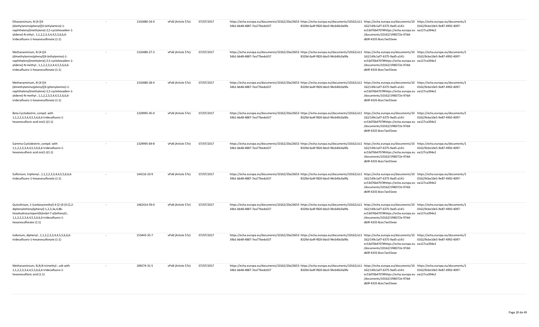| Ethanaminium, N-[4-[[4-<br>(diethylamino)phenyl][4-(ethylamino)-1-<br>naphthalenyl]methylene]-2,5-cyclohexadien-1-<br>ylidene]-N-ethyl-, 1,1,2,2,3,3,4,4,5,5,6,6,6-<br>tridecafluoro-1-hexanesulfonate (1:1)     |        | 1310480-24-0 | vPvB (Article 57e) | 07/07/2017 | https://echa.europa.eu/documents/10162/20a23653·https://echa.europa.eu/documents/10162/a11 https://echa.europa.eu/documents/10 https://echa.europa.eu/documents/1<br>34b1-bb48-4887-7ea77bedc637<br>8329d-6a4f-f820-bbc0-94c640c0a9fa  | 162/149c1af7-6375-9ad5-a141-<br>ec53d76b4707#https://echa.europa.eu ea127ca394e2<br>/documents/10162/1f48372e-97dd-<br>db9f-4335-8cec7ae55eee | 0162/9cbe10e5-9e87-4992-4097- |
|------------------------------------------------------------------------------------------------------------------------------------------------------------------------------------------------------------------|--------|--------------|--------------------|------------|----------------------------------------------------------------------------------------------------------------------------------------------------------------------------------------------------------------------------------------|-----------------------------------------------------------------------------------------------------------------------------------------------|-------------------------------|
| Methanaminium, N-[4-[[4-<br>(dimethylamino)phenyl][4-(ethylamino)-1-<br>naphthalenyl]methylene]-2,5-cyclohexadien-1-<br>ylidene]-N-methyl-, 1,1,2,2,3,3,4,4,5,5,6,6,6-<br>tridecafluoro-1-hexanesulfonate (1:1)  |        | 1310480-27-3 | vPvB (Article 57e) | 07/07/2017 | https://echa.europa.eu/documents/10162/20a23653· https://echa.europa.eu/documents/10162/a11 https://echa.europa.eu/documents/10 https://echa.europa.eu/documents/1<br>34b1-bb48-4887-7ea77bedc637<br>8329d-6a4f-f820-bbc0-94c640c0a9fa | 162/149c1af7-6375-9ad5-a141-<br>ec53d76b4707#https://echa.europa.eu ea127ca394e2<br>/documents/10162/1f48372e-97dd-<br>db9f-4335-8cec7ae55eee | 0162/9cbe10e5-9e87-4992-4097- |
| Methanaminium, N-[4-[[4-<br>(dimethylamino)phenyl][4-(phenylamino)-1-<br>naphthalenyl]methylene]-2,5-cyclohexadien-1-<br>ylidene]-N-methyl-, 1,1,2,2,3,3,4,4,5,5,6,6,6-<br>tridecafluoro-1-hexanesulfonate (1:1) |        | 1310480-28-4 | vPvB (Article 57e) | 07/07/2017 | https://echa.europa.eu/documents/10162/20a23653·https://echa.europa.eu/documents/10162/a11 https://echa.europa.eu/documents/10 https://echa.europa.eu/documents/1<br>34b1-bb48-4887-7ea77bedc637<br>8329d-6a4f-f820-bbc0-94c640c0a9fa  | 162/149c1af7-6375-9ad5-a141-<br>ec53d76b4707#https://echa.europa.eu ea127ca394e2<br>/documents/10162/1f48372e-97dd-<br>db9f-4335-8cec7ae55eee | 0162/9cbe10e5-9e87-4992-4097- |
| Beta-Cyclodextrin, compd. with<br>1,1,2,2,3,3,4,4,5,5,6,6,6-tridecafluoro-1-<br>hexanesulfonic acid ion(1-)(1:1)                                                                                                 |        | 1329995-45-0 | vPvB (Article 57e) | 07/07/2017 | https://echa.europa.eu/documents/10162/20a23653·https://echa.europa.eu/documents/10162/a11 https://echa.europa.eu/documents/10 https://echa.europa.eu/documents/1<br>34b1-bb48-4887-7ea77bedc637<br>8329d-6a4f-f820-bbc0-94c640c0a9fa  | 162/149c1af7-6375-9ad5-a141-<br>ec53d76b4707#https://echa.europa.eu ea127ca394e2<br>/documents/10162/1f48372e-97dd-<br>db9f-4335-8cec7ae55eee | 0162/9cbe10e5-9e87-4992-4097- |
| Gamma-Cyclodextrin, compd. with<br>1,1,2,2,3,3,4,4,5,5,6,6,6-tridecafluoro-1-<br>hexanesulfonic acid ion(1-)(1:1)                                                                                                | $\sim$ | 1329995-69-8 | vPvB (Article 57e) | 07/07/2017 | https://echa.europa.eu/documents/10162/20a23653·https://echa.europa.eu/documents/10162/a11 https://echa.europa.eu/documents/10 https://echa.europa.eu/documents/1<br>34b1-bb48-4887-7ea77bedc637<br>8329d-6a4f-f820-bbc0-94c640c0a9fa  | 162/149c1af7-6375-9ad5-a141-<br>ec53d76b4707#https://echa.europa.eu ea127ca394e2<br>/documents/10162/1f48372e-97dd-<br>db9f-4335-8cec7ae55eee | 0162/9cbe10e5-9e87-4992-4097- |
| Sulfonium, triphenyl-, 1,1,2,2,3,3,4,4,5,5,6,6,6-<br>tridecafluoro-1-hexanesulfonate (1:1)                                                                                                                       |        | 144116-10-9  | vPvB (Article 57e) | 07/07/2017 | https://echa.europa.eu/documents/10162/20a23653·https://echa.europa.eu/documents/10162/a11 https://echa.europa.eu/documents/10-https://echa.europa.eu/documents/1<br>34b1-bb48-4887-7ea77bedc637<br>8329d-6a4f-f820-bbc0-94c640c0a9fa  | 162/149c1af7-6375-9ad5-a141-<br>ec53d76b4707#https://echa.europa.eu ea127ca394e2<br>/documents/10162/1f48372e-97dd-<br>db9f-4335-8cec7ae55eee | 0162/9cbe10e5-9e87-4992-4097- |
| Quinolinium, 1-(carboxymethyl)-4-[2-[4-[4-(2,2-<br>diphenylethenyl)phenyl]-1,2,3,3a,4,8b-<br>hexahydrocyclopent[b]indol-7-yl]ethenyl]-,<br>1,1,2,2,3,3,4,4,5,5,6,6,6-tridecafluoro-1-<br>hexanesulfonate (1:1)   | $\sim$ | 1462414-59-0 | vPvB (Article 57e) | 07/07/2017 | https://echa.europa.eu/documents/10162/20a23653·https://echa.europa.eu/documents/10162/a11 https://echa.europa.eu/documents/10 https://echa.europa.eu/documents/1<br>8329d-6a4f-f820-bbc0-94c640c0a9fa<br>34b1-bb48-4887-7ea77bedc637  | 162/149c1af7-6375-9ad5-a141-<br>ec53d76b4707#https://echa.europa.eu ea127ca394e2<br>/documents/10162/1f48372e-97dd-<br>db9f-4335-8cec7ae55eee | 0162/9cbe10e5-9e87-4992-4097- |
| lodonium, diphenyl-, 1,1,2,2,3,3,4,4,5,5,6,6,6-<br>tridecafluoro-1-hexanesulfonate (1:1)                                                                                                                         |        | 153443-35-7  | vPvB (Article 57e) | 07/07/2017 | https://echa.europa.eu/documents/10162/20a23653· https://echa.europa.eu/documents/10162/a11 https://echa.europa.eu/documents/10 https://echa.europa.eu/documents/1<br>34b1-bb48-4887-7ea77bedc637<br>8329d-6a4f-f820-bbc0-94c640c0a9fa | 162/149c1af7-6375-9ad5-a141-<br>ec53d76b4707#https://echa.europa.eu ea127ca394e2<br>/documents/10162/1f48372e-97dd-<br>db9f-4335-8cec7ae55eee | 0162/9cbe10e5-9e87-4992-4097- |
| Methanaminium, N,N,N-trimethyl-, salt with<br>1,1,2,2,3,3,4,4,5,5,6,6,6-tridecafluoro-1-<br>hexanesulfonic acid (1:1)                                                                                            |        | 189274-31-5  | vPvB (Article 57e) | 07/07/2017 | https://echa.europa.eu/documents/10162/20a23653· https://echa.europa.eu/documents/10162/a11 https://echa.europa.eu/documents/10 https://echa.europa.eu/documents/1<br>34b1-bb48-4887-7ea77bedc637<br>8329d-6a4f-f820-bbc0-94c640c0a9fa | 162/149c1af7-6375-9ad5-a141-<br>ec53d76b4707#https://echa.europa.eu ea127ca394e2<br>/documents/10162/1f48372e-97dd-<br>db9f-4335-8cec7ae55eee | 0162/9cbe10e5-9e87-4992-4097- |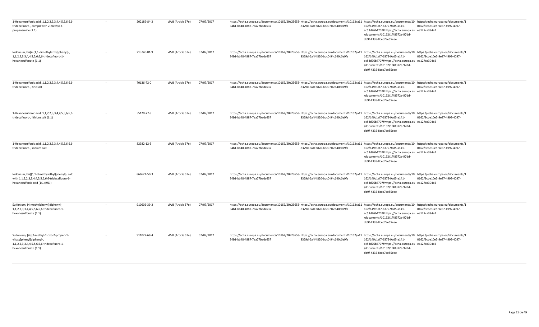| 1-Hexanesulfonic acid, 1,1,2,2,3,3,4,4,5,5,6,6,6-<br>tridecafluoro-, compd.with 2-methyl-2-<br>propanamine (1:1)                              | 202189-84-2 | vPvB (Article 57e) | 07/07/2017 | https://echa.europa.eu/documents/10162/20a23653·https://echa.europa.eu/documents/10162/a11 https://echa.europa.eu/documents/10 https://echa.europa.eu/documents/1<br>34b1-bb48-4887-7ea77bedc637 | 8329d-6a4f-f820-bbc0-94c640c0a9fa<br>db9f-4335-8cec7ae55eee | 162/149c1af7-6375-9ad5-a141-<br>ec53d76b4707#https://echa.europa.eu ea127ca394e2<br>/documents/10162/1f48372e-97dd- | 0162/9cbe10e5-9e87-4992-4097- |
|-----------------------------------------------------------------------------------------------------------------------------------------------|-------------|--------------------|------------|--------------------------------------------------------------------------------------------------------------------------------------------------------------------------------------------------|-------------------------------------------------------------|---------------------------------------------------------------------------------------------------------------------|-------------------------------|
| lodonium, bis[4-(1,1-dimethylethyl)phenyl]-,<br>1,1,2,2,3,3,4,4,5,5,6,6,6-tridecafluoro-1-<br>hexanesulfonate (1:1)                           | 213740-81-9 | vPvB (Article 57e) | 07/07/2017 | https://echa.europa.eu/documents/10162/20a23653·https://echa.europa.eu/documents/10162/a11 https://echa.europa.eu/documents/10 https://echa.europa.eu/documents/1<br>34b1-bb48-4887-7ea77bedc637 | 8329d-6a4f-f820-bbc0-94c640c0a9fa<br>db9f-4335-8cec7ae55eee | 162/149c1af7-6375-9ad5-a141-<br>ec53d76b4707#https://echa.europa.eu ea127ca394e2<br>/documents/10162/1f48372e-97dd- | 0162/9cbe10e5-9e87-4992-4097- |
| 1-Hexanesulfonic acid, 1,1,2,2,3,3,4,4,5,5,6,6,6-<br>tridecafluoro-, zinc salt                                                                | 70136-72-0  | vPvB (Article 57e) | 07/07/2017 | https://echa.europa.eu/documents/10162/20a23653·https://echa.europa.eu/documents/10162/a11 https://echa.europa.eu/documents/10 https://echa.europa.eu/documents/1<br>34b1-bb48-4887-7ea77bedc637 | 8329d-6a4f-f820-bbc0-94c640c0a9fa<br>db9f-4335-8cec7ae55eee | 162/149c1af7-6375-9ad5-a141-<br>ec53d76b4707#https://echa.europa.eu ea127ca394e2<br>/documents/10162/1f48372e-97dd- | 0162/9cbe10e5-9e87-4992-4097- |
| 1-Hexanesulfonic acid, 1,1,2,2,3,3,4,4,5,5,6,6,6-<br>tridecafluoro-, lithium salt (1:1)                                                       | 55120-77-9  | vPvB (Article 57e) | 07/07/2017 | https://echa.europa.eu/documents/10162/20a23653·https://echa.europa.eu/documents/10162/a11 https://echa.europa.eu/documents/10 https://echa.europa.eu/documents/1<br>34b1-bb48-4887-7ea77bedc637 | 8329d-6a4f-f820-bbc0-94c640c0a9fa<br>db9f-4335-8cec7ae55eee | 162/149c1af7-6375-9ad5-a141-<br>ec53d76b4707#https://echa.europa.eu ea127ca394e2<br>/documents/10162/1f48372e-97dd- | 0162/9cbe10e5-9e87-4992-4097- |
| 1-Hexanesulfonic acid, 1,1,2,2,3,3,4,4,5,5,6,6,6-<br>tridecafluoro-, sodium salt                                                              | 82382-12-5  | vPvB (Article 57e) | 07/07/2017 | https://echa.europa.eu/documents/10162/20a23653·https://echa.europa.eu/documents/10162/a11 https://echa.europa.eu/documents/10 https://echa.europa.eu/documents/1<br>34b1-bb48-4887-7ea77bedc637 | 8329d-6a4f-f820-bbc0-94c640c0a9fa<br>db9f-4335-8cec7ae55eee | 162/149c1af7-6375-9ad5-a141-<br>ec53d76b4707#https://echa.europa.eu ea127ca394e2<br>/documents/10162/1f48372e-97dd- | 0162/9cbe10e5-9e87-4992-4097- |
| Iodonium, bis[(1,1-dimethylethyl)phenyl]-, salt<br>with 1,1,2,2,3,3,4,4,5,5,6,6,6-tridecafluoro-1-<br>hexanesulfonic acid (1:1) (9CI)         | 866621-50-3 | vPvB (Article 57e) | 07/07/2017 | https://echa.europa.eu/documents/10162/20a23653·https://echa.europa.eu/documents/10162/a11 https://echa.europa.eu/documents/10 https://echa.europa.eu/documents/1<br>34b1-bb48-4887-7ea77bedc637 | 8329d-6a4f-f820-bbc0-94c640c0a9fa<br>db9f-4335-8cec7ae55eee | 162/149c1af7-6375-9ad5-a141-<br>ec53d76b4707#https://echa.europa.eu ea127ca394e2<br>/documents/10162/1f48372e-97dd- | 0162/9cbe10e5-9e87-4992-4097- |
| Sulfonium, (4-methylphenyl)diphenyl-,<br>1,1,2,2,3,3,4,4,5,5,6,6,6-tridecafluoro-1-<br>hexanesulfonate (1:1)                                  | 910606-39-2 | vPvB (Article 57e) | 07/07/2017 | https://echa.europa.eu/documents/10162/20a23653·https://echa.europa.eu/documents/10162/a11 https://echa.europa.eu/documents/10 https://echa.europa.eu/documents/1<br>34b1-bb48-4887-7ea77bedc637 | 8329d-6a4f-f820-bbc0-94c640c0a9fa<br>db9f-4335-8cec7ae55eee | 162/149c1af7-6375-9ad5-a141-<br>ec53d76b4707#https://echa.europa.eu ea127ca394e2<br>/documents/10162/1f48372e-97dd- | 0162/9cbe10e5-9e87-4992-4097- |
| Sulfonium, [4-[(2-methyl-1-oxo-2-propen-1-<br>yl)oxy]phenyl]diphenyl-,<br>1,1,2,2,3,3,4,4,5,5,6,6,6-tridecafluoro-1-<br>hexanesulfonate (1:1) | 911027-68-4 | vPvB (Article 57e) | 07/07/2017 | https://echa.europa.eu/documents/10162/20a23653·https://echa.europa.eu/documents/10162/a11 https://echa.europa.eu/documents/10 https://echa.europa.eu/documents/1<br>34b1-bb48-4887-7ea77bedc637 | 8329d-6a4f-f820-bbc0-94c640c0a9fa<br>db9f-4335-8cec7ae55eee | 162/149c1af7-6375-9ad5-a141-<br>ec53d76b4707#https://echa.europa.eu ea127ca394e2<br>/documents/10162/1f48372e-97dd- | 0162/9cbe10e5-9e87-4992-4097- |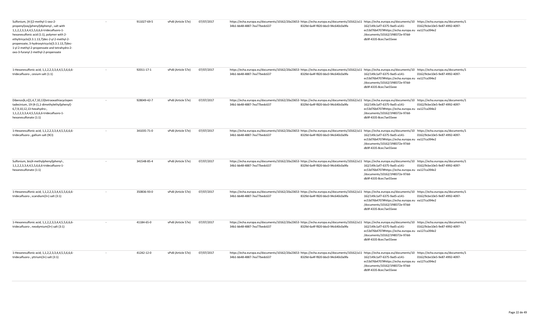| Sulfonium, [4-[(2-methyl-1-oxo-2-<br>propenyl)oxy]phenyl]diphenyl-, salt with<br>1, 1, 2, 2, 3, 3, 4, 4, 5, 5, 6, 6, 6-tridecafluoro-1-<br>hexanesulfonic acid (1:1), polymer with 2-<br>ethyltricyclo[3.3.1.13,7]dec-2-yl 2-methyl-2-<br>propenoate, 3-hydroxytricyclo[3.3.1.13,7]dec-<br>1-yl 2-methyl-2-propenoate and tetrahydro-2-<br>oxo-3-furanyl 2-methyl-2-propenoate |        | 911027-69-5 | vPvB (Article 57e) | 07/07/2017 | https://echa.europa.eu/documents/10162/20a23653·https://echa.europa.eu/documents/10162/a11 https://echa.europa.eu/documents/10 https://echa.europa.eu/documents/1<br>34b1-bb48-4887-7ea77bedc637                                                              | 8329d-6a4f-f820-bbc0-94c640c0a9fa | 162/149c1af7-6375-9ad5-a141-<br>ec53d76b4707#https://echa.europa.eu ea127ca394e2<br>/documents/10162/1f48372e-97dd-<br>db9f-4335-8cec7ae55eee | 0162/9cbe10e5-9e87-4992-4097- |
|--------------------------------------------------------------------------------------------------------------------------------------------------------------------------------------------------------------------------------------------------------------------------------------------------------------------------------------------------------------------------------|--------|-------------|--------------------|------------|---------------------------------------------------------------------------------------------------------------------------------------------------------------------------------------------------------------------------------------------------------------|-----------------------------------|-----------------------------------------------------------------------------------------------------------------------------------------------|-------------------------------|
| 1-Hexanesulfonic acid, 1,1,2,2,3,3,4,4,5,5,6,6,6-<br>tridecafluoro-, cesium salt (1:1)                                                                                                                                                                                                                                                                                         |        | 92011-17-1  | vPvB (Article 57e) | 07/07/2017 | https://echa.europa.eu/documents/10162/20a23653·https://echa.europa.eu/documents/10162/a11 https://echa.europa.eu/documents/10 https://echa.europa.eu/documents/1<br>34b1-bb48-4887-7ea77bedc637                                                              | 8329d-6a4f-f820-bbc0-94c640c0a9fa | 162/149c1af7-6375-9ad5-a141-<br>ec53d76b4707#https://echa.europa.eu ea127ca394e2<br>/documents/10162/1f48372e-97dd-<br>db9f-4335-8cec7ae55eee | 0162/9cbe10e5-9e87-4992-4097- |
| Dibenzo[k,n][1,4,7,10,13]tetraoxathiacyclopen<br>tadecinium, 19-[4-(1,1-dimethylethyl)phenyl]-<br>6,7,9,10,12,13-hexahydro-,<br>1,1,2,2,3,3,4,4,5,5,6,6,6-tridecafluoro-1-<br>hexanesulfonate (1:1)                                                                                                                                                                            | $\sim$ | 928049-42-7 | vPvB (Article 57e) | 07/07/2017 | https://echa.europa.eu/documents/10162/20a23653· https://echa.europa.eu/documents/10162/a11 https://echa.europa.eu/documents/10 https://echa.europa.eu/documents/10 https://echa.europa.eu/documents/10 https://echa.europa.eu<br>34b1-bb48-4887-7ea77bedc637 | 8329d-6a4f-f820-bbc0-94c640c0a9fa | 162/149c1af7-6375-9ad5-a141-<br>ec53d76b4707#https://echa.europa.eu ea127ca394e2<br>/documents/10162/1f48372e-97dd-<br>db9f-4335-8cec7ae55eee | 0162/9cbe10e5-9e87-4992-4097- |
| 1-Hexanesulfonic acid, 1,1,2,2,3,3,4,4,5,5,6,6,6-<br>tridecafluoro-, gallium salt (9CI)                                                                                                                                                                                                                                                                                        |        | 341035-71-0 | vPvB (Article 57e) | 07/07/2017 | https://echa.europa.eu/documents/10162/20a23653·https://echa.europa.eu/documents/10162/a11 https://echa.europa.eu/documents/10 https://echa.europa.eu/documents/1<br>34b1-bb48-4887-7ea77bedc637                                                              | 8329d-6a4f-f820-bbc0-94c640c0a9fa | 162/149c1af7-6375-9ad5-a141-<br>ec53d76b4707#https://echa.europa.eu ea127ca394e2<br>/documents/10162/1f48372e-97dd-<br>db9f-4335-8cec7ae55eee | 0162/9cbe10e5-9e87-4992-4097- |
| Sulfonium, bis(4-methylphenyl)phenyl-,<br>1, 1, 2, 2, 3, 3, 4, 4, 5, 5, 6, 6, 6-tridecafluoro-1-<br>hexanesulfonate (1:1)                                                                                                                                                                                                                                                      |        | 341548-85-4 | vPvB (Article 57e) | 07/07/2017 | https://echa.europa.eu/documents/10162/20a23653·https://echa.europa.eu/documents/10162/a11 https://echa.europa.eu/documents/10 https://echa.europa.eu/documents/1<br>34b1-bb48-4887-7ea77bedc637                                                              | 8329d-6a4f-f820-bbc0-94c640c0a9fa | 162/149c1af7-6375-9ad5-a141-<br>ec53d76b4707#https://echa.europa.eu ea127ca394e2<br>/documents/10162/1f48372e-97dd-<br>db9f-4335-8cec7ae55eee | 0162/9cbe10e5-9e87-4992-4097- |
| 1-Hexanesulfonic acid, 1,1,2,2,3,3,4,4,5,5,6,6,6-<br>tridecafluoro-, scandium(3+) salt (3:1)                                                                                                                                                                                                                                                                                   |        | 350836-93-0 | vPvB (Article 57e) | 07/07/2017 | https://echa.europa.eu/documents/10162/20a23653·https://echa.europa.eu/documents/10162/a11 https://echa.europa.eu/documents/10 https://echa.europa.eu/documents/1<br>34b1-bb48-4887-7ea77bedc637                                                              | 8329d-6a4f-f820-bbc0-94c640c0a9fa | 162/149c1af7-6375-9ad5-a141-<br>ec53d76b4707#https://echa.europa.eu ea127ca394e2<br>/documents/10162/1f48372e-97dd-<br>db9f-4335-8cec7ae55eee | 0162/9cbe10e5-9e87-4992-4097- |
| 1-Hexanesulfonic acid, 1,1,2,2,3,3,4,4,5,5,6,6,6-<br>tridecafluoro-, neodymium(3+) salt (3:1)                                                                                                                                                                                                                                                                                  |        | 41184-65-0  | vPvB (Article 57e) | 07/07/2017 | https://echa.europa.eu/documents/10162/20a23653·https://echa.europa.eu/documents/10162/a11 https://echa.europa.eu/documents/10 https://echa.europa.eu/documents/1<br>34b1-bb48-4887-7ea77bedc637                                                              | 8329d-6a4f-f820-bbc0-94c640c0a9fa | 162/149c1af7-6375-9ad5-a141-<br>ec53d76b4707#https://echa.europa.eu ea127ca394e2<br>/documents/10162/1f48372e-97dd-<br>db9f-4335-8cec7ae55eee | 0162/9cbe10e5-9e87-4992-4097- |
| 1-Hexanesulfonic acid, 1,1,2,2,3,3,4,4,5,5,6,6,6-<br>tridecafluoro-, yttrium(3+) salt (3:1)                                                                                                                                                                                                                                                                                    | $\sim$ | 41242-12-0  | vPvB (Article 57e) | 07/07/2017 | https://echa.europa.eu/documents/10162/20a23653· https://echa.europa.eu/documents/10162/a11 https://echa.europa.eu/documents/10 https://echa.europa.eu/documents/10 https://echa.europa.eu/documents/10 https://echa.europa.eu<br>34b1-bb48-4887-7ea77bedc637 | 8329d-6a4f-f820-bbc0-94c640c0a9fa | 162/149c1af7-6375-9ad5-a141-<br>ec53d76b4707#https://echa.europa.eu ea127ca394e2<br>/documents/10162/1f48372e-97dd-<br>db9f-4335-8cec7ae55eee | 0162/9cbe10e5-9e87-4992-4097- |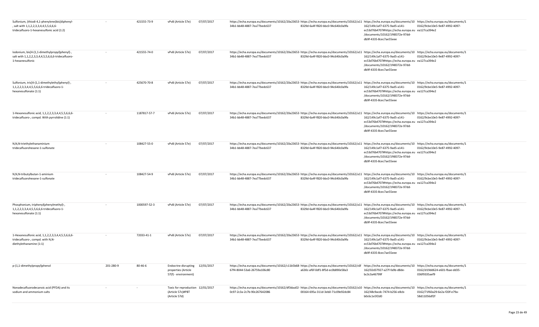| Sulfonium, (thiodi-4,1-phenylene)bis[diphenyl-<br>, salt with 1,1,2,2,3,3,4,4,5,5,6,6,6-<br>tridecafluoro-1-hexanesulfonic acid (1:2) |           | 421555-73-9  | vPvB (Article 57e)                                                             | 07/07/2017 | https://echa.europa.eu/documents/10162/20a23653·https://echa.europa.eu/documents/10162/a11 https://echa.europa.eu/documents/10 https://echa.europa.eu/documents/1<br>34b1-bb48-4887-7ea77bedc637                                       | 8329d-6a4f-f820-bbc0-94c640c0a9fa | 162/149c1af7-6375-9ad5-a141-<br>ec53d76b4707#https://echa.europa.eu ea127ca394e2<br>/documents/10162/1f48372e-97dd-<br>db9f-4335-8cec7ae55eee | 0162/9cbe10e5-9e87-4992-4097-                 |
|---------------------------------------------------------------------------------------------------------------------------------------|-----------|--------------|--------------------------------------------------------------------------------|------------|----------------------------------------------------------------------------------------------------------------------------------------------------------------------------------------------------------------------------------------|-----------------------------------|-----------------------------------------------------------------------------------------------------------------------------------------------|-----------------------------------------------|
| lodonium, bis[4-(1,1-dimethylpropyl)phenyl]-,<br>salt with 1,1,2,2,3,3,4,4,5,5,6,6,6-tridecafluoro-<br>1-hexanesulfonic               | $\sim$    | 421555-74-0  | vPvB (Article 57e)                                                             | 07/07/2017 | https://echa.europa.eu/documents/10162/20a23653· https://echa.europa.eu/documents/10162/a11 https://echa.europa.eu/documents/10 https://echa.europa.eu/documents/10 https://echa.europa.eu/documents/10<br>34b1-bb48-4887-7ea77bedc637 | 8329d-6a4f-f820-bbc0-94c640c0a9fa | 162/149c1af7-6375-9ad5-a141-<br>ec53d76b4707#https://echa.europa.eu ea127ca394e2<br>/documents/10162/1f48372e-97dd-<br>db9f-4335-8cec7ae55eee | 0162/9cbe10e5-9e87-4992-4097-                 |
| Sulfonium, tris[4-(1,1-dimethylethyl)phenyl]-,<br>1,1,2,2,3,3,4,4,5,5,6,6,6-tridecafluoro-1-<br>hexanesulfonate (1:1)                 |           | 425670-70-8  | vPvB (Article 57e)                                                             | 07/07/2017 | https://echa.europa.eu/documents/10162/20a23653·https://echa.europa.eu/documents/10162/a11 https://echa.europa.eu/documents/10 https://echa.europa.eu/documents/1<br>34b1-bb48-4887-7ea77bedc637                                       | 8329d-6a4f-f820-bbc0-94c640c0a9fa | 162/149c1af7-6375-9ad5-a141-<br>ec53d76b4707#https://echa.europa.eu ea127ca394e2<br>/documents/10162/1f48372e-97dd-<br>db9f-4335-8cec7ae55eee | 0162/9cbe10e5-9e87-4992-4097-                 |
| 1-Hexanesulfonic acid, 1,1,2,2,3,3,4,4,5,5,6,6,6-<br>tridecafluoro-, compd. With pyrrolidine (1:1)                                    | $\sim$    | 1187817-57-7 | vPvB (Article 57e)                                                             | 07/07/2017 | https://echa.europa.eu/documents/10162/20a23653·https://echa.europa.eu/documents/10162/a11 https://echa.europa.eu/documents/10 https://echa.europa.eu/documents/1<br>34b1-bb48-4887-7ea77bedc637                                       | 8329d-6a4f-f820-bbc0-94c640c0a9fa | 162/149c1af7-6375-9ad5-a141-<br>ec53d76b4707#https://echa.europa.eu ea127ca394e2<br>/documents/10162/1f48372e-97dd-<br>db9f-4335-8cec7ae55eee | 0162/9cbe10e5-9e87-4992-4097-                 |
| N,N,N-triethylethanaminium<br>tridecafluorohexane-1-sulfonate                                                                         |           | 108427-55-0  | vPvB (Article 57e)                                                             | 07/07/2017 | https://echa.europa.eu/documents/10162/20a23653·https://echa.europa.eu/documents/10162/a11 https://echa.europa.eu/documents/10 https://echa.europa.eu/documents/1<br>34b1-bb48-4887-7ea77bedc637                                       | 8329d-6a4f-f820-bbc0-94c640c0a9fa | 162/149c1af7-6375-9ad5-a141-<br>ec53d76b4707#https://echa.europa.eu ea127ca394e2<br>/documents/10162/1f48372e-97dd-<br>db9f-4335-8cec7ae55eee | 0162/9cbe10e5-9e87-4992-4097-                 |
| N,N,N-tributylbutan-1-aminium<br>tridecafluorohexane-1-sulfonate                                                                      | $\sim$    | 108427-54-9  | vPvB (Article 57e)                                                             | 07/07/2017 | https://echa.europa.eu/documents/10162/20a23653·https://echa.europa.eu/documents/10162/a11 https://echa.europa.eu/documents/10 https://echa.europa.eu/documents/1<br>34b1-bb48-4887-7ea77bedc637                                       | 8329d-6a4f-f820-bbc0-94c640c0a9fa | 162/149c1af7-6375-9ad5-a141-<br>ec53d76b4707#https://echa.europa.eu ea127ca394e2<br>/documents/10162/1f48372e-97dd-<br>db9f-4335-8cec7ae55eee | 0162/9cbe10e5-9e87-4992-4097-                 |
| Phosphonium, triphenyl(phenylmethyl)-,<br>1, 1, 2, 2, 3, 3, 4, 4, 5, 5, 6, 6, 6-tridecafluoro-1-<br>hexanesulfonate (1:1)             |           | 1000597-52-3 | vPvB (Article 57e)                                                             | 07/07/2017 | https://echa.europa.eu/documents/10162/20a23653·https://echa.europa.eu/documents/10162/a11 https://echa.europa.eu/documents/10 https://echa.europa.eu/documents/1<br>34b1-bb48-4887-7ea77bedc637                                       | 8329d-6a4f-f820-bbc0-94c640c0a9fa | 162/149c1af7-6375-9ad5-a141-<br>ec53d76b4707#https://echa.europa.eu ea127ca394e2<br>/documents/10162/1f48372e-97dd-<br>db9f-4335-8cec7ae55eee | 0162/9cbe10e5-9e87-4992-4097-                 |
| 1-Hexanesulfonic acid, 1,1,2,2,3,3,4,4,5,5,6,6,6-<br>tridecafluoro-, compd. with N,N-<br>diethylethanamine (1:1)                      | $\sim$    | 72033-41-1   | vPvB (Article 57e)                                                             | 07/07/2017 | https://echa.europa.eu/documents/10162/20a23653·https://echa.europa.eu/documents/10162/a11 https://echa.europa.eu/documents/10 https://echa.europa.eu/documents/1<br>34b1-bb48-4887-7ea77bedc637                                       | 8329d-6a4f-f820-bbc0-94c640c0a9fa | 162/149c1af7-6375-9ad5-a141-<br>ec53d76b4707#https://echa.europa.eu ea127ca394e2<br>/documents/10162/1f48372e-97dd-<br>db9f-4335-8cec7ae55eee | 0162/9cbe10e5-9e87-4992-4097-                 |
| p-(1,1-dimethylpropyl)phenol                                                                                                          | 201-280-9 | 80-46-6      | Endocrine disrupting 12/01/2017<br>properties (Article<br>57(f) - environment) |            | https://echa.europa.eu/documents/10162/c11b5b68- https://echa.europa.eu/documents/10162/c6f https://echa.europa.eu/documents/10 https://echa.europa.eu/documents/1<br>67f4-8044-53a6-26759a106c80                                      | a630c-af6f-0df1-8f5d-ec0b890e58a3 | 162/02d37927-a27f-fa9b-d8de-<br>bc3c3a46799f                                                                                                  | 0162/d19dd624-e601-fbae-dd35-<br>036f9335aef9 |
| Nonadecafluorodecanoic acid (PFDA) and its<br>sodium and ammonium salts                                                               |           |              | Toxic for reproduction 12/01/2017<br>(Article 57c)#PBT<br>(Article 57d)        |            | https://echa.europa.eu/documents/10162/df3daa02- https://echa.europa.eu/documents/10162/a10 https://echa.europa.eu/documents/10 https://echa.europa.eu/documents/1<br>0c97-2c3a-2c7b-90c267642086                                      | 00164-695a-311d-3eb0-71c09e92dc84 | 162/48c9acdc-7474-b256-e8cb-<br>b0c6c1e5f2d0                                                                                                  | 0162/71f60a29-6e2a-f20f-e79a-<br>58d11056df2f |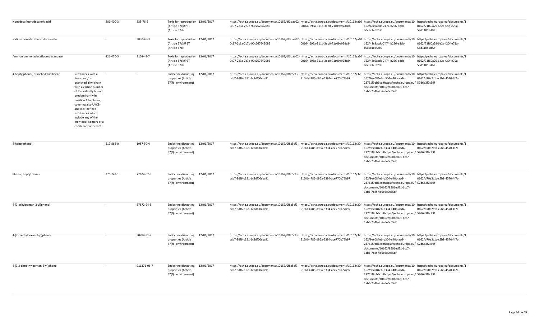| Nonadecafluorodecanoic acid         |                                                                                                                                                                                                                                                                                                 | 206-400-3 | 335-76-2    | Toxic for reproduction 12/01/2017<br>(Article 57c)#PBT<br>(Article 57d)        |            | https://echa.europa.eu/documents/10162/df3daa02-https://echa.europa.eu/documents/10162/a10 https://echa.europa.eu/documents/10 https://echa.europa.eu/documents/1<br>0c97-2c3a-2c7b-90c267642086                                                              | 00164-695a-311d-3eb0-71c09e92dc84 | 162/48c9acdc-7474-b256-e8cb-<br>b0c6c1e5f2d0                                                                                                  | 0162/71f60a29-6e2a-f20f-e79a-<br>58d11056df2f |
|-------------------------------------|-------------------------------------------------------------------------------------------------------------------------------------------------------------------------------------------------------------------------------------------------------------------------------------------------|-----------|-------------|--------------------------------------------------------------------------------|------------|---------------------------------------------------------------------------------------------------------------------------------------------------------------------------------------------------------------------------------------------------------------|-----------------------------------|-----------------------------------------------------------------------------------------------------------------------------------------------|-----------------------------------------------|
| sodium nonadecafluorodecanoate      |                                                                                                                                                                                                                                                                                                 | $\sim$    | 3830-45-3   | Toxic for reproduction 12/01/2017<br>(Article 57c)#PBT<br>(Article 57d)        |            | https://echa.europa.eu/documents/10162/df3daa02- https://echa.europa.eu/documents/10162/a10 https://echa.europa.eu/documents/10 https://echa.europa.eu/documents/1<br>0c97-2c3a-2c7b-90c267642086                                                             | 00164-695a-311d-3eb0-71c09e92dc84 | 162/48c9acdc-7474-b256-e8cb-<br>b0c6c1e5f2d0                                                                                                  | 0162/71f60a29-6e2a-f20f-e79a-<br>58d11056df2f |
| Ammonium nonadecafluorodecanoate    |                                                                                                                                                                                                                                                                                                 | 221-470-5 | 3108-42-7   | Toxic for reproduction 12/01/2017<br>(Article 57c)#PBT<br>(Article 57d)        |            | https://echa.europa.eu/documents/10162/df3daa02- https://echa.europa.eu/documents/10162/a10 https://echa.europa.eu/documents/10 https://echa.europa.eu/documents/10 https://echa.europa.eu/documents/10 https://echa.europa.eu<br>0c97-2c3a-2c7b-90c267642086 | 00164-695a-311d-3eb0-71c09e92dc84 | 162/48c9acdc-7474-b256-e8cb-<br>b0c6c1e5f2d0                                                                                                  | 0162/71f60a29-6e2a-f20f-e79a-<br>58d11056df2f |
| 4-heptylphenol, branched and linear | substances with a<br>linear and/or<br>branched alkyl chain<br>with a carbon number<br>of 7 covalently bound<br>predominantly in<br>position 4 to phenol,<br>covering also UVCB-<br>and well-defined<br>substances which<br>include any of the<br>individual isomers or a<br>combination thereof |           |             | Endocrine disrupting 12/01/2017<br>properties (Article<br>57(f) - environment) |            | https://echa.europa.eu/documents/10162/0f8c5cf3- https://echa.europa.eu/documents/10162/32f https://echa.europa.eu/documents/10 https://echa.europa.eu/documents/10 https://echa.europa.eu/documents/10<br>ccb7-3df6-c351-1c2df00cbc91                        | 515fd-4785-d96a-5394-ace770b72b97 | 162/9ec084eb-b304-e40b-acd4-<br>23761f9bb6cd#https://echa.europa.eu/ 57d6a3f2c39f<br>documents/10162/8501ed51-1cc7-<br>1ab6-7b4f-4d6e6e0c65df | 0162/d70e2c1c-c5b8-4570-4f7c-                 |
| 4-heptylphenol                      |                                                                                                                                                                                                                                                                                                 | 217-862-0 | 1987-50-4   | <b>Endocrine disrupting</b><br>properties (Article<br>57(f) - environment)     | 12/01/2017 | https://echa.europa.eu/documents/10162/0f8c5cf3- https://echa.europa.eu/documents/10162/32f https://echa.europa.eu/documents/10 https://echa.europa.eu/documents/1<br>ccb7-3df6-c351-1c2df00cbc91                                                             | 515fd-4785-d96a-5394-ace770b72b97 | 162/9ec084eb-b304-e40b-acd4-<br>23761f9bb6cd#https://echa.europa.eu/ 57d6a3f2c39f<br>documents/10162/8501ed51-1cc7-<br>1ab6-7b4f-4d6e6e0c65df | 0162/d70e2c1c-c5b8-4570-4f7c-                 |
| Phenol, heptyl derivs.              |                                                                                                                                                                                                                                                                                                 | 276-743-1 | 72624-02-3  | Endocrine disrupting 12/01/2017<br>properties (Article<br>57(f) - environment) |            | https://echa.europa.eu/documents/10162/0f8c5cf3- https://echa.europa.eu/documents/10162/32f https://echa.europa.eu/documents/10 https://echa.europa.eu/documents/1<br>ccb7-3df6-c351-1c2df00cbc91                                                             | 515fd-4785-d96a-5394-ace770b72b97 | 162/9ec084eb-b304-e40b-acd4-<br>23761f9bb6cd#https://echa.europa.eu/ 57d6a3f2c39f<br>documents/10162/8501ed51-1cc7-<br>1ab6-7b4f-4d6e6e0c65df | 0162/d70e2c1c-c5b8-4570-4f7c-                 |
| 4-(3-ethylpentan-3-yl)phenol        |                                                                                                                                                                                                                                                                                                 |           | 37872-24-5  | Endocrine disrupting 12/01/2017<br>properties (Article<br>57(f) - environment) |            | https://echa.europa.eu/documents/10162/0f8c5cf3- https://echa.europa.eu/documents/10162/32f https://echa.europa.eu/documents/10 https://echa.europa.eu/documents/10 https://echa.europa.eu/documents/10<br>ccb7-3df6-c351-1c2df00cbc91                        | 515fd-4785-d96a-5394-ace770b72b97 | 162/9ec084eb-b304-e40b-acd4-<br>23761f9bb6cd#https://echa.europa.eu/ 57d6a3f2c39f<br>documents/10162/8501ed51-1cc7-<br>1ab6-7b4f-4d6e6e0c65df | 0162/d70e2c1c-c5b8-4570-4f7c-                 |
| 4-(2-methylhexan-2-yl)phenol        |                                                                                                                                                                                                                                                                                                 |           | 30784-31-7  | Endocrine disrupting 12/01/2017<br>properties (Article<br>57(f) - environment) |            | https://echa.europa.eu/documents/10162/0f8c5cf3- https://echa.europa.eu/documents/10162/32f https://echa.europa.eu/documents/10 https://echa.europa.eu/documents/10 https://echa.europa.eu/documents/10<br>ccb7-3df6-c351-1c2df00cbc91                        | 515fd-4785-d96a-5394-ace770b72b97 | 162/9ec084eb-b304-e40b-acd4-<br>23761f9bb6cd#https://echa.europa.eu/ 57d6a3f2c39f<br>documents/10162/8501ed51-1cc7-<br>1ab6-7b4f-4d6e6e0c65df | 0162/d70e2c1c-c5b8-4570-4f7c-                 |
| 4-(3,3-dimethylpentan-2-yl)phenol   |                                                                                                                                                                                                                                                                                                 |           | 911371-06-7 | Endocrine disrupting 12/01/2017<br>properties (Article<br>57(f) - environment) |            | https://echa.europa.eu/documents/10162/0f8c5cf3- https://echa.europa.eu/documents/10162/32f https://echa.europa.eu/documents/10 https://echa.europa.eu/documents/1<br>ccb7-3df6-c351-1c2df00cbc91                                                             | 515fd-4785-d96a-5394-ace770b72b97 | 162/9ec084eb-b304-e40b-acd4-<br>23761f9bb6cd#https://echa.europa.eu/ 57d6a3f2c39f<br>documents/10162/8501ed51-1cc7-<br>1ab6-7b4f-4d6e6e0c65df | 0162/d70e2c1c-c5b8-4570-4f7c-                 |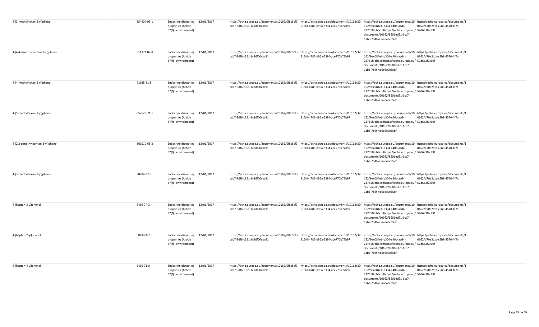| 4-(3-methylhexan-2-yl)phenol                | 854904-93-1 | Endocrine disrupting 12/01/2017<br>properties (Article<br>57(f) - environment) |            | https://echa.europa.eu/documents/10162/0f8c5cf3- https://echa.europa.eu/documents/10162/32f https://echa.europa.eu/documents/10 https://echa.europa.eu/documents/10<br>ccb7-3df6-c351-1c2df00cbc91                                     | 515fd-4785-d96a-5394-ace770b72b97 | 162/9ec084eb-b304-e40b-acd4-<br>23761f9bb6cd#https://echa.europa.eu/ 57d6a3f2c39f<br>documents/10162/8501ed51-1cc7-<br>1ab6-7b4f-4d6e6e0c65df | 0162/d70e2c1c-c5b8-4570-4f7c- |  |
|---------------------------------------------|-------------|--------------------------------------------------------------------------------|------------|----------------------------------------------------------------------------------------------------------------------------------------------------------------------------------------------------------------------------------------|-----------------------------------|-----------------------------------------------------------------------------------------------------------------------------------------------|-------------------------------|--|
| 4-(4,4-dimethylpentan-2-yl)phenol           | 911371-07-8 | Endocrine disrupting 12/01/2017<br>properties (Article<br>57(f) - environment) |            | https://echa.europa.eu/documents/10162/0f8c5cf3- https://echa.europa.eu/documents/10162/32f https://echa.europa.eu/documents/10 https://echa.europa.eu/documents/10 https://echa.europa.eu/documents/10<br>ccb7-3df6-c351-1c2df00cbc91 | 515fd-4785-d96a-5394-ace770b72b97 | 162/9ec084eb-b304-e40b-acd4-<br>23761f9bb6cd#https://echa.europa.eu/ 57d6a3f2c39f<br>documents/10162/8501ed51-1cc7-<br>1ab6-7b4f-4d6e6e0c65df | 0162/d70e2c1c-c5b8-4570-4f7c- |  |
| 4-(4-methylhexan-2-yl)phenol<br>$\sim$      | 71945-81-8  | Endocrine disrupting 12/01/2017<br>properties (Article<br>57(f) - environment) |            | https://echa.europa.eu/documents/10162/0f8c5cf3- https://echa.europa.eu/documents/10162/32f https://echa.europa.eu/documents/10 https://echa.europa.eu/documents/1<br>ccb7-3df6-c351-1c2df00cbc91                                      | 515fd-4785-d96a-5394-ace770b72b97 | 162/9ec084eb-b304-e40b-acd4-<br>23761f9bb6cd#https://echa.europa.eu/ 57d6a3f2c39f<br>documents/10162/8501ed51-1cc7-<br>1ab6-7b4f-4d6e6e0c65df | 0162/d70e2c1c-c5b8-4570-4f7c- |  |
| 4-(5-methylhexan-2-yl)phenol                | 857629-71-1 | Endocrine disrupting 12/01/2017<br>properties (Article<br>57(f) - environment) |            | https://echa.europa.eu/documents/10162/0f8c5cf3- https://echa.europa.eu/documents/10162/32f https://echa.europa.eu/documents/10 https://echa.europa.eu/documents/1<br>ccb7-3df6-c351-1c2df00cbc91                                      | 515fd-4785-d96a-5394-ace770b72b97 | 162/9ec084eb-b304-e40b-acd4-<br>23761f9bb6cd#https://echa.europa.eu/ 57d6a3f2c39f<br>documents/10162/8501ed51-1cc7-<br>1ab6-7b4f-4d6e6e0c65df | 0162/d70e2c1c-c5b8-4570-4f7c- |  |
| 4-(2,2-dimethylpentan-3-yl)phenol<br>$\sim$ | 861010-65-3 | <b>Endocrine disrupting</b><br>properties (Article<br>57(f) - environment)     | 12/01/2017 | https://echa.europa.eu/documents/10162/0f8c5cf3- https://echa.europa.eu/documents/10162/32f https://echa.europa.eu/documents/10 https://echa.europa.eu/documents/1<br>ccb7-3df6-c351-1c2df00cbc91                                      | 515fd-4785-d96a-5394-ace770b72b97 | 162/9ec084eb-b304-e40b-acd4-<br>23761f9bb6cd#https://echa.europa.eu/ 57d6a3f2c39f<br>documents/10162/8501ed51-1cc7-<br>1ab6-7b4f-4d6e6e0c65df | 0162/d70e2c1c-c5b8-4570-4f7c- |  |
| 4-(3-methylhexan-3-yl)phenol<br>$\sim$      | 30784-32-8  | <b>Endocrine disrupting</b><br>properties (Article<br>57(f) - environment)     | 12/01/2017 | https://echa.europa.eu/documents/10162/0f8c5cf3- https://echa.europa.eu/documents/10162/32f https://echa.europa.eu/documents/10 https://echa.europa.eu/documents/1<br>ccb7-3df6-c351-1c2df00cbc91                                      | 515fd-4785-d96a-5394-ace770b72b97 | 162/9ec084eb-b304-e40b-acd4-<br>23761f9bb6cd#https://echa.europa.eu/ 57d6a3f2c39f<br>documents/10162/8501ed51-1cc7-<br>1ab6-7b4f-4d6e6e0c65df | 0162/d70e2c1c-c5b8-4570-4f7c- |  |
| 4-(heptan-3-yl)phenol<br>$\sim$             | 6465-74-3   | Endocrine disrupting<br>properties (Article<br>57(f) - environment)            | 12/01/2017 | https://echa.europa.eu/documents/10162/0f8c5cf3- https://echa.europa.eu/documents/10162/32f https://echa.europa.eu/documents/10 https://echa.europa.eu/documents/1<br>ccb7-3df6-c351-1c2df00cbc91                                      | 515fd-4785-d96a-5394-ace770b72b97 | 162/9ec084eb-b304-e40b-acd4-<br>23761f9bb6cd#https://echa.europa.eu/ 57d6a3f2c39f<br>documents/10162/8501ed51-1cc7-<br>1ab6-7b4f-4d6e6e0c65df | 0162/d70e2c1c-c5b8-4570-4f7c- |  |
| 4-(heptan-2-yl)phenol                       | 6863-24-7   | <b>Endocrine disrupting</b><br>properties (Article<br>57(f) - environment)     | 12/01/2017 | https://echa.europa.eu/documents/10162/0f8c5cf3- https://echa.europa.eu/documents/10162/32f https://echa.europa.eu/documents/10 https://echa.europa.eu/documents/10 https://echa.europa.eu/documents/10<br>ccb7-3df6-c351-1c2df00cbc91 | 515fd-4785-d96a-5394-ace770b72b97 | 162/9ec084eb-b304-e40b-acd4-<br>23761f9bb6cd#https://echa.europa.eu/ 57d6a3f2c39f<br>documents/10162/8501ed51-1cc7-<br>1ab6-7b4f-4d6e6e0c65df | 0162/d70e2c1c-c5b8-4570-4f7c- |  |
| 4-(heptan-4-yl)phenol                       | 6465-71-0   | Endocrine disrupting 12/01/2017<br>properties (Article<br>57(f) - environment) |            | https://echa.europa.eu/documents/10162/0f8c5cf3- https://echa.europa.eu/documents/10162/32f https://echa.europa.eu/documents/10 https://echa.europa.eu/documents/10 https://echa.europa.eu/documents/10<br>ccb7-3df6-c351-1c2df00cbc91 | 515fd-4785-d96a-5394-ace770b72b97 | 162/9ec084eb-b304-e40b-acd4-<br>23761f9bb6cd#https://echa.europa.eu/ 57d6a3f2c39f<br>documents/10162/8501ed51-1cc7-<br>1ab6-7b4f-4d6e6e0c65df | 0162/d70e2c1c-c5b8-4570-4f7c- |  |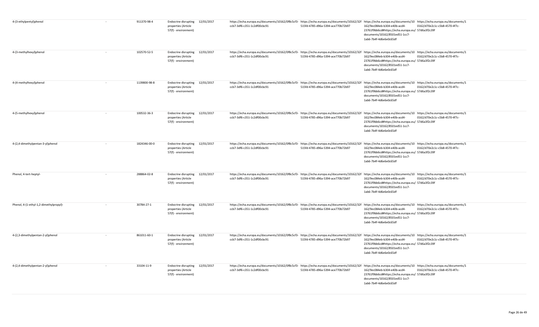| 4-(3-ethylpentyl)phenol                           | 911370-98-4  | Endocrine disrupting 12/01/2017<br>properties (Article<br>57(f) - environment) |            | https://echa.europa.eu/documents/10162/0f8c5cf3- https://echa.europa.eu/documents/10162/32f https://echa.europa.eu/documents/10 https://echa.europa.eu/documents/10 https://echa.europa.eu/documents/10<br>ccb7-3df6-c351-1c2df00cbc91                        | 515fd-4785-d96a-5394-ace770b72b97 | 162/9ec084eb-b304-e40b-acd4-<br>23761f9bb6cd#https://echa.europa.eu/ 57d6a3f2c39f<br>documents/10162/8501ed51-1cc7-<br>1ab6-7b4f-4d6e6e0c65df | 0162/d70e2c1c-c5b8-4570-4f7c- |  |
|---------------------------------------------------|--------------|--------------------------------------------------------------------------------|------------|---------------------------------------------------------------------------------------------------------------------------------------------------------------------------------------------------------------------------------------------------------------|-----------------------------------|-----------------------------------------------------------------------------------------------------------------------------------------------|-------------------------------|--|
| 4-(3-methylhexyl)phenol                           | 102570-52-5  | Endocrine disrupting 12/01/2017<br>properties (Article<br>57(f) - environment) |            | https://echa.europa.eu/documents/10162/0f8c5cf3- https://echa.europa.eu/documents/10162/32f https://echa.europa.eu/documents/10 https://echa.europa.eu/documents/10 https://echa.europa.eu/documents/10<br>ccb7-3df6-c351-1c2df00cbc91                        | 515fd-4785-d96a-5394-ace770b72b97 | 162/9ec084eb-b304-e40b-acd4-<br>23761f9bb6cd#https://echa.europa.eu/ 57d6a3f2c39f<br>documents/10162/8501ed51-1cc7-<br>1ab6-7b4f-4d6e6e0c65df | 0162/d70e2c1c-c5b8-4570-4f7c- |  |
| 4-(4-methylhexyl)phenol<br>$\sim$                 | 1139800-98-8 | Endocrine disrupting 12/01/2017<br>properties (Article<br>57(f) - environment) |            | https://echa.europa.eu/documents/10162/0f8c5cf3- https://echa.europa.eu/documents/10162/32f https://echa.europa.eu/documents/10 https://echa.europa.eu/documents/1<br>ccb7-3df6-c351-1c2df00cbc91                                                             | 515fd-4785-d96a-5394-ace770b72b97 | 162/9ec084eb-b304-e40b-acd4-<br>23761f9bb6cd#https://echa.europa.eu/ 57d6a3f2c39f<br>documents/10162/8501ed51-1cc7-<br>1ab6-7b4f-4d6e6e0c65df | 0162/d70e2c1c-c5b8-4570-4f7c- |  |
| 4-(5-methylhexyl)phenol<br>$\sim$                 | 100532-36-3  | Endocrine disrupting 12/01/2017<br>properties (Article<br>57(f) - environment) |            | https://echa.europa.eu/documents/10162/0f8c5cf3- https://echa.europa.eu/documents/10162/32f https://echa.europa.eu/documents/10 https://echa.europa.eu/documents/1<br>ccb7-3df6-c351-1c2df00cbc91                                                             | 515fd-4785-d96a-5394-ace770b72b97 | 162/9ec084eb-b304-e40b-acd4-<br>23761f9bb6cd#https://echa.europa.eu/ 57d6a3f2c39f<br>documents/10162/8501ed51-1cc7-<br>1ab6-7b4f-4d6e6e0c65df | 0162/d70e2c1c-c5b8-4570-4f7c- |  |
| 4-(2,4-dimethylpentan-3-yl)phenol<br>$\sim$       | 1824346-00-0 | <b>Endocrine disrupting</b><br>properties (Article<br>57(f) - environment)     | 12/01/2017 | https://echa.europa.eu/documents/10162/0f8c5cf3- https://echa.europa.eu/documents/10162/32f https://echa.europa.eu/documents/10 https://echa.europa.eu/documents/10 https://echa.europa.eu/documents/10 https://echa.europa.eu<br>ccb7-3df6-c351-1c2df00cbc91 | 515fd-4785-d96a-5394-ace770b72b97 | 162/9ec084eb-b304-e40b-acd4-<br>23761f9bb6cd#https://echa.europa.eu/ 57d6a3f2c39f<br>documents/10162/8501ed51-1cc7-<br>1ab6-7b4f-4d6e6e0c65df | 0162/d70e2c1c-c5b8-4570-4f7c- |  |
| Phenol, 4-tert-heptyl-<br>$\sim$                  | 288864-02-8  | <b>Endocrine disrupting</b><br>properties (Article<br>57(f) - environment)     | 12/01/2017 | https://echa.europa.eu/documents/10162/0f8c5cf3- https://echa.europa.eu/documents/10162/32f https://echa.europa.eu/documents/10 https://echa.europa.eu/documents/1<br>ccb7-3df6-c351-1c2df00cbc91                                                             | 515fd-4785-d96a-5394-ace770b72b97 | 162/9ec084eb-b304-e40b-acd4-<br>23761f9bb6cd#https://echa.europa.eu/ 57d6a3f2c39f<br>documents/10162/8501ed51-1cc7-<br>1ab6-7b4f-4d6e6e0c65df | 0162/d70e2c1c-c5b8-4570-4f7c- |  |
| Phenol, 4-(1-ethyl-1,2-dimethylpropyl)-<br>$\sim$ | 30784-27-1   | <b>Endocrine disrupting</b><br>properties (Article<br>57(f) - environment)     | 12/01/2017 | https://echa.europa.eu/documents/10162/0f8c5cf3- https://echa.europa.eu/documents/10162/32f https://echa.europa.eu/documents/10 https://echa.europa.eu/documents/1<br>ccb7-3df6-c351-1c2df00cbc91                                                             | 515fd-4785-d96a-5394-ace770b72b97 | 162/9ec084eb-b304-e40b-acd4-<br>23761f9bb6cd#https://echa.europa.eu/ 57d6a3f2c39f<br>documents/10162/8501ed51-1cc7-<br>1ab6-7b4f-4d6e6e0c65df | 0162/d70e2c1c-c5b8-4570-4f7c- |  |
| 4-(2,3-dimethylpentan-2-yl)phenol                 | 861011-60-1  | Endocrine disrupting 12/01/2017<br>properties (Article<br>57(f) - environment) |            | https://echa.europa.eu/documents/10162/0f8c5cf3- https://echa.europa.eu/documents/10162/32f https://echa.europa.eu/documents/10 https://echa.europa.eu/documents/1<br>ccb7-3df6-c351-1c2df00cbc91                                                             | 515fd-4785-d96a-5394-ace770b72b97 | 162/9ec084eb-b304-e40b-acd4-<br>23761f9bb6cd#https://echa.europa.eu/ 57d6a3f2c39f<br>documents/10162/8501ed51-1cc7-<br>1ab6-7b4f-4d6e6e0c65df | 0162/d70e2c1c-c5b8-4570-4f7c- |  |
| 4-(2,4-dimethylpentan-2-yl)phenol                 | 33104-11-9   | Endocrine disrupting 12/01/2017<br>properties (Article<br>57(f) - environment) |            | https://echa.europa.eu/documents/10162/0f8c5cf3- https://echa.europa.eu/documents/10162/32f https://echa.europa.eu/documents/10 https://echa.europa.eu/documents/1<br>ccb7-3df6-c351-1c2df00cbc91                                                             | 515fd-4785-d96a-5394-ace770b72b97 | 162/9ec084eb-b304-e40b-acd4-<br>23761f9bb6cd#https://echa.europa.eu/ 57d6a3f2c39f<br>documents/10162/8501ed51-1cc7-<br>1ab6-7b4f-4d6e6e0c65df | 0162/d70e2c1c-c5b8-4570-4f7c- |  |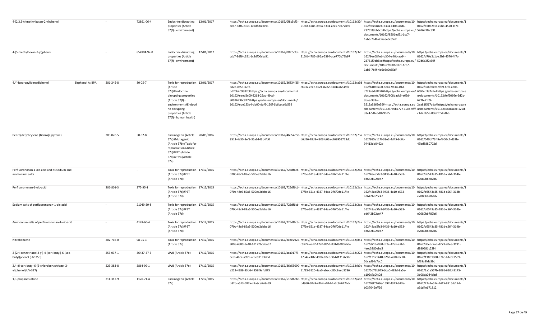| 4-(2,3,3-trimethylbutan-2-yl)phenol                                      |           | 72861-06-4    | Endocrine disrupting 12/01/2017<br>properties (Article<br>57(f) - environment)                                                                                                                        | https://echa.europa.eu/documents/10162/0f8c5cf3- https://echa.europa.eu/documents/10162/32f https://echa.europa.eu/documents/10 https://echa.europa.eu/documents/1<br>ccb7-3df6-c351-1c2df00cbc91                                                                                                                                                                        | 515fd-4785-d96a-5394-ace770b72b97 | 162/9ec084eb-b304-e40b-acd4-<br>23761f9bb6cd#https://echa.europa.eu/ 57d6a3f2c39f<br>documents/10162/8501ed51-1cc7-<br>1ab6-7b4f-4d6e6e0c65df                                                                                                                                                                                   | 0162/d70e2c1c-c5b8-4570-4f7c-                                                                             |
|--------------------------------------------------------------------------|-----------|---------------|-------------------------------------------------------------------------------------------------------------------------------------------------------------------------------------------------------|--------------------------------------------------------------------------------------------------------------------------------------------------------------------------------------------------------------------------------------------------------------------------------------------------------------------------------------------------------------------------|-----------------------------------|---------------------------------------------------------------------------------------------------------------------------------------------------------------------------------------------------------------------------------------------------------------------------------------------------------------------------------|-----------------------------------------------------------------------------------------------------------|
| 4-(5-methylhexan-3-yl)phenol                                             |           | 854904-92-0   | Endocrine disrupting 12/01/2017<br>properties (Article<br>57(f) - environment)                                                                                                                        | https://echa.europa.eu/documents/10162/0f8c5cf3- https://echa.europa.eu/documents/10162/32f https://echa.europa.eu/documents/10 https://echa.europa.eu/documents/1<br>ccb7-3df6-c351-1c2df00cbc91                                                                                                                                                                        | 515fd-4785-d96a-5394-ace770b72b97 | 162/9ec084eb-b304-e40b-acd4-<br>23761f9bb6cd#https://echa.europa.eu/ 57d6a3f2c39f<br>documents/10162/8501ed51-1cc7-<br>1ab6-7b4f-4d6e6e0c65df                                                                                                                                                                                   | 0162/d70e2c1c-c5b8-4570-4f7c-                                                                             |
| 4,4'-isopropylidenediphenol<br>Bisphenol A; BPA                          | 201-245-8 | $80 - 05 - 7$ | Toxic for reproduction 12/01/2017<br>(Article<br>57c)#Endocrine<br>disrupting properties<br>(Article 57(f) -<br>environment)#Endocri<br>ne disrupting<br>properties (Article<br>57(f) - human health) | https://echa.europa.eu/documents/10162/36834f25-https://echa.europa.eu/documents/10162/a6d https://echa.europa.eu/documents/10 https://echa.europa.eu/documents/1<br>582c-0855-37fb-<br>bd20b409382c#https://echa.europa.eu/documents/<br>10162/eeed2c09-2263-25ad-49cd-<br>a0926736c877#https://echa.europa.eu/documents/<br>10162/ede153a4-db00-daf6-120f-6b6ccce0c539 | c6937-ccec-1024-8282-8304a76549fa | 162/b10d6a00-8e47-9b14-4f61-<br>c779a8dc8450#https://echa.europa.eu/ 6f90ed3a7a5e#https://echa.europa.e<br>documents/10162/908badc9-e65d-<br>3bae-933a-<br>3512a9262e59#https://echa.europa.eu 2ea81f517ada#https://echa.europa.e<br>/documents/10162/769b2777-19cd-9fff- u/documents/10162/4b8caa8c-125d-<br>33c4-54fe6d8290d5 | 0162/9abf8b9b-9f39-f9fb-ad06-<br>u/documents/10162/fef2066e-2d2b-<br>677b-71c9-<br>c1d2-fb59-06b2f0545fbb |
| Benzo[def]chrysene (Benzo[a]pyrene)                                      | 200-028-5 | $50 - 32 - 8$ | Carcinogenic (Article<br>20/06/2016<br>57a)#Mutagenic<br>(Article 57b)#Toxic for<br>reproduction (Article<br>57c)#PBT (Article<br>57d)#vPvB (Article<br>57e)                                          | https://echa.europa.eu/documents/10162/4b054c5b- https://echa.europa.eu/documents/10162/75a https://echa.europa.eu/documents/10 https://echa.europa.eu/documents/1<br>8511-4a30-8ef8-35ab143b4fd0                                                                                                                                                                        | d6d26-78d9-4903-b06a-cf69953713dc | 162/985e117f-38e2-4d45-9d0c-<br>94413dd0462e                                                                                                                                                                                                                                                                                    | 0162/040bf73f-9e4f-57c7-d32b-<br>43bd8880702d                                                             |
| Perfluorononan-1-oic-acid and its sodium and<br>ammonium salts           | $\sim$    | $\sim$        | Toxic for reproduction 17/12/2015<br>(Article 57c)#PBT<br>(Article 57d)                                                                                                                               | https://echa.europa.eu/documents/10162/725df6cb- https://echa.europa.eu/documents/10162/2aa https://echa.europa.eu/documents/10 https://echa.europa.eu/documents/1<br>070c-48c9-89a5-500ee2dabe16                                                                                                                                                                        | 67f6e-621e-4337-84aa-076f0de11f4e | 162/48ae5fe3-9436-4a10-a533-<br>ed642b92ce47                                                                                                                                                                                                                                                                                    | 0162/d6543a35-481d-c564-314b-<br>e2080bb787b6                                                             |
| Perfluorononan-1-oic-acid                                                | 206-801-3 | 375-95-1      | Toxic for reproduction 17/12/2015<br>(Article 57c)#PBT<br>(Article 57d)                                                                                                                               | https://echa.europa.eu/documents/10162/725df6cb- https://echa.europa.eu/documents/10162/2aa https://echa.europa.eu/documents/10 https://echa.europa.eu/documents/1<br>070c-48c9-89a5-500ee2dabe16                                                                                                                                                                        | 67f6e-621e-4337-84aa-076f0de11f4e | 162/48ae5fe3-9436-4a10-a533-<br>ed642b92ce47                                                                                                                                                                                                                                                                                    | 0162/d6543a35-481d-c564-314b-<br>e2080bb787b6                                                             |
| Sodium salts of perfluorononan-1-oic-acid                                |           | 21049-39-8    | Toxic for reproduction 17/12/2015<br>(Article 57c)#PBT<br>(Article 57d)                                                                                                                               | https://echa.europa.eu/documents/10162/725df6cb- https://echa.europa.eu/documents/10162/2aa https://echa.europa.eu/documents/10 https://echa.europa.eu/documents/1<br>070c-48c9-89a5-500ee2dabe16                                                                                                                                                                        | 67f6e-621e-4337-84aa-076f0de11f4e | 162/48ae5fe3-9436-4a10-a533-<br>ed642b92ce47                                                                                                                                                                                                                                                                                    | 0162/d6543a35-481d-c564-314b-<br>e2080bb787b6                                                             |
| Ammonium salts of perfluorononan-1-oic-acid                              |           | 4149-60-4     | Toxic for reproduction 17/12/2015<br>(Article 57c)#PBT<br>(Article 57d)                                                                                                                               | https://echa.europa.eu/documents/10162/725df6cb-https://echa.europa.eu/documents/10162/2aa https://echa.europa.eu/documents/10 https://echa.europa.eu/documents/1<br>070c-48c9-89a5-500ee2dabe16                                                                                                                                                                         | 67f6e-621e-4337-84aa-076f0de11f4e | 162/48ae5fe3-9436-4a10-a533-<br>ed642b92ce47                                                                                                                                                                                                                                                                                    | 0162/d6543a35-481d-c564-314b-<br>e2080bb787b6                                                             |
| Nitrobenzene                                                             | 202-716-0 | 98-95-3       | Toxic for reproduction 17/12/2015<br>(Article 57c)                                                                                                                                                    | https://echa.europa.eu/documents/10162/bcde2926-https://echa.europa.eu/documents/10162/d51-https://echa.europa.eu/documents/10 https://echa.europa.eu/documents/1<br>a00e-4389-8e48-67122bceba67                                                                                                                                                                         | c9722-aed2-47a0-8356-831db2066b0a | 162/d71ba080-df7e-42e6-a76f-<br>4eec3880ebe5                                                                                                                                                                                                                                                                                    | 0162/d0e3c2a3-d273-70ee-3191-<br>d939681c22f4                                                             |
| 2-(2H-benzotriazol-2-yl)-4-(tert-butyl)-6-(sec-<br>butyl)phenol (UV-350) | 253-037-1 | 36437-37-3    | vPvB (Article 57e)<br>17/12/2015                                                                                                                                                                      | https://echa.europa.eu/documents/10162/aca017f7- https://echa.europa.eu/documents/10162/272 https://echa.europa.eu/documents/10 https://echa.europa.eu/documents/1<br>ce9f-4bce-a991-7c9e911a3ddd                                                                                                                                                                        | 1734c-c482-493b-82e8-3b4d131a6507 | 162/13121440-8260-4e04-bc10-<br>5dcad34c7ac0                                                                                                                                                                                                                                                                                    | 0162/118b1880-d7bc-b1ed-3539-<br>bf39a3fda3bb                                                             |
| 2,4-di-tert-butyl-6-(5-chlorobenzotriazol-2-<br>yl)phenol (UV-327)       | 223-383-8 | 3864-99-1     | vPvB (Article 57e)<br>17/12/2015                                                                                                                                                                      | https://echa.europa.eu/documents/10162/86a55090·https://echa.europa.eu/documents/10162/b9c https://echa.europa.eu/documents/10 https://echa.europa.eu/documents/1<br>a222-4389-83d6-4859f9efb875                                                                                                                                                                         | 11f35-3120-4aa0-abec-d80c9aeb3786 | 162/5d71b975-bba0-482d-9a5e-<br>a102c7a0fc0d                                                                                                                                                                                                                                                                                    | 0162/2a1e557b-3091-610d-3175-<br>3b08da084dbd                                                             |
| 1,3-propanesultone                                                       | 214-317-9 | 1120-71-4     | Carcinogenic (Article<br>17/12/2015<br>57a)                                                                                                                                                           | https://echa.europa.eu/documents/10162/513d6dfe- https://echa.europa.eu/documents/10162/ab2 https://echa.europa.eu/documents/10 https://echa.europa.eu/documents/1<br>b82b-a513-687a-d7a8ce6e8a59                                                                                                                                                                        | bd960-50e9-44b4-a02d-4a3c9a622bdc | 162/08f7169e-1697-4323-b13a-<br>b037046eff96                                                                                                                                                                                                                                                                                    | 0162/22a7e514-1415-8815-b17d-<br>a91d4e671812                                                             |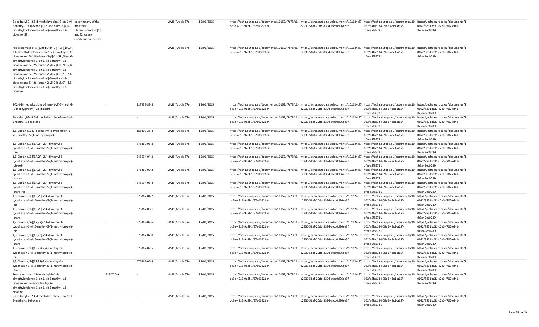| 5-sec-butyl-2-(2,4-dimethylcyclohex-3-en-1-yl)- covering any of the<br>5-methyl-1,3-dioxane [1], 5-sec-butyl-2-(4,6-<br>dimethylcyclohex-3-en-1-yl)-5-methyl-1,3-<br>dioxane [2]                                                                                                                                                                                                                                                                                                                             | individual<br>stereoisomers of [1]<br>and [2] or any<br>combination thereof |           |             | vPvB (Article 57e) | 15/06/2015 | https://echa.europa.eu/documents/10162/f7c78fc1- https://echa.europa.eu/documents/10162/c87 https://echa.europa.eu/documents/10 https://echa.europa.eu/documents/1<br>bc3e-4913-9a8f-1f57e03326e4  | c2930-58af-20dd-8394-afcd0d96ee3f | 162/a4fac134-09e6-43c1-a65f-<br>dfaee5f85731                                                                           | 0162/8831bc31-c2e0-f702-ef41-<br>fb3a49ec0789 |
|--------------------------------------------------------------------------------------------------------------------------------------------------------------------------------------------------------------------------------------------------------------------------------------------------------------------------------------------------------------------------------------------------------------------------------------------------------------------------------------------------------------|-----------------------------------------------------------------------------|-----------|-------------|--------------------|------------|----------------------------------------------------------------------------------------------------------------------------------------------------------------------------------------------------|-----------------------------------|------------------------------------------------------------------------------------------------------------------------|-----------------------------------------------|
| Reaction mass of 5-[(2R)-butan-2-yl]-2-[(1R,2R)-<br>2,4-dimethylcyclohex-3-en-1-yl]-5-methyl-1,3-<br>dioxane and 5-[(2R)-butan-2-yl]-2-[(1R,6R)-4,6-<br>dimethylcyclohex-3-en-1-yl]-5-methyl-1,3-<br>dioxane and 5-[(2S)-butan-2-yl]-2-[(1R,2R)-2,4-<br>dimethylcyclohex-3-en-1-yl]-5-methyl-1,3-<br>dioxane and 5-[(2S)-butan-2-yl]-2-[(1S,2R)-2,4-<br>dimethylcyclohex-3-en-1-yl]-5-methyl-1,3-<br>dioxane and 5-[(2S)-butan-2-yl]-2-[(1S,6R)-4,6-<br>dimethylcyclohex-3-en-1-yl]-5-methyl-1,3-<br>dioxane |                                                                             |           |             | vPvB (Article 57e) | 15/06/2015 | https://echa.europa.eu/documents/10162/f7c78fc1-https://echa.europa.eu/documents/10162/c87https://echa.europa.eu/documents/10https://echa.europa.eu/documents/1<br>bc3e-4913-9a8f-1f57e03326e4     | c2930-58af-20dd-8394-afcd0d96ee3f | 162/a4fac134-09e6-43c1-a65f-<br>dfaee5f85731                                                                           | 0162/8831bc31-c2e0-f702-ef41-<br>fb3a49ec0789 |
| 2-(2,4-Dimethylcyclohex-3-ene-1-yl)-5-methyl-<br>(1-methylpropyl)-1,3-dioxane                                                                                                                                                                                                                                                                                                                                                                                                                                |                                                                             |           | 117933-89-8 | vPvB (Article 57e) | 15/06/2015 | https://echa.europa.eu/documents/10162/f7c78fc1-https://echa.europa.eu/documents/10162/c87https://echa.europa.eu/documents/10https://echa.europa.eu/documents/10<br>bc3e-4913-9a8f-1f57e03326e4    | c2930-58af-20dd-8394-afcd0d96ee3f | 162/a4fac134-09e6-43c1-a65f-<br>dfaee5f85731                                                                           | 0162/8831bc31-c2e0-f702-ef41-<br>fb3a49ec0789 |
| 5-sec-butyl-2-(4,6-dimethylcyclohex-3-en-1-yl)-<br>5-methyl-1,3-dioxane                                                                                                                                                                                                                                                                                                                                                                                                                                      |                                                                             |           |             | vPvB (Article 57e) | 15/06/2015 | https://echa.europa.eu/documents/10162/f7c78fc1- https://echa.europa.eu/documents/10162/c87 https://echa.europa.eu/documents/10 https://echa.europa.eu/documents/10<br>bc3e-4913-9a8f-1f57e03326e4 | c2930-58af-20dd-8394-afcd0d96ee3f | 162/a4fac134-09e6-43c1-a65f-<br>dfaee5f85731                                                                           | 0162/8831bc31-c2e0-f702-ef41-<br>fb3a49ec0789 |
| 1,3-Dioxane, 2-(2,4-dimethyl-3-cyclohexen-1-<br>yl)-5-methyl-5-(1-methylpropyl)-                                                                                                                                                                                                                                                                                                                                                                                                                             |                                                                             |           | 186309-28-4 | vPvB (Article 57e) | 15/06/2015 | https://echa.europa.eu/documents/10162/f7c78fc1-https://echa.europa.eu/documents/10162/c87https://echa.europa.eu/documents/10https://echa.europa.eu/documents/1<br>bc3e-4913-9a8f-1f57e03326e4     | c2930-58af-20dd-8394-afcd0d96ee3f | 162/a4fac134-09e6-43c1-a65f-<br>dfaee5f85731                                                                           | 0162/8831bc31-c2e0-f702-ef41-<br>fb3a49ec0789 |
| 1,3-Dioxane, 2-[(1R,2R)-2,4-dimethyl-3-<br>cyclohexen-1-yl]-5-methyl-5-(1-methylpropyl)-<br>, cis-                                                                                                                                                                                                                                                                                                                                                                                                           |                                                                             |           | 676367-05-8 | vPvB (Article 57e) | 15/06/2015 | https://echa.europa.eu/documents/10162/f7c78fc1-https://echa.europa.eu/documents/10162/c87https://echa.europa.eu/documents/10https://echa.europa.eu/documents/1<br>bc3e-4913-9a8f-1f57e03326e4     | c2930-58af-20dd-8394-afcd0d96ee3f | 162/a4fac134-09e6-43c1-a65f-<br>dfaee5f85731                                                                           | 0162/8831bc31-c2e0-f702-ef41-<br>fb3a49ec0789 |
| 1,3-Dioxane, 2-[(1R,2R)-2,4-dimethyl-3-<br>cyclohexen-1-yl]-5-methyl-5-(1-methylpropyl)-<br>. cis-rel-                                                                                                                                                                                                                                                                                                                                                                                                       |                                                                             |           | 343934-04-3 | vPvB (Article 57e) | 15/06/2015 | https://echa.europa.eu/documents/10162/f7c78fc1-https://echa.europa.eu/documents/10162/c87https://echa.europa.eu/documents/10https://echa.europa.eu/documents/10<br>bc3e-4913-9a8f-1f57e03326e4    | c2930-58af-20dd-8394-afcd0d96ee3f | 162/a4fac134-09e6-43c1-a65f-<br>dfaee5f85731                                                                           | 0162/8831bc31-c2e0-f702-ef41-<br>fb3a49ec0789 |
| 1,3-Dioxane, 2-[(1R,2R)-2,4-dimethyl-3-<br>cyclohexen-1-yl]-5-methyl-5-(1-methylpropyl)-<br>, trans-                                                                                                                                                                                                                                                                                                                                                                                                         |                                                                             |           | 676367-09-2 | vPvB (Article 57e) | 15/06/2015 | https://echa.europa.eu/documents/10162/f7c78fc1-https://echa.europa.eu/documents/10162/c87https://echa.europa.eu/documents/10https://echa.europa.eu/documents/1<br>bc3e-4913-9a8f-1f57e03326e4     | c2930-58af-20dd-8394-afcd0d96ee3f | 162/a4fac134-09e6-43c1-a65f-<br>dfaee5f85731                                                                           | 0162/8831bc31-c2e0-f702-ef41-<br>fb3a49ec0789 |
| 1,3-Dioxane, 2-[(1R,2R)-2,4-dimethyl-3-<br>cyclohexen-1-yl]-5-methyl-5-(1-methylpropyl)-<br>, trans-rel-                                                                                                                                                                                                                                                                                                                                                                                                     |                                                                             |           | 343934-05-4 | vPvB (Article 57e) | 15/06/2015 | https://echa.europa.eu/documents/10162/f7c78fc1- https://echa.europa.eu/documents/10162/c87 https://echa.europa.eu/documents/10 https://echa.europa.eu/documents/1<br>bc3e-4913-9a8f-1f57e03326e4  | c2930-58af-20dd-8394-afcd0d96ee3f | 162/a4fac134-09e6-43c1-a65f-<br>dfaee5f85731                                                                           | 0162/8831bc31-c2e0-f702-ef41-<br>fb3a49ec0789 |
| 1,3-Dioxane, 2-[(1R,2S)-2,4-dimethyl-3-<br>cyclohexen-1-yl]-5-methyl-5-(1-methylpropyl)-<br>, cis-                                                                                                                                                                                                                                                                                                                                                                                                           |                                                                             |           | 676367-04-7 | vPvB (Article 57e) | 15/06/2015 | https://echa.europa.eu/documents/10162/f7c78fc1- https://echa.europa.eu/documents/10162/c87 https://echa.europa.eu/documents/10 https://echa.europa.eu/documents/1<br>bc3e-4913-9a8f-1f57e03326e4  | c2930-58af-20dd-8394-afcd0d96ee3f | 162/a4fac134-09e6-43c1-a65f-<br>dfaee5f85731                                                                           | 0162/8831bc31-c2e0-f702-ef41-<br>fb3a49ec0789 |
| 1,3-Dioxane, 2-[(1R,2S)-2,4-dimethyl-3-<br>cyclohexen-1-yl]-5-methyl-5-(1-methylpropyl)-<br>, trans-                                                                                                                                                                                                                                                                                                                                                                                                         |                                                                             |           | 676367-08-1 | vPvB (Article 57e) | 15/06/2015 | https://echa.europa.eu/documents/10162/f7c78fc1-https://echa.europa.eu/documents/10162/c87<br>bc3e-4913-9a8f-1f57e03326e4                                                                          | c2930-58af-20dd-8394-afcd0d96ee3f | https://echa.europa.eu/documents/10 https://echa.europa.eu/documents/1<br>162/a4fac134-09e6-43c1-a65f-<br>dfaee5f85731 | 0162/8831bc31-c2e0-f702-ef41-<br>fb3a49ec0789 |
| 1,3-Dioxane, 2-[(1S,2R)-2,4-dimethyl-3-<br>cyclohexen-1-yl]-5-methyl-5-(1-methylpropyl)-<br>, cis-                                                                                                                                                                                                                                                                                                                                                                                                           |                                                                             | $\sim$    | 676367-03-6 | vPvB (Article 57e) | 15/06/2015 | https://echa.europa.eu/documents/10162/f7c78fc1- https://echa.europa.eu/documents/10162/c87<br>bc3e-4913-9a8f-1f57e03326e4                                                                         | c2930-58af-20dd-8394-afcd0d96ee3f | https://echa.europa.eu/documents/10 https://echa.europa.eu/documents/1<br>162/a4fac134-09e6-43c1-a65f-<br>dfaee5f85731 | 0162/8831bc31-c2e0-f702-ef41-<br>fb3a49ec0789 |
| 1,3-Dioxane, 2-[(1S,2R)-2,4-dimethyl-3-<br>cyclohexen-1-yl]-5-methyl-5-(1-methylpropyl)-<br>, trans-                                                                                                                                                                                                                                                                                                                                                                                                         |                                                                             | $\sim$    | 676367-07-0 | vPvB (Article 57e) | 15/06/2015 | https://echa.europa.eu/documents/10162/f7c78fc1-https://echa.europa.eu/documents/10162/c87<br>bc3e-4913-9a8f-1f57e03326e4                                                                          | c2930-58af-20dd-8394-afcd0d96ee3f | https://echa.europa.eu/documents/10 https://echa.europa.eu/documents/1<br>162/a4fac134-09e6-43c1-a65f-<br>dfaee5f85731 | 0162/8831bc31-c2e0-f702-ef41-<br>fb3a49ec0789 |
| 1,3-Dioxane, 2-[(1S,2S)-2,4-dimethyl-3-<br>cyclohexen-1-yl]-5-methyl-5-(1-methylpropyl)-                                                                                                                                                                                                                                                                                                                                                                                                                     |                                                                             |           | 676367-02-5 | vPvB (Article 57e) | 15/06/2015 | https://echa.europa.eu/documents/10162/f7c78fc1-https://echa.europa.eu/documents/10162/c87<br>bc3e-4913-9a8f-1f57e03326e4                                                                          | c2930-58af-20dd-8394-afcd0d96ee3f | https://echa.europa.eu/documents/10 https://echa.europa.eu/documents/1<br>162/a4fac134-09e6-43c1-a65f-<br>dfaee5f85731 | 0162/8831bc31-c2e0-f702-ef41-<br>fb3a49ec0789 |
| 1,3-Dioxane, 2-[(1S,2S)-2,4-dimethyl-3-<br>cyclohexen-1-yl]-5-methyl-5-(1-methylpropyl)-<br>, trans-                                                                                                                                                                                                                                                                                                                                                                                                         |                                                                             |           | 676367-06-9 | vPvB (Article 57e) | 15/06/2015 | https://echa.europa.eu/documents/10162/f7c78fc1- https://echa.europa.eu/documents/10162/c87 https://echa.europa.eu/documents/10 https://echa.europa.eu/documents/1<br>bc3e-4913-9a8f-1f57e03326e4  | c2930-58af-20dd-8394-afcd0d96ee3f | 162/a4fac134-09e6-43c1-a65f-<br>dfaee5f85731                                                                           | 0162/8831bc31-c2e0-f702-ef41-<br>fb3a49ec0789 |
| Reaction mass of 5-sec-butyl-2-(2,4-<br>dimethylcyclohex-3-en-1-yl)-5-methyl-1,3-<br>dioxane and 5-sec-butyl-2-(4,6-<br>dimethylcyclohex-3-en-1-yl)-5-methyl-1,3-<br>dioxane                                                                                                                                                                                                                                                                                                                                 |                                                                             | 413-720-9 |             | vPvB (Article 57e) | 15/06/2015 | https://echa.europa.eu/documents/10162/f7c78fc1- https://echa.europa.eu/documents/10162/c87 https://echa.europa.eu/documents/10 https://echa.europa.eu/documents/1<br>bc3e-4913-9a8f-1f57e03326e4  | c2930-58af-20dd-8394-afcd0d96ee3f | 162/a4fac134-09e6-43c1-a65f-<br>dfaee5f85731                                                                           | 0162/8831bc31-c2e0-f702-ef41-<br>fb3a49ec0789 |
| 5-sec-butyl-2-(2,4-dimethylcyclohex-3-en-1-yl)-<br>5-methyl-1,3-dioxane                                                                                                                                                                                                                                                                                                                                                                                                                                      |                                                                             |           |             | vPvB (Article 57e) | 15/06/2015 | https://echa.europa.eu/documents/10162/f7c78fc1- https://echa.europa.eu/documents/10162/c87<br>bc3e-4913-9a8f-1f57e03326e4                                                                         | c2930-58af-20dd-8394-afcd0d96ee3f | https://echa.europa.eu/documents/10 https://echa.europa.eu/documents/1<br>162/a4fac134-09e6-43c1-a65f-<br>dfaee5f85731 | 0162/8831bc31-c2e0-f702-ef41-<br>fb3a49ec0789 |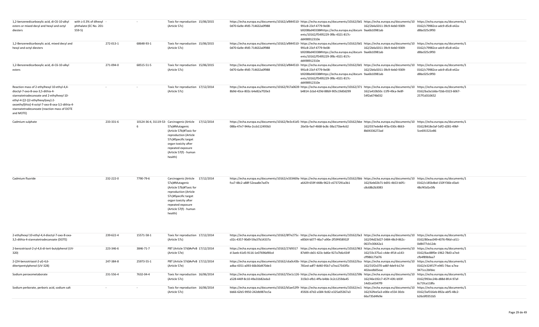| 1,2-benzenedicarboxylic acid, di-C6-10-alkyl<br>esters or mixed decyl and hexyl and octyl<br>diesters                                                                                                                                                                               | with $\geq 0.3\%$ of dihexyl<br>phthalate (EC No. 201-<br>$559-5)$ |           |            | Toxic for reproduction 15/06/2015<br>(Article 57c)                                                                                                                                                                                     | https://echa.europa.eu/documents/10162/af844510- https://echa.europa.eu/documents/10162/0d1 https://echa.europa.eu/documents/10 https://echa.europa.eu/documents/10 https://echa.europa.eu/documents/1<br>0d70-6a9e-4fd5-714632a0f988                         | 991c8-23cf-4779-9e08-<br>b9208bd40338#https://echa.europa.eu/docum 9aa6b10981ab<br>ents/10162/f5495229-3f8c-4321-817c-<br>dd498912310e | 162/2b4a5011-39c9-4eb0-9309-                 | 0162/c79982ce-adc9-d5c8-e42a-<br>d8bc025c9f93 |
|-------------------------------------------------------------------------------------------------------------------------------------------------------------------------------------------------------------------------------------------------------------------------------------|--------------------------------------------------------------------|-----------|------------|----------------------------------------------------------------------------------------------------------------------------------------------------------------------------------------------------------------------------------------|---------------------------------------------------------------------------------------------------------------------------------------------------------------------------------------------------------------------------------------------------------------|----------------------------------------------------------------------------------------------------------------------------------------|----------------------------------------------|-----------------------------------------------|
| 1,2-Benzenedicarboxylic acid, mixed decyl and<br>hexyl and octyl diesters                                                                                                                                                                                                           |                                                                    | 272-013-1 | 68648-93-1 | Toxic for reproduction 15/06/2015<br>(Article 57c)                                                                                                                                                                                     | https://echa.europa.eu/documents/10162/af844510- https://echa.europa.eu/documents/10162/0d1 https://echa.europa.eu/documents/10 https://echa.europa.eu/documents/1<br>0d70-6a9e-4fd5-714632a0f988                                                             | 991c8-23cf-4779-9e08-<br>b9208bd40338#https://echa.europa.eu/docum 9aa6b10981ab<br>ents/10162/f5495229-3f8c-4321-817c-<br>dd498912310e | 162/2b4a5011-39c9-4eb0-9309-                 | 0162/c79982ce-adc9-d5c8-e42a-<br>d8bc025c9f93 |
| 1,2-Benzenedicarboxylic acid, di-C6-10-alkyl<br>esters                                                                                                                                                                                                                              |                                                                    | 271-094-0 | 68515-51-5 | Toxic for reproduction 15/06/2015<br>(Article 57c)                                                                                                                                                                                     | https://echa.europa.eu/documents/10162/af844510- https://echa.europa.eu/documents/10162/0d1 https://echa.europa.eu/documents/10 https://echa.europa.eu/documents/1<br>0d70-6a9e-4fd5-714632a0f988                                                             | 991c8-23cf-4779-9e08-<br>b9208bd40338#https://echa.europa.eu/docum 9aa6b10981ab<br>ents/10162/f5495229-3f8c-4321-817c-<br>dd498912310e | 162/2b4a5011-39c9-4eb0-9309-                 | 0162/c79982ce-adc9-d5c8-e42a-<br>d8bc025c9f93 |
| Reaction mass of 2-ethylhexyl 10-ethyl-4,4-<br>dioctyl-7-oxo-8-oxa-3,5-dithia-4-<br>stannatetradecanoate and 2-ethylhexyl 10-<br>ethyl-4-[[2-[(2-ethylhexyl)oxy]-2-<br>oxoethyl]thio]-4-octyl-7-oxo-8-oxa-3,5-dithia-4-<br>stannatetradecanoate (reaction mass of DOTE<br>and MOTE) |                                                                    | $\sim$    |            | Toxic for reproduction 17/12/2014<br>(Article 57c)                                                                                                                                                                                     | https://echa.europa.eu/documents/10162/917a0639·https://echa.europa.eu/documents/10162/371 https://echa.europa.eu/documents/10 https://echa.europa.eu/documents/1<br>8b9d-43ce-802c-b4e82a7f20e3                                                              | b4814-2cbd-429d-88b9-905c19d0d299                                                                                                      | 162/a410b50c-11f9-49ca-9e8f-<br>54f2a674b032 | 0162/ba3a1dda-f1bb-0323-6067-<br>257f1d310652 |
| Cadmium sulphate                                                                                                                                                                                                                                                                    |                                                                    | 233-331-6 |            | 10124-36-4, 31119-53- Carcinogenic (Article 17/12/2014<br>57a)#Mutagenic<br>(Article 57b)#Toxic for<br>reproduction (Article<br>57c)#Specific target<br>organ toxicity after<br>repeated exposure<br>(Article 57(f) - human<br>health) | https://echa.europa.eu/documents/10162/9e3c41d5-https://echa.europa.eu/documents/10162/bbe https://echa.europa.eu/documents/10 https://echa.europa.eu/documents/1<br>088a-47e7-944a-2ccb112493b3                                                              | 26e5b-facf-4668-bc8c-38a175be4c62                                                                                                      | 162/037ede8d-4f3a-030c-8663-<br>8b04336272ad | 0162/8418e3af-5df2-d281-49bf-<br>5ce691521e86 |
| Cadmium fluoride                                                                                                                                                                                                                                                                    |                                                                    | 232-222-0 | 7790-79-6  | Carcinogenic (Article 17/12/2014<br>57a)#Mutagenic<br>(Article 57b)#Toxic for<br>reproduction (Article<br>57c)#Specific target<br>organ toxicity after<br>repeated exposure<br>(Article 57(f) - human<br>health)                       | https://echa.europa.eu/documents/10162/e333469a·https://echa.europa.eu/documents/10162/0bb https://echa.europa.eu/documents/10 https://echa.europa.eu/documents/1<br>fca7-48c2-a88f-52eaa8e7ad7e                                                              | a6429-659f-448b-9623-c6737291a3b1                                                                                                      | 162/6eb02b71-b691-4b53-b0f1<br>c8c68b2b3083  | 0162/c185b4bd-150f-f36b-d3a4-<br>48cf45d1e5fb |
| 2-ethylhexyl 10-ethyl-4,4-dioctyl-7-oxo-8-oxa-<br>3,5-dithia-4-stannatetradecanoate (DOTE)                                                                                                                                                                                          |                                                                    | 239-622-4 | 15571-58-1 | Toxic for reproduction 17/12/2014<br>(Article 57c)                                                                                                                                                                                     | https://echa.europa.eu/documents/10162/8f7e275c- https://echa.europa.eu/documents/10162/0a3 https://echa.europa.eu/documents/10 https://echa.europa.eu/documents/1<br>c02c-4357-90d9-59a37b14337a                                                             | e8564-b077-46a7-a90e-2f59f458932f                                                                                                      | 162/04d23d27-3484-48c9-862c-<br>0637e30642a1 | 0162/80eac049-4076-f96d-cd11-<br>0d8477cb12dc |
| 2-benzotriazol-2-yl-4,6-di-tert-butylphenol (UV-<br>320)                                                                                                                                                                                                                            |                                                                    | 223-346-6 | 3846-71-7  | PBT (Article 57d)#vPvB 17/12/2014<br>(Article 57e)                                                                                                                                                                                     | https://echa.europa.eu/documents/10162/27d9317 https://echa.europa.eu/documents/10162/963 https://echa.europa.eu/documents/10 https://echa.europa.eu/documents/1<br>d-3aeb-41d5-9116-1e07696d90cd                                                             | 87d49-cb01-423c-bd6e-927a7b6c434f                                                                                                      | 162/33c375a1-c4de-4f14-a143-<br>cff986175d76 | 0162/6ac88f0e-1962-78d3-a7ed-<br>cfb4f89b9aa7 |
| 2-(2H-benzotriazol-2-yl)-4,6-<br>ditertpentylphenol (UV-328)                                                                                                                                                                                                                        |                                                                    | 247-384-8 | 25973-55-1 | PBT (Article 57d)#vPvB 17/12/2014<br>(Article 57e)                                                                                                                                                                                     | https://echa.europa.eu/documents/10162/c6a0c43b- https://echa.europa.eu/documents/10162/0ca https://echa.europa.eu/documents/10 https://echa.europa.eu/documents/10 https://echa.europa.eu/documents/10<br>adba-4351-a093-66b36d470de3                        | 781ed-adf7-4d40-95b7-a7ea17543f5c                                                                                                      | 162/31f2c070-ad6f-4de9-b17d-<br>402eedb05eac | 0162/e324f17f-e945-74ac-a7ea-<br>9471cc2bfdec |
| Sodium peroxometaborate                                                                                                                                                                                                                                                             |                                                                    | 231-556-4 | 7632-04-4  | Toxic for reproduction 16/06/2014<br>(Article 57c)                                                                                                                                                                                     | https://echa.europa.eu/documents/10162/55e1c126- https://echa.europa.eu/documents/10162/59b https://echa.europa.eu/documents/10 https://echa.europa.eu/documents/10 https://echa.europa.eu/documents/10 https://echa.europa.eu<br>a528-440f-8c10-49a31b82eda3 | 315b3-efb1-4ffa-b4bb-3c2c1259da45                                                                                                      | 162/46e192c7-457f-43fc-b93f-<br>14d2ce0347f9 | 0162/993ec24b-d88d-8fc4-97af-<br>6c71fca118fa |
| Sodium perborate, perboric acid, sodium salt                                                                                                                                                                                                                                        |                                                                    |           |            | Toxic for reproduction 16/06/2014<br>(Article 57c)                                                                                                                                                                                     | https://echa.europa.eu/documents/10162/b5ae52f9- https://echa.europa.eu/documents/10162/ec1 https://echa.europa.eu/documents/10 https://echa.europa.eu/documents/10 https://echa.europa.eu/documents/10 https://echa.europa.eu<br>bb66-62b5-9950-242db987ec5a | 45926-d7d2-a584-9c82-e325a05367a3                                                                                                      | 162/42fee5a3-e00e-e554-30cb-<br>66a735d4fe9e | 0162/3af316eb-892a-abf5-48c2-<br>b26c6f0351b5 |
|                                                                                                                                                                                                                                                                                     |                                                                    |           |            |                                                                                                                                                                                                                                        |                                                                                                                                                                                                                                                               |                                                                                                                                        |                                              |                                               |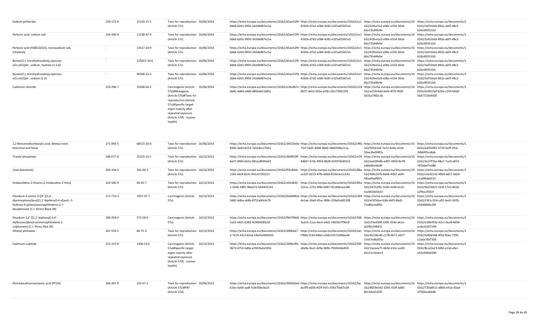| Sodium perborate                            | 239-172-9 | 15120-21-5  | Toxic for reproduction 16/06/2014<br>(Article 57c) | https://echa.europa.eu/documents/10162/b5ae52f9- https://echa.europa.eu/documents/10162/ec1 https://echa.europa.eu/documents/10 https://echa.europa.eu/documents/1<br>bb66-62b5-9950-242db987ec5a | 45926-d7d2-a584-9c82-e325a05367a3 | 162/42fee5a3-e00e-e554-30cb-<br>66a735d4fe9e | 0162/3af316eb-892a-abf5-48c2-<br>b26c6f0351b5 |  |
|---------------------------------------------|-----------|-------------|----------------------------------------------------|---------------------------------------------------------------------------------------------------------------------------------------------------------------------------------------------------|-----------------------------------|----------------------------------------------|-----------------------------------------------|--|
| Perboric acid, sodium salt                  | 234-390-0 | 11138-47-9  | Toxic for reproduction 16/06/2014                  | https://echa.europa.eu/documents/10162/b5ae52f9- https://echa.europa.eu/documents/10162/ec1 https://echa.europa.eu/documents/10 https://echa.europa.eu/documents/1                                |                                   |                                              |                                               |  |
|                                             |           |             | (Article 57c)                                      | bb66-62b5-9950-242db987ec5a                                                                                                                                                                       | 45926-d7d2-a584-9c82-e325a05367a3 | 162/42fee5a3-e00e-e554-30cb-                 | 0162/3af316eb-892a-abf5-48c2-                 |  |
|                                             |           |             |                                                    |                                                                                                                                                                                                   |                                   | 66a735d4fe9e                                 | b26c6f0351b5                                  |  |
| Perboric acid (H3BO2(O2)), monosodium salt, |           | 13517-20-9  | Toxic for reproduction 16/06/2014                  | https://echa.europa.eu/documents/10162/b5ae52f9- https://echa.europa.eu/documents/10162/ec1 https://echa.europa.eu/documents/10 https://echa.europa.eu/documents/1                                |                                   |                                              |                                               |  |
| trihydrate                                  |           |             | (Article 57c)                                      | bb66-62b5-9950-242db987ec5a                                                                                                                                                                       | 45926-d7d2-a584-9c82-e325a05367a3 | 162/42fee5a3-e00e-e554-30cb-                 | 0162/3af316eb-892a-abf5-48c2-                 |  |
|                                             |           |             |                                                    |                                                                                                                                                                                                   |                                   | 66a735d4fe9e                                 | b26c6f0351b5                                  |  |
| Borate(2-), tetrahydroxybis[µ-(peroxy-      |           | 125022-34-6 | Toxic for reproduction 16/06/2014                  | https://echa.europa.eu/documents/10162/b5ae52f9- https://echa.europa.eu/documents/10162/ec1 https://echa.europa.eu/documents/10 https://echa.europa.eu/documents/1                                |                                   |                                              |                                               |  |
| KO1:KO2)]di-, sodium, hydrate (1:2:6)       |           |             | (Article 57c)                                      | bb66-62b5-9950-242db987ec5a                                                                                                                                                                       | 45926-d7d2-a584-9c82-e325a05367a3 | 162/42fee5a3-e00e-e554-30cb-                 | 0162/3af316eb-892a-abf5-48c2-                 |  |
|                                             |           |             |                                                    |                                                                                                                                                                                                   |                                   | 66a735d4fe9e                                 | b26c6f0351b5                                  |  |
| Borate(2-), tetrahydroxybis[µ-(peroxy-      |           | 90568-23-3  | Toxic for reproduction 16/06/2014                  | https://echa.europa.eu/documents/10162/b5ae52f9- https://echa.europa.eu/documents/10162/ec1 https://echa.europa.eu/documents/10 https://echa.europa.eu/documents/1                                |                                   |                                              |                                               |  |
| κO1:κO2)]di-, sodium (1:2)                  |           |             | (Article 57c)                                      | bb66-62b5-9950-242db987ec5a                                                                                                                                                                       | 45926-d7d2-a584-9c82-e325a05367a3 | 162/42fee5a3-e00e-e554-30cb-                 | 0162/3af316eb-892a-abf5-48c2-                 |  |
|                                             |           |             |                                                    |                                                                                                                                                                                                   |                                   | 66a735d4fe9e                                 | b26c6f0351b5                                  |  |
| Cadmium chloride                            | 233-296-7 | 10108-64-2  | Carcinogenic (Article<br>16/06/2014                | https://echa.europa.eu/documents/10162/e2bc867c- https://echa.europa.eu/documents/10162/a7d https://echa.europa.eu/documents/10 https://echa.europa.eu/documents/1                                |                                   |                                              |                                               |  |
|                                             |           |             | 57a)#Mutagenic                                     | de85-4d6d-a9d6-d856ab51685c                                                                                                                                                                       | Ofcf7-deb2-402e-af3b-c3b1759615f9 | 162/a210c4dd-6ef4-4f76-9fd9-                 | 0162/dc9015af-635b-c359-b9d4-                 |  |
|                                             |           |             | (Article 57b)#Toxic for                            |                                                                                                                                                                                                   |                                   | 5b35a7482c1b                                 | 56d7725b9d58                                  |  |
|                                             |           |             | reproduction (Article                              |                                                                                                                                                                                                   |                                   |                                              |                                               |  |
|                                             |           |             | 57c)#Specific target                               |                                                                                                                                                                                                   |                                   |                                              |                                               |  |
|                                             |           |             | organ toxicity after                               |                                                                                                                                                                                                   |                                   |                                              |                                               |  |
|                                             |           |             | repeated exposure                                  |                                                                                                                                                                                                   |                                   |                                              |                                               |  |
|                                             |           |             | (Article 57(f) - human                             |                                                                                                                                                                                                   |                                   |                                              |                                               |  |
|                                             |           |             | health)                                            |                                                                                                                                                                                                   |                                   |                                              |                                               |  |
|                                             |           |             |                                                    |                                                                                                                                                                                                   |                                   |                                              |                                               |  |

| 1,2-Benzenedicarboxylic acid, dihexyl ester,    | 271-093-5 | 68515-50-4 | Toxic for reproduction 16/06/2014   | https://echa.europa.eu/documents/10162/34533e6e https://echa.europa.eu/documents/10162/4ffa https://echa.europa.eu/documents/10 https://echa.europa.eu/documents/10 |                                   |                                                                        |                                                                        |
|-------------------------------------------------|-----------|------------|-------------------------------------|---------------------------------------------------------------------------------------------------------------------------------------------------------------------|-----------------------------------|------------------------------------------------------------------------|------------------------------------------------------------------------|
| branched and linear                             |           |            | (Article 57c)                       | 84d2-4a40-815d-7a02dac17041                                                                                                                                         | 71cf-34d5-4968-9b46-58d2398a211a  | 162/f2fc61d4-7e23-4a9a-a52d-                                           | 0162/e4456f95-477d-9cf9-2fcb-                                          |
|                                                 |           |            |                                     |                                                                                                                                                                     |                                   | 10ae36e9987e                                                           | 3db6f05ca8ab                                                           |
| Trixylyl phosphate                              | 246-677-8 | 25155-23-1 | Toxic for reproduction 16/12/2013   | https://echa.europa.eu/documents/10162/464f639f- https://echa.europa.eu/documents/10162/e76 https://echa.europa.eu/documents/10 https://echa.europa.eu/documents/1  |                                   |                                                                        |                                                                        |
|                                                 |           |            | (Article 57c)                       | 6e07-4966-b63a-081ac8040e63                                                                                                                                         | 4d667-57dc-4956-8628-6245f36d5552 | 162/aa428e86-ed97-4450-8e78-                                           | 0162/3e37f35a-48a7-7ce9-a97d-                                          |
|                                                 |           |            |                                     |                                                                                                                                                                     |                                   | cdbb06e46c8f                                                           | 7659def7e080                                                           |
| Lead di(acetate)                                | 206-104-4 | 301-04-2   | Toxic for reproduction 16/12/2013   | https://echa.europa.eu/documents/10162/ff4184dc-https://echa.europa.eu/documents/10162/86a                                                                          |                                   | https://echa.europa.eu/documents/10 https://echa.europa.eu/documents/1 |                                                                        |
|                                                 |           |            | (Article 57c)                       | c595-4dc8-8241-941c073f2221                                                                                                                                         | ce337-8153-47fb-b0b0-8193c621c433 | 162/49fa197b-8a06-4d92-abf4-                                           | 0162/c0a30142-49b9-a857-0d20-                                          |
|                                                 |           |            |                                     |                                                                                                                                                                     |                                   | f40ad0a6f815                                                           | e1a6f6da0525                                                           |
| Imidazolidine-2-thione (2-imidazoline-2-thiol)  | 202-506-9 | 96-45-7    | Toxic for reproduction 16/12/2013   | https://echa.europa.eu/documents/10162/e01d830 https://echa.europa.eu/documents/10162/85a https://echa.europa.eu/documents/10 https://echa.europa.eu/documents/1    |                                   |                                                                        |                                                                        |
|                                                 |           |            | (Article 57c)                       | 1-5596-4905-98ad-f17eb9455241                                                                                                                                       | 2311e-2252-4f8a-b987-451846cee286 | 162/24751f9c-5206-4190-bcc9-                                           | 0162/f6d7dd12-593f-57e5-8026-                                          |
|                                                 |           |            |                                     |                                                                                                                                                                     |                                   | 3ca9418e0e31                                                           | a2f9cccf561f                                                           |
| Disodium 4-amino-3-[[4'-[(2,4-                  | 217-710-3 | 1937-37-7  | 16/12/2013<br>Carcinogenic (Article | https://echa.europa.eu/documents/10162/6ab9d8cb- https://echa.europa.eu/documents/10162/d04                                                                         |                                   | https://echa.europa.eu/documents/                                      | https://echa.europa.eu/documents/1                                     |
| diaminophenyl)azo][1,1'-biphenyl]-4-yl]azo] -5- |           |            | 57a)                                | 2d82-4dba-a68b-8752a00c4c76                                                                                                                                         | de1ae-26e0-45ac-969c-259a0cdd5338 | 162/ef1f3daa-fc8b-4bf5-8bd1-                                           | 0162/2261c554-cdf2-4ed1-9205-                                          |
| hydroxy-6-(phenylazo)naphthalene-2,7-           |           |            |                                     |                                                                                                                                                                     |                                   | 71e80a2adf62                                                           | e54d68d6e20f                                                           |
| disulphonate (C.I. Direct Black 38)             |           |            |                                     |                                                                                                                                                                     |                                   |                                                                        |                                                                        |
| Disodium 3,3'-[[1,1'-biphenyl]-4,4'-            | 209-358-4 | 573-58-0   | Carcinogenic (Article<br>16/12/2013 | https://echa.europa.eu/documents/10162/f9d799e8-https://echa.europa.eu/documents/10162/fd8 https://echa.europa.eu/documents/10 https://echa.europa.eu/documents/1   |                                   |                                                                        |                                                                        |
| diylbis(azo)]bis(4-aminonaphthalene-1-          |           |            | 57a)                                | 5a32-44d1-b383-4c9695085cbf                                                                                                                                         | 3a2e5-21ca-4ec4-a4d2-2465637f90c0 | 162/cf3a4398-3305-424e-ab1e-                                           | 0162/e306453a-92c1-0aa9-469d-                                          |
| sulphonate) (C.I. Direct Red 28)                |           |            |                                     |                                                                                                                                                                     |                                   | a02fbc548431                                                           | acde10267249                                                           |
| Dihexyl phthalate                               | 201-559-5 | 84-75-3    | Toxic for reproduction 16/12/2013   | https://echa.europa.eu/documents/10162/d90bb47 https://echa.europa.eu/documents/10162/eec https://echa.europa.eu/documents/10 https://echa.europa.eu/documents/1    |                                   |                                                                        |                                                                        |
|                                                 |           |            | (Article 57c)                       | a-7e33-43c3-82ad-18a55d39d502                                                                                                                                       | f78d5-f23d-44b0-a3db-0357c698ae4b | 162/65336c46-c178-4b71-a927-                                           | 0162/fa40d148-4f2d-9cbe-7295-                                          |
|                                                 |           |            |                                     |                                                                                                                                                                     |                                   | 15437e8b303a                                                           | c2ada7db7356                                                           |
| Cadmium sulphide                                | 215-147-8 | 1306-23-6  | Carcinogenic (Article<br>16/12/2013 | https://echa.europa.eu/documents/10162/204bc9fa- https://echa.europa.eu/documents/10162/f30                                                                         |                                   |                                                                        | https://echa.europa.eu/documents/10 https://echa.europa.eu/documents/1 |
|                                                 |           |            | 57a)#Specific target                | 0673-4753-bd0e-e3503b4a1956                                                                                                                                         | a9a9a-9ce1-429e-96fb-7f24fe4de850 | 162/2aceee75-6b50-416c-aa30-                                           | 0162/8cce0a23-b9bf-a13d-afa1-                                          |
|                                                 |           |            | organ toxicity after                |                                                                                                                                                                     |                                   | d3131c5eeee3                                                           | a42e946b4390                                                           |
|                                                 |           |            | repeated exposure                   |                                                                                                                                                                     |                                   |                                                                        |                                                                        |
|                                                 |           |            | (Article 57(f) - human              |                                                                                                                                                                     |                                   |                                                                        |                                                                        |
|                                                 |           |            | health)                             |                                                                                                                                                                     |                                   |                                                                        |                                                                        |
|                                                 |           |            |                                     |                                                                                                                                                                     |                                   |                                                                        |                                                                        |
|                                                 |           |            |                                     |                                                                                                                                                                     |                                   |                                                                        |                                                                        |
| Pentadecafluorooctanoic acid (PFOA)             | 206-397-9 | 335-67-1   | Toxic for reproduction 20/06/2013   | https://echa.europa.eu/documents/10162/092663e6-https://echa.europa.eu/documents/10162/fac                                                                          |                                   | https://echa.europa.eu/documents/10 https://echa.europa.eu/documents/1 |                                                                        |
|                                                 |           |            | (Article 57c)#PBT                   | b14a-4a06-aadf-fc0e56bc0a23                                                                                                                                         | da3f9-a050-4f29-91f1-358175b67a39 | 162/8059e342-1092-410f-bd85-                                           | 0162/730a8511-d866-e91a-d3ad-                                          |
|                                                 |           |            | (Article 57d)                       |                                                                                                                                                                     |                                   | 80118a5526f5                                                           | 1f700ea36b8b                                                           |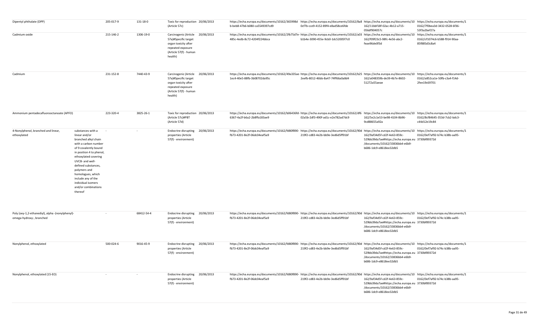| Dipentyl phthalate (DPP)                                                     |                                                                                                                                                                                                                                                                                                                              | 205-017-9 | 131-18-0   | Toxic for reproduction 20/06/2013<br>(Article 57c)                                                                                            | https://echa.europa.eu/documents/10162/365998d https://echa.europa.eu/documents/10162/8a8 https://echa.europa.eu/documents/10 https://echa.europa.eu/documents/1<br>b-beb8-47b6-b080-ca5549397cd9 | 0cf7b-cce9-4152-89f4-e8ad58ce6fde | 162/11bbf18f-02ac-4b12-a715-<br>056df904057c                                                                                                  | 0162/7f0bea3d-3432-0528-6f36-<br>53f3a2bef27a |
|------------------------------------------------------------------------------|------------------------------------------------------------------------------------------------------------------------------------------------------------------------------------------------------------------------------------------------------------------------------------------------------------------------------|-----------|------------|-----------------------------------------------------------------------------------------------------------------------------------------------|---------------------------------------------------------------------------------------------------------------------------------------------------------------------------------------------------|-----------------------------------|-----------------------------------------------------------------------------------------------------------------------------------------------|-----------------------------------------------|
| Cadmium oxide                                                                |                                                                                                                                                                                                                                                                                                                              | 215-146-2 | 1306-19-0  | Carcinogenic (Article<br>20/06/2013<br>57a)#Specific target<br>organ toxicity after<br>repeated exposure<br>(Article 57(f) - human<br>health) | https://echa.europa.eu/documents/10162/2fb75d7e- https://echa.europa.eu/documents/10162/a03 https://echa.europa.eu/documents/10 https://echa.europa.eu/documents/1<br>485c-4edb-8c72-4204f224bbca | b1b4e-3090-455e-9cb0-1dc52005f7c0 | 162/f09f23c5-98fc-4e56-abc2-<br>feae96de0f3d                                                                                                  | 0162/cf1074c6-b588-f914-90aa-<br>85f885d3c8a4 |
| Cadmium                                                                      |                                                                                                                                                                                                                                                                                                                              | 231-152-8 | 7440-43-9  | Carcinogenic (Article 20/06/2013<br>57a)#Specific target<br>organ toxicity after<br>repeated exposure<br>(Article 57(f) - human<br>health)    | https://echa.europa.eu/documents/10162/49a335ae-https://echa.europa.eu/documents/10162/b25 https://echa.europa.eu/documents/10 https://echa.europa.eu/documents/1<br>1ec4-40e5-88fb-3b08702da95c  | 2eefb-8012-46bb-8a47-74ff66a0a8d4 | 162/a048359b-de39-4b7e-8602-<br>51272a55aeae                                                                                                  | 0162/a852ca1e-50fb-c3a4-f14d-<br>2fee19c69701 |
| Ammonium pentadecafluorooctanoate (APFO)                                     |                                                                                                                                                                                                                                                                                                                              | 223-320-4 | 3825-26-1  | Toxic for reproduction 20/06/2013<br>(Article 57c)#PBT<br>(Article 57d)                                                                       | https://echa.europa.eu/documents/10162/b06436fd-https://echa.europa.eu/documents/10162/df6 https://echa.europa.eu/documents/10 https://echa.europa.eu/documents/1<br>6367-4a2f-b6a2-2b8ffa183ae9  | 02a5b-2df3-490f-ad1c-e2e782ad7dc9 | 162/5e2c1e53-be98-4104-8b96-<br>9cd88655a92a                                                                                                  | 0162/8cf84645-353d-7cb2-bdc3-<br>c44d12e19c84 |
| 4-Nonylphenol, branched and linear,<br>ethoxylated                           | substances with a<br>linear and/or<br>branched alkyl chain<br>with a carbon number<br>of 9 covalently bound<br>in position 4 to phenol,<br>ethoxylated covering<br>UVCB- and well-<br>defined substances,<br>polymers and<br>homologues, which<br>include any of the<br>individual isomers<br>and/or combinations<br>thereof |           |            | 20/06/2013<br>Endocrine disrupting<br>properties (Article<br>57(f) - environment)                                                             | https://echa.europa.eu/documents/10162/fd80f890- https://echa.europa.eu/documents/10162/90d https://echa.europa.eu/documents/10 https://echa.europa.eu/documents/1<br>fb73-4201-8e2f-06dc04eaf5a9 | 219f2-cd83-4e2b-bb9e-3ed6d5ff91bf | 162/9af34d5f-cd2f-4e63-859c-<br>529bb39da7ae#https://echa.europa.eu 3730bf89372d<br>/documents/10162/33836bb4-e6b9-<br>b686-1dc9-e8618ee32db5 | 0162/0ef7af92-b74c-b38b-aa95-                 |
| Poly (oxy-1,2-ethanediyl), alpha -(nonylphenyl)-<br>omega-hydroxy-, branched |                                                                                                                                                                                                                                                                                                                              |           | 68412-54-4 | Endocrine disrupting 20/06/2013<br>properties (Article<br>57(f) - environment)                                                                | https://echa.europa.eu/documents/10162/fd80f890- https://echa.europa.eu/documents/10162/90d https://echa.europa.eu/documents/10 https://echa.europa.eu/documents/1<br>fb73-4201-8e2f-06dc04eaf5a9 | 219f2-cd83-4e2b-bb9e-3ed6d5ff91bf | 162/9af34d5f-cd2f-4e63-859c-<br>529bb39da7ae#https://echa.europa.eu 3730bf89372d<br>/documents/10162/33836bb4-e6b9-<br>b686-1dc9-e8618ee32db5 | 0162/0ef7af92-b74c-b38b-aa95-                 |
| Nonylphenol, ethoxylated                                                     |                                                                                                                                                                                                                                                                                                                              | 500-024-6 | 9016-45-9  | Endocrine disrupting 20/06/2013<br>properties (Article<br>57(f) - environment)                                                                | https://echa.europa.eu/documents/10162/fd80f890- https://echa.europa.eu/documents/10162/90d https://echa.europa.eu/documents/10 https://echa.europa.eu/documents/1<br>fb73-4201-8e2f-06dc04eaf5a9 | 219f2-cd83-4e2b-bb9e-3ed6d5ff91bf | 162/9af34d5f-cd2f-4e63-859c-<br>529bb39da7ae#https://echa.europa.eu 3730bf89372d<br>/documents/10162/33836bb4-e6b9-<br>b686-1dc9-e8618ee32db5 | 0162/0ef7af92-b74c-b38b-aa95-                 |
| Nonylphenol, ethoxylated (15-EO)                                             |                                                                                                                                                                                                                                                                                                                              |           |            | Endocrine disrupting 20/06/2013<br>properties (Article<br>57(f) - environment)                                                                | https://echa.europa.eu/documents/10162/fd80f890- https://echa.europa.eu/documents/10162/90d https://echa.europa.eu/documents/10 https://echa.europa.eu/documents/1<br>fb73-4201-8e2f-06dc04eaf5a9 | 219f2-cd83-4e2b-bb9e-3ed6d5ff91bf | 162/9af34d5f-cd2f-4e63-859c-<br>529bb39da7ae#https://echa.europa.eu 3730bf89372d<br>/documents/10162/33836bb4-e6b9-<br>b686-1dc9-e8618ee32db5 | 0162/0ef7af92-b74c-b38b-aa95-                 |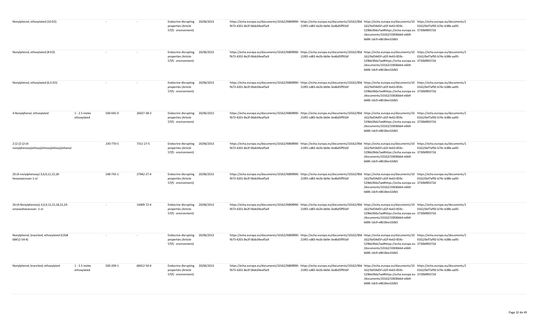| Nonylphenol, ethoxylated (10-EO)                                    |                              |           |            | Endocrine disrupting 20/06/2013<br>properties (Article<br>57(f) - environment) |            | https://echa.europa.eu/documents/10162/fd80f890-https://echa.europa.eu/documents/10162/90d https://echa.europa.eu/documents/10 https://echa.europa.eu/documents/10 https://echa.europa.eu/documents/10 https://echa.europa.eu/<br>fb73-4201-8e2f-06dc04eaf5a9 | 219f2-cd83-4e2b-bb9e-3ed6d5ff91bf | 162/9af34d5f-cd2f-4e63-859c-<br>529bb39da7ae#https://echa.europa.eu 3730bf89372d<br>/documents/10162/33836bb4-e6b9-<br>b686-1dc9-e8618ee32db5 | 0162/0ef7af92-b74c-b38b-aa95- |  |
|---------------------------------------------------------------------|------------------------------|-----------|------------|--------------------------------------------------------------------------------|------------|---------------------------------------------------------------------------------------------------------------------------------------------------------------------------------------------------------------------------------------------------------------|-----------------------------------|-----------------------------------------------------------------------------------------------------------------------------------------------|-------------------------------|--|
| Nonylphenol, ethoxylated (8-EO)                                     |                              |           |            | Endocrine disrupting 20/06/2013<br>properties (Article<br>57(f) - environment) |            | https://echa.europa.eu/documents/10162/fd80f890- https://echa.europa.eu/documents/10162/90d https://echa.europa.eu/documents/10 https://echa.europa.eu/documents/10 https://echa.europa.eu/documents/10<br>fb73-4201-8e2f-06dc04eaf5a9                        | 219f2-cd83-4e2b-bb9e-3ed6d5ff91bf | 162/9af34d5f-cd2f-4e63-859c-<br>529bb39da7ae#https://echa.europa.eu 3730bf89372d<br>/documents/10162/33836bb4-e6b9-<br>b686-1dc9-e8618ee32db5 | 0162/0ef7af92-b74c-b38b-aa95- |  |
| Nonylphenol, ethoxylated (6,5-EO)                                   |                              |           |            | <b>Endocrine disrupting</b><br>properties (Article<br>57(f) - environment)     | 20/06/2013 | https://echa.europa.eu/documents/10162/fd80f890-https://echa.europa.eu/documents/10162/90d https://echa.europa.eu/documents/10 https://echa.europa.eu/documents/1<br>fb73-4201-8e2f-06dc04eaf5a9                                                              | 219f2-cd83-4e2b-bb9e-3ed6d5ff91bf | 162/9af34d5f-cd2f-4e63-859c-<br>529bb39da7ae#https://echa.europa.eu 3730bf89372d<br>/documents/10162/33836bb4-e6b9-<br>b686-1dc9-e8618ee32db5 | 0162/0ef7af92-b74c-b38b-aa95- |  |
| 4-Nonylphenol, ethoxylated                                          | 1 - 2.5 moles<br>ethoxylated | 500-045-0 | 26027-38-3 | Endocrine disrupting 20/06/2013<br>properties (Article<br>57(f) - environment) |            | https://echa.europa.eu/documents/10162/fd80f890- https://echa.europa.eu/documents/10162/90d https://echa.europa.eu/documents/10 https://echa.europa.eu/documents/1<br>fb73-4201-8e2f-06dc04eaf5a9                                                             | 219f2-cd83-4e2b-bb9e-3ed6d5ff91bf | 162/9af34d5f-cd2f-4e63-859c-<br>529bb39da7ae#https://echa.europa.eu 3730bf89372d<br>/documents/10162/33836bb4-e6b9-<br>b686-1dc9-e8618ee32db5 | 0162/0ef7af92-b74c-b38b-aa95- |  |
| $2-[2-[2-[2-(4-$<br>nonylphenoxy)ethoxy]ethoxy]ethoxy]ethanol       |                              | 230-770-5 | 7311-27-5  | <b>Endocrine disrupting</b><br>properties (Article<br>57(f) - environment)     | 20/06/2013 | https://echa.europa.eu/documents/10162/fd80f890-https://echa.europa.eu/documents/10162/90d https://echa.europa.eu/documents/10 https://echa.europa.eu/documents/10 https://echa.europa.eu/documents/10 https://echa.europa.eu/<br>fb73-4201-8e2f-06dc04eaf5a9 | 219f2-cd83-4e2b-bb9e-3ed6d5ff91bf | 162/9af34d5f-cd2f-4e63-859c-<br>529bb39da7ae#https://echa.europa.eu 3730bf89372d<br>/documents/10162/33836bb4-e6b9-<br>b686-1dc9-e8618ee32db5 | 0162/0ef7af92-b74c-b38b-aa95- |  |
| 20-(4-nonylphenoxy)-3,6,9,12,15,18-<br>hexaoxaicosan-1-ol           |                              | 248-743-1 | 27942-27-4 | <b>Endocrine disrupting</b><br>properties (Article<br>57(f) - environment)     | 20/06/2013 | https://echa.europa.eu/documents/10162/fd80f890- https://echa.europa.eu/documents/10162/90d https://echa.europa.eu/documents/10 https://echa.europa.eu/documents/1<br>fb73-4201-8e2f-06dc04eaf5a9                                                             | 219f2-cd83-4e2b-bb9e-3ed6d5ff91bf | 162/9af34d5f-cd2f-4e63-859c-<br>529bb39da7ae#https://echa.europa.eu 3730bf89372d<br>/documents/10162/33836bb4-e6b9-<br>b686-1dc9-e8618ee32db5 | 0162/0ef7af92-b74c-b38b-aa95- |  |
| 26-(4-Nonylphenoxy)-3,6,9,12,15,18,21,24-<br>octaoxahexacosan -1-ol |                              |           | 14409-72-4 | <b>Endocrine disrupting</b><br>properties (Article<br>57(f) - environment)     | 20/06/2013 | https://echa.europa.eu/documents/10162/fd80f890- https://echa.europa.eu/documents/10162/90d https://echa.europa.eu/documents/10 https://echa.europa.eu/documents/1<br>fb73-4201-8e2f-06dc04eaf5a9                                                             | 219f2-cd83-4e2b-bb9e-3ed6d5ff91bf | 162/9af34d5f-cd2f-4e63-859c-<br>529bb39da7ae#https://echa.europa.eu 3730bf89372d<br>/documents/10162/33836bb4-e6b9-<br>b686-1dc9-e8618ee32db5 | 0162/0ef7af92-b74c-b38b-aa95- |  |
| Nonylphenol, branched, ethoxylated (CAS#<br>68412-54-4)             |                              |           |            | <b>Endocrine disrupting</b><br>properties (Article<br>57(f) - environment)     | 20/06/2013 | https://echa.europa.eu/documents/10162/fd80f890- https://echa.europa.eu/documents/10162/90d https://echa.europa.eu/documents/10 https://echa.europa.eu/documents/1<br>fb73-4201-8e2f-06dc04eaf5a9                                                             | 219f2-cd83-4e2b-bb9e-3ed6d5ff91bf | 162/9af34d5f-cd2f-4e63-859c-<br>529bb39da7ae#https://echa.europa.eu 3730bf89372d<br>/documents/10162/33836bb4-e6b9-<br>b686-1dc9-e8618ee32db5 | 0162/0ef7af92-b74c-b38b-aa95- |  |
| Nonylphenol, branched, ethoxylated                                  | 1 - 2.5 moles<br>ethoxylated | 500-209-1 | 68412-54-4 | Endocrine disrupting 20/06/2013<br>properties (Article<br>57(f) - environment) |            | https://echa.europa.eu/documents/10162/fd80f890- https://echa.europa.eu/documents/10162/90d https://echa.europa.eu/documents/10 https://echa.europa.eu/documents/1<br>fb73-4201-8e2f-06dc04eaf5a9                                                             | 219f2-cd83-4e2b-bb9e-3ed6d5ff91bf | 162/9af34d5f-cd2f-4e63-859c-<br>529bb39da7ae#https://echa.europa.eu 3730bf89372d<br>/documents/10162/33836bb4-e6b9-<br>b686-1dc9-e8618ee32db5 | 0162/0ef7af92-b74c-b38b-aa95- |  |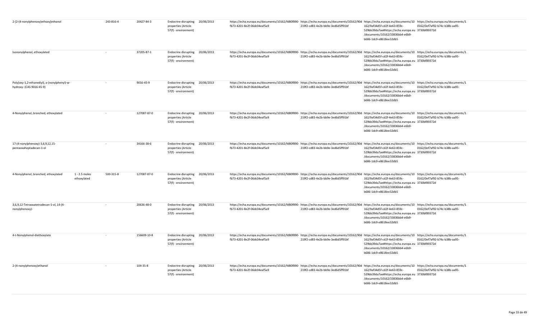| 2-[2-(4-nonylphenoxy)ethoxy]ethanol                                      |                                | 243-816-4 | 20427-84-3  | Endocrine disrupting 20/06/2013<br>properties (Article<br>57(f) - environment) |            | https://echa.europa.eu/documents/10162/fd80f890-https://echa.europa.eu/documents/10162/90d https://echa.europa.eu/documents/10 https://echa.europa.eu/documents/10 https://echa.europa.eu/documents/10<br>fb73-4201-8e2f-06dc04eaf5a9 | 219f2-cd83-4e2b-bb9e-3ed6d5ff91bf | 162/9af34d5f-cd2f-4e63-859c-<br>529bb39da7ae#https://echa.europa.eu 3730bf89372d<br>/documents/10162/33836bb4-e6b9-<br>b686-1dc9-e8618ee32db5 | 0162/0ef7af92-b74c-b38b-aa95- |  |
|--------------------------------------------------------------------------|--------------------------------|-----------|-------------|--------------------------------------------------------------------------------|------------|---------------------------------------------------------------------------------------------------------------------------------------------------------------------------------------------------------------------------------------|-----------------------------------|-----------------------------------------------------------------------------------------------------------------------------------------------|-------------------------------|--|
| Isononylphenol, ethoxylated                                              |                                |           | 37205-87-1  | Endocrine disrupting 20/06/2013<br>properties (Article<br>57(f) - environment) |            | https://echa.europa.eu/documents/10162/fd80f890-https://echa.europa.eu/documents/10162/90d https://echa.europa.eu/documents/10 https://echa.europa.eu/documents/10 https://echa.europa.eu/documents/10<br>fb73-4201-8e2f-06dc04eaf5a9 | 219f2-cd83-4e2b-bb9e-3ed6d5ff91bf | 162/9af34d5f-cd2f-4e63-859c-<br>529bb39da7ae#https://echa.europa.eu 3730bf89372d<br>/documents/10162/33836bb4-e6b9-<br>b686-1dc9-e8618ee32db5 | 0162/0ef7af92-b74c-b38b-aa95- |  |
| Poly(oxy-1,2-ethanediyl), a-(nonylphenyl)-w-<br>hydroxy- (CAS 9016-45-9) |                                |           | 9016-45-9   | Endocrine disrupting 20/06/2013<br>properties (Article<br>57(f) - environment) |            | https://echa.europa.eu/documents/10162/fd80f890- https://echa.europa.eu/documents/10162/90d https://echa.europa.eu/documents/10 https://echa.europa.eu/documents/1<br>fb73-4201-8e2f-06dc04eaf5a9                                     | 219f2-cd83-4e2b-bb9e-3ed6d5ff91bf | 162/9af34d5f-cd2f-4e63-859c-<br>529bb39da7ae#https://echa.europa.eu 3730bf89372d<br>/documents/10162/33836bb4-e6b9-<br>b686-1dc9-e8618ee32db5 | 0162/0ef7af92-b74c-b38b-aa95- |  |
| 4-Nonylphenol, branched, ethoxylated                                     |                                |           | 127087-87-0 | Endocrine disrupting 20/06/2013<br>properties (Article<br>57(f) - environment) |            | https://echa.europa.eu/documents/10162/fd80f890- https://echa.europa.eu/documents/10162/90d https://echa.europa.eu/documents/10 https://echa.europa.eu/documents/1<br>fb73-4201-8e2f-06dc04eaf5a9                                     | 219f2-cd83-4e2b-bb9e-3ed6d5ff91bf | 162/9af34d5f-cd2f-4e63-859c-<br>529bb39da7ae#https://echa.europa.eu 3730bf89372d<br>/documents/10162/33836bb4-e6b9-<br>b686-1dc9-e8618ee32db5 | 0162/0ef7af92-b74c-b38b-aa95- |  |
| 17-(4-nonylphenoxy)-3,6,9,12,15-<br>pentaoxaheptadecan-1-ol              |                                | $\sim$    | 34166-38-6  | Endocrine disrupting<br>properties (Article<br>57(f) - environment)            | 20/06/2013 | https://echa.europa.eu/documents/10162/fd80f890-https://echa.europa.eu/documents/10162/90d https://echa.europa.eu/documents/10 https://echa.europa.eu/documents/10 https://echa.europa.eu/documents/10<br>fb73-4201-8e2f-06dc04eaf5a9 | 219f2-cd83-4e2b-bb9e-3ed6d5ff91bf | 162/9af34d5f-cd2f-4e63-859c-<br>529bb39da7ae#https://echa.europa.eu 3730bf89372d<br>/documents/10162/33836bb4-e6b9-<br>b686-1dc9-e8618ee32db5 | 0162/0ef7af92-b74c-b38b-aa95- |  |
| 4-Nonylphenol, branched, ethoxylated                                     | $1 - 2.5$ moles<br>ethoxylated | 500-315-8 | 127087-87-0 | <b>Endocrine disrupting</b><br>properties (Article<br>57(f) - environment)     | 20/06/2013 | https://echa.europa.eu/documents/10162/fd80f890- https://echa.europa.eu/documents/10162/90d https://echa.europa.eu/documents/10 https://echa.europa.eu/documents/1<br>fb73-4201-8e2f-06dc04eaf5a9                                     | 219f2-cd83-4e2b-bb9e-3ed6d5ff91bf | 162/9af34d5f-cd2f-4e63-859c-<br>529bb39da7ae#https://echa.europa.eu 3730bf89372d<br>/documents/10162/33836bb4-e6b9-<br>b686-1dc9-e8618ee32db5 | 0162/0ef7af92-b74c-b38b-aa95- |  |
| 3,6,9,12-Tetraoxatetradecan-1-ol, 14-(4-<br>nonylphenoxy)-               |                                |           | 20636-48-0  | <b>Endocrine disrupting</b><br>properties (Article<br>57(f) - environment)     | 20/06/2013 | https://echa.europa.eu/documents/10162/fd80f890- https://echa.europa.eu/documents/10162/90d https://echa.europa.eu/documents/10 https://echa.europa.eu/documents/1<br>fb73-4201-8e2f-06dc04eaf5a9                                     | 219f2-cd83-4e2b-bb9e-3ed6d5ff91bf | 162/9af34d5f-cd2f-4e63-859c-<br>529bb39da7ae#https://echa.europa.eu 3730bf89372d<br>/documents/10162/33836bb4-e6b9-<br>b686-1dc9-e8618ee32db5 | 0162/0ef7af92-b74c-b38b-aa95- |  |
| 4-t-Nonylphenol-diethoxylate                                             |                                |           | 156609-10-8 | Endocrine disrupting 20/06/2013<br>properties (Article<br>57(f) - environment) |            | https://echa.europa.eu/documents/10162/fd80f890- https://echa.europa.eu/documents/10162/90d https://echa.europa.eu/documents/10 https://echa.europa.eu/documents/1<br>fb73-4201-8e2f-06dc04eaf5a9                                     | 219f2-cd83-4e2b-bb9e-3ed6d5ff91bf | 162/9af34d5f-cd2f-4e63-859c-<br>529bb39da7ae#https://echa.europa.eu 3730bf89372d<br>/documents/10162/33836bb4-e6b9-<br>b686-1dc9-e8618ee32db5 | 0162/0ef7af92-b74c-b38b-aa95- |  |
| 2-(4-nonylphenoxy)ethanol                                                |                                |           | 104-35-8    | Endocrine disrupting 20/06/2013<br>properties (Article<br>57(f) - environment) |            | https://echa.europa.eu/documents/10162/fd80f890- https://echa.europa.eu/documents/10162/90d https://echa.europa.eu/documents/10 https://echa.europa.eu/documents/1<br>fb73-4201-8e2f-06dc04eaf5a9                                     | 219f2-cd83-4e2b-bb9e-3ed6d5ff91bf | 162/9af34d5f-cd2f-4e63-859c-<br>529bb39da7ae#https://echa.europa.eu 3730bf89372d<br>/documents/10162/33836bb4-e6b9-<br>b686-1dc9-e8618ee32db5 | 0162/0ef7af92-b74c-b38b-aa95- |  |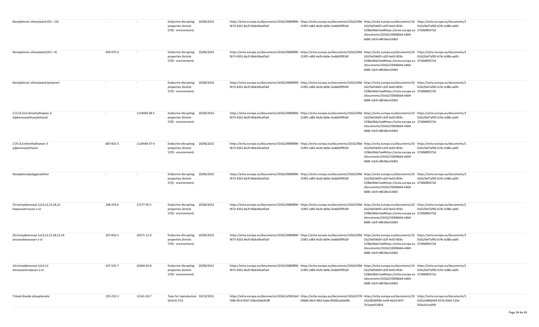| Nonylphenol, ethoxylated (EO = 10)                               |           |              | <b>Endocrine disrupting</b><br>properties (Article<br>57(f) - environment)     | 20/06/2013 | https://echa.europa.eu/documents/10162/fd80f890- https://echa.europa.eu/documents/10162/90d https://echa.europa.eu/documents/10 https://echa.europa.eu/documents/1<br>fb73-4201-8e2f-06dc04eaf5a9 | 219f2-cd83-4e2b-bb9e-3ed6d5ff91bf | 162/9af34d5f-cd2f-4e63-859c-<br>529bb39da7ae#https://echa.europa.eu 3730bf89372d<br>/documents/10162/33836bb4-e6b9-<br>b686-1dc9-e8618ee32db5 | 0162/0ef7af92-b74c-b38b-aa95-                 |
|------------------------------------------------------------------|-----------|--------------|--------------------------------------------------------------------------------|------------|---------------------------------------------------------------------------------------------------------------------------------------------------------------------------------------------------|-----------------------------------|-----------------------------------------------------------------------------------------------------------------------------------------------|-----------------------------------------------|
| Nonylphenol, ethoxylated (EO = 4)                                | 939-975-0 | $\sim$       | <b>Endocrine disrupting</b><br>properties (Article<br>57(f) - environment)     | 20/06/2013 | https://echa.europa.eu/documents/10162/fd80f890- https://echa.europa.eu/documents/10162/90d https://echa.europa.eu/documents/10 https://echa.europa.eu/documents/1<br>fb73-4201-8e2f-06dc04eaf5a9 | 219f2-cd83-4e2b-bb9e-3ed6d5ff91bf | 162/9af34d5f-cd2f-4e63-859c-<br>529bb39da7ae#https://echa.europa.eu 3730bf89372d<br>/documents/10162/33836bb4-e6b9-<br>b686-1dc9-e8618ee32db5 | 0162/0ef7af92-b74c-b38b-aa95-                 |
| Nonylphenol, ethoxylated (polymer)                               |           |              | <b>Endocrine disrupting</b><br>properties (Article<br>57(f) - environment)     | 20/06/2013 | https://echa.europa.eu/documents/10162/fd80f890- https://echa.europa.eu/documents/10162/90d https://echa.europa.eu/documents/10 https://echa.europa.eu/documents/1<br>fb73-4201-8e2f-06dc04eaf5a9 | 219f2-cd83-4e2b-bb9e-3ed6d5ff91bf | 162/9af34d5f-cd2f-4e63-859c-<br>529bb39da7ae#https://echa.europa.eu 3730bf89372d<br>/documents/10162/33836bb4-e6b9-<br>b686-1dc9-e8618ee32db5 | 0162/0ef7af92-b74c-b38b-aa95-                 |
| 2-{2-[4-(3,6-dimethylheptan-3-<br>yl)phenoxy]ethoxy}ethanol      | $\sim$    | 1119449-38-5 | Endocrine disrupting<br>properties (Article<br>57(f) - environment)            | 20/06/2013 | https://echa.europa.eu/documents/10162/fd80f890- https://echa.europa.eu/documents/10162/90d https://echa.europa.eu/documents/10 https://echa.europa.eu/documents/1<br>fb73-4201-8e2f-06dc04eaf5a9 | 219f2-cd83-4e2b-bb9e-3ed6d5ff91bf | 162/9af34d5f-cd2f-4e63-859c-<br>529bb39da7ae#https://echa.europa.eu 3730bf89372d<br>/documents/10162/33836bb4-e6b9-<br>b686-1dc9-e8618ee32db5 | 0162/0ef7af92-b74c-b38b-aa95-                 |
| 2-[4-(3,6-dimethylheptan-3-<br>yl)phenoxy]ethanol                | 687-832-3 | 1119449-37-4 | Endocrine disrupting<br>properties (Article<br>57(f) - environment)            | 20/06/2013 | https://echa.europa.eu/documents/10162/fd80f890- https://echa.europa.eu/documents/10162/90d https://echa.europa.eu/documents/10 https://echa.europa.eu/documents/1<br>fb73-4201-8e2f-06dc04eaf5a9 | 219f2-cd83-4e2b-bb9e-3ed6d5ff91bf | 162/9af34d5f-cd2f-4e63-859c-<br>529bb39da7ae#https://echa.europa.eu 3730bf89372d<br>/documents/10162/33836bb4-e6b9-<br>b686-1dc9-e8618ee32db5 | 0162/0ef7af92-b74c-b38b-aa95-                 |
| Nonylphenolpolyglycolether                                       | $\sim$    | $\sim$       | <b>Endocrine disrupting</b><br>properties (Article<br>57(f) - environment)     | 20/06/2013 | https://echa.europa.eu/documents/10162/fd80f890- https://echa.europa.eu/documents/10162/90d https://echa.europa.eu/documents/10 https://echa.europa.eu/documents/1<br>fb73-4201-8e2f-06dc04eaf5a9 | 219f2-cd83-4e2b-bb9e-3ed6d5ff91bf | 162/9af34d5f-cd2f-4e63-859c-<br>529bb39da7ae#https://echa.europa.eu 3730bf89372d<br>/documents/10162/33836bb4-e6b9-<br>b686-1dc9-e8618ee32db5 | 0162/0ef7af92-b74c-b38b-aa95-                 |
| 23-(nonylphenoxy)-3,6,9,12,15,18,21-<br>heptaoxatricosan-1-ol    | 248-293-6 | 27177-05-5   | Endocrine disrupting<br>properties (Article<br>57(f) - environment)            | 20/06/2013 | https://echa.europa.eu/documents/10162/fd80f890- https://echa.europa.eu/documents/10162/90d https://echa.europa.eu/documents/10 https://echa.europa.eu/documents/1<br>fb73-4201-8e2f-06dc04eaf5a9 | 219f2-cd83-4e2b-bb9e-3ed6d5ff91bf | 162/9af34d5f-cd2f-4e63-859c-<br>529bb39da7ae#https://echa.europa.eu 3730bf89372d<br>/documents/10162/33836bb4-e6b9-<br>b686-1dc9-e8618ee32db5 | 0162/0ef7af92-b74c-b38b-aa95-                 |
| 26-(nonylphenoxy)-3,6,9,12,15,18,21,24-<br>octaoxahexacosan-1-ol | 247-816-5 | 26571-11-9   | <b>Endocrine disrupting</b><br>properties (Article<br>57(f) - environment)     | 20/06/2013 | https://echa.europa.eu/documents/10162/fd80f890- https://echa.europa.eu/documents/10162/90d https://echa.europa.eu/documents/10 https://echa.europa.eu/documents/1<br>fb73-4201-8e2f-06dc04eaf5a9 | 219f2-cd83-4e2b-bb9e-3ed6d5ff91bf | 162/9af34d5f-cd2f-4e63-859c-<br>529bb39da7ae#https://echa.europa.eu 3730bf89372d<br>/documents/10162/33836bb4-e6b9-<br>b686-1dc9-e8618ee32db5 | 0162/0ef7af92-b74c-b38b-aa95-                 |
| 14-(nonylphenoxy)-3,6,9,12-<br>tetraoxatetradecan-1-ol           | 247-555-7 | 26264-02-8   | Endocrine disrupting 20/06/2013<br>properties (Article<br>57(f) - environment) |            | https://echa.europa.eu/documents/10162/fd80f890- https://echa.europa.eu/documents/10162/90d https://echa.europa.eu/documents/10 https://echa.europa.eu/documents/1<br>fb73-4201-8e2f-06dc04eaf5a9 | 219f2-cd83-4e2b-bb9e-3ed6d5ff91bf | 162/9af34d5f-cd2f-4e63-859c-<br>529bb39da7ae#https://echa.europa.eu 3730bf89372d<br>/documents/10162/33836bb4-e6b9-<br>b686-1dc9-e8618ee32db5 | 0162/0ef7af92-b74c-b38b-aa95-                 |
| Trilead dioxide phosphonate                                      | 235-252-2 | 12141-20-7   | Toxic for reproduction 19/12/2012<br>(Article 57c)                             |            | https://echa.europa.eu/documents/10162/af3610a5- https://echa.europa.eu/documents/10162/578 https://echa.europa.eu/documents/10 https://echa.europa.eu/documents/1<br>f180-4fcd-95b7-636e43da9198 | 04b85-bfe3-4fb3-ba6e-85681ae9a946 | 162/0b3bffdb-ee49-4d1d-9ef7-<br>7e1aeed13818                                                                                                  | 0162/e890ef44-027b-69a9-123e-<br>020a2e1ed3fd |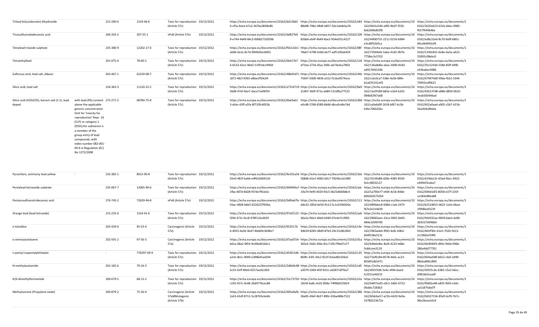| Trilead bis(carbonate) dihydroxide                        |                                                                                                                                                                                                                                                                                                           | 215-290-6 | 1319-46-6  | Toxic for reproduction 19/12/2012<br>(Article 57c) | 6-cf5a-4eee-b7a2-367ba3838e86 |                               | https://echa.europa.eu/documents/10162/bd13bb5 https://echa.europa.eu/documents/10162/e83 https://echa.europa.eu/documents/10 https://echa.europa.eu/documents/1<br>88e88-796e-48d6-b857-92e1de8cba7b | 162/4641a546-af85-9bd7-f550-<br>8a6269bd02f8 | 0162/2620a423-631b-ddac-0985-<br>f657f444b4be                                       |
|-----------------------------------------------------------|-----------------------------------------------------------------------------------------------------------------------------------------------------------------------------------------------------------------------------------------------------------------------------------------------------------|-----------|------------|----------------------------------------------------|-------------------------------|-------------------------------|-------------------------------------------------------------------------------------------------------------------------------------------------------------------------------------------------------|----------------------------------------------|-------------------------------------------------------------------------------------|
| Tricosafluorododecanoic acid                              |                                                                                                                                                                                                                                                                                                           | 206-203-2 | 307-55-1   | 19/12/2012<br>vPvB (Article 57e)                   |                               | 9-e744-4d49-84c3-00b82732059b | https://echa.europa.eu/documents/10162/dd827b9 https://echa.europa.eu/documents/10162/109 https://echa.europa.eu/documents/10 https://echa.europa.eu/documents/1<br>82bb6-eb4f-4b49-8ae2-934e051c4227 | 162/44fd0731-2211-0216-b984-<br>e3cd0f32d5ca | 0162/ed8c31e6-8c70-9a9f-6861-<br>06cd4d493c09                                       |
| Tetralead trioxide sulphate                               |                                                                                                                                                                                                                                                                                                           | 235-380-9 | 12202-17-4 | Toxic for reproduction 19/12/2012<br>(Article 57c) | a0d6-4a1e-8c7d-9940d5ec8d91   |                               | https://echa.europa.eu/documents/10162/f56110e1- https://echa.europa.eu/documents/10162/08f https://echa.europa.eu/documents/10<br>78ab7-6708-418d-ab77-adf1100ab429                                  | 162/735b9afe-5a6a-41d2-9b7b-<br>7758ec3c5702 | https://echa.europa.eu/documents/1<br>0162/1339c831-6e8e-da3a-a622-<br>55892c08ebc0 |
| Tetraethyllead                                            |                                                                                                                                                                                                                                                                                                           | 201-075-4 | 78-00-2    | Toxic for reproduction 19/12/2012<br>(Article 57c) | 6-b533-42a1-9bd2-519f1dc1990d |                               | https://echa.europa.eu/documents/10162/0b417b7 https://echa.europa.eu/documents/10162/118 https://echa.europa.eu/documents/10<br>d71ba-5734-45ac-9dfe-ab74edca7803                                    | 162/136a8d6e-ebac-4000-8183-<br>ad9176fd134b | https://echa.europa.eu/documents/1<br>0162/35c5243b-558d-85ff-94f8-<br>e54babec4986 |
| Sulfurous acid, lead salt, dibasic                        |                                                                                                                                                                                                                                                                                                           | 263-467-1 | 62229-08-7 | Toxic for reproduction 19/12/2012<br>(Article 57c) | c872-48cf-9392-e86ecff34c04   |                               | https://echa.europa.eu/documents/10162/486d5d7c-https://echa.europa.eu/documents/10162/44b https://echa.europa.eu/documents/10<br>75647-0300-4836-a312-f11ba9574ece                                   | 162/cc6c0ca7-538e-4a5b-88fe-<br>b1a635241a45 | https://echa.europa.eu/documents/1<br>0162/679974d0-99da-fb52-5344-<br>70942eaf0b21 |
| Silicic acid, lead salt                                   |                                                                                                                                                                                                                                                                                                           | 234-363-3 | 11120-22-2 | Toxic for reproduction 19/12/2012<br>(Article 57c) | 5b08-47ef-9ee7-daca71e06f54   |                               | https://echa.europa.eu/documents/10162/a7314719 https://echa.europa.eu/documents/10162/8a9 https://echa.europa.eu/documents/10<br>21407-3b0f-471a-a684-131dfba77523                                   | 162/13a5f189-b83e-e1b4-b201-<br>084b82fd7a68 | https://echa.europa.eu/documents/1<br>0162/426137d8-a88b-d850-0610-<br>3eab583446ad |
| Silicic acid (H2Si2O5), barium salt (1:1), lead-<br>doped | with lead (Pb) content 272-271-5<br>above the applicable<br>generic concentration<br>limit for 'toxicity for<br>reproduction' Repr. 1A<br>(CLP) or category 1<br>(DSD), the substance is<br>a member of the<br>group entry of lead<br>compounds, with<br>index number 082-001-<br>00-6 in Regulation (EC) |           | 68784-75-8 | Toxic for reproduction 19/12/2012<br>(Article 57c) | 3-dcbc-43ff-a5fa-8f710fc4053b |                               | https://echa.europa.eu/documents/10162/6bd3a62 https://echa.europa.eu/documents/10162/d0d https://echa.europa.eu/documents/10<br>e0c48-5768-4589-8dd4-dbcafce8e7dd                                    | 162/ca9a6d0f-2618-bf67-6c3b-<br>63bc706422bc | https://echa.europa.eu/documents/1<br>0162/602a0aad-a902-c5b7-421b-<br>56a30dc89a4a |

No 1272/2008

| Pyrochlore, antimony lead yellow | 232-382-1 | 8012-00-8   | Toxic for reproduction 19/12/2012<br>(Article 57c)                     | https://echa.europa.eu/documents/10162/9e101a56· https://echa.europa.eu/documents/10162/3da https://echa.europa.eu/documents/10 https://echa.europa.eu/documents/10<br>02e0-481f-babb-e4f62d36912b | 568db-d1e1-4082-b0c7-78246ccb1489 | 162/1014fa88-d28e-4385-8530-<br>fe2c38032c27                                                                           | 0162/d19da13c-65ed-6bcc-6922-<br>e499ef3caba7                                          |
|----------------------------------|-----------|-------------|------------------------------------------------------------------------|----------------------------------------------------------------------------------------------------------------------------------------------------------------------------------------------------|-----------------------------------|------------------------------------------------------------------------------------------------------------------------|----------------------------------------------------------------------------------------|
| Pentalead tetraoxide sulphate    | 235-067-7 | 12065-90-6  | Toxic for reproduction 19/12/2012<br>(Article 57c)                     | https://echa.europa.eu/documents/10162/664946a7· https://echa.europa.eu/documents/10162/adc<br>1fba-487d-8d28-f47de7fb3a5c                                                                         | 19a74-9ef0-4920-93c5-0b25d600b8c4 | https://echa.europa.eu/documents/10 https://echa.europa.eu/documents/1<br>162/5a790e77-efd4-4c56-84bb-<br>b00a92b732b4 | 0162/690d1df2-8058-e37f-235f-<br>ca184e88ea88                                          |
| Pentacosafluorotridecanoic acid  | 276-745-2 | 72629-94-8  | vPvB (Article 57e)<br>19/12/2012                                       | https://echa.europa.eu/documents/10162/0df4a67b- https://echa.europa.eu/documents/10162/111 https://echa.europa.eu/documents/10 https://echa.europa.eu/documents/10<br>03ac-4468-b6b5-6526237f92ba | dde32-185d-4e50-9112-5c1c019b920a | 162/4894dac8-608d-c1ab-2473-<br>f67e2e314d39                                                                           | 0162/b2524815-0623-1a5e-6bea-<br>1f908ea9123f                                          |
| Orange lead (lead tetroxide)     | 215-235-6 | 1314-41-6   | Toxic for reproduction 19/12/2012<br>(Article 57c)                     | https://echa.europa.eu/documents/10162/97af2122- https://echa.europa.eu/documents/10162/aab<br>f294-472c-9cc8-978f116c6929                                                                         | 36e2a-90e2-46b0-b940-07e4cf119f05 | https://echa.europa.eu/documents/10 https://echa.europa.eu/documents/1<br>162/28065aee-33ca-5892-0d45-<br>484e326f6700 | 0162/9d2032aa-9839-6ab3-dc80-<br>3b9227d496b0                                          |
| o-toluidine                      | 202-429-0 | 95-53-4     | 19/12/2012<br>Carcinogenic (Article<br>57a)                            | https://echa.europa.eu/documents/10162/953517b https://echa.europa.eu/documents/10162/c4e<br>b-4055-4a5b-9ed7-4bb69c3b96e7                                                                         | 9db39-8285-48d9-87b3-29c15c861802 | https://echa.europa.eu/documents/<br>162/2963ade6-f093-4c8c-b9b2-<br>604f538a3131                                      | 10 https://echa.europa.eu/documents/1<br>0162/40cff30c-61e5-7020-5613-<br>2c1960a359f0 |
| o-aminoazotoluene                | 202-591-2 | 97-56-3     | Carcinogenic (Article<br>19/12/2012<br>57a)                            | https://echa.europa.eu/documents/10162/d7aaf254- https://echa.europa.eu/documents/10162/d1a https://echa.europa.eu/documents/10 https://echa.europa.eu/documents/10<br>b61a-48a2-9f03-9c49bd0164c1 | 365c6-34d1-4fda-81c7-09c7f4b07a77 | 162/b94dedbc-8af4-4223-b68e-<br>fcddccee3119                                                                           | 0162/6b9044f3-d941-fb0d-096b-<br>286a4dd77761                                          |
| n-pentyl-isopentylphthalate      |           | 776297-69-9 | Toxic for reproduction 19/12/2012<br>(Article 57c)                     | https://echa.europa.eu/documents/10162/d54fc5db-https://echa.europa.eu/documents/10162/c33<br>a2c6-4b1c-9000-e398645ad294                                                                          | 869fc-43f1-44c2-812f-0c6ad82104c6 | https://echa.europa.eu/documents/10 https://echa.europa.eu/documents/1<br>162/73ef6184-8578-44dc-ac23-<br>8034f1db5471 | 0162/604ad38f-b652-c9af-2d99-<br>88eba89b1809                                          |
| N-methylacetamide                | 201-182-6 | 79-16-3     | Toxic for reproduction 19/12/2012<br>(Article 57c)                     | https://echa.europa.eu/documents/10162/2d6d4c98-https://echa.europa.eu/documents/10162/cd5 https://echa.europa.eu/documents/<br>5c55-41ff-89e0-6557aed1c003                                        | a3079-1069-4f2f-815c-a628714f76a7 | 162/df25f106-5e4c-4f4b-baed-<br>fc2251e9d233                                                                           | 10 https://echa.europa.eu/documents/1<br>0162/45f25c3e-6382-15e2-b6cc-<br>d981bb3caa0f |
| N,N-dimethylformamide            | 200-679-5 | $68-12-2$   | Toxic for reproduction 19/12/2012<br>(Article 57c)                     | https://echa.europa.eu/documents/10162/52c73750- https://echa.europa.eu/documents/10162/e3a https://echa.europa.eu/documents/10 https://echa.europa.eu/documents/10<br>c192-457c-9c48-2bd9776cec88 | 1814f-6a8c-4c02-858e-74f98d525824 | 162/64875a92-e9c1-3d65-6722-<br>0fab6c7283b3                                                                           | 0162/f9d62a48-e855-fb93-e3dc-<br>aa5187fabd7f                                          |
| Methyloxirane (Propylene oxide)  | 200-879-2 | 75-56-9     | 19/12/2012<br>Carcinogenic (Article<br>57a)#Mutagenic<br>(Article 57b) | https://echa.europa.eu/documents/10162/005a9afb- https://echa.europa.eu/documents/10162/386 https://echa.europa.eu/documents/10 https://echa.europa.eu/documents/10<br>2a53-41df-8711-5c28765c6e6b | 36e85-49ef-4b37-890c-65ba488e7521 | 162/60dcbe57-a21b-4420-9e9a-<br>33780223b72e                                                                           | 0162/0d327156-85d3-bcf9-7b7c-<br>96e26eaa10c9                                          |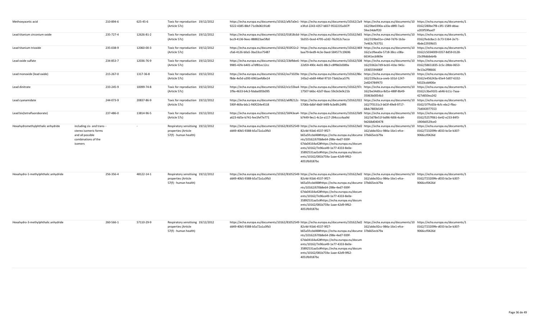| Methoxyacetic acid                   | 210-894-6                                                                                                | 625-45-6   | Toxic for reproduction 19/12/2012<br>(Article 57c)                                 | https://echa.europa.eu/documents/10162/afb7a0e1- https://echa.europa.eu/documents/10162/2a9 https://echa.europa.eu/documents/10 https://echa.europa.eu/documents/1<br>9222-4385-88cf-71c0b06191d0                                                             | e3fcd-2243-4357-b837-9532235a307f                                                                                                                                                                                                                                                                              | 162/0be0390a-a33a-d8f0-7aa5-<br>5fee34deff20 | 0162/280be7f8-c3f1-1589-ddaa-<br>a203f59faad7 |
|--------------------------------------|----------------------------------------------------------------------------------------------------------|------------|------------------------------------------------------------------------------------|---------------------------------------------------------------------------------------------------------------------------------------------------------------------------------------------------------------------------------------------------------------|----------------------------------------------------------------------------------------------------------------------------------------------------------------------------------------------------------------------------------------------------------------------------------------------------------------|----------------------------------------------|-----------------------------------------------|
| Lead titanium zirconium oxide        | 235-727-4                                                                                                | 12626-81-2 | Toxic for reproduction 19/12/2012<br>(Article 57c)                                 | https://echa.europa.eu/documents/10162/01818c6d- https://echa.europa.eu/documents/10162/b65 https://echa.europa.eu/documents/10 https://echa.europa.eu/documents/10 https://echa.europa.eu/documents/10 https://echa.europa.eu<br>bcc9-4136-9eec-888823ae5fb0 | 5b355-0ced-4795-a2d2-76c912c7acca                                                                                                                                                                                                                                                                              | 162/319be01e-c34d-7d76-1b3a-<br>7e463c763751 | 0162/fedc8ac1-2c73-5364-2e71-<br>4bde22939b55 |
| Lead titanium trioxide               | 235-038-9                                                                                                | 12060-00-3 | Toxic for reproduction 19/12/2012<br>(Article 57c)                                 | https://echa.europa.eu/documents/10162/933f22c2-https://echa.europa.eu/documents/10162/d69 https://echa.europa.eu/documents/10 https://echa.europa.eu/documents/1<br>cfa6-4126-b0a5-3ba33ce75487                                                              | baa79-6ed9-4c3e-9aed-584577c19696                                                                                                                                                                                                                                                                              | 162/a1fbea0a-5718-38cc-c08a-<br>66341ecb969e | 0162/c5034009-0357-8d59-0128-<br>23c99dddeb4b |
| Lead oxide sulfate                   | 234-853-7                                                                                                | 12036-76-9 | Toxic for reproduction 19/12/2012<br>(Article 57c)                                 | https://echa.europa.eu/documents/10162/23bfbbe6- https://echa.europa.eu/documents/10162/508 https://echa.europa.eu/documents/10 https://echa.europa.eu/documents/1<br>9985-42fe-b401-a7df81ec12cc                                                             | 22d59-490c-4e01-88c3-c8ff8d2d389a                                                                                                                                                                                                                                                                              | 162/0362e7d9-bcb5-41bc-945c-<br>19365594480f | 0162/58651835-2c5c-28bb-0653-<br>9e13a2f98666 |
| Lead monoxide (lead oxide)           | 215-267-0                                                                                                | 1317-36-8  | Toxic for reproduction 19/12/2012<br>(Article 57c)                                 | https://echa.europa.eu/documents/10162/ea71029e·https://echa.europa.eu/documents/10162/86c https://echa.europa.eu/documents/10 https://echa.europa.eu/documents/10 https://echa.europa.eu/documents/10<br>f8de-4e5d-a393-6961aefd6e14                         | 143a2-eb69-44bd-9710-73ab2aca57fc                                                                                                                                                                                                                                                                              | 162/229a3cca-ceeb-101d-1247-<br>2e824784f473 | 0162/e456243a-65e4-5d07-6332-<br>fd323cdd406e |
| Lead dinitrate                       | 233-245-9                                                                                                | 10099-74-8 | Toxic for reproduction 19/12/2012<br>(Article 57c)                                 | https://echa.europa.eu/documents/10162/e1c55ba4- https://echa.europa.eu/documents/10162/97c https://echa.europa.eu/documents/10 https://echa.europa.eu/documents/1<br>1f9a-4633-b4c3-fdaba005b095                                                             | 17507-b6bc-42d7-8aac-59c0c0e9c21b                                                                                                                                                                                                                                                                              | 162/be34d0ca-8d1e-488f-8b49-<br>35063b0054b3 | 0162/c3be9101-a646-b11c-7aaa-<br>427d650ea242 |
| Lead cyanamidate                     | 244-073-9                                                                                                | 20837-86-9 | Toxic for reproduction 19/12/2012<br>(Article 57c)                                 | https://echa.europa.eu/documents/10162/a6f8212c-https://echa.europa.eu/documents/10162/022 https://echa.europa.eu/documents/10 https://echa.europa.eu/documents/1<br>590f-469a-b6c1-f40f234e4518                                                              | 5706b-6dbf-4b6f-94f8-fa3e8fc24ff6                                                                                                                                                                                                                                                                              | 162/7f3131c3-b63f-49e8-9717-<br>68dc7883b549 | 0162/1f7fc65b-4cfc-ebc2-f9ac-<br>73d043977553 |
| Lead bis(tetrafluoroborate)          | 237-486-0                                                                                                | 13814-96-5 | Toxic for reproduction 19/12/2012<br>(Article 57c)                                 | https://echa.europa.eu/documents/10162/56f43ea4- https://echa.europa.eu/documents/10162/0d9 https://echa.europa.eu/documents/10 https://echa.europa.eu/documents/1<br>a623-4d5e-b741-fee1fef7e771                                                             | b7449-9ec1-4c1e-a117-294cccc4aa9d                                                                                                                                                                                                                                                                              | 162/3d78e51f-bd96-fd06-4cd4-<br>9d268d040478 | 0162/5257f061-6e42-e233-84f3-<br>1904b0529ce0 |
| Hexahydromethylphthalic anhydride    | including cis- and trans-<br>stereo isomeric forms<br>and all possible<br>combinations of the<br>isomers |            | Respiratory sensitising 19/12/2012<br>properties (Article<br>57(f) - human health) | https://echa.europa.eu/documents/10162/81052549· https://echa.europa.eu/documents/10162/bd2 https://echa.europa.eu/documents/10 https://echa.europa.eu/documents/1<br>dd49-40b5-9388-b5a72a1a3fb3                                                             | 82c4d-91b6-4537-9f27-<br>b65a5fccbd48#https://echa.europa.eu/docume 37b665ecb79a<br>nts/10162/670b8e64-298e-4ed7-939f-<br>67da04164a42#https://echa.europa.eu/docum<br>ents/10162/7e96ce49-1e77-4333-8e0e-<br>35892531aa5c#https://echa.europa.eu/docum<br>ents/10162/081b759a-1aae-42d9-9f62-<br>4051fb9187bc | 162/abbc92cc-984a-16e1-efce-                 | 0162/723209fe-d033-bc5e-b307-<br>9066ccf0426d |
| Hexahydro-1-methylphthalic anhydride | 256-356-4                                                                                                | 48122-14-1 | Respiratory sensitising 19/12/2012<br>properties (Article<br>57(f) - human health) | https://echa.europa.eu/documents/10162/81052549· https://echa.europa.eu/documents/10162/bd2 https://echa.europa.eu/documents/10 https://echa.europa.eu/documents/1<br>dd49-40b5-9388-b5a72a1a3fb3                                                             | 82c4d-91b6-4537-9f27-<br>b65a5fccbd48#https://echa.europa.eu/docume 37b665ecb79a<br>nts/10162/670b8e64-298e-4ed7-939f-<br>67da04164a42#https://echa.europa.eu/docum<br>ents/10162/7e96ce49-1e77-4333-8e0e-<br>35892531aa5c#https://echa.europa.eu/docum<br>ents/10162/081b759a-1aae-42d9-9f62-<br>4051fb9187bc | 162/abbc92cc-984a-16e1-efce-                 | 0162/723209fe-d033-bc5e-b307-<br>9066ccf0426d |
| Hexahydro-3-methylphthalic anhydride | 260-566-1                                                                                                | 57110-29-9 | Respiratory sensitising 19/12/2012<br>properties (Article<br>57(f) - human health) | https://echa.europa.eu/documents/10162/81052549· https://echa.europa.eu/documents/10162/bd2 https://echa.europa.eu/documents/10 https://echa.europa.eu/documents/1<br>dd49-40b5-9388-b5a72a1a3fb3                                                             | 82c4d-91b6-4537-9f27-<br>b65a5fccbd48#https://echa.europa.eu/docume 37b665ecb79a<br>nts/10162/670b8e64-298e-4ed7-939f-<br>67da04164a42#https://echa.europa.eu/docum<br>ents/10162/7e96ce49-1e77-4333-8e0e-<br>35892531aa5c#https://echa.europa.eu/docum<br>ents/10162/081b759a-1aae-42d9-9f62-<br>4051fb9187bc | 162/abbc92cc-984a-16e1-efce-                 | 0162/723209fe-d033-bc5e-b307-<br>9066ccf0426d |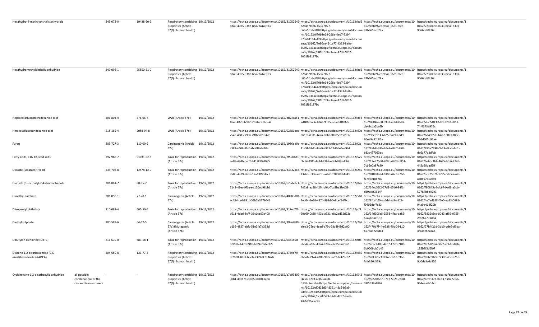| Hexahydro-4-methylphthalic anhydride                         |                                                               | 243-072-0 | 19438-60-9 | Respiratory sensitising 19/12/2012<br>properties (Article                          | https://echa.europa.eu/documents/10162/81052549 https://echa.europa.eu/documents/10162/bd2 https://echa.europa.eu/documents/10 https://echa.europa.eu/documents/1<br>dd49-40b5-9388-b5a72a1a3fb3                                       | 82c4d-91b6-4537-9f27-                                                                                                                                                                                                                                                                                          | 162/abbc92cc-984a-16e1-efce-                                                                                           | 0162/723209fe-d033-bc5e-b307-                                                       |
|--------------------------------------------------------------|---------------------------------------------------------------|-----------|------------|------------------------------------------------------------------------------------|----------------------------------------------------------------------------------------------------------------------------------------------------------------------------------------------------------------------------------------|----------------------------------------------------------------------------------------------------------------------------------------------------------------------------------------------------------------------------------------------------------------------------------------------------------------|------------------------------------------------------------------------------------------------------------------------|-------------------------------------------------------------------------------------|
|                                                              |                                                               |           |            | 57(f) - human health)                                                              |                                                                                                                                                                                                                                        | b65a5fccbd48#https://echa.europa.eu/docume 37b665ecb79a<br>nts/10162/670b8e64-298e-4ed7-939f-<br>67da04164a42#https://echa.europa.eu/docum<br>ents/10162/7e96ce49-1e77-4333-8e0e-<br>35892531aa5c#https://echa.europa.eu/docum<br>ents/10162/081b759a-1aae-42d9-9f62-<br>4051fb9187bc                          |                                                                                                                        | 9066ccf0426d                                                                        |
|                                                              |                                                               |           |            |                                                                                    |                                                                                                                                                                                                                                        |                                                                                                                                                                                                                                                                                                                |                                                                                                                        |                                                                                     |
| Hexahydromethylphthalic anhydride                            |                                                               | 247-094-1 | 25550-51-0 | Respiratory sensitising 19/12/2012<br>properties (Article<br>57(f) - human health) | https://echa.europa.eu/documents/10162/81052549· https://echa.europa.eu/documents/10162/bd2 https://echa.europa.eu/documents/10 https://echa.europa.eu/documents/1<br>dd49-40b5-9388-b5a72a1a3fb3                                      | 82c4d-91b6-4537-9f27-<br>b65a5fccbd48#https://echa.europa.eu/docume 37b665ecb79a<br>nts/10162/670b8e64-298e-4ed7-939f-<br>67da04164a42#https://echa.europa.eu/docum<br>ents/10162/7e96ce49-1e77-4333-8e0e-<br>35892531aa5c#https://echa.europa.eu/docum<br>ents/10162/081b759a-1aae-42d9-9f62-<br>4051fb9187bc | 162/abbc92cc-984a-16e1-efce-                                                                                           | 0162/723209fe-d033-bc5e-b307-<br>9066ccf0426d                                       |
| Heptacosafluorotetradecanoic acid                            |                                                               | 206-803-4 | 376-06-7   | 19/12/2012<br>vPvB (Article 57e)                                                   | https://echa.europa.eu/documents/10162/bb2caa51- https://echa.europa.eu/documents/10162/de2 https://echa.europa.eu/documents/10 https://echa.europa.eu/documents/1<br>1bcc-407b-b587-91d4ac23b564                                      | ad408-ea06-484e-9015-ac6af581863c                                                                                                                                                                                                                                                                              | 162/08046ee8-0933-a564-0df2-<br>da48cda2bc6b                                                                           | 0162/76c2d4f3-1d2e-f263-c819-<br>74f4373a976c                                       |
| Henicosafluoroundecanoic acid                                |                                                               | 218-165-4 | 2058-94-8  | 19/12/2012<br>vPvB (Article 57e)                                                   | https://echa.europa.eu/documents/10162/02881bec- https://echa.europa.eu/documents/10162/60a https://echa.europa.eu/documents/10 https://echa.europa.eu/documents/10 https://echa.europa.eu/documents/10<br>75ad-4e83-a9bb-c9f6dc81042e | db1fb-d001-4a2a-b8bf-a0e05e29d156                                                                                                                                                                                                                                                                              | 162/9bcff514-6625-baa9-edd9-<br>80ee9e82c86a                                                                           | 0162/bd48b5f6-b407-60e1-f06e-<br>76dd605d92ae                                       |
| Furan                                                        |                                                               | 203-727-3 | 110-00-9   | Carcinogenic (Article 19/12/2012<br>57a)                                           | https://echa.europa.eu/documents/10162/1986ed9a·https://echa.europa.eu/documents/10162/f2a<br>a382-4409-8faf-abd0f9af440a                                                                                                              | 41a5f-68db-44e9-a925-2446de4ec9b1                                                                                                                                                                                                                                                                              | https://echa.europa.eu/documents/10<br>162/8ab8b38b-26e8-49b7-9f04-<br>b83c457023ec                                    | https://echa.europa.eu/documents/1<br>0162/783a7398-0b23-d9ab-4afb-<br>da6a77d2dfcb |
| Fatty acids, C16-18, lead salts                              |                                                               | 292-966-7 | 91031-62-8 | Toxic for reproduction 19/12/2012<br>(Article 57c)                                 | https://echa.europa.eu/documents/10162/7f59b681-https://echa.europa.eu/documents/10162/575 https://echa.europa.eu/documents/10<br>ee89-484b-bec2-3412f3f7d0e5                                                                          | f1c14-49f5-4a3d-9368-ebbb989edcf4                                                                                                                                                                                                                                                                              | 162/13e375d0-709b-4203-b851-<br>7cb5e0a87c80                                                                           | https://echa.europa.eu/documents/1<br>0162/6e6bc1b6-4695-bfb6-8746-<br>445a90dad5ff |
| Dioxobis(stearato)trilead                                    |                                                               | 235-702-8 | 12578-12-0 | Toxic for reproduction 19/12/2012<br>(Article 57c)                                 | https://echa.europa.eu/documents/10162/b3332ac2- https://echa.europa.eu/documents/10162/2b5 https://echa.europa.eu/documents/10<br>958d-4b79-86be-12a13f9cd8c8                                                                         | 33763-b36b-481c-a7b2-ff28b898d343                                                                                                                                                                                                                                                                              | 162/01088b8d-0195-44cf-8760-<br>f1797c18e789                                                                           | https://echa.europa.eu/documents/1<br>0162/3ce25576-1795-cda5-ea46-<br>acdb9741089a |
| Dinoseb (6-sec-butyl-2,4-dinitrophenol)                      |                                                               | 201-861-7 | 88-85-7    | Toxic for reproduction 19/12/2012<br>(Article 57c)                                 | https://echa.europa.eu/documents/10162/b23de2c1- https://echa.europa.eu/documents/10162/876 https://echa.europa.eu/documents/10<br>7142-43ec-9fba-ee150ed98bb1                                                                         | 747a8-aa98-42f4-bf6c-7ca2be3fed59                                                                                                                                                                                                                                                                              | 162/34ec55f2-27d2-47d6-94f1-<br>d39acaf3634f                                                                           | https://echa.europa.eu/documents/1<br>0162/f90845a4-dc67-9a63-a3cb-<br>57787b8b97e3 |
| Dimethyl sulphate                                            |                                                               | 201-058-1 | 77-78-1    | Carcinogenic (Article 19/12/2012<br>57a)                                           | https://echa.europa.eu/documents/10162/40a80d81-https://echa.europa.eu/documents/10162/518-https://echa.europa.eu/documents/10<br>ac48-4ce6-891c-53b7a3779646                                                                          | 2ed44-1e76-4374-898d-0e8cef94f7cb                                                                                                                                                                                                                                                                              | 162/8fcaf1f0-ea6d-4ec8-a129-<br>f0405def7c33                                                                           | https://echa.europa.eu/documents/1<br>0162/4e7ad358-f6e0-ea83-0681-<br>94a9e414f29b |
| Diisopentyl phthalate                                        |                                                               | 210-088-4 | 605-50-5   | Toxic for reproduction 19/12/2012<br>(Article 57c)                                 | https://echa.europa.eu/documents/10162/917ec7f1- https://echa.europa.eu/documents/10162/cf4<br>d611-4dad-8cf7-36c1ca07a400                                                                                                             | 90b69-0c28-453b-a531-e8c2ad32d22c                                                                                                                                                                                                                                                                              | https://echa.europa.eu/documents/10 https://echa.europa.eu/documents/1<br>162/34d906a5-2558-4faa-ba85-<br>65a765aef016 | 0162/5836c6ce-0043-af59-0755-<br>2f8262791d64                                       |
| Diethyl sulphate                                             |                                                               | 200-589-6 | 64-67-5    | Carcinogenic (Article 19/12/2012<br>57a)#Mutagenic<br>(Article 57b)                | https://echa.europa.eu/documents/10162/3f6a4989- https://echa.europa.eu/documents/10162/296 https://echa.europa.eu/documents/10<br>b155-4827-abfc-51e3fa7e352d                                                                         | efee3-75ed-4ead-a79c-28a3f48d2d90                                                                                                                                                                                                                                                                              | 162/470b7f44-e538-40b0-9110-<br>4575a5726d14                                                                           | https://echa.europa.eu/documents/1<br>0162/27b4f21d-3bb0-bde6-d9ba-<br>4faadc87aaab |
| Dibutyltin dichloride (DBTC)                                 |                                                               | 211-670-0 | 683-18-1   | Toxic for reproduction 19/12/2012<br>(Article 57c)                                 | https://echa.europa.eu/documents/10162/046189d https://echa.europa.eu/documents/10162/f06<br>5-908b-447f-b91b-b3f97c9de5b5                                                                                                             | ebc42-a92c-43a4-828a-a7c95ea2c961                                                                                                                                                                                                                                                                              | https://echa.europa.eu/documents/10 https://echa.europa.eu/documents/1<br>162/2cbcb185-4207-1270-7189-<br>6b9009db7b45 | 0162/f92c8584-d0c2-ebb6-58a6-<br>135b7f3d6f07                                       |
| Diazene-1,2-dicarboxamide (C,C'-<br>azodi(formamide)) (ADCA) |                                                               | 204-650-8 | 123-77-3   | Respiratory sensitising 19/12/2012<br>properties (Article<br>57(f) - human health) | https://echa.europa.eu/documents/10162/4739d79 https://echa.europa.eu/documents/10162/055 https://echa.europa.eu/documents/10 https://echa.europa.eu/documents/1<br>9-2888-4031-b3eb-73a9d475347b                                      | d66a6-9924-4386-900c-62c52c42bc62                                                                                                                                                                                                                                                                              | 162/a8f3a173-0bb2-cb27-d9ae-<br>fafe356c329c                                                                           | 0162/b9b09f2a-7230-5ddc-921e-<br>9b0de3c6a956                                       |
| Cyclohexane-1,2-dicarboxylic anhydride                       | all possible<br>combinations of the<br>cis- and trans-isomers |           |            | Respiratory sensitising 19/12/2012<br>properties (Article<br>57(f) - human health) | https://echa.europa.eu/documents/10162/b7a93309·https://echa.europa.eu/documents/10162/542 https://echa.europa.eu/documents/10 https://echa.europa.eu/documents/1<br>0b81-4dbf-90e0-859bc0f41ce4                                       | f4e26-c203-4587-a498-<br>fbf33c9edeba#https://echa.europa.eu/docume 03f5639a82f4<br>nts/10162/d0d33d3f-8361-48a5-b5a9-<br>5db91928b4c5#https://echa.europa.eu/docum<br>ents/10162/dca0c593-37d7-4257-9ad9-<br>14059e525771                                                                                     | 162/555606e7-97e2-592e-c100-                                                                                           | 0162/acfa14cb-0ed3-5a82-5366-<br>964eeaab14cb                                       |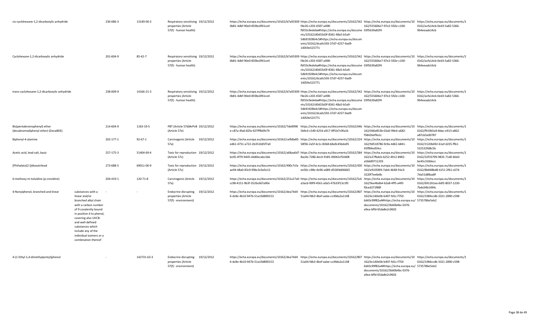| cis-cyclohexane-1,2-dicarboxylic anhydride                         |                                                                                                                                                                                                                                                                                | 236-086-3 | 13149-00-3    | Respiratory sensitising 19/12/2012<br>properties (Article<br>57(f) - human health)       | https://echa.europa.eu/documents/10162/b7a93309 https://echa.europa.eu/documents/10162/542 https://echa.europa.eu/documents/10 https://echa.europa.eu/documents/1<br>0b81-4dbf-90e0-859bc0f41ce4                                       | f4e26-c203-4587-a498-<br>fbf33c9edeba#https://echa.europa.eu/docume 03f5639a82f4<br>nts/10162/d0d33d3f-8361-48a5-b5a9-<br>5db91928b4c5#https://echa.europa.eu/docum<br>ents/10162/dca0c593-37d7-4257-9ad9-<br>14059e525771 | 162/555606e7-97e2-592e-c100-                                                                                                                  | 0162/acfa14cb-0ed3-5a82-5366-<br>964eeaab14cb                                       |
|--------------------------------------------------------------------|--------------------------------------------------------------------------------------------------------------------------------------------------------------------------------------------------------------------------------------------------------------------------------|-----------|---------------|------------------------------------------------------------------------------------------|----------------------------------------------------------------------------------------------------------------------------------------------------------------------------------------------------------------------------------------|----------------------------------------------------------------------------------------------------------------------------------------------------------------------------------------------------------------------------|-----------------------------------------------------------------------------------------------------------------------------------------------|-------------------------------------------------------------------------------------|
| Cyclohexane-1,2-dicarboxylic anhydride                             |                                                                                                                                                                                                                                                                                | 201-604-9 | $85 - 42 - 7$ | Respiratory sensitising 19/12/2012<br>properties (Article<br>57(f) - human health)       | https://echa.europa.eu/documents/10162/b7a93309 https://echa.europa.eu/documents/10162/542 https://echa.europa.eu/documents/10 https://echa.europa.eu/documents/1<br>0b81-4dbf-90e0-859bc0f41ce4                                       | f4e26-c203-4587-a498-<br>fbf33c9edeba#https://echa.europa.eu/docume 03f5639a82f4<br>nts/10162/d0d33d3f-8361-48a5-b5a9-<br>5db91928b4c5#https://echa.europa.eu/docum<br>ents/10162/dca0c593-37d7-4257-9ad9-<br>14059e525771 | 162/555606e7-97e2-592e-c100-                                                                                                                  | 0162/acfa14cb-0ed3-5a82-5366-<br>964eeaab14cb                                       |
| trans-cyclohexane-1,2-dicarboxylic anhydride                       |                                                                                                                                                                                                                                                                                | 238-009-9 | 14166-21-3    | Respiratory sensitising 19/12/2012<br>properties (Article<br>57(f) - human health)       | https://echa.europa.eu/documents/10162/b7a93309· https://echa.europa.eu/documents/10162/542 https://echa.europa.eu/documents/10 https://echa.europa.eu/documents/10 https://echa.europa.eu/documents/10<br>0b81-4dbf-90e0-859bc0f41ce4 | f4e26-c203-4587-a498-<br>fbf33c9edeba#https://echa.europa.eu/docume 03f5639a82f4<br>nts/10162/d0d33d3f-8361-48a5-b5a9-<br>5db91928b4c5#https://echa.europa.eu/docum<br>ents/10162/dca0c593-37d7-4257-9ad9-<br>14059e525771 | 162/555606e7-97e2-592e-c100-                                                                                                                  | 0162/acfa14cb-0ed3-5a82-5366-<br>964eeaab14cb                                       |
| Bis(pentabromophenyl) ether<br>(decabromodiphenyl ether) (DecaBDE) |                                                                                                                                                                                                                                                                                | 214-604-9 | 1163-19-5     | PBT (Article 57d)#vPvB 19/12/2012<br>(Article 57e)                                       | https://echa.europa.eu/documents/10162/7de8998<br>e-c87a-4fa6-82fa-927fffb0fe79                                                                                                                                                        | https://echa.europa.eu/documents/10162/64b https://echa.europa.eu/documents/10 https://echa.europa.eu/documents/1<br>5b9c4-c549-4254-a917-0ff1b7c9fa1b                                                                     | 162/046e853b-03a0-99e4-a682-<br>f5842bef9a1c                                                                                                  | 0162/f919b5a9-8dac-e913-a862-<br>a87cb5e00787                                       |
| Biphenyl-4-ylamine                                                 |                                                                                                                                                                                                                                                                                | 202-177-1 | $92 - 67 - 1$ | Carcinogenic (Article 19/12/2012<br>57a)                                                 | https://echa.europa.eu/documents/10162/cefb8a85- https://echa.europa.eu/documents/10162/224 https://echa.europa.eu/documents/10 https://echa.europa.eu/documents/1<br>ed61-4751-a722-2b3510d5f7a0                                      | 58f36-2a5f-4c1c-83b8-b8a9c45bda95                                                                                                                                                                                          | 162/9d518786-9c9a-4d61-b841-<br>45ff84ed54cc                                                                                                  | 0162/1520b492-61af-d235-ffb1-<br>532532fd8c5b                                       |
| Acetic acid, lead salt, basic                                      |                                                                                                                                                                                                                                                                                | 257-175-3 | 51404-69-4    | Toxic for reproduction 19/12/2012<br>(Article 57c)                                       | https://echa.europa.eu/documents/10162/a68aa6d7- https://echa.europa.eu/documents/10162/584 https://echa.europa.eu/documents/10<br>bc05-4f79-9445-4dd0ecabc1bb                                                                         | 8ac0e-7286-4ec4-9185-49042cf54408                                                                                                                                                                                          | 162/e27fbdcb-b252-4912-8965-<br>a5bb89711203                                                                                                  | https://echa.europa.eu/documents/1<br>0162/32f33799-9835-71d0-b0d2-<br>be45c318decc |
| [Phthalato(2-)]dioxotrilead                                        |                                                                                                                                                                                                                                                                                | 273-688-5 | 69011-06-9    | Toxic for reproduction 19/12/2012<br>(Article 57c)                                       | https://echa.europa.eu/documents/10162/490c7cfa-https://echa.europa.eu/documents/10162/430 https://echa.europa.eu/documents/10<br>ae94-48a0-83c9-99bc3c0a5e13                                                                          | ee50c-c98e-4e96-a689-d556fdd06665                                                                                                                                                                                          | 162/e91058f4-7ab4-4648-91e3-<br>3220f7ee6e8c                                                                                                  | https://echa.europa.eu/documents/1<br>0162/8b848bd8-4151-2f61-c674-<br>7da51d88aa8f |
| 6-methoxy-m-toluidine (p-cresidine)                                |                                                                                                                                                                                                                                                                                | 204-419-1 | 120-71-8      | Carcinogenic (Article<br>19/12/2012<br>57a)                                              | https://echa.europa.eu/documents/10162/251a17a0-https://echa.europa.eu/documents/10162/5c6 https://echa.europa.eu/documents/10 https://echa.europa.eu/documents/1<br>cc98-4151-9b3f-3526c667a90e                                       | a3acb-99f9-4561-a0a5-47b33f13c1f0                                                                                                                                                                                          | 162/9ee4bdb4-62a8-4ff5-a4f0-<br>f0ced371f88f                                                                                                  | 0162/691261ea-6df2-8037-1230-<br>7bdc04b1494c                                       |
| 4-Nonylphenol, branched and linear                                 | substances with a<br>linear and/or<br>branched alkyl chain<br>with a carbon number<br>of 9 covalently bound<br>in position 4 to phenol,<br>covering also UVCB-<br>and well-defined<br>substances which<br>include any of the<br>individual isomers or a<br>combination thereof |           |               | <b>Endocrine disrupting</b><br>19/12/2012<br>properties (Article<br>57(f) - environment) | https://echa.europa.eu/documents/10162/dea74d4 https://echa.europa.eu/documents/10162/807 https://echa.europa.eu/documents/10 https://echa.europa.eu/documents/1<br>6-dc8e-4b10-947b-51a19d890153                                      | 51a04-fdb3-4bef-aabe-cc49da2a1148                                                                                                                                                                                          | 162/bc140e0b-b407-fd1c-f750-<br>6d43c99f82a4#https://echa.europa.eu/ 5735786e5eb2<br>documents/10162/3b60b4bc-0376-<br>a9ea-bffd-65da8e2c9602 | 0162/1984ccdb-3321-2890-c598-                                                       |
| 4-(1-Ethyl-1,4-dimethylpentyl)phenol                               |                                                                                                                                                                                                                                                                                |           | 142731-63-3   | Endocrine disrupting<br>19/12/2012<br>properties (Article<br>57(f) - environment)        | https://echa.europa.eu/documents/10162/dea74d4 https://echa.europa.eu/documents/10162/807 https://echa.europa.eu/documents/10 https://echa.europa.eu/documents/1<br>6-dc8e-4b10-947b-51a19d890153                                      | 51a04-fdb3-4bef-aabe-cc49da2a1148                                                                                                                                                                                          | 162/bc140e0b-b407-fd1c-f750-<br>6d43c99f82a4#https://echa.europa.eu/ 5735786e5eb2<br>documents/10162/3b60b4bc-0376-<br>a9ea-bffd-65da8e2c9602 | 0162/1984ccdb-3321-2890-c598-                                                       |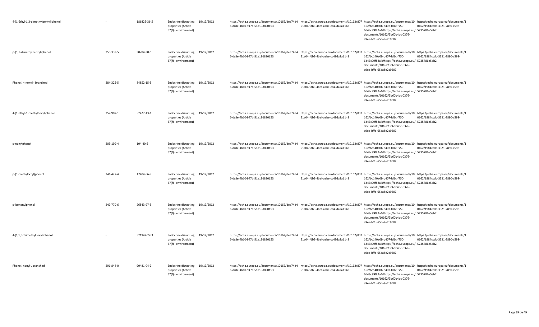| 4-(1-Ethyl-1,3-dimethylpentyl)phenol |           | 186825-36-5 | Endocrine disrupting<br>properties (Article<br>57(f) - environment)        | 19/12/2012 | 6-dc8e-4b10-947b-51a19d890153 | 51a04-fdb3-4bef-aabe-cc49da2a1148 | https://echa.europa.eu/documents/10162/dea74d4 https://echa.europa.eu/documents/10162/807 https://echa.europa.eu/documents/10 https://echa.europa.eu/documents/10<br>162/bc140e0b-b407-fd1c-f750-<br>0162/1984ccdb-3321-2890-c598-<br>6d43c99f82a4#https://echa.europa.eu/ 5735786e5eb2<br>documents/10162/3b60b4bc-0376-<br>a9ea-bffd-65da8e2c9602 |
|--------------------------------------|-----------|-------------|----------------------------------------------------------------------------|------------|-------------------------------|-----------------------------------|-----------------------------------------------------------------------------------------------------------------------------------------------------------------------------------------------------------------------------------------------------------------------------------------------------------------------------------------------------|
| p-(1,1-dimethylheptyl)phenol         | 250-339-5 | 30784-30-6  | <b>Endocrine disrupting</b><br>properties (Article<br>57(f) - environment) | 19/12/2012 | 6-dc8e-4b10-947b-51a19d890153 | 51a04-fdb3-4bef-aabe-cc49da2a1148 | https://echa.europa.eu/documents/10162/dea74d4 https://echa.europa.eu/documents/10162/807 https://echa.europa.eu/documents/10 https://echa.europa.eu/documents/1<br>162/bc140e0b-b407-fd1c-f750-<br>0162/1984ccdb-3321-2890-c598-<br>6d43c99f82a4#https://echa.europa.eu/ 5735786e5eb2<br>documents/10162/3b60b4bc-0376-<br>a9ea-bffd-65da8e2c9602  |
| Phenol, 4-nonyl-, branched           | 284-325-5 | 84852-15-3  | Endocrine disrupting<br>properties (Article<br>57(f) - environment)        | 19/12/2012 | 6-dc8e-4b10-947b-51a19d890153 | 51a04-fdb3-4bef-aabe-cc49da2a1148 | https://echa.europa.eu/documents/10162/dea74d4 https://echa.europa.eu/documents/10162/807 https://echa.europa.eu/documents/10 https://echa.europa.eu/documents/1<br>162/bc140e0b-b407-fd1c-f750-<br>0162/1984ccdb-3321-2890-c598-<br>6d43c99f82a4#https://echa.europa.eu/ 5735786e5eb2<br>documents/10162/3b60b4bc-0376-<br>a9ea-bffd-65da8e2c9602  |
| 4-(1-ethyl-1-methylhexyl)phenol      | 257-907-1 | 52427-13-1  | <b>Endocrine disrupting</b><br>properties (Article<br>57(f) - environment) | 19/12/2012 | 6-dc8e-4b10-947b-51a19d890153 | 51a04-fdb3-4bef-aabe-cc49da2a1148 | https://echa.europa.eu/documents/10162/dea74d4 https://echa.europa.eu/documents/10162/807 https://echa.europa.eu/documents/10 https://echa.europa.eu/documents/1<br>162/bc140e0b-b407-fd1c-f750-<br>0162/1984ccdb-3321-2890-c598-<br>6d43c99f82a4#https://echa.europa.eu/ 5735786e5eb2<br>documents/10162/3b60b4bc-0376-<br>a9ea-bffd-65da8e2c9602  |
| p-nonylphenol                        | 203-199-4 | 104-40-5    | <b>Endocrine disrupting</b><br>properties (Article<br>57(f) - environment) | 19/12/2012 | 6-dc8e-4b10-947b-51a19d890153 | 51a04-fdb3-4bef-aabe-cc49da2a1148 | https://echa.europa.eu/documents/10162/dea74d4 https://echa.europa.eu/documents/10162/807 https://echa.europa.eu/documents/10 https://echa.europa.eu/documents/1<br>162/bc140e0b-b407-fd1c-f750-<br>0162/1984ccdb-3321-2890-c598-<br>6d43c99f82a4#https://echa.europa.eu/ 5735786e5eb2<br>documents/10162/3b60b4bc-0376-<br>a9ea-bffd-65da8e2c9602  |
| p-(1-methyloctyl)phenol              | 241-427-4 | 17404-66-9  | Endocrine disrupting<br>properties (Article<br>57(f) - environment)        | 19/12/2012 | 6-dc8e-4b10-947b-51a19d890153 | 51a04-fdb3-4bef-aabe-cc49da2a1148 | https://echa.europa.eu/documents/10162/dea74d4 https://echa.europa.eu/documents/10162/807 https://echa.europa.eu/documents/10 https://echa.europa.eu/documents/10<br>162/bc140e0b-b407-fd1c-f750-<br>0162/1984ccdb-3321-2890-c598-<br>6d43c99f82a4#https://echa.europa.eu/ 5735786e5eb2<br>documents/10162/3b60b4bc-0376-<br>a9ea-bffd-65da8e2c9602 |
| p-isononylphenol                     | 247-770-6 | 26543-97-5  | <b>Endocrine disrupting</b><br>properties (Article<br>57(f) - environment) | 19/12/2012 | 6-dc8e-4b10-947b-51a19d890153 | 51a04-fdb3-4bef-aabe-cc49da2a1148 | https://echa.europa.eu/documents/10162/dea74d4 https://echa.europa.eu/documents/10162/807 https://echa.europa.eu/documents/10 https://echa.europa.eu/documents/1<br>162/bc140e0b-b407-fd1c-f750-<br>0162/1984ccdb-3321-2890-c598-<br>6d43c99f82a4#https://echa.europa.eu/ 5735786e5eb2<br>documents/10162/3b60b4bc-0376-<br>a9ea-bffd-65da8e2c9602  |
| 4-(1,1,5-Trimethylhexyl)phenol       |           | 521947-27-3 | <b>Endocrine disrupting</b><br>properties (Article<br>57(f) - environment) | 19/12/2012 | 6-dc8e-4b10-947b-51a19d890153 | 51a04-fdb3-4bef-aabe-cc49da2a1148 | https://echa.europa.eu/documents/10162/dea74d4 https://echa.europa.eu/documents/10162/807 https://echa.europa.eu/documents/10 https://echa.europa.eu/documents/1<br>0162/1984ccdb-3321-2890-c598-<br>162/bc140e0b-b407-fd1c-f750-<br>6d43c99f82a4#https://echa.europa.eu/ 5735786e5eb2<br>documents/10162/3b60b4bc-0376-<br>a9ea-bffd-65da8e2c9602  |
| Phenol, nonyl-, branched             | 291-844-0 | 90481-04-2  | Endocrine disrupting<br>properties (Article<br>57(f) - environment)        | 19/12/2012 | 6-dc8e-4b10-947b-51a19d890153 | 51a04-fdb3-4bef-aabe-cc49da2a1148 | https://echa.europa.eu/documents/10162/dea74d4 https://echa.europa.eu/documents/10162/807 https://echa.europa.eu/documents/10 https://echa.europa.eu/documents/1<br>162/bc140e0b-b407-fd1c-f750-<br>0162/1984ccdb-3321-2890-c598-<br>6d43c99f82a4#https://echa.europa.eu/ 5735786e5eb2<br>documents/10162/3b60b4bc-0376-<br>a9ea-bffd-65da8e2c9602  |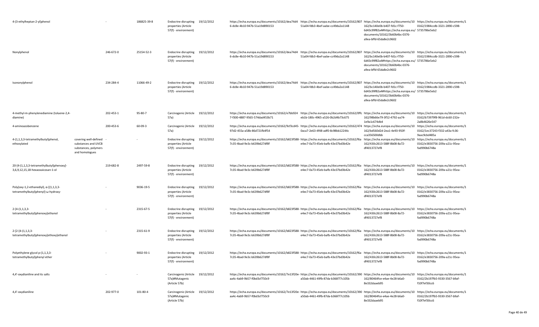| 4-(3-ethylheptan-2-yl)phenol                                                          |                                                                                        |           | 186825-39-8 | Endocrine disrupting<br>properties (Article<br>57(f) - environment)        | 19/12/2012 | https://echa.europa.eu/documents/10162/dea74d4 https://echa.europa.eu/documents/10162/807 https://echa.europa.eu/documents/10 https://echa.europa.eu/documents/1<br>6-dc8e-4b10-947b-51a19d890153  | 51a04-fdb3-4bef-aabe-cc49da2a1148 | 162/bc140e0b-b407-fd1c-f750-<br>6d43c99f82a4#https://echa.europa.eu/ 5735786e5eb2<br>documents/10162/3b60b4bc-0376-<br>a9ea-bffd-65da8e2c9602 | 0162/1984ccdb-3321-2890-c598-                                                       |
|---------------------------------------------------------------------------------------|----------------------------------------------------------------------------------------|-----------|-------------|----------------------------------------------------------------------------|------------|----------------------------------------------------------------------------------------------------------------------------------------------------------------------------------------------------|-----------------------------------|-----------------------------------------------------------------------------------------------------------------------------------------------|-------------------------------------------------------------------------------------|
| Nonylphenol                                                                           |                                                                                        | 246-672-0 | 25154-52-3  | Endocrine disrupting<br>properties (Article<br>57(f) - environment)        | 19/12/2012 | https://echa.europa.eu/documents/10162/dea74d4 https://echa.europa.eu/documents/10162/807 https://echa.europa.eu/documents/10 https://echa.europa.eu/documents/1<br>6-dc8e-4b10-947b-51a19d890153  | 51a04-fdb3-4bef-aabe-cc49da2a1148 | 162/bc140e0b-b407-fd1c-f750-<br>6d43c99f82a4#https://echa.europa.eu/ 5735786e5eb2<br>documents/10162/3b60b4bc-0376-<br>a9ea-bffd-65da8e2c9602 | 0162/1984ccdb-3321-2890-c598-                                                       |
| Isononylphenol                                                                        |                                                                                        | 234-284-4 | 11066-49-2  | Endocrine disrupting<br>properties (Article<br>57(f) - environment)        | 19/12/2012 | https://echa.europa.eu/documents/10162/dea74d4 https://echa.europa.eu/documents/10162/807 https://echa.europa.eu/documents/10 https://echa.europa.eu/documents/1<br>6-dc8e-4b10-947b-51a19d890153  | 51a04-fdb3-4bef-aabe-cc49da2a1148 | 162/bc140e0b-b407-fd1c-f750-<br>6d43c99f82a4#https://echa.europa.eu/ 5735786e5eb2<br>documents/10162/3b60b4bc-0376-<br>a9ea-bffd-65da8e2c9602 | 0162/1984ccdb-3321-2890-c598-                                                       |
| 4-methyl-m-phenylenediamine (toluene-2,4-<br>diamine)                                 |                                                                                        | 202-453-1 | 95-80-7     | Carcinogenic (Article<br>57a)                                              | 19/12/2012 | https://echa.europa.eu/documents/10162/e7bb924 https://echa.europa.eu/documents/10162/0ffc https://echa.europa.eu/documents/10 https://echa.europa.eu/documents/1<br>7-f300-4887-9565-574dad453b71 | eb1b-180c-4965-a526-0b2d4b73c675  | 162/98b66e79-3f52-4792-aa74-<br>1e9a1c674db4                                                                                                  | 0162/b73979f8-961d-dc60-232e-<br>2a8b4626e547                                       |
| 4-aminoazobenzene                                                                     |                                                                                        | 200-453-6 | 60-09-3     | Carcinogenic (Article<br>57a)                                              | 19/12/2012 | https://echa.europa.eu/documents/10162/9cf3cd45- https://echa.europa.eu/documents/10162/474 https://echa.europa.eu/documents/10 https://echa.europa.eu/documents/1<br>97d2-455a-a58b-86d721fb4f54  | 0aca7-2e63-4f48-adf0-8c98bb12244c | 162/bd560d2d-2ea1-4e93-950f-<br>cca356500dbb                                                                                                  | 0162/1ec37243-f332-a43a-fc36-<br>9aac9cbd485a                                       |
| 4-(1,1,3,3-tetramethylbutyl)phenol,<br>ethoxylated                                    | covering well-defined<br>substances and UVCB<br>substances, polymers<br>and homologues |           |             | <b>Endocrine disrupting</b><br>properties (Article<br>57(f) - environment) | 19/12/2012 | https://echa.europa.eu/documents/10162/b823f588- https://echa.europa.eu/documents/10162/f6a<br>7c35-4bad-9e3c-b639b627df8f                                                                         | e4ec7-0a73-45eb-bafb-43e37bd3b42e | https://echa.europa.eu/documents/10<br>162/430c2613-588f-8b08-8a72-<br>df4013727ef8                                                           | https://echa.europa.eu/documents/1<br>0162/e3830756-209a-a21c-95ea-<br>fad990b6748a |
| 20-[4-(1,1,3,3-tetramethylbutyl)phenoxy]-<br>3,6,9,12,15,18-hexaoxaicosan-1-ol        |                                                                                        | 219-682-8 | 2497-59-8   | <b>Endocrine disrupting</b><br>properties (Article<br>57(f) - environment) | 19/12/2012 | https://echa.europa.eu/documents/10162/b823f588- https://echa.europa.eu/documents/10162/f6a<br>7c35-4bad-9e3c-b639b627df8f                                                                         | e4ec7-0a73-45eb-bafb-43e37bd3b42e | https://echa.europa.eu/documents/10<br>162/430c2613-588f-8b08-8a72-<br>df4013727ef8                                                           | https://echa.europa.eu/documents/1<br>0162/e3830756-209a-a21c-95ea-<br>fad990b6748a |
| Poly(oxy-1,2-ethanediyl), $\alpha$ -[(1,1,3,3-<br>tetramethylbutyl)phenyl]-w-hydroxy- |                                                                                        |           | 9036-19-5   | Endocrine disrupting<br>properties (Article<br>57(f) - environment)        | 19/12/2012 | https://echa.europa.eu/documents/10162/b823f588- https://echa.europa.eu/documents/10162/f6a<br>7c35-4bad-9e3c-b639b627df8f                                                                         | e4ec7-0a73-45eb-bafb-43e37bd3b42e | https://echa.europa.eu/documents/10 https://echa.europa.eu/documents/1<br>162/430c2613-588f-8b08-8a72-<br>df4013727ef8                        | 0162/e3830756-209a-a21c-95ea-<br>fad990b6748a                                       |
| $2-[4-(1,1,3,3-$<br>tetramethylbutyl)phenoxy]ethanol                                  |                                                                                        |           | 2315-67-5   | Endocrine disrupting<br>properties (Article<br>57(f) - environment)        | 19/12/2012 | https://echa.europa.eu/documents/10162/b823f588-https://echa.europa.eu/documents/10162/f6a<br>7c35-4bad-9e3c-b639b627df8f                                                                          | e4ec7-0a73-45eb-bafb-43e37bd3b42e | https://echa.europa.eu/documents/10 https://echa.europa.eu/documents/1<br>162/430c2613-588f-8b08-8a72-<br>df4013727ef8                        | 0162/e3830756-209a-a21c-95ea-<br>fad990b6748a                                       |
| $2-[2-[4-(1,1,3,3-$<br>tetramethylbutyl)phenoxy]ethoxy]ethanol                        |                                                                                        |           | 2315-61-9   | Endocrine disrupting<br>properties (Article<br>57(f) - environment)        | 19/12/2012 | https://echa.europa.eu/documents/10162/b823f588-https://echa.europa.eu/documents/10162/f6a<br>7c35-4bad-9e3c-b639b627df8f                                                                          | e4ec7-0a73-45eb-bafb-43e37bd3b42e | https://echa.europa.eu/documents/10<br>162/430c2613-588f-8b08-8a72-<br>df4013727ef8                                                           | https://echa.europa.eu/documents/1<br>0162/e3830756-209a-a21c-95ea-<br>fad990b6748a |
| Polyethylene glycol p-(1,1,3,3-<br>tetramethylbutyl)phenyl ether                      |                                                                                        |           | 9002-93-1   | Endocrine disrupting<br>properties (Article<br>57(f) - environment)        | 19/12/2012 | https://echa.europa.eu/documents/10162/b823f588- https://echa.europa.eu/documents/10162/f6a https://echa.europa.eu/documents/10 https://echa.europa.eu/documents/1<br>7c35-4bad-9e3c-b639b627df8f  | e4ec7-0a73-45eb-bafb-43e37bd3b42e | 162/430c2613-588f-8b08-8a72-<br>df4013727ef8                                                                                                  | 0162/e3830756-209a-a21c-95ea-<br>fad990b6748a                                       |
| 4,4'-oxydianiline and its salts                                                       |                                                                                        |           |             | Carcinogenic (Article<br>57a)#Mutagenic<br>(Article 57b)                   | 19/12/2012 | https://echa.europa.eu/documents/10162/7e13f20e- https://echa.europa.eu/documents/10162/390 https://echa.europa.eu/documents/10 https://echa.europa.eu/documents/1<br>aa4c-4ab9-9b57-f0bd3cf750c9  | a50ab-4461-49fb-87da-b366f77c105b | 162/80464fce-e4ae-4e28-b6a0-<br>8e332daaeb95                                                                                                  | 0162/2b197fb5-9330-3567-b9af-<br>f10f7ef30cc6                                       |
| 4,4'-oxydianiline                                                                     |                                                                                        | 202-977-0 | 101-80-4    | Carcinogenic (Article<br>57a)#Mutagenic<br>(Article 57b)                   | 19/12/2012 | https://echa.europa.eu/documents/10162/7e13f20e- https://echa.europa.eu/documents/10162/390 https://echa.europa.eu/documents/10 https://echa.europa.eu/documents/1<br>aa4c-4ab9-9b57-f0bd3cf750c9  | a50ab-4461-49fb-87da-b366f77c105b | 162/80464fce-e4ae-4e28-b6a0-<br>8e332daaeb95                                                                                                  | 0162/2b197fb5-9330-3567-b9af-<br>f10f7ef30cc6                                       |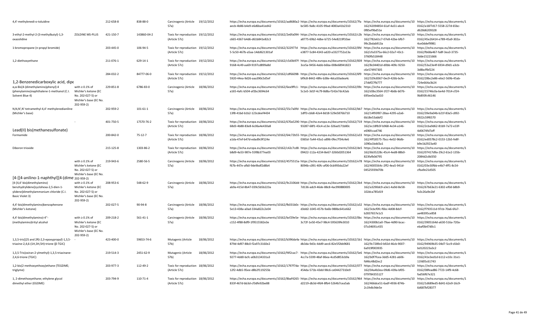| 4,4'-methylenedi-o-toluidine                                                                                                       |                                                                                                           | 212-658-8 | 838-88-0       | Carcinogenic (Article 19/12/2012<br>57a)           |            | https://echa.europa.eu/documents/10162/aa8680a2- https://echa.europa.eu/documents/10162/7fa https://echa.europa.eu/documents/10 https://echa.europa.eu/documents/1<br>aecb-4b86-b4e9-e6d6ba41ed42                                                             | bc585-9a8c-4105-99ad-4083a41b2310 | 162/42094854-61af-4a51-abc4-<br>0f85ef9bd51e | 0162/a16f7d17-5558-227d-65bc-<br>d628d6209328                                       |
|------------------------------------------------------------------------------------------------------------------------------------|-----------------------------------------------------------------------------------------------------------|-----------|----------------|----------------------------------------------------|------------|---------------------------------------------------------------------------------------------------------------------------------------------------------------------------------------------------------------------------------------------------------------|-----------------------------------|----------------------------------------------|-------------------------------------------------------------------------------------|
| 3-ethyl-2-methyl-2-(3-methylbutyl)-1,3-<br>oxazolidine                                                                             | ZOLDINE MS-PLUS                                                                                           | 421-150-7 | 143860-04-2    | Toxic for reproduction 19/12/2012<br>(Article 57c) |            | https://echa.europa.eu/documents/10162/2e6fa094- https://echa.europa.eu/documents/10162/c2b https://echa.europa.eu/documents/10 https://echa.europa.eu/documents/1<br>c665-4367-b4d6-d61b841e82c3                                                             | a8775-69b2-4dbe-b725-54e8219f10ae | 162/782e61c7-07e8-42be-bfb7-<br>99c2bdab913a | 0162/45e26414-e789-45a9-302a-<br>4ce0ddef9981                                       |
| 1-bromopropane (n-propyl bromide)                                                                                                  |                                                                                                           | 203-445-0 | 106-94-5       | Toxic for reproduction 19/12/2012<br>(Article 57c) |            | https://echa.europa.eu/documents/10162/322977d https://echa.europa.eu/documents/10162/0fd https://echa.europa.eu/documents/10<br>5-5c50-467b-a5aa-14dd621301af                                                                                                | e3877-5c84-4343-ad20-a3327752a13a | 162/cfa3375a-66c2-02a7-43c1-<br>3760fb518448 | https://echa.europa.eu/documents/1<br>0162/fb68a467-fa8f-3ea3-3735-<br>3dde15221666 |
| 1,2-diethoxyethane                                                                                                                 |                                                                                                           | 211-076-1 | 629-14-1       | Toxic for reproduction 19/12/2012<br>(Article 57c) |            | https://echa.europa.eu/documents/10162/c5d3b97f- https://echa.europa.eu/documents/10162/839 https://echa.europa.eu/documents/10 https://echa.europa.eu/documents/10 https://echa.europa.eu/documents/10<br>9168-4c49-aa69-9197cd899a8d                        | 3ce5a-9456-4abb-b6ba-008e68941823 | 162/8c04401d-d0bb-409c-9250-<br>c6e574f47305 | 0162/53a23e4f-6934-d9d1-a3cb-<br>3d8bcffbf224                                       |
| 1,2-Benzenedicarboxylic acid, dipe                                                                                                 |                                                                                                           | 284-032-2 | 84777-06-0     | Toxic for reproduction 19/12/2012<br>(Article 57c) |            | https://echa.europa.eu/documents/10162/cdf66098- https://echa.europa.eu/documents/10162/6f9 https://echa.europa.eu/documents/10 https://echa.europa.eu/documents/1<br>5920-44ea-9d26-aaa390c5d5ef                                                             | bf9c8-8442-48fe-b38e-4dca50adea4c | 162/329c8367-0ec9-426b-bcfe-<br>27ddf27fb777 | 0162/28bc2e86-e6e2-569b-45ab-<br>724e664a3b24                                       |
| $\alpha$ , $\alpha$ -Bis[4-(dimethylamino)phenyl]-4<br>(phenylamino)naphthalene-1-methanol (C.I.<br>Solvent Blue 4)                | with $\geq 0.1\%$ of<br>Michler's ketone (EC<br>No. 202-027-5) or<br>Michler's base (EC No.<br>202-959-2) | 229-851-8 | 6786-83-0      | Carcinogenic (Article<br>57a)                      | 18/06/2012 | https://echa.europa.eu/documents/10162/6ea9ffc1-https://echa.europa.eu/documents/10162/09chttps://echa.europa.eu/documents/10https://echa.europa.eu/documents/10https://echa.europa.eu/documents/10https://echa.europa.eu/docu<br>a165-4afc-b504-af2bc3694c64 | 5c1e5-3d1f-4c79-8d8a-f142e7dc42ab | 162/d3bc3564-1f27-4b6b-b076-<br>695ee0a3ad10 | 0162/15746c0a-be4d-7014-cf24-<br>9b893fc46146                                       |
| N,N,N',N'-tetramethyl-4,4'-methylenedianiline<br>(Michler's base)                                                                  |                                                                                                           | 202-959-2 | $101 - 61 - 1$ | Carcinogenic (Article<br>57a)                      | 18/06/2012 | https://echa.europa.eu/documents/10162/55c7a0fd- https://echa.europa.eu/documents/10162/bb7 https://echa.europa.eu/documents/10 https://echa.europa.eu/documents/1<br>13f8-41bd-b1b2-123cdeef4434                                                             | 1dff3-cbb8-42e4-8d18-529e5876b710 | 162/14f93f87-28aa-4295-a2a6-<br>6b18e53abbf2 | 0162/39e9a04b-b21f-83a5-c892-<br>0922c59f6570                                       |
| Lead(II) bis(methanesulfonate)                                                                                                     |                                                                                                           | 401-750-5 | 17570-76-2     | Toxic for reproduction 18/06/2012<br>(Article 57c) |            | https://echa.europa.eu/documents/10162/670a5290·https://echa.europa.eu/documents/10162/719 https://echa.europa.eu/documents/10 https://echa.europa.eu/documents/1<br>68d3-4b88-83e8-6c06a4e430a8                                                              | 93287-68f1-43c4-a13e-326ad171b80c | 162/ec18fb5f-b968-4e34-a146-<br>e696fccad746 | 0162/2cba9d62-81b9-7a72-e33f-<br>4d0674fd7aff                                       |
| Formamide                                                                                                                          |                                                                                                           | 200-842-0 | $75 - 12 - 7$  | Toxic for reproduction 18/06/2012<br>(Article 57c) |            | https://echa.europa.eu/documents/10162/64c72b55- https://echa.europa.eu/documents/10162/a33 https://echa.europa.eu/documents/10<br>a1da-47ef-b47d-edad9c9f124e                                                                                                | 0365d-7a44-43a1-a896-0fec7f34c4e6 | 162/4ff18575-7bcc-4e02-96db-<br>1090a1bdd3a1 | https://echa.europa.eu/documents/1<br>0162/ed0578c2-0153-12b5-fe8f-<br>b9e1b2923a40 |
| Diboron trioxide                                                                                                                   |                                                                                                           | 215-125-8 | 1303-86-2      | Toxic for reproduction 18/06/2012<br>(Article 57c) |            | https://echa.europa.eu/documents/10162/c42c7cd8- https://echa.europa.eu/documents/10162/de5 https://echa.europa.eu/documents/10 https://echa.europa.eu/documents/1<br>b8d9-4a53-987e-55f8b377ea03                                                             | 09422-112a-4234-8e67-3260d2051364 | 162/6b35228c-45c4-4ed8-88b0-<br>823fafb0d795 | 0162/07417d9a-29c2-61e2-135b-<br>2084d2c8d350                                       |
| [4-[[4-anilino-1-naphthyl][4-(dime 202-959-2)                                                                                      | with $\geq 0.1\%$ of<br>Michler's ketone (EC<br>No. 202-027-5) or<br>Michler's base (EC No.               | 219-943-6 | 2580-56-5      | Carcinogenic (Article<br>57a)                      | 18/06/2012 | https://echa.europa.eu/documents/10162/4575515a· https://echa.europa.eu/documents/10162/e78 https://echa.europa.eu/documents/10 https://echa.europa.eu/documents/10 https://echa.europa.eu/documents/10<br>f67b-447e-afb0-9de9bdf2d8b4                        | 8094b-c091-40fc-af06-0cb993da22ef | 162/4005564c-2ff2-4ea5-941d-<br>04525939d70b | 0162/03e30fbb-e4b7-4ff1-8c54-<br>cfba9e21d505                                       |
| [4-[4,4'-bis(dimethylamino)<br>benzhydrylidene]cyclohexa-2,5-dien-1-<br>ylidene]dimethylammonium chloride (C.I.<br>Basic Violet 3) | with $\geq 0.1\%$ of<br>Michler's ketone (EC<br>No. 202-027-5) or<br>Michler's base (EC No.<br>202-959-2) | 208-953-6 | 548-62-9       | Carcinogenic (Article<br>57a)                      | 18/06/2012 | https://echa.europa.eu/documents/10162/9c2106dd-https://echa.europa.eu/documents/10162/2b4 https://echa.europa.eu/documents/10 https://echa.europa.eu/documents/1<br>ab9a-415d-8b47-039c5b5b223a                                                              | 7d136-adc9-46de-88c8-4ac990880005 | 162/a3290dc9-a3e1-4a9d-8e58<br>102dca785d19  | 0162/67b63e21-6302-ef0d-b8b9-<br>fa3c26a9e2bf                                       |
| 4,4'-bis(dimethylamino)benzophenone<br>(Michler's ketone)                                                                          |                                                                                                           | 202-027-5 | 90-94-8        | Carcinogenic (Article<br>57a)                      | 18/06/2012 | https://echa.europa.eu/documents/10162/fb031b0c-https://echa.europa.eu/documents/10162/a32 https://echa.europa.eu/documents/10 https://echa.europa.eu/documents/1<br>5e13-438a-a0ad-334a822c2e04                                                              | d3dd2-1045-457b-9a6b-988bc641e662 | 162/3cbcf0fc-f6bc-4d08-8dcf-<br>b2837657e1c5 | 0162/f793511d-97cb-70a6-6fa7-<br>ae48395ce858                                       |
| 4,4'-bis(dimethylamino)-4"-<br>(methylamino)trityl alcohol                                                                         | with $\geq 0.1\%$ of<br>Michler's ketone (EC<br>No. 202-027-5) or<br>Michler's base (EC No.<br>202-959-2) | 209-218-2 | 561-41-1       | Carcinogenic (Article<br>57a)                      | 18/06/2012 | https://echa.europa.eu/documents/10162/bcf29e5e- https://echa.europa.eu/documents/10162/0bc https://echa.europa.eu/documents/10<br>c152-4f88-8df9-1f9515582e3e                                                                                                | 3c72f-1e50-45e7-98c4-595639fe3010 | 162/4300b1a0-79ae-4d90-bcac-<br>07a34691c435 | https://echa.europa.eu/documents/1<br>0162/3905164d-a630-516a-720a-<br>ebaf0b47d0c1 |
| 1,3,5-tris[(2S and 2R)-2,3-epoxypropyl]-1,3,5-<br>triazine-2,4,6-(1H,3H,5H)-trione (β-TGIC)                                        |                                                                                                           | 423-400-0 | 59653-74-6     | Mutagenic (Article<br>57b)                         | 18/06/2012 | https://echa.europa.eu/documents/10162/b396da4a· https://echa.europa.eu/documents/10162/1b1 https://echa.europa.eu/documents/10 https://echa.europa.eu/documents/10 https://echa.europa.eu/documents/10 https://echa.europa.eu<br>879d-4d97-88c0-f2a97c3160e2 | db3da-9d3c-4dd9-aec6-82e5f2bb9681 | 162/9c7289c0-b92d-46cb-9007-<br>6a919f003935 | 0162/94969b35-04d7-5cc9-d1b0-<br>bd120223a3c2                                       |
| 1,3,5-Tris(oxiran-2-ylmethyl)-1,3,5-triazinane-<br>2,4,6-trione (TGIC)                                                             |                                                                                                           | 219-514-3 | 2451-62-9      | Mutagenic (Article<br>57b)                         | 18/06/2012 | https://echa.europa.eu/documents/10162/f4f2cac7-https://echa.europa.eu/documents/10162/5e6https://echa.europa.eu/documents/10 https://echa.europa.eu/documents/1<br>9277-4dd0-bcfc-a0b3134331a3                                                               | 4cc7a-5599-48af-86ea-4cd5d853cb9a | 162/b0f7fcea-3dd5-4281-ab06-<br>fd46c48d2ec2 | 0162/41e3ed1d-b112-e10c-31e1-<br>11fd05c61743                                       |
| 1,2-bis(2-methoxyethoxy)ethane (TEGDME;<br>triglyme)                                                                               |                                                                                                           | 203-977-3 | 112-49-2       | Toxic for reproduction 18/06/2012<br>(Article 57c) |            | https://echa.europa.eu/documents/10162/1797f7da-https://echa.europa.eu/documents/10162/077 https://echa.europa.eu/documents/10 https://echa.europa.eu/documents/10 https://echa.europa.eu/documents/10<br>12f2-4db5-95ee-d8b2f119255b                         | 454da-571b-43dd-98c6-ce04427310e9 | 162/04a4b3ea-09d6-439a-bf05-<br>079784355127 | 0162/08fead86-7723-14f9-4c68-<br>fad56f67e321                                       |
| 1, 2-dimethoxyethane; ethylene glycol<br>dimethyl ether (EGDME)                                                                    |                                                                                                           | 203-794-9 | 110-71-4       | Toxic for reproduction 18/06/2012<br>(Article 57c) |            | https://echa.europa.eu/documents/10162/8baf4265- https://echa.europa.eu/documents/10162/964 https://echa.europa.eu/documents/10<br>833f-467d-bb3d-cf3dfe92be88                                                                                                | d2219-db3d-4fd4-8fb4-5264b7cea5ab | 162/466dce51-6adf-4936-874b-<br>2c1fe8c9de5e | https://echa.europa.eu/documents/1<br>0162/1d689ed5-8d41-62e9-16c9-<br>6d687bf28377 |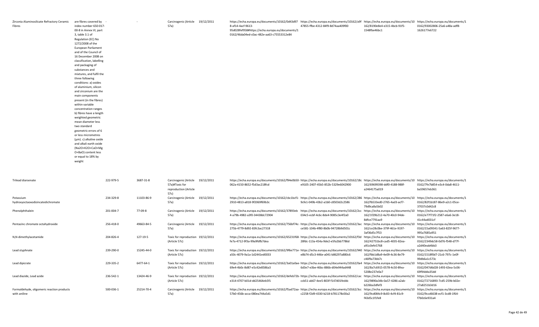| Zirconia Aluminosilicate Refractory Ceramic | are fibres covered by -<br>$\sim$ | Carcinogenic (Article 19/12/2011 | https://echa.europa.eu/documents/10162/0d43d97 https://echa.europa.eu/documents/10162/a9f https://echa.europa.eu/documents/10 https://echa.europa.eu/documents/1 |                                   |                              |                               |
|---------------------------------------------|-----------------------------------|----------------------------------|------------------------------------------------------------------------------------------------------------------------------------------------------------------|-----------------------------------|------------------------------|-------------------------------|
| Fibres                                      | index number 650-017-             | 57a)                             | 8-af14-4acf-9613-                                                                                                                                                | 47855-ffbe-4312-84f9-8d74aa409f00 | 162/8190e8e4-e315-4bcb-91f5- | 0162/93002806-25a6-a48a-adf8- |
|                                             | 00-8 in Annex VI, part            |                                  | 95d028fef958#https://echa.europa.eu/documents/1                                                                                                                  |                                   | 1548fbe46bc1                 | 1626177e6722                  |
|                                             | 3, table 3.1 of                   |                                  | 0162/46da04ed-c0ac-482e-aa63-c75553312e84                                                                                                                        |                                   |                              |                               |
|                                             | Regulation (EC) No                |                                  |                                                                                                                                                                  |                                   |                              |                               |
|                                             | 1272/2008 of the                  |                                  |                                                                                                                                                                  |                                   |                              |                               |
|                                             | European Parliament               |                                  |                                                                                                                                                                  |                                   |                              |                               |
|                                             | and of the Council of             |                                  |                                                                                                                                                                  |                                   |                              |                               |
|                                             | 16 December 2008 on               |                                  |                                                                                                                                                                  |                                   |                              |                               |
|                                             | classification, labelling         |                                  |                                                                                                                                                                  |                                   |                              |                               |
|                                             | and packaging of                  |                                  |                                                                                                                                                                  |                                   |                              |                               |
|                                             | substances and                    |                                  |                                                                                                                                                                  |                                   |                              |                               |
|                                             | mixtures, and fulfil the          |                                  |                                                                                                                                                                  |                                   |                              |                               |
|                                             | three following                   |                                  |                                                                                                                                                                  |                                   |                              |                               |
|                                             | conditions: a) oxides             |                                  |                                                                                                                                                                  |                                   |                              |                               |
|                                             | of aluminium, silicon             |                                  |                                                                                                                                                                  |                                   |                              |                               |
|                                             | and zirconium are the             |                                  |                                                                                                                                                                  |                                   |                              |                               |
|                                             | main components                   |                                  |                                                                                                                                                                  |                                   |                              |                               |
|                                             | present (in the fibres)           |                                  |                                                                                                                                                                  |                                   |                              |                               |
|                                             | within variable                   |                                  |                                                                                                                                                                  |                                   |                              |                               |
|                                             | concentration ranges              |                                  |                                                                                                                                                                  |                                   |                              |                               |
|                                             | b) fibres have a length           |                                  |                                                                                                                                                                  |                                   |                              |                               |
|                                             | weighted geometric                |                                  |                                                                                                                                                                  |                                   |                              |                               |
|                                             | mean diameter less                |                                  |                                                                                                                                                                  |                                   |                              |                               |
|                                             | two standard                      |                                  |                                                                                                                                                                  |                                   |                              |                               |
|                                             | geometric errors of 6             |                                  |                                                                                                                                                                  |                                   |                              |                               |
|                                             | or less micrometres               |                                  |                                                                                                                                                                  |                                   |                              |                               |
|                                             | (µm). c) alkaline oxide           |                                  |                                                                                                                                                                  |                                   |                              |                               |
|                                             | and alkali earth oxide            |                                  |                                                                                                                                                                  |                                   |                              |                               |
|                                             | (Na2O+K2O+CaO+Mg                  |                                  |                                                                                                                                                                  |                                   |                              |                               |
|                                             | O+BaO) content less               |                                  |                                                                                                                                                                  |                                   |                              |                               |
|                                             | or equal to 18% by                |                                  |                                                                                                                                                                  |                                   |                              |                               |
|                                             | weight                            |                                  |                                                                                                                                                                  |                                   |                              |                               |
|                                             |                                   |                                  |                                                                                                                                                                  |                                   |                              |                               |

| <b>Trilead diarsenate</b>                                  | 222-979-5 | 3687-31-8  | Carcinogenic (Article<br>57a)#Toxic for<br>reproduction (Article<br>57c) | 19/12/2011 | https://echa.europa.eu/documents/10162/f94e0b50- https://echa.europa.eu/documents/10162/18c https://echa.europa.eu/documents/10<br>062a-4150-8652-f5d3ac218fcd | e9105-2407-45b5-852b-5329e6042900                                               | 162/69699398-ddf0-4188-988f-<br>a2464175a019                                        | https://echa.europa.eu/documents/1<br>0162/7fe7b854-e3c4-0da8-4611-<br>ba59657eb361 |
|------------------------------------------------------------|-----------|------------|--------------------------------------------------------------------------|------------|----------------------------------------------------------------------------------------------------------------------------------------------------------------|---------------------------------------------------------------------------------|-------------------------------------------------------------------------------------|-------------------------------------------------------------------------------------|
| Potassium<br>hydroxyoctaoxodizincatedichromate             | 234-329-8 | 11103-86-9 | Carcinogenic (Article<br>57a)                                            | 19/12/2011 | https://echa.europa.eu/documents/10162/cbc1bcf1- https://echa.europa.eu/documents/10162/286 https://echa.europa.eu/documents/10<br>2910-4813-a818-9f2069f69b3c | 9cfe1-049b-43b2-a1b0-c8503d2c2586                                               | 162/fb533ed0-2765-4ad3-acf7-<br>79d9ca8a5b02                                        | https://echa.europa.eu/documents/1<br>0162/82f1b187-86e9-a2c1-05ce-<br>37037c0d42c8 |
| Phenolphthalein                                            | 201-004-7 | 77-09-8    | Carcinogenic (Article<br>57a)                                            | 19/12/2011 | https://echa.europa.eu/documents/10162/37893eb<br>4-a79b-4982-a3f0-34438dc72904                                                                                | https://echa.europa.eu/documents/10162/2co<br>034c5-ecbf-4c6c-8de4-9085c3e4f2a0 | https://echa.europa.eu/documents/10<br>162/1f29b212-4a70-40c0-94de-<br>8dfce7791aa9 | https://echa.europa.eu/documents/1<br>0162/e77f71f2-2587-e6a6-3e18-<br>41c44ad031cf |
| Pentazinc chromate octahydroxide                           | 256-418-0 | 49663-84-5 | Carcinogenic (Article<br>57a)                                            | 19/12/2011 | https://echa.europa.eu/documents/10162/756bf74c- https://echa.europa.eu/documents/10162/3a<br>275b-4779-8d92-83fc3ac27318                                      | ce581-104b-4f80-8b0b-94728b9d501c                                               | https://echa.europa.eu/documents/10<br>162/ce28c0be-379f-461e-9197-<br>3af36d5c7f53 | https://echa.europa.eu/documents/1<br>0162/15a09341-5a63-825f-9677-<br>995a7685a951 |
| N,N-dimethylacetamide                                      | 204-826-4 | 127-19-5   | Toxic for reproduction 19/12/2011<br>(Article 57c)                       |            | https://echa.europa.eu/documents/10162/65231f68- https://echa.europa.eu/documents/10162/f3c<br>fe7a-4712-9f3a-99a9fdfb7dea                                     | 28fdc-113a-454a-9de2-e5fa2bb7786d                                               | https://echa.europa.eu/documents/10<br>162/42751bc8-cad5-4035-82ea-<br>a91c0efe5768 | https://echa.europa.eu/documents/1<br>0162/2349dc58-0d76-f548-d77f-<br>a2d40eab4bb3 |
| Lead styphnate                                             | 239-290-0 | 15245-44-0 | Toxic for reproduction 19/12/2011<br>(Article 57c)                       |            | https://echa.europa.eu/documents/10162/9f6e771e- https://echa.europa.eu/documents/10162/940<br>a50c-4079-9a1a-1d2441ed0033                                     | e8b74-d5c3-446e-a041-b86297a880c6                                               | https://echa.europa.eu/documents/10<br>162/fbb1d8a9-4e09-4c36-8e79-<br>c46f9a73bb7c | https://echa.europa.eu/documents/1<br>0162/1518f0d7-21c6-797c-1e0f-<br>99db6a1c573c |
| Lead dipicrate                                             | 229-335-2 | 6477-64-1  | Toxic for reproduction 19/12/2011<br>(Article 57c)                       |            | https://echa.europa.eu/documents/10162/3a01a0ae-https://echa.europa.eu/documents/10162/0a4<br>69e4-4b0c-8d87-e5c42e8586a3                                      | 6d3e7-e3be-46bc-886b-d04e944ad448                                               | https://echa.europa.eu/documents/10<br>162/8a7c6915-0578-4c50-8fea-<br>5208e237e0a7 | https://echa.europa.eu/documents/1<br>0162/047d6d28-1493-63ea-5c06-<br>69f94dda35dd |
| Lead diazide. Lead azide                                   | 236-542-1 | 13424-46-9 | Toxic for reproduction 19/12/2011<br>(Article 57c)                       |            | https://echa.europa.eu/documents/10162/defeb72b-https://echa.europa.eu/documents/10162/ca<br>e314-4707-b01d-dd25464eb5f1                                       | ccb51-ab67-4ee5-803f-f147d01feddc                                               | https://echa.europa.eu/documents/10<br>162/9890a34b-0a57-4286-a2ab-<br>b226ba3dfef3 | https://echa.europa.eu/documents/1<br>0162/72716893-7cd5-259b-b02e-<br>27a8251b3d16 |
| Formaldehyde, oligomeric reaction products<br>with aniline | 500-036-1 | 25214-70-4 | Carcinogenic (Article<br>57a)                                            | 19/12/2011 | https://echa.europa.eu/documents/10162/f5ad72aa-https://echa.europa.eu/documents/10162/3cc<br>57b0-456b-acca-080ea744a5d1                                      | c2258-f2d9-4330-b218-b781178c00a2                                               | https://echa.europa.eu/documents/10<br>162/9cd084c9-8c83-4cf4-81c9-<br>f43d5c1f1fe8 | https://echa.europa.eu/documents/1<br>0162/9ccd6638-ecf1-3cd8-1f64-<br>f7b0c6e931a4 |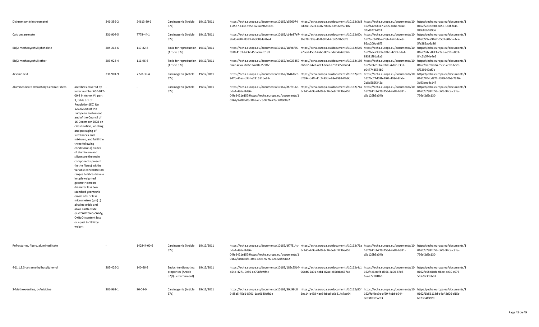| Dichromium tris(chromate)                 |                                                                                                                                                                                                                                                                                                                                                                                                                                                                                                                                                                                                                                                                                                                                                               | 246-356-2 | 24613-89-6    | Carcinogenic (Article 19/12/2011<br>57a)                                   |            | https://echa.europa.eu/documents/10162/b560074 https://echa.europa.eu/documents/10162/3d8 https://echa.europa.eu/documents/10 https://echa.europa.eu/documents/1<br>1-d5d7-413c-9755-625a596d1ee1                                                                                                                                                 | 6d90e-9593-4987-9856-639068f57402 | 162/6426d317-2c05-40ba-90ae-<br>0fbd67774f53 | 0162/2e3dc8f8-6055-183f-fc46-<br>f86b85b089b6 |
|-------------------------------------------|---------------------------------------------------------------------------------------------------------------------------------------------------------------------------------------------------------------------------------------------------------------------------------------------------------------------------------------------------------------------------------------------------------------------------------------------------------------------------------------------------------------------------------------------------------------------------------------------------------------------------------------------------------------------------------------------------------------------------------------------------------------|-----------|---------------|----------------------------------------------------------------------------|------------|---------------------------------------------------------------------------------------------------------------------------------------------------------------------------------------------------------------------------------------------------------------------------------------------------------------------------------------------------|-----------------------------------|----------------------------------------------|-----------------------------------------------|
| Calcium arsenate                          |                                                                                                                                                                                                                                                                                                                                                                                                                                                                                                                                                                                                                                                                                                                                                               | 231-904-5 | 7778-44-1     | Carcinogenic (Article 19/12/2011<br>57a)                                   |            | https://echa.europa.eu/documents/10162/cb4e87e7- https://echa.europa.eu/documents/10162/00c https://echa.europa.eu/documents/10 https://echa.europa.eu/documents/10 https://echa.europa.eu/documents/10<br>ebdc-4a02-8333-7b30084a9be4                                                                                                            | 3ba78-f33e-461f-9fdd-4c365f2b5b23 | 162/ccc629ba-7feb-462d-bce8-<br>86ac200de8f5 | 0162/79ea9462-05c3-e0bd-c4ca-<br>5fe289ab6a86 |
| Bis(2-methoxyethyl) phthalate             |                                                                                                                                                                                                                                                                                                                                                                                                                                                                                                                                                                                                                                                                                                                                                               | 204-212-6 | 117-82-8      | Toxic for reproduction 19/12/2011<br>(Article 57c)                         |            | https://echa.europa.eu/documents/10162/18fc6f65- https://echa.europa.eu/documents/10162/5d0 https://echa.europa.eu/documents/10 https://echa.europa.eu/documents/1<br>fb18-4151-b737-45ba0aefb181                                                                                                                                                 | a79ed-4557-4a6c-8017-fda04a4eb326 | 162/bee2930b-03bb-4293-bda1-<br>89381f8da2a6 | 0162/d4c509f3-22a8-ae10-60b3-<br>84c2b574e4e2 |
| Bis(2-methoxyethyl) ether                 |                                                                                                                                                                                                                                                                                                                                                                                                                                                                                                                                                                                                                                                                                                                                                               | 203-924-4 | 111-96-6      | Toxic for reproduction 19/12/2011<br>(Article 57c)                         |            | https://echa.europa.eu/documents/10162/ee023359·https://echa.europa.eu/documents/10162/169 https://echa.europa.eu/documents/10 https://echa.europa.eu/documents/1<br>daa8-43a2-8c82-242f0a7588f7                                                                                                                                                  | db6b2-a42d-46f3-8daf-a7d8385e84b4 | 162/2e6c10fa-03d5-47b2-9337-<br>e047743554b9 | 0162/da73be84-553c-2cdb-6c20-<br>6f329649af7c |
| Arsenic acid                              |                                                                                                                                                                                                                                                                                                                                                                                                                                                                                                                                                                                                                                                                                                                                                               | 231-901-9 | 7778-39-4     | Carcinogenic (Article<br>57a)                                              | 19/12/2011 | https://echa.europa.eu/documents/10162/3646fac6- https://echa.europa.eu/documents/10162/c61 https://echa.europa.eu/documents/10 https://echa.europa.eu/documents/10 https://echa.europa.eu/documents/10 https://echa.europa.eu<br>947b-41ea-b3bf-e231511be65c                                                                                     | d2694-b4f4-41c0-93da-68e959341b9c | 162/bc77d03b-2f02-4084-8fab-<br>2b8d586f342a | 0162/704cd872-1329-10b8-7326-<br>3d93eea4c147 |
| Aluminosilicate Refractory Ceramic Fibres | are fibres covered by<br>index number 650-017-<br>00-8 in Annex VI, part<br>3, table 3.1 of<br>Regulation (EC) No<br>1272/2008 of the<br>European Parliament<br>and of the Council of<br>16 December 2008 on<br>classification, labelling<br>and packaging of<br>substances and<br>mixtures, and fulfil the<br>three following<br>conditions: a) oxides<br>of aluminium and<br>silicon are the main<br>components present<br>(in the fibres) within<br>variable concentration<br>ranges b) fibres have a<br>length weighted<br>geometric mean<br>diameter less two<br>standard geometric<br>errors of 6 or less<br>micrometres (µm) c)<br>alkaline oxide and<br>alkali earth oxide<br>(Na2O+K2O+CaO+Mg<br>O+BaO) content less<br>or equal to 18% by<br>weight |           |               | Carcinogenic (Article 19/12/2011<br>57a)                                   |            | https://echa.europa.eu/documents/10162/df7f314c-https://echa.europa.eu/documents/10162/71a https://echa.europa.eu/documents/10 https://echa.europa.eu/documents/1<br>bda4-496c-8d86-<br>04fe2421e157#https://echa.europa.eu/documents/1<br>0162/9c0854f5-3f46-4dc5-9776-72ac20f908e2                                                              | 6c340-4c9c-41d9-8c26-6e8d3236e456 | 162/611cb779-7564-4a89-b381-<br>c5a126b5a04b | 0162/c7882d5b-b6f3-94ca-c81a-<br>756cf2d5c130 |
| Refractories, fibers, aluminosilicate     |                                                                                                                                                                                                                                                                                                                                                                                                                                                                                                                                                                                                                                                                                                                                                               |           | 142844-00-6   | Carcinogenic (Article 19/12/2011<br>57a)                                   |            | https://echa.europa.eu/documents/10162/df7f314c-https://echa.europa.eu/documents/10162/71ahttps://echa.europa.eu/documents/10https://echa.europa.eu/documents/10https://echa.europa.eu/documents/10https://echa.europa.eu/docu<br>bda4-496c-8d86-<br>04fe2421e157#https://echa.europa.eu/documents/1<br>0162/9c0854f5-3f46-4dc5-9776-72ac20f908e2 | 6c340-4c9c-41d9-8c26-6e8d3236e456 | 162/611cb779-7564-4a89-b381-<br>c5a126b5a04b | 0162/c7882d5b-b6f3-94ca-c81a-<br>756cf2d5c130 |
| 4-(1,1,3,3-tetramethylbutyl)phenol        |                                                                                                                                                                                                                                                                                                                                                                                                                                                                                                                                                                                                                                                                                                                                                               | 205-426-2 | 140-66-9      | <b>Endocrine disrupting</b><br>properties (Article<br>57(f) - environment) | 19/12/2011 | https://echa.europa.eu/documents/10162/189c55b4- https://echa.europa.eu/documents/10162/4c1 https://echa.europa.eu/documents/10 https://echa.europa.eu/documents/1<br>d54b-4271-9e50-ce798faf9f4c                                                                                                                                                 | 96bd6-2a91-4cb1-82ae-c65cb8a637ac | 162/4c6cccfd-d366-4a00-87e5-<br>65aa77181fb6 | 0162/a08e8cda-06ee-de39-c975-<br>5f36973dbb63 |
| 2-Methoxyaniline, o-Anisidine             |                                                                                                                                                                                                                                                                                                                                                                                                                                                                                                                                                                                                                                                                                                                                                               | 201-963-1 | $90 - 04 - 0$ | Carcinogenic (Article 19/12/2011                                           |            | https://echa.europa.eu/documents/10162/30d99b8 https://echa.europa.eu/documents/10162/80f https://echa.europa.eu/documents/10 https://echa.europa.eu/documents/1                                                                                                                                                                                  |                                   |                                              |                                               |

9-85a5-45d1-8701-1ad0680afb1e

2ea14-b438-4ae6-bbcd-b6b214c7ae04 162/faf9ec9a-af59-4c1d-b944-

cc831b3b52b3

0162/1b56118d-d4af-2d06-d15c-

6e2354ff4990

57a)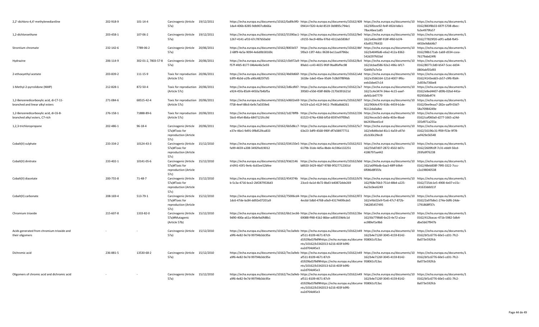| 2,2'-dichloro-4,4'-methylenedianiline                                       | 202-918-9 | 101-14-4            | Carcinogenic (Article<br>57a)                                                       | 19/12/2011 | https://echa.europa.eu/documents/10162/0a89c9f0- https://echa.europa.eu/documents/10162/409 https://echa.europa.eu/documents/10 https://echa.europa.eu/documents/1<br>1da4-406b-8285-9db907cdb66a                                      | 09414-f320-4c4d-8519-3b9895c794e1                                                                                                      | 162/6f0cee92-fe4f-492d-b8e1-<br>78ac46ee1a85 | 0162/883f8b33-697f-5708-dbec-<br>fa3e4979fa57                                       |
|-----------------------------------------------------------------------------|-----------|---------------------|-------------------------------------------------------------------------------------|------------|----------------------------------------------------------------------------------------------------------------------------------------------------------------------------------------------------------------------------------------|----------------------------------------------------------------------------------------------------------------------------------------|----------------------------------------------|-------------------------------------------------------------------------------------|
| 1,2-dichloroethane                                                          | 203-458-1 | 107-06-2            | Carcinogenic (Article<br>57a)                                                       | 19/12/2011 | https://echa.europa.eu/documents/10162/55390ac1- https://echa.europa.eu/documents/10162/9e0 https://echa.europa.eu/documents/10 https://echa.europa.eu/documents/1<br>1267-4141-af33-67c787b50a0d                                      | c9155-9ec9-489a-976d-4312ab5838cf                                                                                                      | 162/a40ec08f-918f-4f60-b1f4-<br>43a9517f6433 | 0162/77829f20-a0f1-adb8-fb45-<br>4450e9db64b7                                       |
| Strontium chromate                                                          | 232-142-6 | 7789-06-2           | Carcinogenic (Article<br>57a)                                                       | 20/06/2011 | https://echa.europa.eu/documents/10162/8003d37 https://echa.europa.eu/documents/10162/dbf https://echa.europa.eu/documents/10 https://echa.europa.eu/documents/1<br>2-68f9-4a5a-9094-4e6d0b58169c                                      | 5f0a3-13f7-4dcc-9638-be11aa9796bc                                                                                                      | 162/b404f6d6-e6a2-412a-8362-<br>542d297fd1bd | 0162/98b171ab-1ab9-d334-ccea-<br>76179abd24f6                                       |
| Hydrazine                                                                   | 206-114-9 | 302-01-2, 7803-57-8 | Carcinogenic (Article 20/06/2011<br>57a)                                            |            | https://echa.europa.eu/documents/10162/c5b972a9- https://echa.europa.eu/documents/10162/8c4 https://echa.europa.eu/documents/10 https://echa.europa.eu/documents/10<br>f57f-4fd5-8177-04b4e46c5e93                                     | 89ab1-cc43-4655-9fdf-9ba8faffec98                                                                                                      | 162/dcbad586-92e2-496c-bf17-<br>f2d4fd7a7e5e | 0162/8077c3d0-b547-5cec-dd34-<br>0804abf35d93                                       |
| 2-ethoxyethyl acetate                                                       | 203-839-2 | 111-15-9            | Toxic for reproduction 20/06/2011<br>(Article 57c)                                  |            | https://echa.europa.eu/documents/10162/4b69d66f- https://echa.europa.eu/documents/10162/a4d https://echa.europa.eu/documents/10 https://echa.europa.eu/documents/1<br>b3f9-4b3d-a1fb-a90c4825f7d5                                      | 1618e-1de0-45ee-95d4-7c0b97f8f4bb                                                                                                      | 162/e3566164-121d-4007-9f6c-<br>eeb1bbe67c14 | 0162/4143edd3-cb57-c9f6-f0d4-<br>2c859a736be8                                       |
| 1-Methyl-2-pyrrolidone (NMP)                                                | 212-828-1 | 872-50-4            | Toxic for reproduction 20/06/2011<br>(Article 57c)                                  |            | https://echa.europa.eu/documents/10162/2d6cdfd7- https://echa.europa.eu/documents/10162/2a7 https://echa.europa.eu/documents/10 https://echa.europa.eu/documents/1<br>e924-45fa-85d4-4450a7b4bf5a                                      | 39583-e50d-458f-860b-2170d391621d                                                                                                      | 162/1c4e3474-34ee-4c15-aaef-<br>dafd1cb47779 | 0162/e8ed4407-d09b-02bd-441e-<br>f02950db4f74                                       |
| 1,2-Benzenedicarboxylic acid, di-C7-11-<br>branched and linear alkyl esters | 271-084-6 | 68515-42-4          | Toxic for reproduction 20/06/2011<br>(Article 57c)                                  |            | https://echa.europa.eu/documents/10162/e0602e69 https://echa.europa.eu/documents/10162/607 https://echa.europa.eu/documents/10<br>f758-4eef-88c6-6e9c7a0359e6                                                                          | fe319-a2a5-412f-9411-7fe86a8dd261                                                                                                      | 162/9064c470-918c-4459-b1de-<br>f6112da0a8ec | https://echa.europa.eu/documents/1<br>0162/0ee9eaa7-282e-aaf9-03d7-<br>58a70984249e |
| 1,2-Benzenedicarboxylic acid, di-C6-8-<br>branched alkyl esters, C7-rich    | 276-158-1 | 71888-89-6          | Toxic for reproduction 20/06/2011<br>(Article 57c)                                  |            | https://echa.europa.eu/documents/10162/1d278ff8- https://echa.europa.eu/documents/10162/236 https://echa.europa.eu/documents/10 https://echa.europa.eu/documents/1<br>5bc6-4fa4-8b6a-6847121fcc9d                                      | 61523-674a-4366-bf5d-8597e97f09a5                                                                                                      | 162/4ecec0c5-de0a-403e-8bad-<br>bb2439aed1cd | 0162/caf060a0-d277-1665-a24d-<br>335d971a255a                                       |
| 1,2,3-trichloropropane                                                      | 202-486-1 | $96 - 18 - 4$       | Carcinogenic (Article 20/06/2011<br>57a)#Toxic for<br>reproduction (Article<br>57c) |            | https://echa.europa.eu/documents/10162/6b5d8cc7- https://echa.europa.eu/documents/10162/5c7 https://echa.europa.eu/documents/10 https://echa.europa.eu/documents/10<br>e37e-46e1-9d91-0f8d529ca833                                     | 63e23-3df9-4568-990f-df7d38977711                                                                                                      | 162/e8d4bcbd-81c1-4a59-a97d-<br>d1cb30c29ec8 | 0162/16196c31-ff09-f53e-9f78-<br>aef429e56548                                       |
| Cobalt(II) sulphate                                                         | 233-334-2 | 10124-43-3          | Carcinogenic (Article<br>57a)#Toxic for<br>reproduction (Article<br>57c)            | 15/12/2010 | https://echa.europa.eu/documents/10162/034150e5· https://echa.europa.eu/documents/10162/615 https://echa.europa.eu/documents/10<br>fa99-4659-a208-3492fed19012                                                                         | 6179b-31de-4d5a-8bde-4c596e132251                                                                                                      | 162/5fa87d07-2872-4502-b07c-<br>4186797aa442 | https://echa.europa.eu/documents/1<br>0162/2609fc0f-7c31-ebb9-50cd-<br>293fa9f76238 |
| Cobalt(II) dinitrate                                                        | 233-402-1 | 10141-05-6          | Carcinogenic (Article<br>57a)#Toxic for<br>reproduction (Article<br>57c)            | 15/12/2010 | https://echa.europa.eu/documents/10162/93d2146 https://echa.europa.eu/documents/10162/b0d https://echa.europa.eu/documents/10 https://echa.europa.eu/documents/1<br>d-6f41-43f1-9e4c-6c65ee52bfee                                      | b8920-3429-46d7-9788-9f327712301d                                                                                                      | 162/a6ff4bdb-6aa3-48ff-b9b4-<br>6f086d8f35fa | 0162/48eb838f-79f0-3322-7ccc-<br>c2a198040538                                       |
| Cobalt(II) diacetate                                                        | 200-755-8 | 71-48-7             | Carcinogenic (Article 15/12/2010<br>57a)#Toxic for<br>reproduction (Article<br>57c) |            | https://echa.europa.eu/documents/10162/454374b https://echa.europa.eu/documents/10162/b76 https://echa.europa.eu/documents/10 https://echa.europa.eu/documents/1<br>b-5c3a-4716-bce2-2bf2879536d3                                      | 23ce3-4a1d-4b72-8bd3-b40872dde269                                                                                                      | 162/f68e76b3-751d-48b4-a225-<br>4a23c0ee6249 | 0162/725dc1e5-4900-4e07-e15c-<br>c41633ddd11f                                       |
| Cobalt(II) carbonate                                                        | 208-169-4 | 513-79-1            | Carcinogenic (Article<br>57a)#Toxic for<br>reproduction (Article<br>57c)            | 15/12/2010 | https://echa.europa.eu/documents/10162/75006cd4- https://echa.europa.eu/documents/10162/872 https://echa.europa.eu/documents/10 https://echa.europa.eu/documents/10 https://echa.europa.eu/documents/10<br>1dc6-47de-bc84-dd92e07201a9 | 4ec6d-5db0-4768-a9a9-43174499cde5                                                                                                      | 162/efdc02e9-f1e6-47c7-872b-<br>7d6285457495 | 0162/2a97b8e1-274e-0df6-24de-<br>1791868ff37c                                       |
| Chromium trioxide                                                           | 215-607-8 | 1333-82-0           | Carcinogenic (Article<br>57a)#Mutagenic<br>(Article 57b)                            | 15/12/2010 | https://echa.europa.eu/documents/10162/6b11ec66-https://echa.europa.eu/documents/10162/26e https://echa.europa.eu/documents/10<br>9d90-400a-a61a-90de9a0fd8b1                                                                          | 69088-ff48-41b2-86be-ad93559d4c1d                                                                                                      | 162/6b7798d0-6e23-4e72-a1ea-<br>ec989ef1e9b6 | https://echa.europa.eu/documents/1<br>0162/412bacac-471b-5982-5db4-<br>dbe5b67f947b |
| Acids generated from chromium trioxide and<br>their oligomers               |           |                     | Carcinogenic (Article<br>57a)                                                       | 15/12/2010 | https://echa.europa.eu/documents/10162/7ec3a9eb- https://echa.europa.eu/documents/10162/e49 https://echa.europa.eu/documents/10 https://echa.europa.eu/documents/10 https://echa.europa.eu/documents/10<br>a9f6-4e82-9e7d-99794b3dc95e | af511-8109-4671-87c9-<br>d1929bd1f9df#https://echa.europa.eu/docume 958061cf13ac<br>nts/10162/b3342013-b216-403f-b9f6-<br>ea2d704d45e3 | 162/b4e7126f-3045-4159-8142-                 | 0162/bf1c6776-60e5-cd31-7fc2-<br>8a073e592fcb                                       |
| Dichromic acid                                                              | 236-881-5 | 13530-68-2          | Carcinogenic (Article<br>57a)                                                       | 15/12/2010 | https://echa.europa.eu/documents/10162/7ec3a9eb- https://echa.europa.eu/documents/10162/e49 https://echa.europa.eu/documents/10 https://echa.europa.eu/documents/1<br>a9f6-4e82-9e7d-99794b3dc95e                                      | af511-8109-4671-87c9-<br>d1929bd1f9df#https://echa.europa.eu/docume 958061cf13ac<br>nts/10162/b3342013-b216-403f-b9f6-<br>ea2d704d45e3 | 162/b4e7126f-3045-4159-8142-                 | 0162/bf1c6776-60e5-cd31-7fc2-<br>8a073e592fcb                                       |
| Oligomers of chromic acid and dichromic acid                                |           |                     | Carcinogenic (Article<br>57a)                                                       | 15/12/2010 | https://echa.europa.eu/documents/10162/7ec3a9eb-https://echa.europa.eu/documents/10162/e49 https://echa.europa.eu/documents/10 https://echa.europa.eu/documents/1<br>a9f6-4e82-9e7d-99794b3dc95e                                       | af511-8109-4671-87c9-<br>d1929bd1f9df#https://echa.europa.eu/docume 958061cf13ac<br>nts/10162/b3342013-b216-403f-b9f6-<br>ea2d704d45e3 | 162/b4e7126f-3045-4159-8142-                 | 0162/bf1c6776-60e5-cd31-7fc2-<br>8a073e592fcb                                       |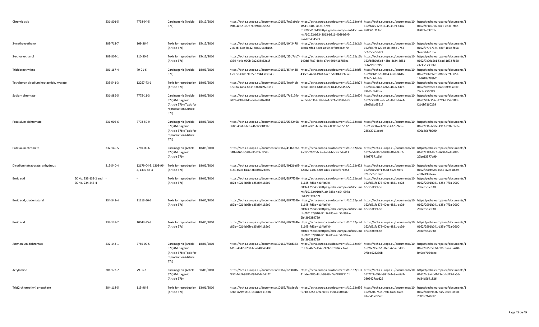| Chromic acid                            |                                          | 231-801-5 | 7738-94-5                            | Carcinogenic (Article 15/12/2010<br>57a)                                                                       |            | https://echa.europa.eu/documents/10162/7ec3a9eb- https://echa.europa.eu/documents/10162/e49 https://echa.europa.eu/documents/10 https://echa.europa.eu/documents/10 https://echa.europa.eu/documents/10<br>a9f6-4e82-9e7d-99794b3dc95e                        | af511-8109-4671-87c9-<br>d1929bd1f9df#https://echa.europa.eu/docume 958061cf13ac<br>nts/10162/b3342013-b216-403f-b9f6-<br>ea2d704d45e3 | 162/b4e7126f-3045-4159-8142-                 | 0162/bf1c6776-60e5-cd31-7fc2-<br>8a073e592fcb |
|-----------------------------------------|------------------------------------------|-----------|--------------------------------------|----------------------------------------------------------------------------------------------------------------|------------|---------------------------------------------------------------------------------------------------------------------------------------------------------------------------------------------------------------------------------------------------------------|----------------------------------------------------------------------------------------------------------------------------------------|----------------------------------------------|-----------------------------------------------|
| 2-methoxyethanol                        |                                          | 203-713-7 | 109-86-4                             | Toxic for reproduction 15/12/2010<br>(Article 57c)                                                             |            | https://echa.europa.eu/documents/10162/d043478 https://echa.europa.eu/documents/10162/2c3 https://echa.europa.eu/documents/10 https://echa.europa.eu/documents/10 https://echa.europa.eu/documents/10<br>2-81cb-43af-ba42-88c301aeb105                        | 2ce81-9fe4-4bec-ab99-cefb0db64f70                                                                                                      | 162/de7fb120-e51b-408c-9753-<br>5c605be53de9 | 0162/97777174-b86f-1e5e-fb0a-<br>92a7ab4e1fda |
| 2-ethoxyethanol                         |                                          | 203-804-1 | 110-80-5                             | Toxic for reproduction 15/12/2010<br>(Article 57c)                                                             |            | https://echa.europa.eu/documents/10162/f25b7ab7- https://echa.europa.eu/documents/10162/16b https://echa.europa.eu/documents/10 https://echa.europa.eu/documents/1<br>c339-4b4a-900b-7a2d38c32c1f                                                             | 140dd-f4a7-4b4c-a7c4-696ff16785ea                                                                                                      | 162/b8b0b5ed-43be-4c24-8d81-<br>96b799916955 | 0162/7c99a5c1-5dad-1d72-f660-<br>e4c451739bbf |
| Trichloroethylene                       |                                          | 201-167-4 | 79-01-6                              | Carcinogenic (Article 18/06/2010<br>57a)                                                                       |            | https://echa.europa.eu/documents/10162/d54e438 https://echa.europa.eu/documents/10162/bf5 https://echa.europa.eu/documents/10 https://echa.europa.eu/documents/1<br>1-eebe-41dd-9eb5-5794d383f043                                                             | 436ce-44ed-49c8-b7e6-51804d3cb0a5                                                                                                      | 162/8bbf5e70-f0a4-46c0-84db-<br>f2340c74d64e | 0162/50be92c9-8f8f-8cb9-3b52-<br>12d018a788b7 |
| Tetraboron disodium heptaoxide, hydrate |                                          | 235-541-3 | 12267-73-1                           | Toxic for reproduction 18/06/2010<br>(Article 57c)                                                             |            | https://echa.europa.eu/documents/10162/4ed94bb https://echa.europa.eu/documents/10162/b74 https://echa.europa.eu/documents/10 https://echa.europa.eu/documents/1<br>5-533a-4a8a-823f-6348859263d1                                                             | 3c746-3dd3-4ddb-83f9-8446d5615222                                                                                                      | 162/a049f842-ad66-4b06-b1ec-<br>39fd6c6f47ba | 0162/e893fee3-07e0-8f9b-a3be-<br>29c7c75008f2 |
| Sodium chromate                         |                                          | 231-889-5 | 7775-11-3                            | Carcinogenic (Article 18/06/2010<br>57a)#Mutagenic<br>(Article 57b)#Toxic for<br>reproduction (Article<br>57c) |            | https://echa.europa.eu/documents/10162/f7a917fb-https://echa.europa.eu/documents/10162/604 https://echa.europa.eu/documents/10 https://echa.europa.eu/documents/10 https://echa.europa.eu/documents/10 https://echa.europa.eu/<br>3073-4f18-93db-d49e3587df84 | acc0d-b03f-4c88-b9e1-574a0709b463                                                                                                      | 162/c5d6f8de-bbe1-4b31-b7c4-<br>d8e5b8d65517 | 0162/7bfc757c-3719-2959-1ffd-<br>f2bdb7160259 |
| Potassium dichromate                    |                                          | 231-906-6 | 7778-50-9                            | Carcinogenic (Article 18/06/2010<br>57a)#Mutagenic<br>(Article 57b)#Toxic for<br>reproduction (Article<br>57c) |            | https://echa.europa.eu/documents/10162/0f342468- https://echa.europa.eu/documents/10162/cb8 https://echa.europa.eu/documents/10 https://echa.europa.eu/documents/1<br>8b83-48af-b1ce-c46eb9e011bf                                                             | 9dff1-a881-4c96-98aa-058ddaf85532                                                                                                      | 162/3ac167c4-9f8e-4375-92f6-<br>285a2911cee0 | 0162/a1656dde-4912-2cfb-8605-<br>690a46b7b790 |
| Potassium chromate                      |                                          | 232-140-5 | 7789-00-6                            | Carcinogenic (Article<br>57a)#Mutagenic<br>(Article 57b)                                                       | 18/06/2010 | https://echa.europa.eu/documents/10162/4116dc63- https://echa.europa.eu/documents/10162/6ca https://echa.europa.eu/documents/10 https://echa.europa.eu/documents/10 https://echa.europa.eu/documents/10<br>d4ff-4465-b598-a81622c5f58b                        | 9ac30-7102-4c5a-9eb8-bbcefc64c411                                                                                                      | 162/e6da86f5-0988-4fb2-9dcf-<br>84087571c5af | 0162/3384d4c1-6650-fae8-5f86-<br>22be13577d99 |
| Disodium tetraborate, anhydrous         |                                          | 215-540-4 | 12179-04-3, 1303-96-<br>4, 1330-43-4 | Toxic for reproduction 18/06/2010<br>(Article 57c)                                                             |            | https://echa.europa.eu/documents/10162/4912ba63·https://echa.europa.eu/documents/10162/423 https://echa.europa.eu/documents/10 https://echa.europa.eu/documents/1<br>c1c1-4698-b1a0-3b58f6024cd5                                                              | 223b2-23c6-4203-a1c5-c1e4cf47e854                                                                                                      | 162/04e29ef1-f56d-4926-96f6-<br>c2865c5e10a7 | 0162/9004f5d0-c545-42ce-8839-<br>e07b8f938e7a |
| Boric acid                              | EC No. 233-139-2 and<br>EC No. 234-343-4 |           |                                      | Toxic for reproduction 18/06/2010<br>(Article 57c)                                                             |            | https://echa.europa.eu/documents/10162/6877f24b-https://echa.europa.eu/documents/10162/cad https://echa.europa.eu/documents/10 https://echa.europa.eu/documents/1<br>c82b-4021-b05b-a25af94185c0                                                              | 21145-7d6a-4c1f-b640-<br>80cfe475b45c#https://echa.europa.eu/docume 6f53bdf9cbbe<br>nts/10162/910d71c0-785a-4b54-997a-<br>6b4396389739 | 162/d51fd473-40ec-4831-bc2d-                 | 0162/2991b041-b25e-7f6a-0900-<br>2ebef8c9e030 |
| Boric acid, crude natural               |                                          | 234-343-4 | 11113-50-1                           | Toxic for reproduction 18/06/2010<br>(Article 57c)                                                             |            | https://echa.europa.eu/documents/10162/6877f24b- https://echa.europa.eu/documents/10162/cad https://echa.europa.eu/documents/10 https://echa.europa.eu/documents/10 https://echa.europa.eu/documents/10<br>c82b-4021-b05b-a25af94185c0                        | 21145-7d6a-4c1f-b640-<br>80cfe475b45c#https://echa.europa.eu/docume 6f53bdf9cbbe<br>nts/10162/910d71c0-785a-4b54-997a-<br>6b4396389739 | 162/d51fd473-40ec-4831-bc2d-                 | 0162/2991b041-b25e-7f6a-0900-<br>2ebef8c9e030 |
| Boric acid                              |                                          | 233-139-2 | 10043-35-3                           | Toxic for reproduction 18/06/2010<br>(Article 57c)                                                             |            | https://echa.europa.eu/documents/10162/6877f24b- https://echa.europa.eu/documents/10162/cad https://echa.europa.eu/documents/10 https://echa.europa.eu/documents/1<br>c82b-4021-b05b-a25af94185c0                                                             | 21145-7d6a-4c1f-b640-<br>80cfe475b45c#https://echa.europa.eu/docume 6f53bdf9cbbe<br>nts/10162/910d71c0-785a-4b54-997a-<br>6b4396389739 | 162/d51fd473-40ec-4831-bc2d-                 | 0162/2991b041-b25e-7f6a-0900-<br>2ebef8c9e030 |
| Ammonium dichromate                     |                                          | 232-143-1 | 7789-09-5                            | Carcinogenic (Article<br>57a)#Mutagenic<br>(Article 57b)#Toxic for<br>reproduction (Article<br>57c)            | 18/06/2010 | https://echa.europa.eu/documents/10162/ff5cd363-https://echa.europa.eu/documents/10162/e3f https://echa.europa.eu/documents/10 https://echa.europa.eu/documents/1<br>1d18-4b42-a208-b0aa4034348e                                                              | b1a7c-4bd5-4540-9997-fc9f040c1a2f                                                                                                      | 162/b09ce051-1fe5-425a-bdd0-<br>0f6eb628230b | 0162/875e5e2d-586f-5c6a-5440-<br>b40ed7024aee |
| Acrylamide                              |                                          | 201-173-7 | 79-06-1                              | Carcinogenic (Article<br>57a)#Mutagenic<br>(Article 57b)                                                       | 30/03/2010 | https://echa.europa.eu/documents/10162/b280c0f2- https://echa.europa.eu/documents/10162/131 https://echa.europa.eu/documents/10 https://echa.europa.eu/documents/10 https://echa.europa.eu/documents/10 https://echa.europa.eu<br>f957-44d9-9584-097444464b22 | 41b6e-f285-44bf-9868-d5e089875101                                                                                                      | 162/7f1a698d-9910-4e8a-a6a7-<br>0806427abd26 | 0162/4c9a4bdf-23eb-bd23-7a56-<br>9d34b5641826 |
| Tris(2-chloroethyl) phosphate           |                                          | 204-118-5 | 115-96-8                             | Toxic for reproduction 13/01/2010<br>(Article 57c)                                                             |            | https://echa.europa.eu/documents/10162/78d8ecfd- https://echa.europa.eu/documents/10162/d36 https://echa.europa.eu/documents/10 https://echa.europa.eu/documents/10 https://echa.europa.eu/documents/10 https://echa.europa.eu<br>5e83-4299-9f16-15681ee11bbb | f5718-6e5c-4fca-9e31-efed9c50d0d0                                                                                                      | 162/6d09755f-7fcb-4a00-b7ce-<br>91ab45a2e5af | 0162/da069526-8af2-c6c3-3d6d-<br>2c06b7446f82 |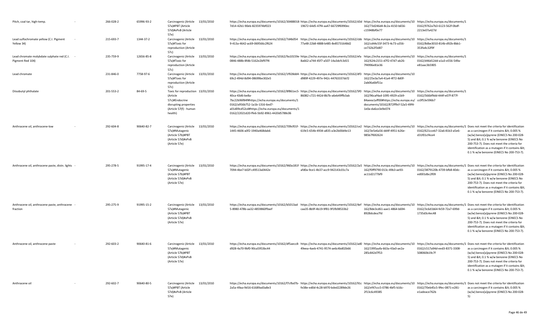| Pitch, coal tar, high-temp.                                    | 266-028-2 | 65996-93-2 | Carcinogenic (Article 13/01/2010<br>57a)#PBT (Article<br>57d)#vPvB (Article<br>57e)                                           | https://echa.europa.eu/documents/10162/30488018 https://echa.europa.eu/documents/10162/d3d https://echa.europa.eu/documents/10 https://echa.europa.eu/documents/1<br>7d14-42b1-90eb-8235974bf023                                                                                                                                                                          | 19672-64d5-47f4-aa47-66729f6990ec | 162/73d246d4-8c2a-4150-b656-<br>c15948bf0e77                                                                                                  | 0162/9762a7b3-6123-562f-0bdf-<br>2213e07a427d |                                                                                                                                                                                                                                                                          |
|----------------------------------------------------------------|-----------|------------|-------------------------------------------------------------------------------------------------------------------------------|---------------------------------------------------------------------------------------------------------------------------------------------------------------------------------------------------------------------------------------------------------------------------------------------------------------------------------------------------------------------------|-----------------------------------|-----------------------------------------------------------------------------------------------------------------------------------------------|-----------------------------------------------|--------------------------------------------------------------------------------------------------------------------------------------------------------------------------------------------------------------------------------------------------------------------------|
| Lead sulfochromate yellow (C.I. Pigment<br>Yellow 34)          | 215-693-7 | 1344-37-2  | Carcinogenic (Article 13/01/2010<br>57a)#Toxic for<br>reproduction (Article<br>57c)                                           | https://echa.europa.eu/documents/10162/7d4b054 https://echa.europa.eu/documents/10162/cbb https://echa.europa.eu/documents/10 https://echa.europa.eu/documents/1<br>9-413a-4642-ac69-069566c2f624                                                                                                                                                                         | 77a48-22b8-4888-b485-8e85731648d2 | 162/cd44c55f-3473-4c73-a356-<br>ce732b2f3d87                                                                                                  | 0162/8dbe3010-814b-d92b-8bb1-<br>353fa4c32f9f |                                                                                                                                                                                                                                                                          |
| Lead chromate molybdate sulphate red (C.I.<br>Pigment Red 104) | 235-759-9 | 12656-85-8 | 13/01/2010<br>Carcinogenic (Article<br>57a)#Toxic for<br>reproduction (Article<br>57c)                                        | https://echa.europa.eu/documents/10162/9a10159e·https://echa.europa.eu/documents/10162/efa https://echa.europa.eu/documents/10 https://echa.europa.eu/documents/1<br>0846-488b-8fdb-5162e2bf97f4                                                                                                                                                                          | 8a662-a744-45f7-a507-14a3dcfc3d15 | 162/624c2151-d7f2-47d7-ab26-<br>7f4996e81e36                                                                                                  | 0162/d46d12dd-a1a3-e556-549a-<br>e81aac3b5905 |                                                                                                                                                                                                                                                                          |
| Lead chromate                                                  | 231-846-0 | 7758-97-6  | Carcinogenic (Article 13/01/2010<br>57a)#Toxic for<br>reproduction (Article<br>57c)                                           | https://echa.europa.eu/documents/10162/1f928dd4- https://echa.europa.eu/documents/10162/df3 https://echa.europa.eu/documents/10<br>69c2-494d-8d94-08699be302e5                                                                                                                                                                                                            | d989f-4229-497e-942c-44763337dcf2 | 162/25e3a7a4-41a4-4f72-8d0f-<br>2ab06a6bf51a                                                                                                  |                                               |                                                                                                                                                                                                                                                                          |
| Diisobutyl phthalate                                           | 201-553-2 | 84-69-5    | Toxic for reproduction 13/01/2010<br>(Article<br>57c)#Endocrine<br>disrupting properties<br>(Article 57(f) - human<br>health) | https://echa.europa.eu/documents/10162/8f861ec5- https://echa.europa.eu/documents/10162/5f0 https://echa.europa.eu/documents/10 https://echa.europa.eu/documents/1<br>40ca-43d6-be8a-<br>7bc22b96f84f#https://echa.europa.eu/documents/1<br>0162/a956b752-1a1b-1316-6ed7-<br>a01d09cd52cd#https://echa.europa.eu/documents/1<br>0162/22021d20-ffe6-5b92-8961-4420d5788c06 | 86082-c721-442d-8b7b-a6eb49ffb3ab | 162/96caf4ad-1095-4929-a1b9-<br>84aeea1aff00#https://echa.europa.eu/ cc0f53e596b7<br>documents/10162/872ff9cf-52a5-49f4-<br>1e0a-da6ce3e9e074 | 0162/566bf9dd-444f-e07f-877f-                 |                                                                                                                                                                                                                                                                          |
| Anthracene oil, anthracene-low                                 | 292-604-8 | 90640-82-7 | Carcinogenic (Article 13/01/2010<br>57a)#Mutagenic<br>(Article 57b)#PBT<br>(Article 57d)#vPvB<br>(Article 57e)                | https://echa.europa.eu/documents/10162/709cf01f- https://echa.europa.eu/documents/10162/ce2 https://echa.europa.eu/documents/10 https://echa.europa.eu/documents/10 Does not meet the criteria for identification<br>1445-4606-a0f2-1940a468dab6                                                                                                                          | 619c5-654b-4934-a835-a3e2b00d4e13 | 162/3e5e6a56-dd4f-4951-b26e-<br>985b7f692624                                                                                                  | 0162/621cceb7-32a6-81b3-a5e6-<br>d31f01cf4ce4 | as a carcinogen if it contains < 0.005 %<br>(w/w) benzo[a]pyrene (EINECS No 200-028<br>5) and < 0.1 % w/w benzene (EINECS No<br>200-753-7). Does not meet the criteria for<br>identification as a mutagen if it contains &It<br>0.1 % w/w benzene (EINECS No 200-753-7). |
| Anthracene oil, anthracene paste, distn. lights -              | 295-278-5 | 91995-17-4 | 13/01/2010<br>Carcinogenic (Article<br>57a)#Mutagenic<br>(Article 57b)#PBT<br>(Article 57d)#vPvB<br>(Article 57e)             | https://echa.europa.eu/documents/10162/960a181f- https://echa.europa.eu/documents/10162/2a5 https://echa.europa.eu/documents/10 https://echa.europa.eu/documents/1 Does not meet the criteria for identificatior<br>7094-4be7-b02f-c49513a0442e                                                                                                                           | afd0a-9ce1-4b37-acc9-942143c01c7a | 162/f0ff9790-013c-49b3-ae93<br>ac11d2177bf9                                                                                                   | 0162/3879120b-4739-bfb8-40dc-<br>ed001dbc2f09 | as a carcinogen if it contains < 0.005 %<br>(w/w) benzo[a]pyrene (EINECS No 200-028<br>5) and < 0.1 % w/w benzene (EINECS No<br>200-753-7). Does not meet the criteria for<br>identification as a mutagen if it contains &It<br>0.1 % w/w benzene (EINECS No 200-753-7). |
| Anthracene oil, anthracene paste, anthracene<br>fraction       | 295-275-9 | 91995-15-2 | 13/01/2010<br>Carcinogenic (Article<br>57a)#Mutagenic<br>(Article 57b)#PBT<br>(Article 57d)#vPvB<br>(Article 57e)             | https://echa.europa.eu/documents/10162/b5013ad https://echa.europa.eu/documents/10162/4ef https://echa.europa.eu/documents/10 https://echa.europa.eu/documents/1 Does not meet the criteria for identification<br>5-8980-478b-aa32-4859860f9aef                                                                                                                           | caa35-8b9f-4b19-9f81-9f1fb98533b2 | 162/8de3cd61-aae1-4864-b694-<br>8928dcdea7fd                                                                                                  | 0162/3c6d1b64-fe59-72a7-699d-<br>1735d3c4ec48 | as a carcinogen if it contains < 0.005 %<br>(w/w) benzo[a]pyrene (EINECS No 200-028<br>5) and < 0.1 % w/w benzene (EINECS No<br>200-753-7). Does not meet the criteria for<br>identification as a mutagen if it contains &It<br>0.1 % w/w benzene (EINECS No 200-753-7). |
| Anthracene oil, anthracene paste                               | 292-603-2 | 90640-81-6 | Carcinogenic (Article 13/01/2010<br>57a)#Mutagenic<br>(Article 57b)#PBT<br>(Article 57d)#vPvB<br>(Article 57e)                | https://echa.europa.eu/documents/10162/df5aecc8- https://echa.europa.eu/documents/10162/ad0 https://echa.europa.eu/documents/10 https://echa.europa.eu/documents/10 https://echa.europa.eu/documents/10 https://echa.europa.eu<br>d928-4a70-9bf0-90ca5953bc44                                                                                                             | 49eea-4aeb-4741-9574-ae6c4bd02b66 | 162/1995aafa-663a-43a0-ae2a-<br>285c842d7f53                                                                                                  | 0162/c517a94d-eed3-8371-3308-<br>508060b19c7f | as a carcinogen if it contains < 0.005 %<br>(w/w) benzo[a]pyrene (EINECS No 200-028<br>5) and < 0.1 % w/w benzene (EINECS No<br>200-753-7). Does not meet the criteria for<br>identification as a mutagen if it contains &It<br>0.1 % w/w benzene (EINECS No 200-753-7). |
| Anthracene oil                                                 | 292-602-7 | 90640-80-5 | Carcinogenic (Article 13/01/2010<br>57a)#PBT (Article<br>57d)#vPvB (Article<br>57e)                                           | https://echa.europa.eu/documents/10162/f7cfbd7b- https://echa.europa.eu/documents/10162/91c https://echa.europa.eu/documents/10162/Fafbd7b- https://echa.europa.eu/documents/10162/f7cfbd7b- https://echa.europa.eu/documents/<br>2a5a-49aa-9d16-61689ad3a8e3                                                                                                             | fe38e-ed0d-4c28-b970-bded2289de26 | 162/ef47ccc5-0786-4bf5-b16c-<br>2f13c6c49385                                                                                                  | 0162/70eb45c5-9fec-0871-e281-<br>e1adeace762b | as a carcinogen if it contains < 0.005 %<br>(w/w) benzo[a]pyrene (EINECS No 200-028<br>5)                                                                                                                                                                                |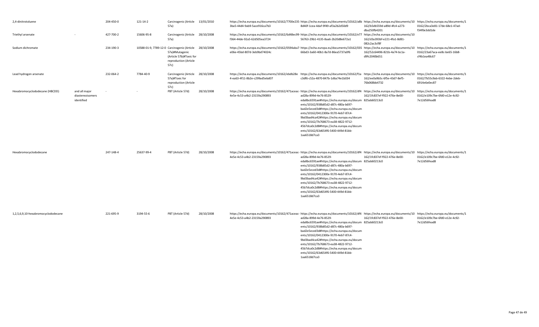| 2,4-dinitrotoluene                  |                                                 | 204-450-0 | 121-14-2   | Carcinogenic (Article<br>57a)                                                                                             | 13/01/2010 | https://echa.europa.eu/documents/10162/7700e235·https://echa.europa.eu/documents/10162/a8b https://echa.europa.eu/documents/10 https://echa.europa.eu/documents/1<br>3ba5-44d4-9ab9-5ace916ca7b3  | 8d40f-1cea-4daf-9f49-af3a2b2d50d9                                                                                                                                                                                                                                                                                                                                                                  | 162/b5db559d-a89d-4fc4-a273-<br>dba250fb4201 | 0162/2bca3e81-17de-68e1-47ad-<br>f34f0e3dd1de                                       |
|-------------------------------------|-------------------------------------------------|-----------|------------|---------------------------------------------------------------------------------------------------------------------------|------------|---------------------------------------------------------------------------------------------------------------------------------------------------------------------------------------------------|----------------------------------------------------------------------------------------------------------------------------------------------------------------------------------------------------------------------------------------------------------------------------------------------------------------------------------------------------------------------------------------------------|----------------------------------------------|-------------------------------------------------------------------------------------|
| Triethyl arsenate                   |                                                 | 427-700-2 | 15606-95-8 | Carcinogenic (Article<br>57a)                                                                                             | 28/10/2008 | https://echa.europa.eu/documents/10162/6d48ec99-https://echa.europa.eu/documents/10162/e77 https://echa.europa.eu/documents/10<br>f364-44de-92a5-62d505ea3724                                     | 56763-29b1-4135-8aa6-2b20d8e672a1                                                                                                                                                                                                                                                                                                                                                                  | 162/d3a393bf-e221-4fa1-8d81-<br>082c2ac3cf8f |                                                                                     |
| Sodium dichromate                   |                                                 | 234-190-3 |            | 10588-01-9, 7789-12-0 Carcinogenic (Article<br>57a)#Mutagenic<br>(Article 57b)#Toxic for<br>reproduction (Article<br>57c) | 28/10/2008 | https://echa.europa.eu/documents/10162/0594aba7· https://echa.europa.eu/documents/10162/035 https://echa.europa.eu/documents/10<br>e06e-45bd-807d-3eb9bd74024c                                    | 66bd3-3a60-40b1-8a7d-86ea5737a0f6                                                                                                                                                                                                                                                                                                                                                                  | 162/52c64496-821b-4a74-bc1a-<br>d9fc2040b651 | https://echa.europa.eu/documents/1<br>0162/23a67aca-ee8c-be65-16b8-<br>cf4b1ea48c67 |
| Lead hydrogen arsenate              |                                                 | 232-064-2 | 7784-40-9  | Carcinogenic (Article 28/10/2008<br>57a)#Toxic for<br>reproduction (Article<br>57c)                                       |            | https://echa.europa.eu/documents/10162/ebdb28e https://echa.europa.eu/documents/10162/f1a https://echa.europa.eu/documents/10 https://echa.europa.eu/documents/1<br>4-ea63-4f11-8b2e-c299ad5ebd07 | c3df6-c52a-4870-847b-1d6a74e1b034                                                                                                                                                                                                                                                                                                                                                                  | 162/ee0a9b5c-6f5e-43d7-8ef5-<br>76b068bb4732 | 0162/7b55c9ab-6322-4ebe-2deb-<br>6914e6e0ec87                                       |
| Hexabromocyclododecane (HBCDD)      | and all major<br>diastereoisomers<br>identified |           |            | PBT (Article 57d)                                                                                                         | 28/10/2008 | https://echa.europa.eu/documents/10162/471aceac- https://echa.europa.eu/documents/10162/df4 https://echa.europa.eu/documents/10<br>4e5e-4c53-a4b2-23159a290893                                    | ad28a-899d-4e76-8529-<br>eda8bc6591ae#https://echa.europa.eu/docum 825ab60213c0<br>ents/10162/938b85d2-d87c-480a-b697-<br>bad2e5eced3d#https://echa.europa.eu/docum<br>ents/10162/0412300e-9170-4eb7-87c4-<br>9bd3bad4ca42#https://echa.europa.eu/docum<br>ents/10162/7b768673-ea38-4822-9712-<br>45b7dca0c2d8#https://echa.europa.eu/docum<br>ents/10162/63d654f6-5400-449d-81bb-<br>1aa6518d7ca3 | 162/1fc837ef-f922-476e-8e00-                 | https://echa.europa.eu/documents/1<br>0162/e109c7be-6fd0-e12e-4c92-<br>7e12d56fead8 |
| Hexabromocyclododecane              |                                                 | 247-148-4 | 25637-99-4 | PBT (Article 57d)                                                                                                         | 28/10/2008 | https://echa.europa.eu/documents/10162/471aceac-https://echa.europa.eu/documents/10162/df4 https://echa.europa.eu/documents/10 https://echa.europa.eu/documents/1<br>4e5e-4c53-a4b2-23159a290893  | ad28a-899d-4e76-8529-<br>eda8bc6591ae#https://echa.europa.eu/docum 825ab60213c0<br>ents/10162/938b85d2-d87c-480a-b697-<br>bad2e5eced3d#https://echa.europa.eu/docum<br>ents/10162/0412300e-9170-4eb7-87c4-<br>9bd3bad4ca42#https://echa.europa.eu/docum<br>ents/10162/7b768673-ea38-4822-9712-<br>45b7dca0c2d8#https://echa.europa.eu/docum<br>ents/10162/63d654f6-5400-449d-81bb-<br>1aa6518d7ca3 | 162/1fc837ef-f922-476e-8e00-                 | 0162/e109c7be-6fd0-e12e-4c92-<br>7e12d56fead8                                       |
| 1,2,5,6,9,10-hexabromocyclododecane |                                                 | 221-695-9 | 3194-55-6  | PBT (Article 57d)                                                                                                         | 28/10/2008 | https://echa.europa.eu/documents/10162/471aceac- https://echa.europa.eu/documents/10162/df4 https://echa.europa.eu/documents/10 https://echa.europa.eu/documents/1<br>4e5e-4c53-a4b2-23159a290893 | ad28a-899d-4e76-8529-<br>eda8bc6591ae#https://echa.europa.eu/docum 825ab60213c0<br>ents/10162/938b85d2-d87c-480a-b697-<br>bad2e5eced3d#https://echa.europa.eu/docum<br>ents/10162/0412300e-9170-4eb7-87c4-<br>9bd3bad4ca42#https://echa.europa.eu/docum<br>ents/10162/7b768673-ea38-4822-9712-<br>45b7dca0c2d8#https://echa.europa.eu/docum<br>ents/10162/63d654f6-5400-449d-81bb-<br>1aa6518d7ca3 | 162/1fc837ef-f922-476e-8e00-                 | 0162/e109c7be-6fd0-e12e-4c92-<br>7e12d56fead8                                       |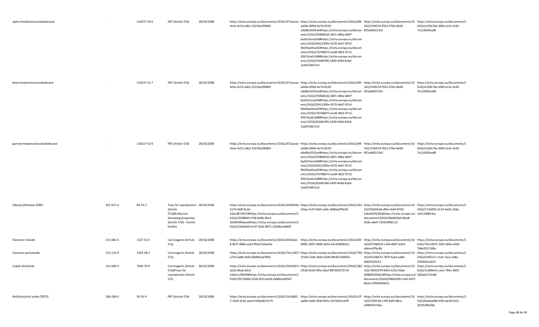| alpha-hexabromocyclododecane  |           | 134237-50-6 | PBT (Article 57d)                                                                                                             | 28/10/2008 | https://echa.europa.eu/documents/10162/471aceac- https://echa.europa.eu/documents/10162/df4 https://echa.europa.eu/documents/10 https://echa.europa.eu/documents/1<br>4e5e-4c53-a4b2-23159a290893                                                                                                                                                                        | ad28a-899d-4e76-8529-<br>eda8bc6591ae#https://echa.europa.eu/docum 825ab60213c0<br>ents/10162/938b85d2-d87c-480a-b697-<br>bad2e5eced3d#https://echa.europa.eu/docum<br>ents/10162/0412300e-9170-4eb7-87c4-<br>9bd3bad4ca42#https://echa.europa.eu/docum<br>ents/10162/7b768673-ea38-4822-9712-<br>45b7dca0c2d8#https://echa.europa.eu/docum<br>ents/10162/63d654f6-5400-449d-81bb-<br>1aa6518d7ca3 | 162/1fc837ef-f922-476e-8e00-                                                                                                                  | 0162/e109c7be-6fd0-e12e-4c92-<br>7e12d56fead8 |
|-------------------------------|-----------|-------------|-------------------------------------------------------------------------------------------------------------------------------|------------|--------------------------------------------------------------------------------------------------------------------------------------------------------------------------------------------------------------------------------------------------------------------------------------------------------------------------------------------------------------------------|----------------------------------------------------------------------------------------------------------------------------------------------------------------------------------------------------------------------------------------------------------------------------------------------------------------------------------------------------------------------------------------------------|-----------------------------------------------------------------------------------------------------------------------------------------------|-----------------------------------------------|
| beta-hexabromocyclododecane   |           | 134237-51-7 | PBT (Article 57d)                                                                                                             | 28/10/2008 | https://echa.europa.eu/documents/10162/471aceac- https://echa.europa.eu/documents/10162/df4 https://echa.europa.eu/documents/10 https://echa.europa.eu/documents/1<br>4e5e-4c53-a4b2-23159a290893                                                                                                                                                                        | ad28a-899d-4e76-8529-<br>eda8bc6591ae#https://echa.europa.eu/docum 825ab60213c0<br>ents/10162/938b85d2-d87c-480a-b697-<br>bad2e5eced3d#https://echa.europa.eu/docum<br>ents/10162/0412300e-9170-4eb7-87c4-<br>9bd3bad4ca42#https://echa.europa.eu/docum<br>ents/10162/7b768673-ea38-4822-9712-<br>45b7dca0c2d8#https://echa.europa.eu/docum<br>ents/10162/63d654f6-5400-449d-81bb-<br>1aa6518d7ca3 | 162/1fc837ef-f922-476e-8e00-                                                                                                                  | 0162/e109c7be-6fd0-e12e-4c92-<br>7e12d56fead8 |
| gamma-hexabromocyclododecane  |           | 134237-52-8 | PBT (Article 57d)                                                                                                             | 28/10/2008 | https://echa.europa.eu/documents/10162/471aceac-https://echa.europa.eu/documents/10162/df4 https://echa.europa.eu/documents/10 https://echa.europa.eu/documents/1<br>4e5e-4c53-a4b2-23159a290893                                                                                                                                                                         | ad28a-899d-4e76-8529-<br>eda8bc6591ae#https://echa.europa.eu/docum 825ab60213c0<br>ents/10162/938b85d2-d87c-480a-b697-<br>bad2e5eced3d#https://echa.europa.eu/docum<br>ents/10162/0412300e-9170-4eb7-87c4-<br>9bd3bad4ca42#https://echa.europa.eu/docum<br>ents/10162/7b768673-ea38-4822-9712-<br>45b7dca0c2d8#https://echa.europa.eu/docum<br>ents/10162/63d654f6-5400-449d-81bb-<br>1aa6518d7ca3 | 162/1fc837ef-f922-476e-8e00-                                                                                                                  | 0162/e109c7be-6fd0-e12e-4c92-<br>7e12d56fead8 |
| Dibutyl phthalate (DBP)       | 201-557-4 | 84-74-2     | Toxic for reproduction 28/10/2008<br>(Article<br>57c)#Endocrine<br>disrupting properties<br>(Article 57(f) - human<br>health) |            | https://echa.europa.eu/documents/10162/d33fd29e-https://echa.europa.eu/documents/10162/431 https://echa.europa.eu/documents/10 https://echa.europa.eu/documents/1<br>5170-440f-8c16-<br>10ecd87cf472#https://echa.europa.eu/documents/1<br>0162/2f10864f-e748-0e86-9bc4-<br>2b3964fbdace#https://echa.europa.eu/documents/1<br>0162/326a8103-bc47-fb36-0871-22b46ec9d66f | cf3aa-7e2f-43d5-ad4c-6b80ad7fbc91                                                                                                                                                                                                                                                                                                                                                                  | 162/f36205a8-df0a-4e94-8763-<br>2a6a02f0228c#https://echa.europa.eu/ 1e613480c3ce<br>documents/10162/6b0b59e9-8ba8-<br>03de-e8e9-735414f0611d | 0162/173eff20-d119-4ed5-258a-                 |
| Diarsenic trioxide            | 215-481-4 | 1327-53-3   | Carcinogenic (Article<br>57a)                                                                                                 | 28/10/2008 | https://echa.europa.eu/documents/10162/d502da1 https://echa.europa.eu/documents/10162/03f https://echa.europa.eu/documents/10 https://echa.europa.eu/documents/1<br>8-827f-408d-aa24-9fe0c7e6ed1b                                                                                                                                                                        | 099fc-0057-49d9-a816-24c44d69b5c1                                                                                                                                                                                                                                                                                                                                                                  | 162/8730b910-c1d4-4b87-b3e3-<br>a94ce47fbc9b                                                                                                  | 0162/7dc14675-1df3-e89a-e05d-<br>798e5f51749e |
| Diarsenic pentaoxide          | 215-116-9 | 1303-28-2   | Carcinogenic (Article 28/10/2008<br>57a)                                                                                      |            | https://echa.europa.eu/documents/10162/7b11c857-https://echa.europa.eu/documents/10162/760 https://echa.europa.eu/documents/10 https://echa.europa.eu/documents/1<br>a72d-4a8b-9efb-68d99ead7902                                                                                                                                                                         | 37d34-1e8c-405e-b594-8fe837e6095e                                                                                                                                                                                                                                                                                                                                                                  | 162/91206b72-787f-4a2d-aa80-<br>9d6f1f22fc55                                                                                                  | 0162/d1ff5c51-11a5-7aca-a48e-<br>2393f45ce653 |
| Cobalt dichloride             | 231-589-4 | 7646-79-9   | Carcinogenic (Article 28/10/2008<br>57a)#Toxic for<br>reproduction (Article<br>57c)                                           |            | https://echa.europa.eu/documents/10162/5633d67c-https://echa.europa.eu/documents/10162/383 https://echa.europa.eu/documents/10 https://echa.europa.eu/documents/1<br>a61b-4bab-b6c5-<br>c4a61cc99e00#https://echa.europa.eu/documents/1<br>0162/39173d0d-3258-4f23-ab18-a586bcb39567                                                                                     | cf518-9e20-495c-bbcf-8875b9373714                                                                                                                                                                                                                                                                                                                                                                  | 162/7d541979-6f03-421b-91bb-<br>039bfb326de1#https://echa.europa.eu/ 2d6abc372ed8<br>documents/10162/fdbfa509-c244-4537-<br>85eb-07994f393f23 | 0162/1c469e55-cee2-7841-84f3-                 |
| Bis(tributyltin) oxide (TBTO) | 200-268-0 | 56-35-9     | PBT (Article 57d)                                                                                                             | 28/10/2008 | https://echa.europa.eu/documents/10162/1b18d01 https://echa.europa.eu/documents/10162/e7f https://echa.europa.eu/documents/10 https://echa.europa.eu/documents/1<br>7-1056-4c92-aeeb-f190ad674174                                                                                                                                                                        | aa0f6-cb40-4930-8931-537d261e43ff                                                                                                                                                                                                                                                                                                                                                                  | 162/52f3fc94-c78f-436f-98ca-<br>e0f845f37a9a                                                                                                  | 0162/6e66a086-935f-ab28-012c-<br>262f5df9ef3b |